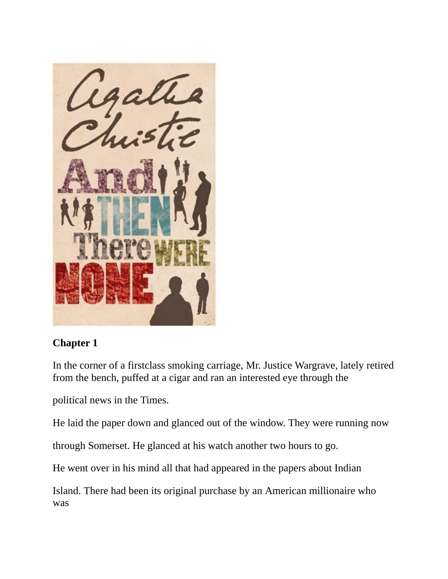

## **Chapter 1**

In the corner of a firstclass smoking carriage, Mr. Justice Wargrave, lately retired from the bench, puffed at a cigar and ran an interested eye through the

political news in the Times.

He laid the paper down and glanced out of the window. They were running now

through Somerset. He glanced at his watch another two hours to go.

He went over in his mind all that had appeared in the papers about Indian

Island. There had been its original purchase by an American millionaire who was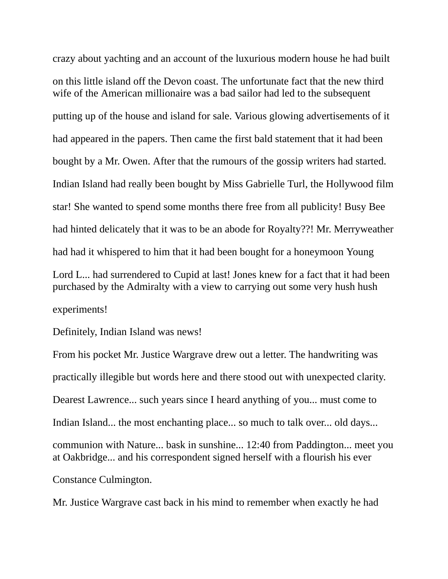crazy about yachting and an account of the luxurious modern house he had built on this little island off the Devon coast. The unfortunate fact that the new third wife of the American millionaire was a bad sailor had led to the subsequent putting up of the house and island for sale. Various glowing advertisements of it had appeared in the papers. Then came the first bald statement that it had been bought by a Mr. Owen. After that the rumours of the gossip writers had started. Indian Island had really been bought by Miss Gabrielle Turl, the Hollywood film star! She wanted to spend some months there free from all publicity! Busy Bee had hinted delicately that it was to be an abode for Royalty??! Mr. Merryweather had had it whispered to him that it had been bought for a honeymoon Young Lord L... had surrendered to Cupid at last! Jones knew for a fact that it had been purchased by the Admiralty with a view to carrying out some very hush hush

experiments!

Definitely, Indian Island was news!

From his pocket Mr. Justice Wargrave drew out a letter. The handwriting was practically illegible but words here and there stood out with unexpected clarity. Dearest Lawrence... such years since I heard anything of you... must come to Indian Island... the most enchanting place... so much to talk over... old days... communion with Nature... bask in sunshine... 12:40 from Paddington... meet you at Oakbridge... and his correspondent signed herself with a flourish his ever

Constance Culmington.

Mr. Justice Wargrave cast back in his mind to remember when exactly he had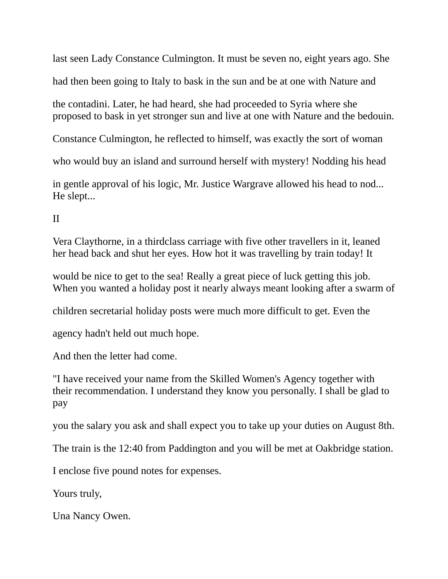last seen Lady Constance Culmington. It must be seven no, eight years ago. She

had then been going to Italy to bask in the sun and be at one with Nature and

the contadini. Later, he had heard, she had proceeded to Syria where she proposed to bask in yet stronger sun and live at one with Nature and the bedouin.

Constance Culmington, he reflected to himself, was exactly the sort of woman

who would buy an island and surround herself with mystery! Nodding his head

in gentle approval of his logic, Mr. Justice Wargrave allowed his head to nod... He slept...

II

Vera Claythorne, in a thirdclass carriage with five other travellers in it, leaned her head back and shut her eyes. How hot it was travelling by train today! It

would be nice to get to the sea! Really a great piece of luck getting this job. When you wanted a holiday post it nearly always meant looking after a swarm of

children secretarial holiday posts were much more difficult to get. Even the

agency hadn't held out much hope.

And then the letter had come.

"I have received your name from the Skilled Women's Agency together with their recommendation. I understand they know you personally. I shall be glad to pay

you the salary you ask and shall expect you to take up your duties on August 8th.

The train is the 12:40 from Paddington and you will be met at Oakbridge station.

I enclose five pound notes for expenses.

Yours truly,

Una Nancy Owen.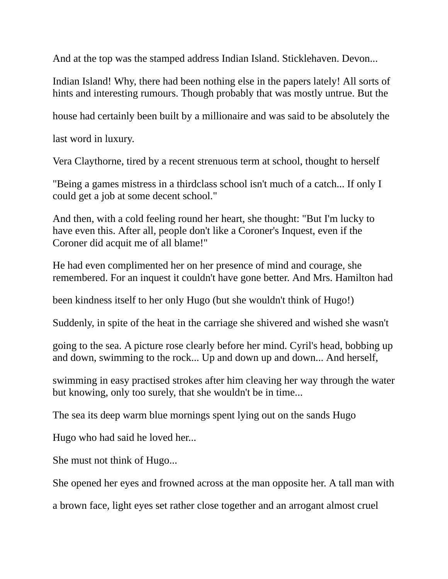And at the top was the stamped address Indian Island. Sticklehaven. Devon...

Indian Island! Why, there had been nothing else in the papers lately! All sorts of hints and interesting rumours. Though probably that was mostly untrue. But the

house had certainly been built by a millionaire and was said to be absolutely the

last word in luxury.

Vera Claythorne, tired by a recent strenuous term at school, thought to herself

"Being a games mistress in a thirdclass school isn't much of a catch... If only I could get a job at some decent school."

And then, with a cold feeling round her heart, she thought: "But I'm lucky to have even this. After all, people don't like a Coroner's Inquest, even if the Coroner did acquit me of all blame!"

He had even complimented her on her presence of mind and courage, she remembered. For an inquest it couldn't have gone better. And Mrs. Hamilton had

been kindness itself to her only Hugo (but she wouldn't think of Hugo!)

Suddenly, in spite of the heat in the carriage she shivered and wished she wasn't

going to the sea. A picture rose clearly before her mind. Cyril's head, bobbing up and down, swimming to the rock... Up and down up and down... And herself,

swimming in easy practised strokes after him cleaving her way through the water but knowing, only too surely, that she wouldn't be in time...

The sea its deep warm blue mornings spent lying out on the sands Hugo

Hugo who had said he loved her...

She must not think of Hugo...

She opened her eyes and frowned across at the man opposite her. A tall man with

a brown face, light eyes set rather close together and an arrogant almost cruel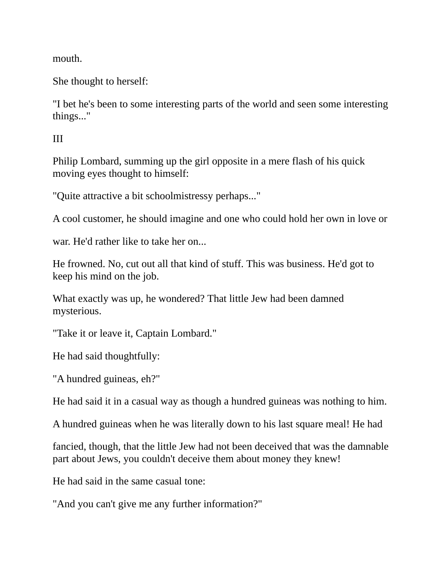mouth.

She thought to herself:

"I bet he's been to some interesting parts of the world and seen some interesting things..."

III

Philip Lombard, summing up the girl opposite in a mere flash of his quick moving eyes thought to himself:

"Quite attractive a bit schoolmistressy perhaps..."

A cool customer, he should imagine and one who could hold her own in love or

war. He'd rather like to take her on...

He frowned. No, cut out all that kind of stuff. This was business. He'd got to keep his mind on the job.

What exactly was up, he wondered? That little Jew had been damned mysterious.

"Take it or leave it, Captain Lombard."

He had said thoughtfully:

"A hundred guineas, eh?"

He had said it in a casual way as though a hundred guineas was nothing to him.

A hundred guineas when he was literally down to his last square meal! He had

fancied, though, that the little Jew had not been deceived that was the damnable part about Jews, you couldn't deceive them about money they knew!

He had said in the same casual tone:

"And you can't give me any further information?"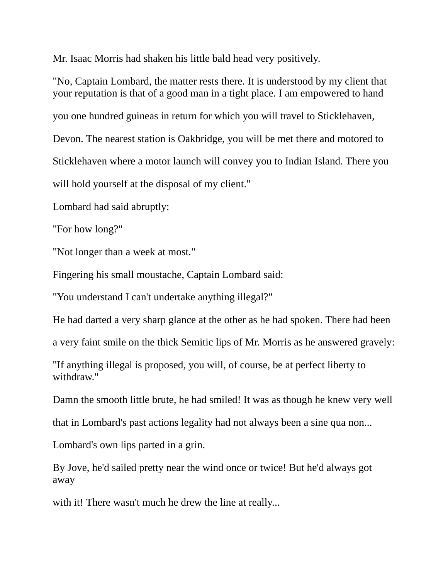Mr. Isaac Morris had shaken his little bald head very positively.

"No, Captain Lombard, the matter rests there. It is understood by my client that your reputation is that of a good man in a tight place. I am empowered to hand you one hundred guineas in return for which you will travel to Sticklehaven, Devon. The nearest station is Oakbridge, you will be met there and motored to Sticklehaven where a motor launch will convey you to Indian Island. There you will hold yourself at the disposal of my client."

Lombard had said abruptly:

"For how long?"

"Not longer than a week at most."

Fingering his small moustache, Captain Lombard said:

"You understand I can't undertake anything illegal?"

He had darted a very sharp glance at the other as he had spoken. There had been

a very faint smile on the thick Semitic lips of Mr. Morris as he answered gravely:

"If anything illegal is proposed, you will, of course, be at perfect liberty to withdraw."

Damn the smooth little brute, he had smiled! It was as though he knew very well

that in Lombard's past actions legality had not always been a sine qua non...

Lombard's own lips parted in a grin.

By Jove, he'd sailed pretty near the wind once or twice! But he'd always got away

with it! There wasn't much he drew the line at really...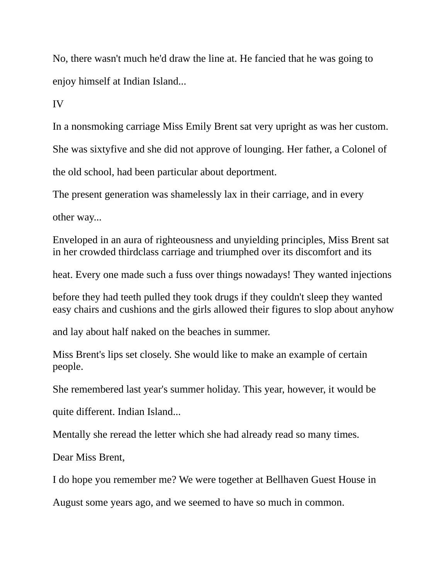No, there wasn't much he'd draw the line at. He fancied that he was going to enjoy himself at Indian Island...

IV

In a nonsmoking carriage Miss Emily Brent sat very upright as was her custom.

She was sixtyfive and she did not approve of lounging. Her father, a Colonel of

the old school, had been particular about deportment.

The present generation was shamelessly lax in their carriage, and in every

other way...

Enveloped in an aura of righteousness and unyielding principles, Miss Brent sat in her crowded thirdclass carriage and triumphed over its discomfort and its

heat. Every one made such a fuss over things nowadays! They wanted injections

before they had teeth pulled they took drugs if they couldn't sleep they wanted easy chairs and cushions and the girls allowed their figures to slop about anyhow

and lay about half naked on the beaches in summer.

Miss Brent's lips set closely. She would like to make an example of certain people.

She remembered last year's summer holiday. This year, however, it would be

quite different. Indian Island...

Mentally she reread the letter which she had already read so many times.

Dear Miss Brent,

I do hope you remember me? We were together at Bellhaven Guest House in

August some years ago, and we seemed to have so much in common.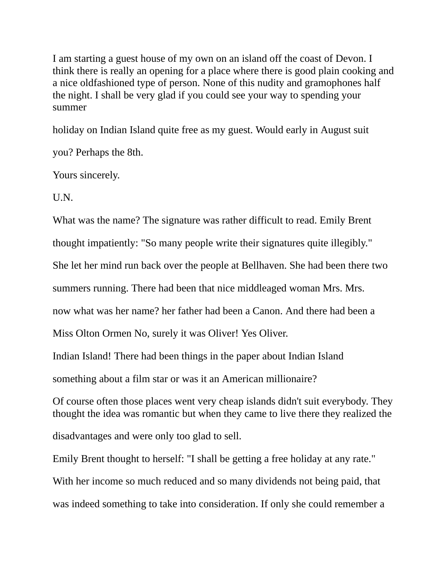I am starting a guest house of my own on an island off the coast of Devon. I think there is really an opening for a place where there is good plain cooking and a nice oldfashioned type of person. None of this nudity and gramophones half the night. I shall be very glad if you could see your way to spending your summer

holiday on Indian Island quite free as my guest. Would early in August suit

you? Perhaps the 8th.

Yours sincerely.

U.N.

What was the name? The signature was rather difficult to read. Emily Brent thought impatiently: "So many people write their signatures quite illegibly." She let her mind run back over the people at Bellhaven. She had been there two summers running. There had been that nice middleaged woman Mrs. Mrs. now what was her name? her father had been a Canon. And there had been a

Miss Olton Ormen No, surely it was Oliver! Yes Oliver.

Indian Island! There had been things in the paper about Indian Island

something about a film star or was it an American millionaire?

Of course often those places went very cheap islands didn't suit everybody. They thought the idea was romantic but when they came to live there they realized the disadvantages and were only too glad to sell.

Emily Brent thought to herself: "I shall be getting a free holiday at any rate." With her income so much reduced and so many dividends not being paid, that was indeed something to take into consideration. If only she could remember a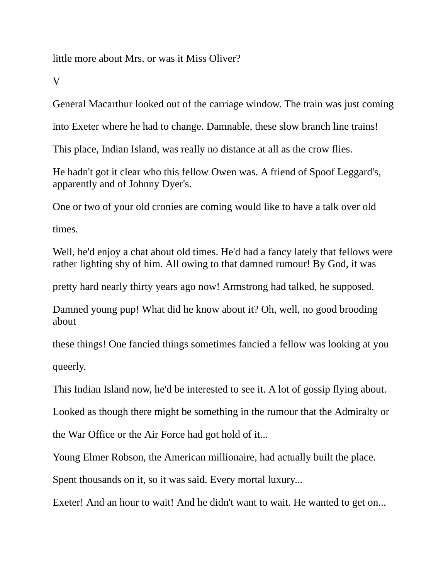little more about Mrs. or was it Miss Oliver?

V

General Macarthur looked out of the carriage window. The train was just coming

into Exeter where he had to change. Damnable, these slow branch line trains!

This place, Indian Island, was really no distance at all as the crow flies.

He hadn't got it clear who this fellow Owen was. A friend of Spoof Leggard's, apparently and of Johnny Dyer's.

One or two of your old cronies are coming would like to have a talk over old

times.

Well, he'd enjoy a chat about old times. He'd had a fancy lately that fellows were rather lighting shy of him. All owing to that damned rumour! By God, it was

pretty hard nearly thirty years ago now! Armstrong had talked, he supposed.

Damned young pup! What did he know about it? Oh, well, no good brooding about

these things! One fancied things sometimes fancied a fellow was looking at you queerly.

This Indian Island now, he'd be interested to see it. A lot of gossip flying about.

Looked as though there might be something in the rumour that the Admiralty or

the War Office or the Air Force had got hold of it...

Young Elmer Robson, the American millionaire, had actually built the place.

Spent thousands on it, so it was said. Every mortal luxury...

Exeter! And an hour to wait! And he didn't want to wait. He wanted to get on...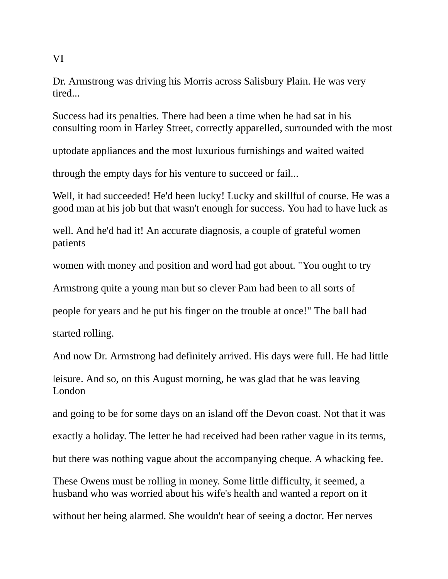Dr. Armstrong was driving his Morris across Salisbury Plain. He was very tired...

Success had its penalties. There had been a time when he had sat in his consulting room in Harley Street, correctly apparelled, surrounded with the most

uptodate appliances and the most luxurious furnishings and waited waited

through the empty days for his venture to succeed or fail...

Well, it had succeeded! He'd been lucky! Lucky and skillful of course. He was a good man at his job but that wasn't enough for success. You had to have luck as

well. And he'd had it! An accurate diagnosis, a couple of grateful women patients

women with money and position and word had got about. "You ought to try

Armstrong quite a young man but so clever Pam had been to all sorts of

people for years and he put his finger on the trouble at once!" The ball had

started rolling.

And now Dr. Armstrong had definitely arrived. His days were full. He had little

leisure. And so, on this August morning, he was glad that he was leaving London

and going to be for some days on an island off the Devon coast. Not that it was

exactly a holiday. The letter he had received had been rather vague in its terms,

but there was nothing vague about the accompanying cheque. A whacking fee.

These Owens must be rolling in money. Some little difficulty, it seemed, a husband who was worried about his wife's health and wanted a report on it

without her being alarmed. She wouldn't hear of seeing a doctor. Her nerves

VI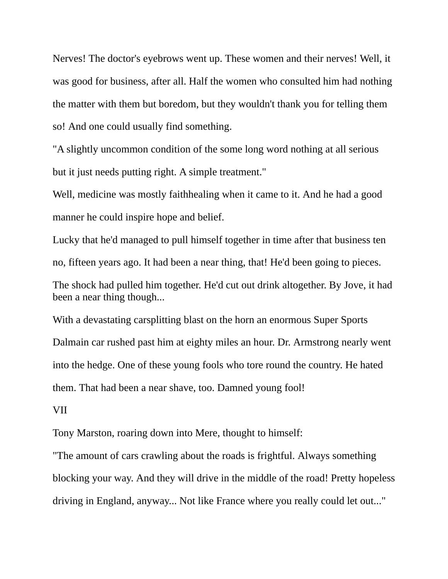Nerves! The doctor's eyebrows went up. These women and their nerves! Well, it was good for business, after all. Half the women who consulted him had nothing the matter with them but boredom, but they wouldn't thank you for telling them so! And one could usually find something.

"A slightly uncommon condition of the some long word nothing at all serious but it just needs putting right. A simple treatment."

Well, medicine was mostly faithhealing when it came to it. And he had a good manner he could inspire hope and belief.

Lucky that he'd managed to pull himself together in time after that business ten

no, fifteen years ago. It had been a near thing, that! He'd been going to pieces.

The shock had pulled him together. He'd cut out drink altogether. By Jove, it had been a near thing though...

With a devastating carsplitting blast on the horn an enormous Super Sports Dalmain car rushed past him at eighty miles an hour. Dr. Armstrong nearly went into the hedge. One of these young fools who tore round the country. He hated them. That had been a near shave, too. Damned young fool!

VII

Tony Marston, roaring down into Mere, thought to himself:

"The amount of cars crawling about the roads is frightful. Always something blocking your way. And they will drive in the middle of the road! Pretty hopeless driving in England, anyway... Not like France where you really could let out..."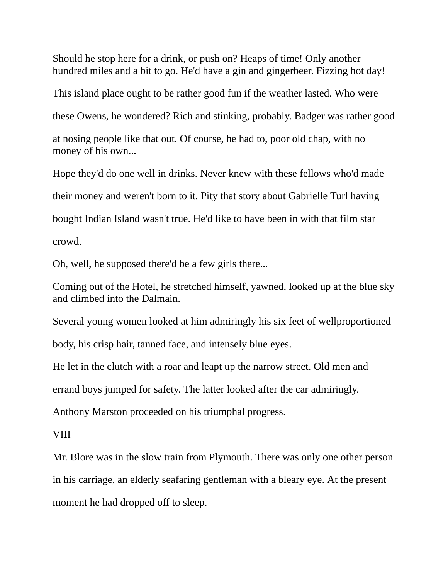Should he stop here for a drink, or push on? Heaps of time! Only another hundred miles and a bit to go. He'd have a gin and gingerbeer. Fizzing hot day!

This island place ought to be rather good fun if the weather lasted. Who were

these Owens, he wondered? Rich and stinking, probably. Badger was rather good

at nosing people like that out. Of course, he had to, poor old chap, with no money of his own...

Hope they'd do one well in drinks. Never knew with these fellows who'd made

their money and weren't born to it. Pity that story about Gabrielle Turl having

bought Indian Island wasn't true. He'd like to have been in with that film star

crowd.

Oh, well, he supposed there'd be a few girls there...

Coming out of the Hotel, he stretched himself, yawned, looked up at the blue sky and climbed into the Dalmain.

Several young women looked at him admiringly his six feet of wellproportioned

body, his crisp hair, tanned face, and intensely blue eyes.

He let in the clutch with a roar and leapt up the narrow street. Old men and

errand boys jumped for safety. The latter looked after the car admiringly.

Anthony Marston proceeded on his triumphal progress.

VIII

Mr. Blore was in the slow train from Plymouth. There was only one other person in his carriage, an elderly seafaring gentleman with a bleary eye. At the present moment he had dropped off to sleep.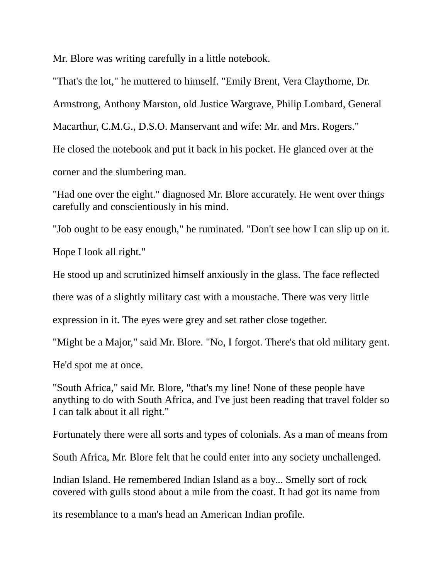Mr. Blore was writing carefully in a little notebook.

"That's the lot," he muttered to himself. "Emily Brent, Vera Claythorne, Dr. Armstrong, Anthony Marston, old Justice Wargrave, Philip Lombard, General Macarthur, C.M.G., D.S.O. Manservant and wife: Mr. and Mrs. Rogers." He closed the notebook and put it back in his pocket. He glanced over at the corner and the slumbering man.

"Had one over the eight." diagnosed Mr. Blore accurately. He went over things carefully and conscientiously in his mind.

"Job ought to be easy enough," he ruminated. "Don't see how I can slip up on it.

Hope I look all right."

He stood up and scrutinized himself anxiously in the glass. The face reflected

there was of a slightly military cast with a moustache. There was very little

expression in it. The eyes were grey and set rather close together.

"Might be a Major," said Mr. Blore. "No, I forgot. There's that old military gent.

He'd spot me at once.

"South Africa," said Mr. Blore, "that's my line! None of these people have anything to do with South Africa, and I've just been reading that travel folder so I can talk about it all right."

Fortunately there were all sorts and types of colonials. As a man of means from

South Africa, Mr. Blore felt that he could enter into any society unchallenged.

Indian Island. He remembered Indian Island as a boy... Smelly sort of rock covered with gulls stood about a mile from the coast. It had got its name from

its resemblance to a man's head an American Indian profile.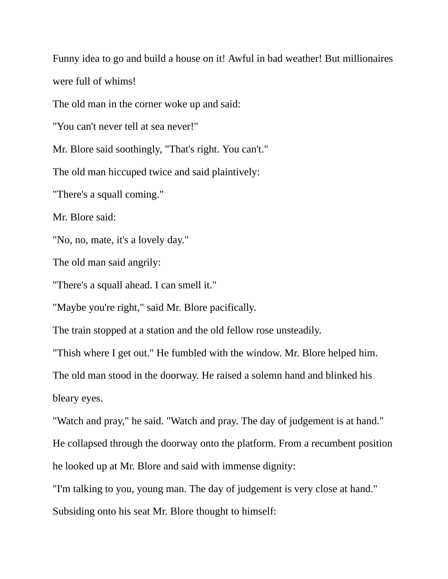Funny idea to go and build a house on it! Awful in bad weather! But millionaires were full of whims!

The old man in the corner woke up and said:

"You can't never tell at sea never!"

Mr. Blore said soothingly, "That's right. You can't."

The old man hiccuped twice and said plaintively:

"There's a squall coming."

Mr. Blore said:

"No, no, mate, it's a lovely day."

The old man said angrily:

"There's a squall ahead. I can smell it."

"Maybe you're right," said Mr. Blore pacifically.

The train stopped at a station and the old fellow rose unsteadily.

"Thish where I get out." He fumbled with the window. Mr. Blore helped him.

The old man stood in the doorway. He raised a solemn hand and blinked his bleary eyes.

"Watch and pray," he said. "Watch and pray. The day of judgement is at hand." He collapsed through the doorway onto the platform. From a recumbent position he looked up at Mr. Blore and said with immense dignity:

"I'm talking to you, young man. The day of judgement is very close at hand."

Subsiding onto his seat Mr. Blore thought to himself: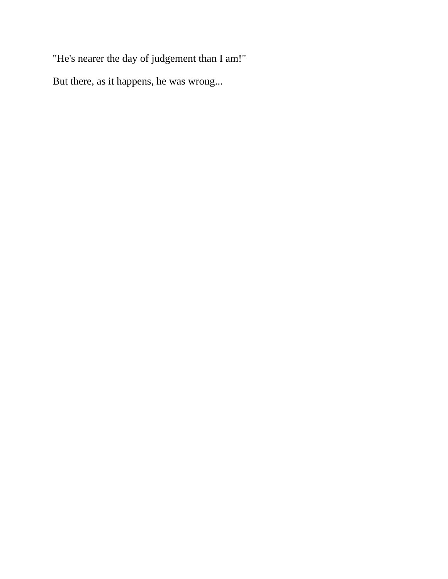"He's nearer the day of judgement than I am!"

But there, as it happens, he was wrong...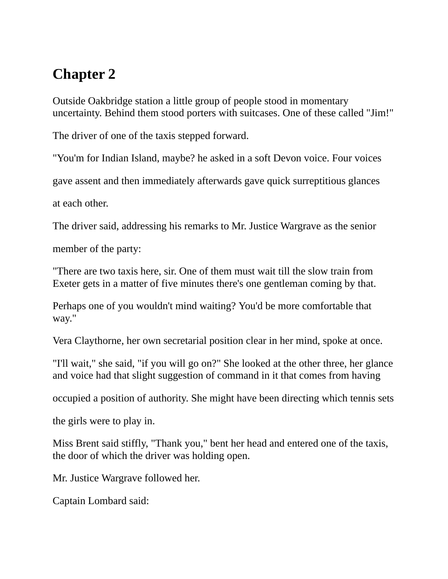## **Chapter 2**

Outside Oakbridge station a little group of people stood in momentary uncertainty. Behind them stood porters with suitcases. One of these called "Jim!"

The driver of one of the taxis stepped forward.

"You'm for Indian Island, maybe? he asked in a soft Devon voice. Four voices

gave assent and then immediately afterwards gave quick surreptitious glances

at each other.

The driver said, addressing his remarks to Mr. Justice Wargrave as the senior

member of the party:

"There are two taxis here, sir. One of them must wait till the slow train from Exeter gets in a matter of five minutes there's one gentleman coming by that.

Perhaps one of you wouldn't mind waiting? You'd be more comfortable that way."

Vera Claythorne, her own secretarial position clear in her mind, spoke at once.

"I'll wait," she said, "if you will go on?" She looked at the other three, her glance and voice had that slight suggestion of command in it that comes from having

occupied a position of authority. She might have been directing which tennis sets

the girls were to play in.

Miss Brent said stiffly, "Thank you," bent her head and entered one of the taxis, the door of which the driver was holding open.

Mr. Justice Wargrave followed her.

Captain Lombard said: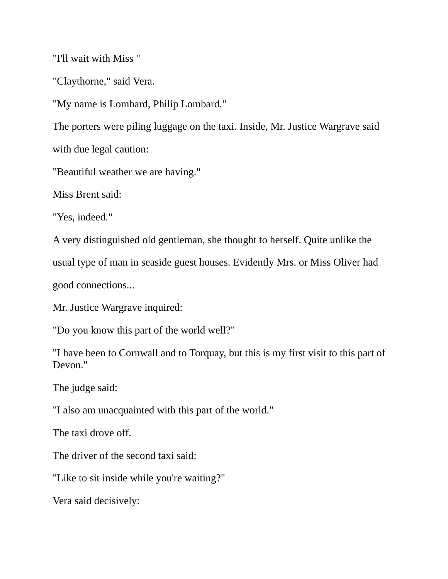"I'll wait with Miss "

"Claythorne," said Vera.

"My name is Lombard, Philip Lombard."

The porters were piling luggage on the taxi. Inside, Mr. Justice Wargrave said with due legal caution:

"Beautiful weather we are having."

Miss Brent said:

"Yes, indeed."

A very distinguished old gentleman, she thought to herself. Quite unlike the

usual type of man in seaside guest houses. Evidently Mrs. or Miss Oliver had

good connections...

Mr. Justice Wargrave inquired:

"Do you know this part of the world well?"

"I have been to Cornwall and to Torquay, but this is my first visit to this part of Devon."

The judge said:

"I also am unacquainted with this part of the world."

The taxi drove off.

The driver of the second taxi said:

"Like to sit inside while you're waiting?"

Vera said decisively: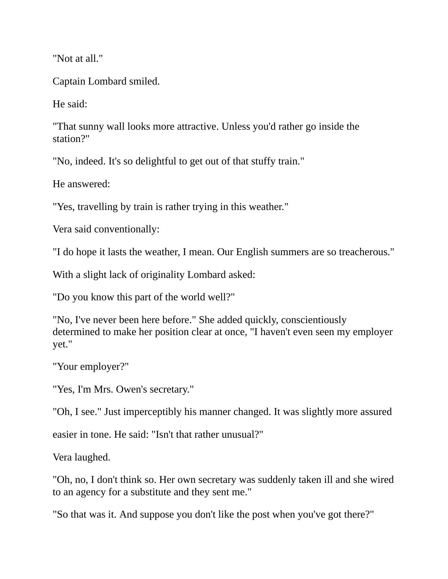"Not at all."

Captain Lombard smiled.

He said:

"That sunny wall looks more attractive. Unless you'd rather go inside the station?"

"No, indeed. It's so delightful to get out of that stuffy train."

He answered:

"Yes, travelling by train is rather trying in this weather."

Vera said conventionally:

"I do hope it lasts the weather, I mean. Our English summers are so treacherous."

With a slight lack of originality Lombard asked:

"Do you know this part of the world well?"

"No, I've never been here before." She added quickly, conscientiously determined to make her position clear at once, "I haven't even seen my employer yet."

"Your employer?"

"Yes, I'm Mrs. Owen's secretary."

"Oh, I see." Just imperceptibly his manner changed. It was slightly more assured

easier in tone. He said: "Isn't that rather unusual?"

Vera laughed.

"Oh, no, I don't think so. Her own secretary was suddenly taken ill and she wired to an agency for a substitute and they sent me."

"So that was it. And suppose you don't like the post when you've got there?"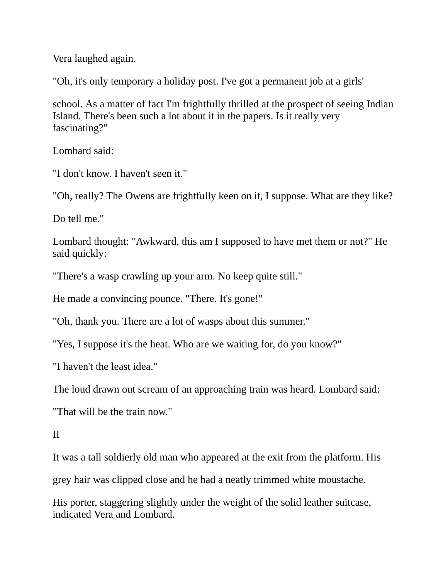Vera laughed again.

"Oh, it's only temporary a holiday post. I've got a permanent job at a girls'

school. As a matter of fact I'm frightfully thrilled at the prospect of seeing Indian Island. There's been such a lot about it in the papers. Is it really very fascinating?"

Lombard said:

"I don't know. I haven't seen it."

"Oh, really? The Owens are frightfully keen on it, I suppose. What are they like?

Do tell me."

Lombard thought: "Awkward, this am I supposed to have met them or not?" He said quickly:

"There's a wasp crawling up your arm. No keep quite still."

He made a convincing pounce. "There. It's gone!"

"Oh, thank you. There are a lot of wasps about this summer."

"Yes, I suppose it's the heat. Who are we waiting for, do you know?"

"I haven't the least idea."

The loud drawn out scream of an approaching train was heard. Lombard said:

"That will be the train now."

II

It was a tall soldierly old man who appeared at the exit from the platform. His

grey hair was clipped close and he had a neatly trimmed white moustache.

His porter, staggering slightly under the weight of the solid leather suitcase, indicated Vera and Lombard.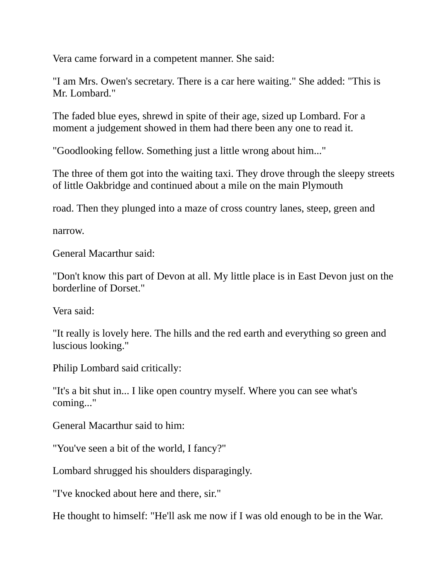Vera came forward in a competent manner. She said:

"I am Mrs. Owen's secretary. There is a car here waiting." She added: "This is Mr. Lombard."

The faded blue eyes, shrewd in spite of their age, sized up Lombard. For a moment a judgement showed in them had there been any one to read it.

"Goodlooking fellow. Something just a little wrong about him..."

The three of them got into the waiting taxi. They drove through the sleepy streets of little Oakbridge and continued about a mile on the main Plymouth

road. Then they plunged into a maze of cross country lanes, steep, green and

narrow.

General Macarthur said:

"Don't know this part of Devon at all. My little place is in East Devon just on the borderline of Dorset."

Vera said:

"It really is lovely here. The hills and the red earth and everything so green and luscious looking."

Philip Lombard said critically:

"It's a bit shut in... I like open country myself. Where you can see what's coming..."

General Macarthur said to him:

"You've seen a bit of the world, I fancy?"

Lombard shrugged his shoulders disparagingly.

"I've knocked about here and there, sir."

He thought to himself: "He'll ask me now if I was old enough to be in the War.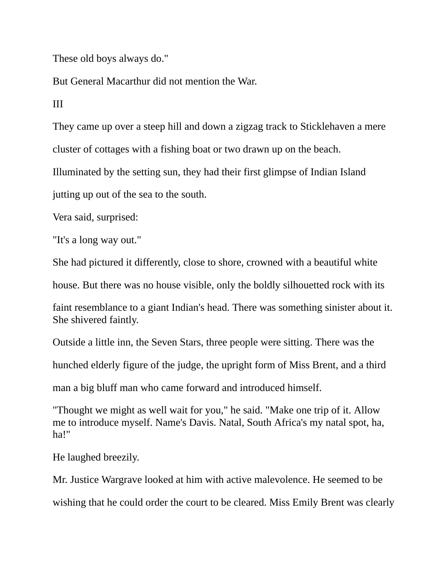These old boys always do."

But General Macarthur did not mention the War.

III

They came up over a steep hill and down a zigzag track to Sticklehaven a mere

cluster of cottages with a fishing boat or two drawn up on the beach.

Illuminated by the setting sun, they had their first glimpse of Indian Island

jutting up out of the sea to the south.

Vera said, surprised:

"It's a long way out."

She had pictured it differently, close to shore, crowned with a beautiful white

house. But there was no house visible, only the boldly silhouetted rock with its

faint resemblance to a giant Indian's head. There was something sinister about it. She shivered faintly.

Outside a little inn, the Seven Stars, three people were sitting. There was the

hunched elderly figure of the judge, the upright form of Miss Brent, and a third

man a big bluff man who came forward and introduced himself.

"Thought we might as well wait for you," he said. "Make one trip of it. Allow me to introduce myself. Name's Davis. Natal, South Africa's my natal spot, ha, ha!"

He laughed breezily.

Mr. Justice Wargrave looked at him with active malevolence. He seemed to be wishing that he could order the court to be cleared. Miss Emily Brent was clearly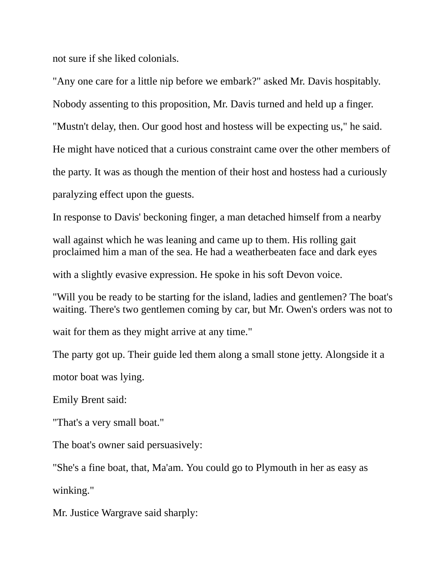not sure if she liked colonials.

"Any one care for a little nip before we embark?" asked Mr. Davis hospitably.

Nobody assenting to this proposition, Mr. Davis turned and held up a finger.

"Mustn't delay, then. Our good host and hostess will be expecting us," he said.

He might have noticed that a curious constraint came over the other members of

the party. It was as though the mention of their host and hostess had a curiously

paralyzing effect upon the guests.

In response to Davis' beckoning finger, a man detached himself from a nearby

wall against which he was leaning and came up to them. His rolling gait proclaimed him a man of the sea. He had a weatherbeaten face and dark eyes

with a slightly evasive expression. He spoke in his soft Devon voice.

"Will you be ready to be starting for the island, ladies and gentlemen? The boat's waiting. There's two gentlemen coming by car, but Mr. Owen's orders was not to

wait for them as they might arrive at any time."

The party got up. Their guide led them along a small stone jetty. Alongside it a

motor boat was lying.

Emily Brent said:

"That's a very small boat."

The boat's owner said persuasively:

"She's a fine boat, that, Ma'am. You could go to Plymouth in her as easy as winking."

Mr. Justice Wargrave said sharply: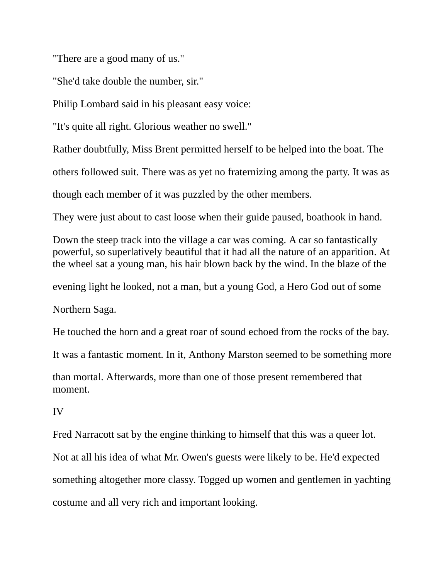"There are a good many of us."

"She'd take double the number, sir."

Philip Lombard said in his pleasant easy voice:

"It's quite all right. Glorious weather no swell."

Rather doubtfully, Miss Brent permitted herself to be helped into the boat. The

others followed suit. There was as yet no fraternizing among the party. It was as

though each member of it was puzzled by the other members.

They were just about to cast loose when their guide paused, boathook in hand.

Down the steep track into the village a car was coming. A car so fantastically powerful, so superlatively beautiful that it had all the nature of an apparition. At the wheel sat a young man, his hair blown back by the wind. In the blaze of the

evening light he looked, not a man, but a young God, a Hero God out of some

Northern Saga.

He touched the horn and a great roar of sound echoed from the rocks of the bay.

It was a fantastic moment. In it, Anthony Marston seemed to be something more

than mortal. Afterwards, more than one of those present remembered that moment.

IV

Fred Narracott sat by the engine thinking to himself that this was a queer lot. Not at all his idea of what Mr. Owen's guests were likely to be. He'd expected something altogether more classy. Togged up women and gentlemen in yachting costume and all very rich and important looking.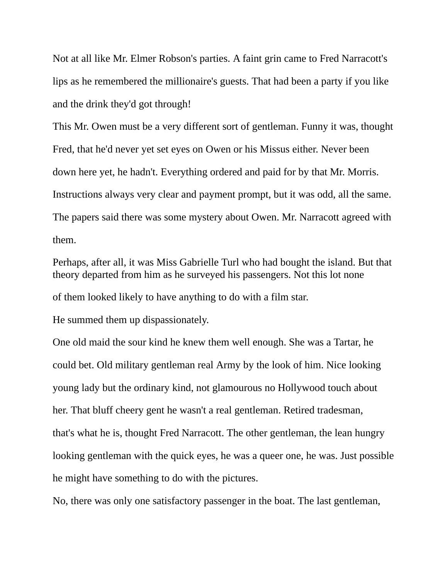Not at all like Mr. Elmer Robson's parties. A faint grin came to Fred Narracott's lips as he remembered the millionaire's guests. That had been a party if you like and the drink they'd got through!

This Mr. Owen must be a very different sort of gentleman. Funny it was, thought Fred, that he'd never yet set eyes on Owen or his Missus either. Never been down here yet, he hadn't. Everything ordered and paid for by that Mr. Morris. Instructions always very clear and payment prompt, but it was odd, all the same. The papers said there was some mystery about Owen. Mr. Narracott agreed with them.

Perhaps, after all, it was Miss Gabrielle Turl who had bought the island. But that theory departed from him as he surveyed his passengers. Not this lot none

of them looked likely to have anything to do with a film star.

He summed them up dispassionately.

One old maid the sour kind he knew them well enough. She was a Tartar, he could bet. Old military gentleman real Army by the look of him. Nice looking young lady but the ordinary kind, not glamourous no Hollywood touch about her. That bluff cheery gent he wasn't a real gentleman. Retired tradesman, that's what he is, thought Fred Narracott. The other gentleman, the lean hungry looking gentleman with the quick eyes, he was a queer one, he was. Just possible he might have something to do with the pictures.

No, there was only one satisfactory passenger in the boat. The last gentleman,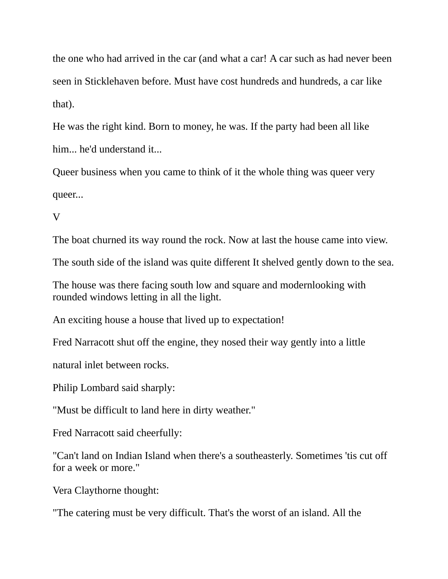the one who had arrived in the car (and what a car! A car such as had never been seen in Sticklehaven before. Must have cost hundreds and hundreds, a car like that).

He was the right kind. Born to money, he was. If the party had been all like him... he'd understand it...

Queer business when you came to think of it the whole thing was queer very queer...

V

The boat churned its way round the rock. Now at last the house came into view.

The south side of the island was quite different It shelved gently down to the sea.

The house was there facing south low and square and modernlooking with rounded windows letting in all the light.

An exciting house a house that lived up to expectation!

Fred Narracott shut off the engine, they nosed their way gently into a little

natural inlet between rocks.

Philip Lombard said sharply:

"Must be difficult to land here in dirty weather."

Fred Narracott said cheerfully:

"Can't land on Indian Island when there's a southeasterly. Sometimes 'tis cut off for a week or more."

Vera Claythorne thought:

"The catering must be very difficult. That's the worst of an island. All the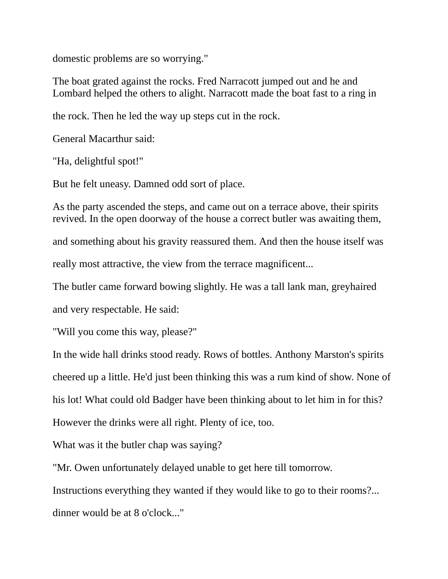domestic problems are so worrying."

The boat grated against the rocks. Fred Narracott jumped out and he and Lombard helped the others to alight. Narracott made the boat fast to a ring in

the rock. Then he led the way up steps cut in the rock.

General Macarthur said:

"Ha, delightful spot!"

But he felt uneasy. Damned odd sort of place.

As the party ascended the steps, and came out on a terrace above, their spirits revived. In the open doorway of the house a correct butler was awaiting them,

and something about his gravity reassured them. And then the house itself was

really most attractive, the view from the terrace magnificent...

The butler came forward bowing slightly. He was a tall lank man, greyhaired

and very respectable. He said:

"Will you come this way, please?"

In the wide hall drinks stood ready. Rows of bottles. Anthony Marston's spirits

cheered up a little. He'd just been thinking this was a rum kind of show. None of

his lot! What could old Badger have been thinking about to let him in for this?

However the drinks were all right. Plenty of ice, too.

What was it the butler chap was saying?

"Mr. Owen unfortunately delayed unable to get here till tomorrow.

Instructions everything they wanted if they would like to go to their rooms?... dinner would be at 8 o'clock..."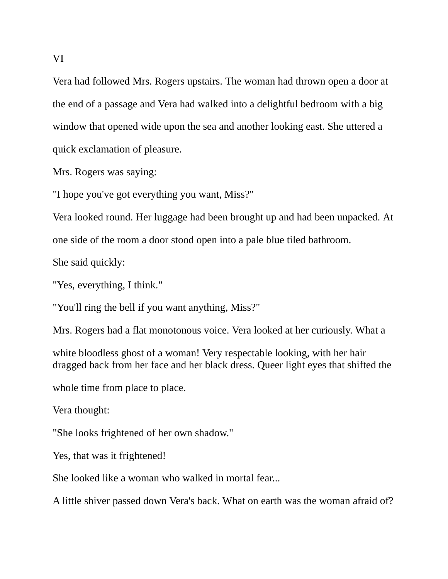Vera had followed Mrs. Rogers upstairs. The woman had thrown open a door at the end of a passage and Vera had walked into a delightful bedroom with a big window that opened wide upon the sea and another looking east. She uttered a quick exclamation of pleasure.

Mrs. Rogers was saying:

"I hope you've got everything you want, Miss?"

Vera looked round. Her luggage had been brought up and had been unpacked. At one side of the room a door stood open into a pale blue tiled bathroom.

She said quickly:

"Yes, everything, I think."

"You'll ring the bell if you want anything, Miss?"

Mrs. Rogers had a flat monotonous voice. Vera looked at her curiously. What a

white bloodless ghost of a woman! Very respectable looking, with her hair dragged back from her face and her black dress. Queer light eyes that shifted the

whole time from place to place.

Vera thought:

"She looks frightened of her own shadow."

Yes, that was it frightened!

She looked like a woman who walked in mortal fear...

A little shiver passed down Vera's back. What on earth was the woman afraid of?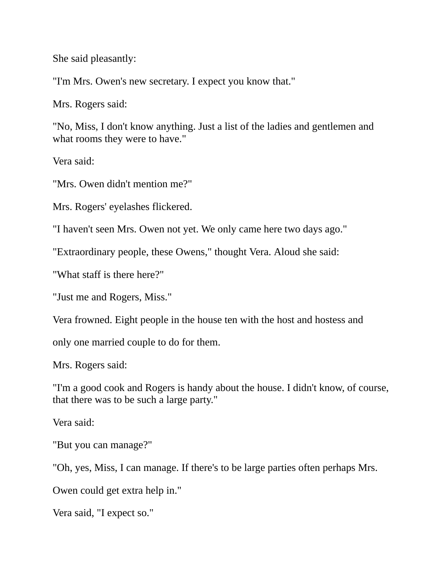She said pleasantly:

"I'm Mrs. Owen's new secretary. I expect you know that."

Mrs. Rogers said:

"No, Miss, I don't know anything. Just a list of the ladies and gentlemen and what rooms they were to have."

Vera said:

"Mrs. Owen didn't mention me?"

Mrs. Rogers' eyelashes flickered.

"I haven't seen Mrs. Owen not yet. We only came here two days ago."

"Extraordinary people, these Owens," thought Vera. Aloud she said:

"What staff is there here?"

"Just me and Rogers, Miss."

Vera frowned. Eight people in the house ten with the host and hostess and

only one married couple to do for them.

Mrs. Rogers said:

"I'm a good cook and Rogers is handy about the house. I didn't know, of course, that there was to be such a large party."

Vera said:

"But you can manage?"

"Oh, yes, Miss, I can manage. If there's to be large parties often perhaps Mrs.

Owen could get extra help in."

Vera said, "I expect so."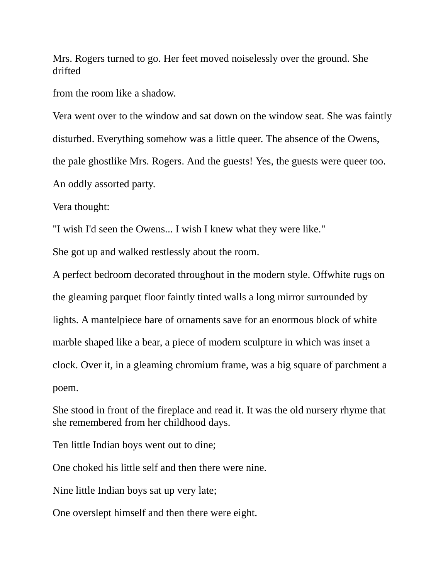Mrs. Rogers turned to go. Her feet moved noiselessly over the ground. She drifted

from the room like a shadow.

Vera went over to the window and sat down on the window seat. She was faintly disturbed. Everything somehow was a little queer. The absence of the Owens, the pale ghostlike Mrs. Rogers. And the guests! Yes, the guests were queer too. An oddly assorted party.

Vera thought:

"I wish I'd seen the Owens... I wish I knew what they were like."

She got up and walked restlessly about the room.

A perfect bedroom decorated throughout in the modern style. Offwhite rugs on the gleaming parquet floor faintly tinted walls a long mirror surrounded by lights. A mantelpiece bare of ornaments save for an enormous block of white marble shaped like a bear, a piece of modern sculpture in which was inset a clock. Over it, in a gleaming chromium frame, was a big square of parchment a poem.

She stood in front of the fireplace and read it. It was the old nursery rhyme that she remembered from her childhood days.

Ten little Indian boys went out to dine;

One choked his little self and then there were nine.

Nine little Indian boys sat up very late;

One overslept himself and then there were eight.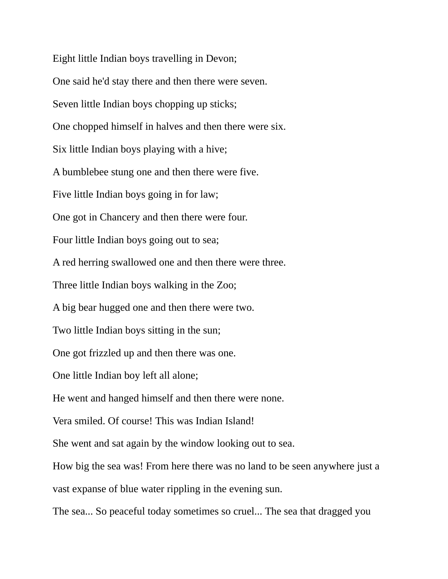Eight little Indian boys travelling in Devon; One said he'd stay there and then there were seven. Seven little Indian boys chopping up sticks; One chopped himself in halves and then there were six. Six little Indian boys playing with a hive; A bumblebee stung one and then there were five. Five little Indian boys going in for law; One got in Chancery and then there were four. Four little Indian boys going out to sea; A red herring swallowed one and then there were three. Three little Indian boys walking in the Zoo; A big bear hugged one and then there were two. Two little Indian boys sitting in the sun; One got frizzled up and then there was one. One little Indian boy left all alone; He went and hanged himself and then there were none. Vera smiled. Of course! This was Indian Island! She went and sat again by the window looking out to sea. How big the sea was! From here there was no land to be seen anywhere just a vast expanse of blue water rippling in the evening sun. The sea... So peaceful today sometimes so cruel... The sea that dragged you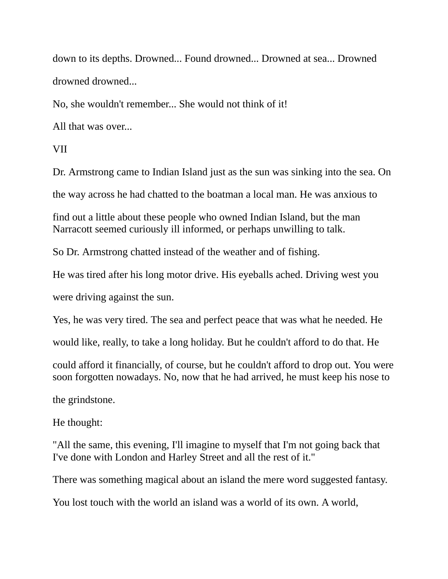down to its depths. Drowned... Found drowned... Drowned at sea... Drowned drowned drowned...

No, she wouldn't remember... She would not think of it!

All that was over...

VII

Dr. Armstrong came to Indian Island just as the sun was sinking into the sea. On

the way across he had chatted to the boatman a local man. He was anxious to

find out a little about these people who owned Indian Island, but the man Narracott seemed curiously ill informed, or perhaps unwilling to talk.

So Dr. Armstrong chatted instead of the weather and of fishing.

He was tired after his long motor drive. His eyeballs ached. Driving west you

were driving against the sun.

Yes, he was very tired. The sea and perfect peace that was what he needed. He

would like, really, to take a long holiday. But he couldn't afford to do that. He

could afford it financially, of course, but he couldn't afford to drop out. You were soon forgotten nowadays. No, now that he had arrived, he must keep his nose to

the grindstone.

He thought:

"All the same, this evening, I'll imagine to myself that I'm not going back that I've done with London and Harley Street and all the rest of it."

There was something magical about an island the mere word suggested fantasy.

You lost touch with the world an island was a world of its own. A world,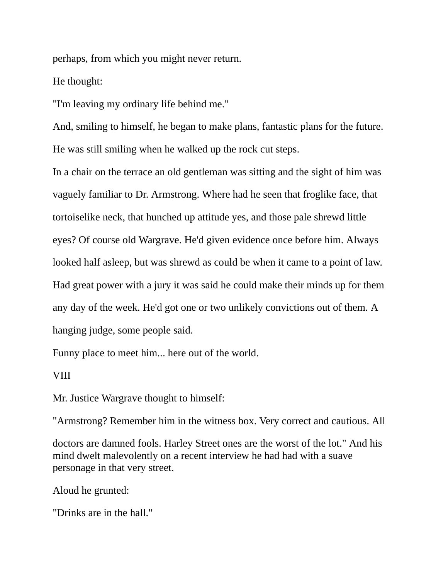perhaps, from which you might never return.

He thought:

"I'm leaving my ordinary life behind me."

And, smiling to himself, he began to make plans, fantastic plans for the future. He was still smiling when he walked up the rock cut steps.

In a chair on the terrace an old gentleman was sitting and the sight of him was vaguely familiar to Dr. Armstrong. Where had he seen that froglike face, that tortoiselike neck, that hunched up attitude yes, and those pale shrewd little eyes? Of course old Wargrave. He'd given evidence once before him. Always looked half asleep, but was shrewd as could be when it came to a point of law. Had great power with a jury it was said he could make their minds up for them any day of the week. He'd got one or two unlikely convictions out of them. A hanging judge, some people said.

Funny place to meet him... here out of the world.

VIII

Mr. Justice Wargrave thought to himself:

"Armstrong? Remember him in the witness box. Very correct and cautious. All

doctors are damned fools. Harley Street ones are the worst of the lot." And his mind dwelt malevolently on a recent interview he had had with a suave personage in that very street.

Aloud he grunted:

"Drinks are in the hall."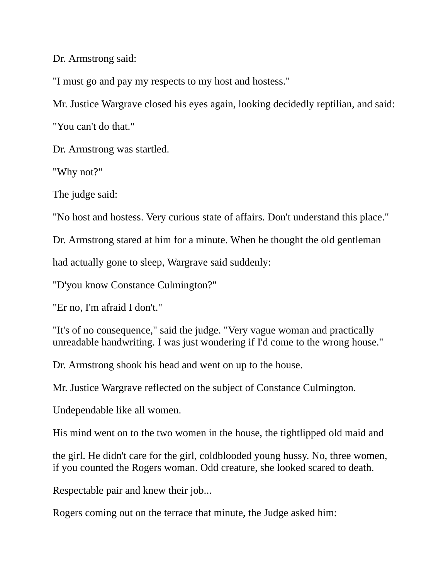Dr. Armstrong said:

"I must go and pay my respects to my host and hostess."

Mr. Justice Wargrave closed his eyes again, looking decidedly reptilian, and said:

"You can't do that."

Dr. Armstrong was startled.

"Why not?"

The judge said:

"No host and hostess. Very curious state of affairs. Don't understand this place."

Dr. Armstrong stared at him for a minute. When he thought the old gentleman

had actually gone to sleep, Wargrave said suddenly:

"D'you know Constance Culmington?"

"Er no, I'm afraid I don't."

"It's of no consequence," said the judge. "Very vague woman and practically unreadable handwriting. I was just wondering if I'd come to the wrong house."

Dr. Armstrong shook his head and went on up to the house.

Mr. Justice Wargrave reflected on the subject of Constance Culmington.

Undependable like all women.

His mind went on to the two women in the house, the tightlipped old maid and

the girl. He didn't care for the girl, coldblooded young hussy. No, three women, if you counted the Rogers woman. Odd creature, she looked scared to death.

Respectable pair and knew their job...

Rogers coming out on the terrace that minute, the Judge asked him: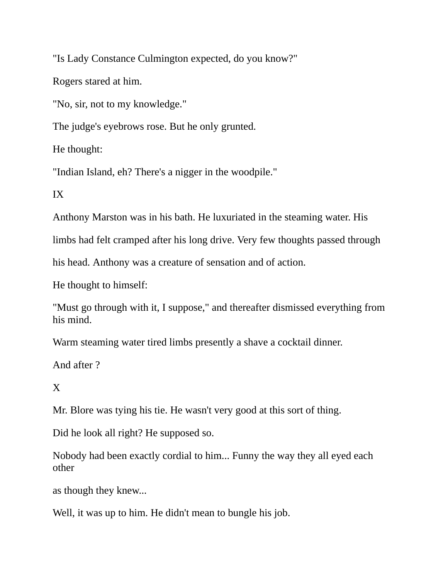"Is Lady Constance Culmington expected, do you know?"

Rogers stared at him.

"No, sir, not to my knowledge."

The judge's eyebrows rose. But he only grunted.

He thought:

"Indian Island, eh? There's a nigger in the woodpile."

IX

Anthony Marston was in his bath. He luxuriated in the steaming water. His

limbs had felt cramped after his long drive. Very few thoughts passed through

his head. Anthony was a creature of sensation and of action.

He thought to himself:

"Must go through with it, I suppose," and thereafter dismissed everything from his mind.

Warm steaming water tired limbs presently a shave a cocktail dinner.

And after ?

## X

Mr. Blore was tying his tie. He wasn't very good at this sort of thing.

Did he look all right? He supposed so.

Nobody had been exactly cordial to him... Funny the way they all eyed each other

as though they knew...

Well, it was up to him. He didn't mean to bungle his job.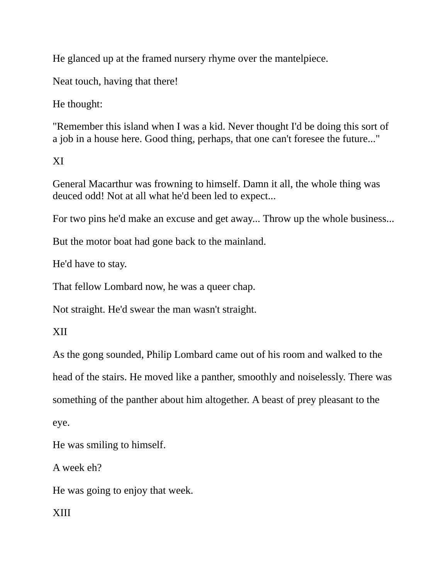He glanced up at the framed nursery rhyme over the mantelpiece.

Neat touch, having that there!

He thought:

"Remember this island when I was a kid. Never thought I'd be doing this sort of a job in a house here. Good thing, perhaps, that one can't foresee the future..."

XI

General Macarthur was frowning to himself. Damn it all, the whole thing was deuced odd! Not at all what he'd been led to expect...

For two pins he'd make an excuse and get away... Throw up the whole business...

But the motor boat had gone back to the mainland.

He'd have to stay.

That fellow Lombard now, he was a queer chap.

Not straight. He'd swear the man wasn't straight.

XII

As the gong sounded, Philip Lombard came out of his room and walked to the

head of the stairs. He moved like a panther, smoothly and noiselessly. There was

something of the panther about him altogether. A beast of prey pleasant to the

eye.

He was smiling to himself.

A week eh?

He was going to enjoy that week.

XIII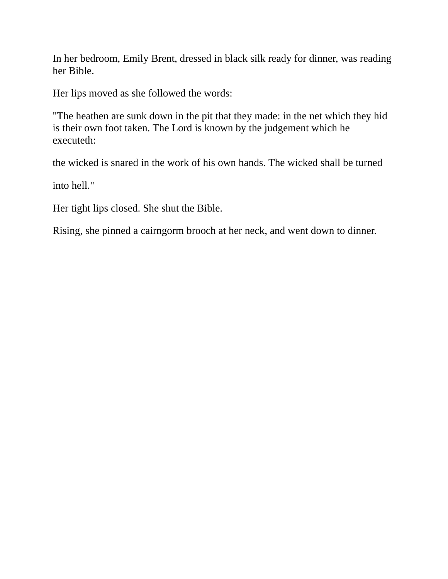In her bedroom, Emily Brent, dressed in black silk ready for dinner, was reading her Bible.

Her lips moved as she followed the words:

"The heathen are sunk down in the pit that they made: in the net which they hid is their own foot taken. The Lord is known by the judgement which he executeth:

the wicked is snared in the work of his own hands. The wicked shall be turned

into hell."

Her tight lips closed. She shut the Bible.

Rising, she pinned a cairngorm brooch at her neck, and went down to dinner.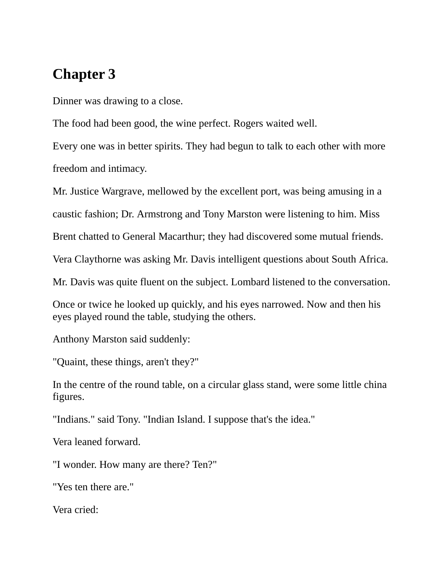## **Chapter 3**

Dinner was drawing to a close.

The food had been good, the wine perfect. Rogers waited well.

Every one was in better spirits. They had begun to talk to each other with more freedom and intimacy.

Mr. Justice Wargrave, mellowed by the excellent port, was being amusing in a

caustic fashion; Dr. Armstrong and Tony Marston were listening to him. Miss

Brent chatted to General Macarthur; they had discovered some mutual friends.

Vera Claythorne was asking Mr. Davis intelligent questions about South Africa.

Mr. Davis was quite fluent on the subject. Lombard listened to the conversation.

Once or twice he looked up quickly, and his eyes narrowed. Now and then his eyes played round the table, studying the others.

Anthony Marston said suddenly:

"Quaint, these things, aren't they?"

In the centre of the round table, on a circular glass stand, were some little china figures.

"Indians." said Tony. "Indian Island. I suppose that's the idea."

Vera leaned forward.

"I wonder. How many are there? Ten?"

"Yes ten there are."

Vera cried: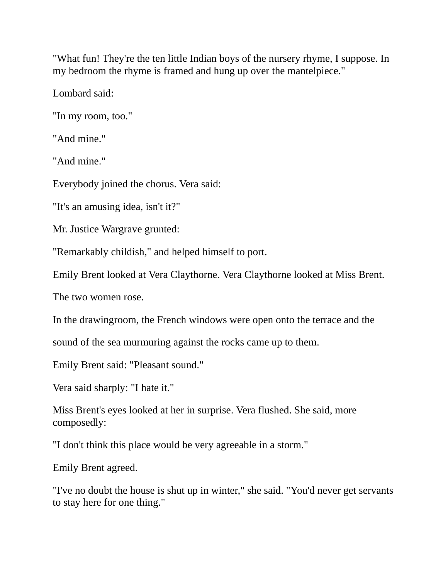"What fun! They're the ten little Indian boys of the nursery rhyme, I suppose. In my bedroom the rhyme is framed and hung up over the mantelpiece."

Lombard said:

"In my room, too."

"And mine."

"And mine."

Everybody joined the chorus. Vera said:

"It's an amusing idea, isn't it?"

Mr. Justice Wargrave grunted:

"Remarkably childish," and helped himself to port.

Emily Brent looked at Vera Claythorne. Vera Claythorne looked at Miss Brent.

The two women rose.

In the drawingroom, the French windows were open onto the terrace and the

sound of the sea murmuring against the rocks came up to them.

Emily Brent said: "Pleasant sound."

Vera said sharply: "I hate it."

Miss Brent's eyes looked at her in surprise. Vera flushed. She said, more composedly:

"I don't think this place would be very agreeable in a storm."

Emily Brent agreed.

"I've no doubt the house is shut up in winter," she said. "You'd never get servants to stay here for one thing."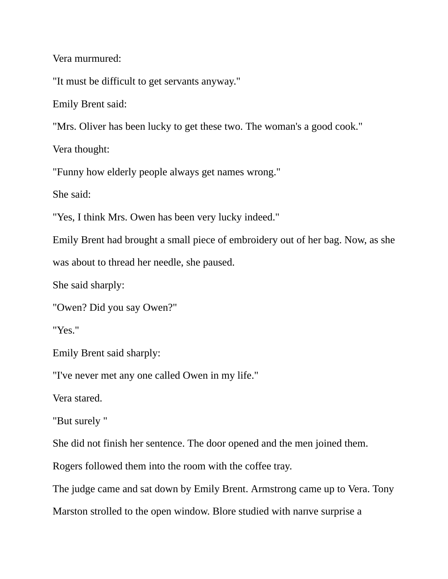Vera murmured:

"It must be difficult to get servants anyway."

Emily Brent said:

"Mrs. Oliver has been lucky to get these two. The woman's a good cook."

Vera thought:

"Funny how elderly people always get names wrong."

She said:

"Yes, I think Mrs. Owen has been very lucky indeed."

Emily Brent had brought a small piece of embroidery out of her bag. Now, as she was about to thread her needle, she paused.

She said sharply:

"Owen? Did you say Owen?"

"Yes."

Emily Brent said sharply:

"I've never met any one called Owen in my life."

Vera stared.

```
"But surely "
```
She did not finish her sentence. The door opened and the men joined them.

Rogers followed them into the room with the coffee tray.

The judge came and sat down by Emily Brent. Armstrong came up to Vera. Tony

Marston strolled to the open window. Blore studied with naпve surprise a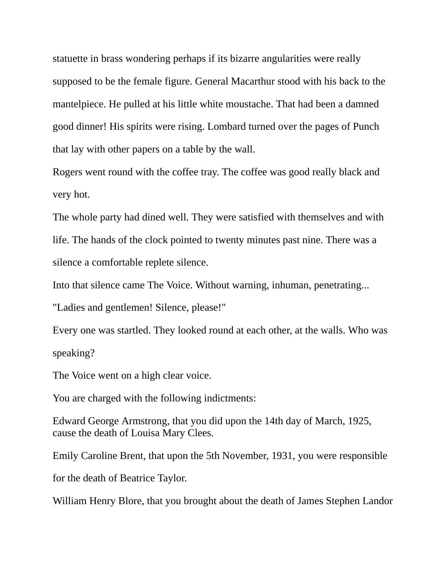statuette in brass wondering perhaps if its bizarre angularities were really supposed to be the female figure. General Macarthur stood with his back to the mantelpiece. He pulled at his little white moustache. That had been a damned good dinner! His spirits were rising. Lombard turned over the pages of Punch that lay with other papers on a table by the wall.

Rogers went round with the coffee tray. The coffee was good really black and very hot.

The whole party had dined well. They were satisfied with themselves and with life. The hands of the clock pointed to twenty minutes past nine. There was a silence a comfortable replete silence.

Into that silence came The Voice. Without warning, inhuman, penetrating...

"Ladies and gentlemen! Silence, please!"

Every one was startled. They looked round at each other, at the walls. Who was speaking?

The Voice went on a high clear voice.

You are charged with the following indictments:

Edward George Armstrong, that you did upon the 14th day of March, 1925, cause the death of Louisa Mary Clees.

Emily Caroline Brent, that upon the 5th November, 1931, you were responsible for the death of Beatrice Taylor.

William Henry Blore, that you brought about the death of James Stephen Landor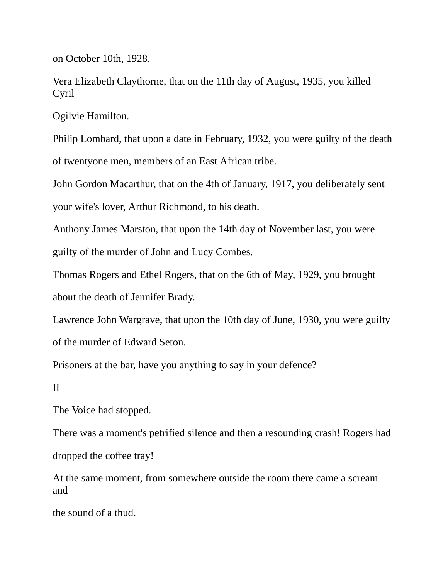on October 10th, 1928.

Vera Elizabeth Claythorne, that on the 11th day of August, 1935, you killed Cyril

Ogilvie Hamilton.

Philip Lombard, that upon a date in February, 1932, you were guilty of the death of twentyone men, members of an East African tribe.

John Gordon Macarthur, that on the 4th of January, 1917, you deliberately sent your wife's lover, Arthur Richmond, to his death.

Anthony James Marston, that upon the 14th day of November last, you were guilty of the murder of John and Lucy Combes.

Thomas Rogers and Ethel Rogers, that on the 6th of May, 1929, you brought about the death of Jennifer Brady.

Lawrence John Wargrave, that upon the 10th day of June, 1930, you were guilty of the murder of Edward Seton.

Prisoners at the bar, have you anything to say in your defence?

II

The Voice had stopped.

There was a moment's petrified silence and then a resounding crash! Rogers had

dropped the coffee tray!

At the same moment, from somewhere outside the room there came a scream and

the sound of a thud.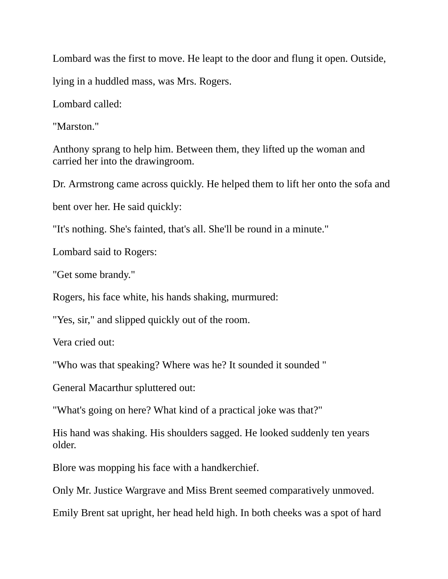Lombard was the first to move. He leapt to the door and flung it open. Outside,

lying in a huddled mass, was Mrs. Rogers.

Lombard called:

"Marston."

Anthony sprang to help him. Between them, they lifted up the woman and carried her into the drawingroom.

Dr. Armstrong came across quickly. He helped them to lift her onto the sofa and

bent over her. He said quickly:

"It's nothing. She's fainted, that's all. She'll be round in a minute."

Lombard said to Rogers:

"Get some brandy."

Rogers, his face white, his hands shaking, murmured:

"Yes, sir," and slipped quickly out of the room.

Vera cried out:

"Who was that speaking? Where was he? It sounded it sounded "

General Macarthur spluttered out:

"What's going on here? What kind of a practical joke was that?"

His hand was shaking. His shoulders sagged. He looked suddenly ten years older.

Blore was mopping his face with a handkerchief.

Only Mr. Justice Wargrave and Miss Brent seemed comparatively unmoved.

Emily Brent sat upright, her head held high. In both cheeks was a spot of hard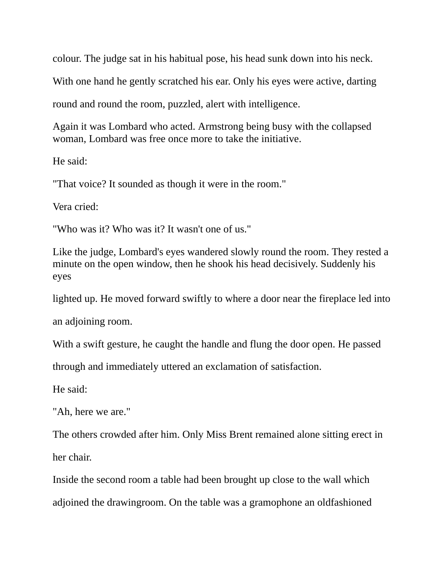colour. The judge sat in his habitual pose, his head sunk down into his neck.

With one hand he gently scratched his ear. Only his eyes were active, darting

round and round the room, puzzled, alert with intelligence.

Again it was Lombard who acted. Armstrong being busy with the collapsed woman, Lombard was free once more to take the initiative.

He said:

"That voice? It sounded as though it were in the room."

Vera cried:

"Who was it? Who was it? It wasn't one of us."

Like the judge, Lombard's eyes wandered slowly round the room. They rested a minute on the open window, then he shook his head decisively. Suddenly his eyes

lighted up. He moved forward swiftly to where a door near the fireplace led into

an adjoining room.

With a swift gesture, he caught the handle and flung the door open. He passed

through and immediately uttered an exclamation of satisfaction.

He said:

"Ah, here we are."

The others crowded after him. Only Miss Brent remained alone sitting erect in her chair.

Inside the second room a table had been brought up close to the wall which adjoined the drawingroom. On the table was a gramophone an oldfashioned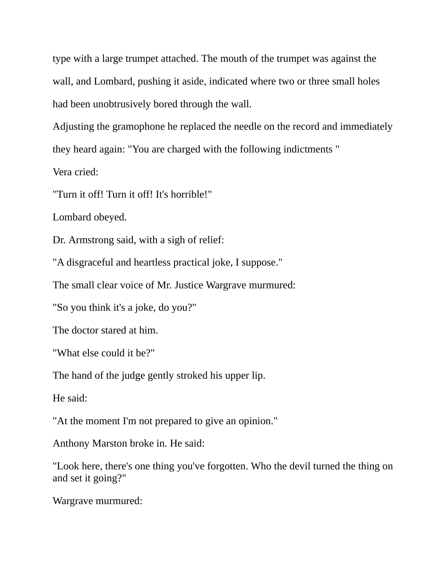type with a large trumpet attached. The mouth of the trumpet was against the wall, and Lombard, pushing it aside, indicated where two or three small holes had been unobtrusively bored through the wall.

Adjusting the gramophone he replaced the needle on the record and immediately they heard again: "You are charged with the following indictments "

Vera cried:

"Turn it off! Turn it off! It's horrible!"

Lombard obeyed.

Dr. Armstrong said, with a sigh of relief:

"A disgraceful and heartless practical joke, I suppose."

The small clear voice of Mr. Justice Wargrave murmured:

"So you think it's a joke, do you?"

The doctor stared at him.

"What else could it be?"

The hand of the judge gently stroked his upper lip.

He said:

"At the moment I'm not prepared to give an opinion."

Anthony Marston broke in. He said:

"Look here, there's one thing you've forgotten. Who the devil turned the thing on and set it going?"

Wargrave murmured: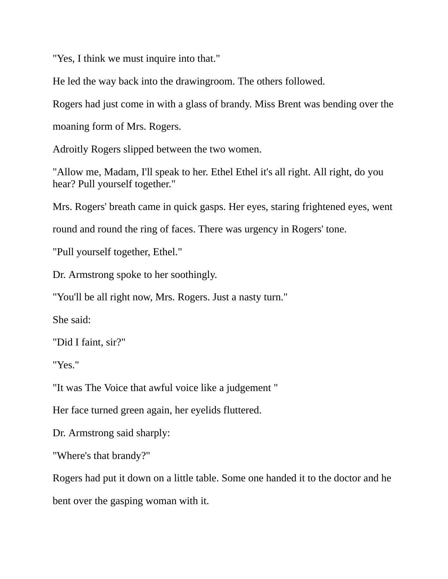"Yes, I think we must inquire into that."

He led the way back into the drawingroom. The others followed.

Rogers had just come in with a glass of brandy. Miss Brent was bending over the

moaning form of Mrs. Rogers.

Adroitly Rogers slipped between the two women.

"Allow me, Madam, I'll speak to her. Ethel Ethel it's all right. All right, do you hear? Pull yourself together."

Mrs. Rogers' breath came in quick gasps. Her eyes, staring frightened eyes, went

round and round the ring of faces. There was urgency in Rogers' tone.

"Pull yourself together, Ethel."

Dr. Armstrong spoke to her soothingly.

"You'll be all right now, Mrs. Rogers. Just a nasty turn."

She said:

"Did I faint, sir?"

"Yes."

"It was The Voice that awful voice like a judgement "

Her face turned green again, her eyelids fluttered.

Dr. Armstrong said sharply:

"Where's that brandy?"

Rogers had put it down on a little table. Some one handed it to the doctor and he bent over the gasping woman with it.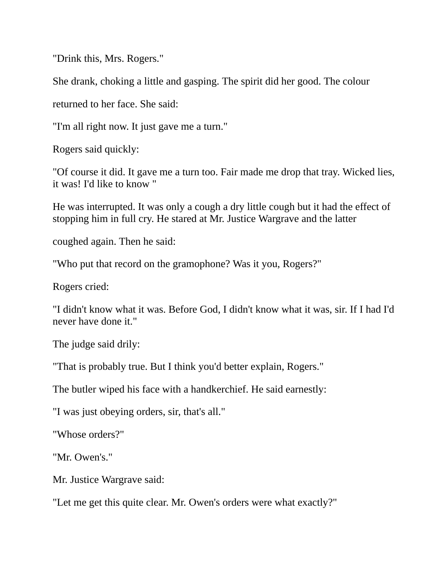"Drink this, Mrs. Rogers."

She drank, choking a little and gasping. The spirit did her good. The colour

returned to her face. She said:

"I'm all right now. It just gave me a turn."

Rogers said quickly:

"Of course it did. It gave me a turn too. Fair made me drop that tray. Wicked lies, it was! I'd like to know "

He was interrupted. It was only a cough a dry little cough but it had the effect of stopping him in full cry. He stared at Mr. Justice Wargrave and the latter

coughed again. Then he said:

"Who put that record on the gramophone? Was it you, Rogers?"

Rogers cried:

"I didn't know what it was. Before God, I didn't know what it was, sir. If I had I'd never have done it."

The judge said drily:

"That is probably true. But I think you'd better explain, Rogers."

The butler wiped his face with a handkerchief. He said earnestly:

"I was just obeying orders, sir, that's all."

"Whose orders?"

"Mr. Owen's."

Mr. Justice Wargrave said:

"Let me get this quite clear. Mr. Owen's orders were what exactly?"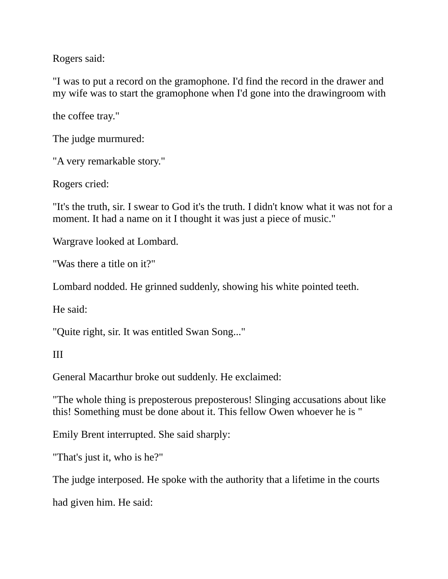Rogers said:

"I was to put a record on the gramophone. I'd find the record in the drawer and my wife was to start the gramophone when I'd gone into the drawingroom with

the coffee tray."

The judge murmured:

"A very remarkable story."

Rogers cried:

"It's the truth, sir. I swear to God it's the truth. I didn't know what it was not for a moment. It had a name on it I thought it was just a piece of music."

Wargrave looked at Lombard.

"Was there a title on it?"

Lombard nodded. He grinned suddenly, showing his white pointed teeth.

He said:

"Quite right, sir. It was entitled Swan Song..."

III

General Macarthur broke out suddenly. He exclaimed:

"The whole thing is preposterous preposterous! Slinging accusations about like this! Something must be done about it. This fellow Owen whoever he is "

Emily Brent interrupted. She said sharply:

"That's just it, who is he?"

The judge interposed. He spoke with the authority that a lifetime in the courts

had given him. He said: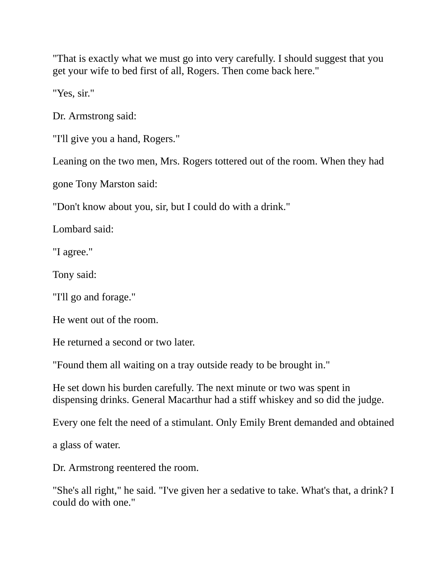"That is exactly what we must go into very carefully. I should suggest that you get your wife to bed first of all, Rogers. Then come back here."

"Yes, sir."

Dr. Armstrong said:

"I'll give you a hand, Rogers."

Leaning on the two men, Mrs. Rogers tottered out of the room. When they had

gone Tony Marston said:

"Don't know about you, sir, but I could do with a drink."

Lombard said:

"I agree."

Tony said:

"I'll go and forage."

He went out of the room.

He returned a second or two later.

"Found them all waiting on a tray outside ready to be brought in."

He set down his burden carefully. The next minute or two was spent in dispensing drinks. General Macarthur had a stiff whiskey and so did the judge.

Every one felt the need of a stimulant. Only Emily Brent demanded and obtained

a glass of water.

Dr. Armstrong reentered the room.

"She's all right," he said. "I've given her a sedative to take. What's that, a drink? I could do with one."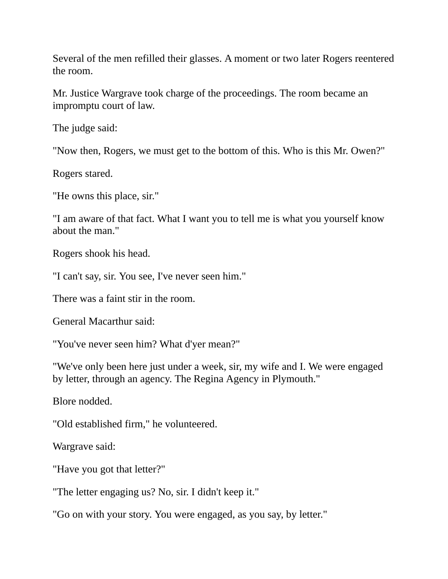Several of the men refilled their glasses. A moment or two later Rogers reentered the room.

Mr. Justice Wargrave took charge of the proceedings. The room became an impromptu court of law.

The judge said:

"Now then, Rogers, we must get to the bottom of this. Who is this Mr. Owen?"

Rogers stared.

"He owns this place, sir."

"I am aware of that fact. What I want you to tell me is what you yourself know about the man."

Rogers shook his head.

"I can't say, sir. You see, I've never seen him."

There was a faint stir in the room.

General Macarthur said:

"You've never seen him? What d'yer mean?"

"We've only been here just under a week, sir, my wife and I. We were engaged by letter, through an agency. The Regina Agency in Plymouth."

Blore nodded.

"Old established firm," he volunteered.

Wargrave said:

"Have you got that letter?"

"The letter engaging us? No, sir. I didn't keep it."

"Go on with your story. You were engaged, as you say, by letter."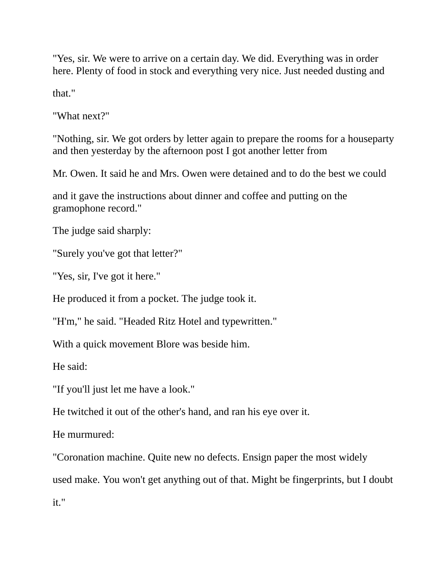"Yes, sir. We were to arrive on a certain day. We did. Everything was in order here. Plenty of food in stock and everything very nice. Just needed dusting and

that."

"What next?"

"Nothing, sir. We got orders by letter again to prepare the rooms for a houseparty and then yesterday by the afternoon post I got another letter from

Mr. Owen. It said he and Mrs. Owen were detained and to do the best we could

and it gave the instructions about dinner and coffee and putting on the gramophone record."

The judge said sharply:

"Surely you've got that letter?"

"Yes, sir, I've got it here."

He produced it from a pocket. The judge took it.

"H'm," he said. "Headed Ritz Hotel and typewritten."

With a quick movement Blore was beside him.

He said:

"If you'll just let me have a look."

He twitched it out of the other's hand, and ran his eye over it.

He murmured:

"Coronation machine. Quite new no defects. Ensign paper the most widely

used make. You won't get anything out of that. Might be fingerprints, but I doubt

it."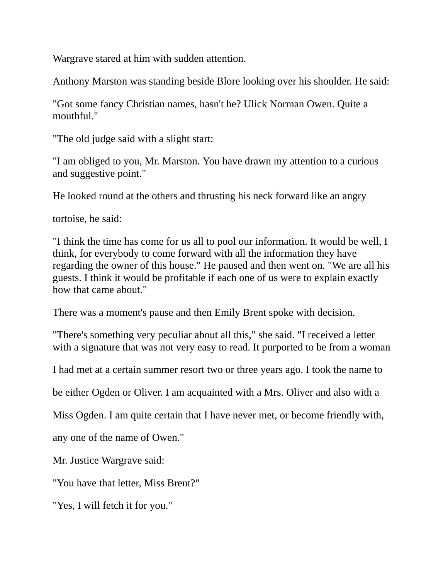Wargrave stared at him with sudden attention.

Anthony Marston was standing beside Blore looking over his shoulder. He said:

"Got some fancy Christian names, hasn't he? Ulick Norman Owen. Quite a mouthful."

"The old judge said with a slight start:

"I am obliged to you, Mr. Marston. You have drawn my attention to a curious and suggestive point."

He looked round at the others and thrusting his neck forward like an angry

tortoise, he said:

"I think the time has come for us all to pool our information. It would be well, I think, for everybody to come forward with all the information they have regarding the owner of this house." He paused and then went on. "We are all his guests. I think it would be profitable if each one of us were to explain exactly how that came about."

There was a moment's pause and then Emily Brent spoke with decision.

"There's something very peculiar about all this," she said. "I received a letter with a signature that was not very easy to read. It purported to be from a woman

I had met at a certain summer resort two or three years ago. I took the name to

be either Ogden or Oliver. I am acquainted with a Mrs. Oliver and also with a

Miss Ogden. I am quite certain that I have never met, or become friendly with,

any one of the name of Owen."

Mr. Justice Wargrave said:

"You have that letter, Miss Brent?"

"Yes, I will fetch it for you."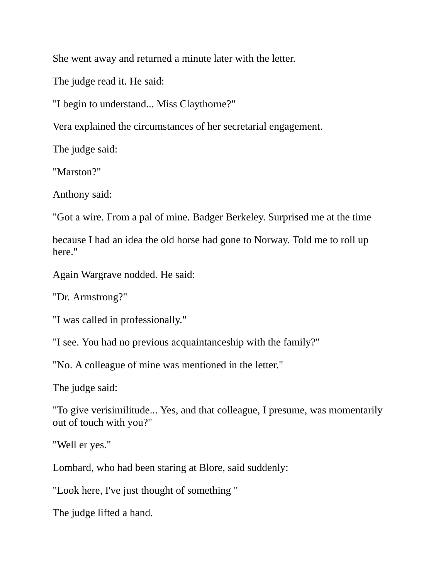She went away and returned a minute later with the letter.

The judge read it. He said:

"I begin to understand... Miss Claythorne?"

Vera explained the circumstances of her secretarial engagement.

The judge said:

"Marston?"

Anthony said:

"Got a wire. From a pal of mine. Badger Berkeley. Surprised me at the time

because I had an idea the old horse had gone to Norway. Told me to roll up here."

Again Wargrave nodded. He said:

"Dr. Armstrong?"

"I was called in professionally."

"I see. You had no previous acquaintanceship with the family?"

"No. A colleague of mine was mentioned in the letter."

The judge said:

"To give verisimilitude... Yes, and that colleague, I presume, was momentarily out of touch with you?"

"Well er yes."

Lombard, who had been staring at Blore, said suddenly:

"Look here, I've just thought of something "

The judge lifted a hand.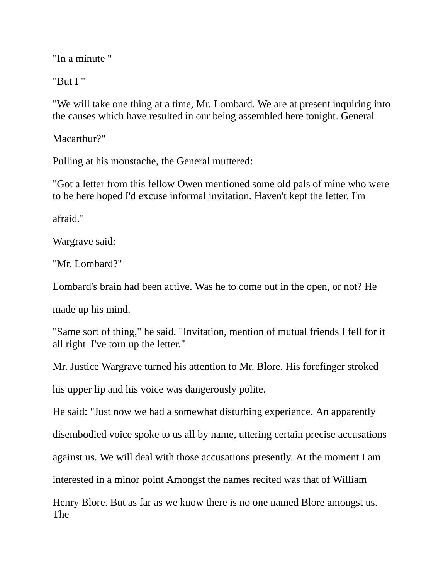"In a minute "

"But I "

"We will take one thing at a time, Mr. Lombard. We are at present inquiring into the causes which have resulted in our being assembled here tonight. General

Macarthur?"

Pulling at his moustache, the General muttered:

"Got a letter from this fellow Owen mentioned some old pals of mine who were to be here hoped I'd excuse informal invitation. Haven't kept the letter. I'm

afraid."

Wargrave said:

"Mr. Lombard?"

Lombard's brain had been active. Was he to come out in the open, or not? He

made up his mind.

"Same sort of thing," he said. "Invitation, mention of mutual friends I fell for it all right. I've torn up the letter."

Mr. Justice Wargrave turned his attention to Mr. Blore. His forefinger stroked

his upper lip and his voice was dangerously polite.

He said: "Just now we had a somewhat disturbing experience. An apparently

disembodied voice spoke to us all by name, uttering certain precise accusations

against us. We will deal with those accusations presently. At the moment I am

interested in a minor point Amongst the names recited was that of William

Henry Blore. But as far as we know there is no one named Blore amongst us. The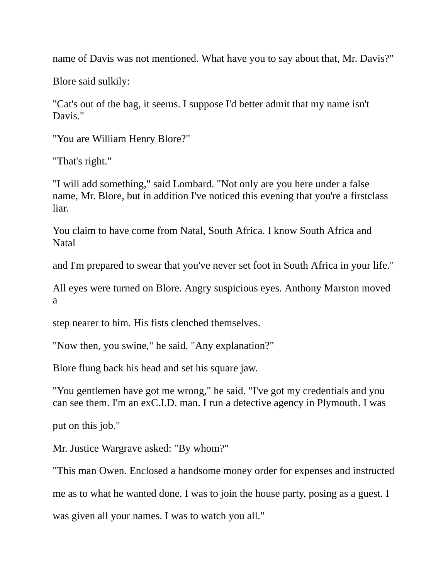name of Davis was not mentioned. What have you to say about that, Mr. Davis?"

Blore said sulkily:

"Cat's out of the bag, it seems. I suppose I'd better admit that my name isn't Davis."

"You are William Henry Blore?"

"That's right."

"I will add something," said Lombard. "Not only are you here under a false name, Mr. Blore, but in addition I've noticed this evening that you're a firstclass liar.

You claim to have come from Natal, South Africa. I know South Africa and Natal

and I'm prepared to swear that you've never set foot in South Africa in your life."

All eyes were turned on Blore. Angry suspicious eyes. Anthony Marston moved a

step nearer to him. His fists clenched themselves.

"Now then, you swine," he said. "Any explanation?"

Blore flung back his head and set his square jaw.

"You gentlemen have got me wrong," he said. "I've got my credentials and you can see them. I'm an exC.I.D. man. I run a detective agency in Plymouth. I was

put on this job."

Mr. Justice Wargrave asked: "By whom?"

"This man Owen. Enclosed a handsome money order for expenses and instructed

me as to what he wanted done. I was to join the house party, posing as a guest. I

was given all your names. I was to watch you all."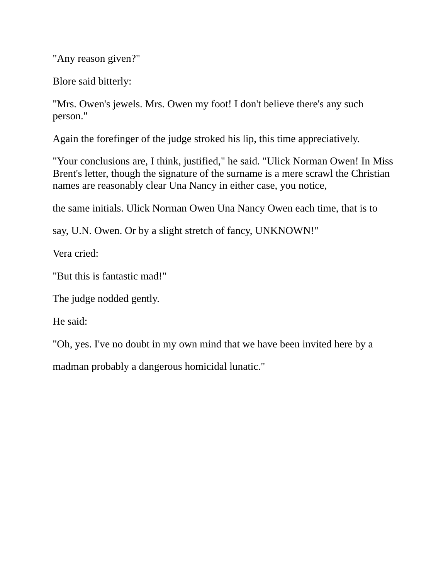"Any reason given?"

Blore said bitterly:

"Mrs. Owen's jewels. Mrs. Owen my foot! I don't believe there's any such person."

Again the forefinger of the judge stroked his lip, this time appreciatively.

"Your conclusions are, I think, justified," he said. "Ulick Norman Owen! In Miss Brent's letter, though the signature of the surname is a mere scrawl the Christian names are reasonably clear Una Nancy in either case, you notice,

the same initials. Ulick Norman Owen Una Nancy Owen each time, that is to

say, U.N. Owen. Or by a slight stretch of fancy, UNKNOWN!"

Vera cried:

"But this is fantastic mad!"

The judge nodded gently.

He said:

"Oh, yes. I've no doubt in my own mind that we have been invited here by a

madman probably a dangerous homicidal lunatic."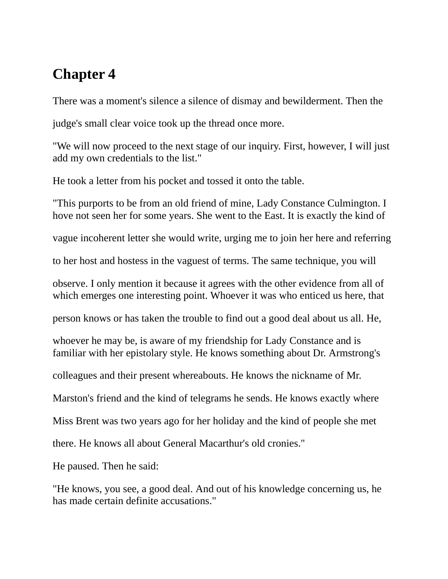# **Chapter 4**

There was a moment's silence a silence of dismay and bewilderment. Then the

judge's small clear voice took up the thread once more.

"We will now proceed to the next stage of our inquiry. First, however, I will just add my own credentials to the list."

He took a letter from his pocket and tossed it onto the table.

"This purports to be from an old friend of mine, Lady Constance Culmington. I hove not seen her for some years. She went to the East. It is exactly the kind of

vague incoherent letter she would write, urging me to join her here and referring

to her host and hostess in the vaguest of terms. The same technique, you will

observe. I only mention it because it agrees with the other evidence from all of which emerges one interesting point. Whoever it was who enticed us here, that

person knows or has taken the trouble to find out a good deal about us all. He,

whoever he may be, is aware of my friendship for Lady Constance and is familiar with her epistolary style. He knows something about Dr. Armstrong's

colleagues and their present whereabouts. He knows the nickname of Mr.

Marston's friend and the kind of telegrams he sends. He knows exactly where

Miss Brent was two years ago for her holiday and the kind of people she met

there. He knows all about General Macarthur's old cronies."

He paused. Then he said:

"He knows, you see, a good deal. And out of his knowledge concerning us, he has made certain definite accusations."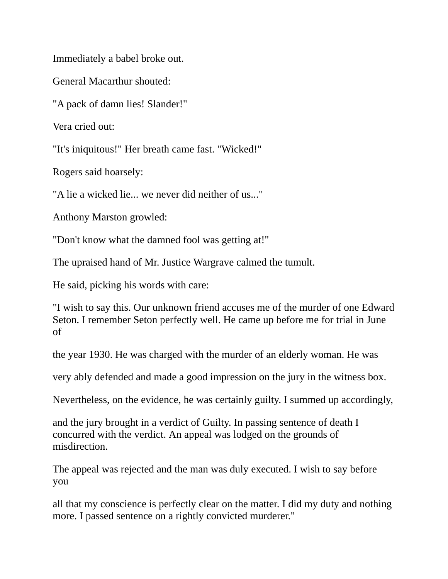Immediately a babel broke out.

General Macarthur shouted:

"A pack of damn lies! Slander!"

Vera cried out:

"It's iniquitous!" Her breath came fast. "Wicked!"

Rogers said hoarsely:

"A lie a wicked lie... we never did neither of us..."

Anthony Marston growled:

"Don't know what the damned fool was getting at!"

The upraised hand of Mr. Justice Wargrave calmed the tumult.

He said, picking his words with care:

"I wish to say this. Our unknown friend accuses me of the murder of one Edward Seton. I remember Seton perfectly well. He came up before me for trial in June of

the year 1930. He was charged with the murder of an elderly woman. He was

very ably defended and made a good impression on the jury in the witness box.

Nevertheless, on the evidence, he was certainly guilty. I summed up accordingly,

and the jury brought in a verdict of Guilty. In passing sentence of death I concurred with the verdict. An appeal was lodged on the grounds of misdirection.

The appeal was rejected and the man was duly executed. I wish to say before you

all that my conscience is perfectly clear on the matter. I did my duty and nothing more. I passed sentence on a rightly convicted murderer."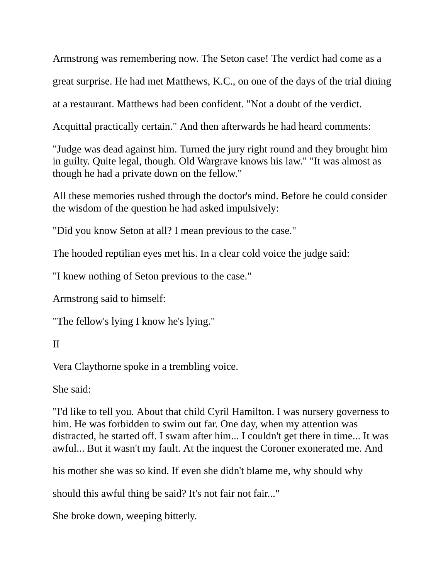Armstrong was remembering now. The Seton case! The verdict had come as a

great surprise. He had met Matthews, K.C., on one of the days of the trial dining

at a restaurant. Matthews had been confident. "Not a doubt of the verdict.

Acquittal practically certain." And then afterwards he had heard comments:

"Judge was dead against him. Turned the jury right round and they brought him in guilty. Quite legal, though. Old Wargrave knows his law." "It was almost as though he had a private down on the fellow."

All these memories rushed through the doctor's mind. Before he could consider the wisdom of the question he had asked impulsively:

"Did you know Seton at all? I mean previous to the case."

The hooded reptilian eyes met his. In a clear cold voice the judge said:

"I knew nothing of Seton previous to the case."

Armstrong said to himself:

"The fellow's lying I know he's lying."

### II

Vera Claythorne spoke in a trembling voice.

She said:

"I'd like to tell you. About that child Cyril Hamilton. I was nursery governess to him. He was forbidden to swim out far. One day, when my attention was distracted, he started off. I swam after him... I couldn't get there in time... It was awful... But it wasn't my fault. At the inquest the Coroner exonerated me. And

his mother she was so kind. If even she didn't blame me, why should why

should this awful thing be said? It's not fair not fair..."

She broke down, weeping bitterly.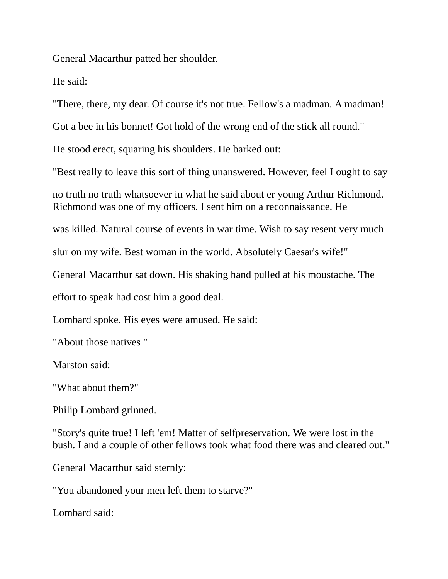General Macarthur patted her shoulder.

He said:

"There, there, my dear. Of course it's not true. Fellow's a madman. A madman!

Got a bee in his bonnet! Got hold of the wrong end of the stick all round."

He stood erect, squaring his shoulders. He barked out:

"Best really to leave this sort of thing unanswered. However, feel I ought to say

no truth no truth whatsoever in what he said about er young Arthur Richmond. Richmond was one of my officers. I sent him on a reconnaissance. He

was killed. Natural course of events in war time. Wish to say resent very much

slur on my wife. Best woman in the world. Absolutely Caesar's wife!"

General Macarthur sat down. His shaking hand pulled at his moustache. The

effort to speak had cost him a good deal.

Lombard spoke. His eyes were amused. He said:

"About those natives "

Marston said:

"What about them?"

Philip Lombard grinned.

"Story's quite true! I left 'em! Matter of selfpreservation. We were lost in the bush. I and a couple of other fellows took what food there was and cleared out."

General Macarthur said sternly:

"You abandoned your men left them to starve?"

Lombard said: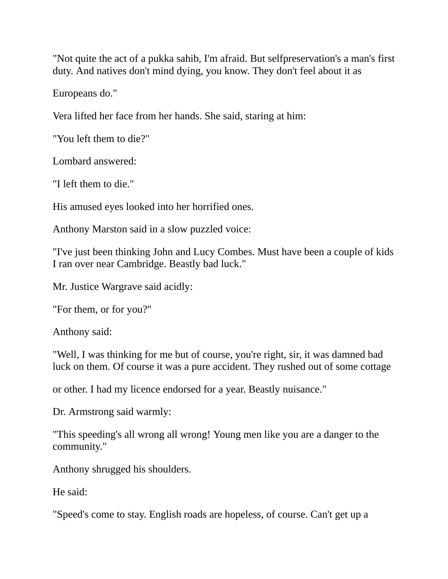"Not quite the act of a pukka sahib, I'm afraid. But selfpreservation's a man's first duty. And natives don't mind dying, you know. They don't feel about it as

Europeans do."

Vera lifted her face from her hands. She said, staring at him:

"You left them to die?"

Lombard answered:

"I left them to die."

His amused eyes looked into her horrified ones.

Anthony Marston said in a slow puzzled voice:

"I've just been thinking John and Lucy Combes. Must have been a couple of kids I ran over near Cambridge. Beastly bad luck."

Mr. Justice Wargrave said acidly:

"For them, or for you?"

Anthony said:

"Well, I was thinking for me but of course, you're right, sir, it was damned bad luck on them. Of course it was a pure accident. They rushed out of some cottage

or other. I had my licence endorsed for a year. Beastly nuisance."

Dr. Armstrong said warmly:

"This speeding's all wrong all wrong! Young men like you are a danger to the community."

Anthony shrugged his shoulders.

He said:

"Speed's come to stay. English roads are hopeless, of course. Can't get up a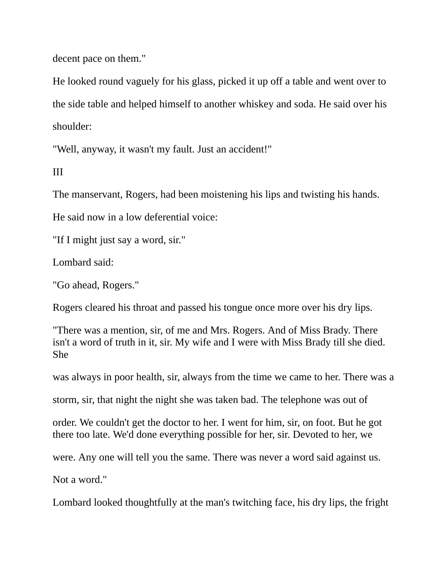decent pace on them."

He looked round vaguely for his glass, picked it up off a table and went over to the side table and helped himself to another whiskey and soda. He said over his shoulder:

"Well, anyway, it wasn't my fault. Just an accident!"

III

The manservant, Rogers, had been moistening his lips and twisting his hands.

He said now in a low deferential voice:

"If I might just say a word, sir."

Lombard said:

"Go ahead, Rogers."

Rogers cleared his throat and passed his tongue once more over his dry lips.

"There was a mention, sir, of me and Mrs. Rogers. And of Miss Brady. There isn't a word of truth in it, sir. My wife and I were with Miss Brady till she died. She

was always in poor health, sir, always from the time we came to her. There was a

storm, sir, that night the night she was taken bad. The telephone was out of

order. We couldn't get the doctor to her. I went for him, sir, on foot. But he got there too late. We'd done everything possible for her, sir. Devoted to her, we

were. Any one will tell you the same. There was never a word said against us.

Not a word."

Lombard looked thoughtfully at the man's twitching face, his dry lips, the fright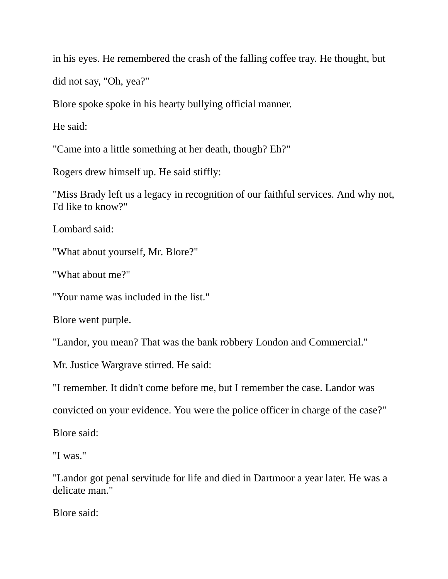in his eyes. He remembered the crash of the falling coffee tray. He thought, but

did not say, "Oh, yea?"

Blore spoke spoke in his hearty bullying official manner.

He said:

"Came into a little something at her death, though? Eh?"

Rogers drew himself up. He said stiffly:

"Miss Brady left us a legacy in recognition of our faithful services. And why not, I'd like to know?"

Lombard said:

"What about yourself, Mr. Blore?"

"What about me?"

"Your name was included in the list."

Blore went purple.

"Landor, you mean? That was the bank robbery London and Commercial."

Mr. Justice Wargrave stirred. He said:

"I remember. It didn't come before me, but I remember the case. Landor was

convicted on your evidence. You were the police officer in charge of the case?"

Blore said:

"I was."

"Landor got penal servitude for life and died in Dartmoor a year later. He was a delicate man."

Blore said: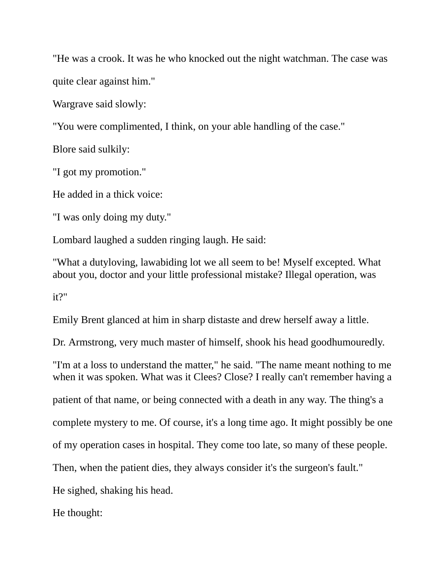"He was a crook. It was he who knocked out the night watchman. The case was quite clear against him."

Wargrave said slowly:

"You were complimented, I think, on your able handling of the case."

Blore said sulkily:

"I got my promotion."

He added in a thick voice:

"I was only doing my duty."

Lombard laughed a sudden ringing laugh. He said:

"What a dutyloving, lawabiding lot we all seem to be! Myself excepted. What about you, doctor and your little professional mistake? Illegal operation, was

it?"

Emily Brent glanced at him in sharp distaste and drew herself away a little.

Dr. Armstrong, very much master of himself, shook his head goodhumouredly.

"I'm at a loss to understand the matter," he said. "The name meant nothing to me when it was spoken. What was it Clees? Close? I really can't remember having a

patient of that name, or being connected with a death in any way. The thing's a

complete mystery to me. Of course, it's a long time ago. It might possibly be one

of my operation cases in hospital. They come too late, so many of these people.

Then, when the patient dies, they always consider it's the surgeon's fault."

He sighed, shaking his head.

He thought: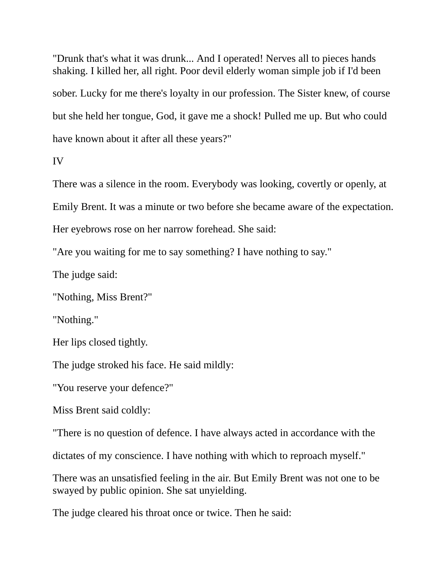"Drunk that's what it was drunk... And I operated! Nerves all to pieces hands shaking. I killed her, all right. Poor devil elderly woman simple job if I'd been sober. Lucky for me there's loyalty in our profession. The Sister knew, of course but she held her tongue, God, it gave me a shock! Pulled me up. But who could have known about it after all these years?"

IV

There was a silence in the room. Everybody was looking, covertly or openly, at

Emily Brent. It was a minute or two before she became aware of the expectation.

Her eyebrows rose on her narrow forehead. She said:

"Are you waiting for me to say something? I have nothing to say."

The judge said:

"Nothing, Miss Brent?"

"Nothing."

Her lips closed tightly.

The judge stroked his face. He said mildly:

"You reserve your defence?"

Miss Brent said coldly:

"There is no question of defence. I have always acted in accordance with the

dictates of my conscience. I have nothing with which to reproach myself."

There was an unsatisfied feeling in the air. But Emily Brent was not one to be swayed by public opinion. She sat unyielding.

The judge cleared his throat once or twice. Then he said: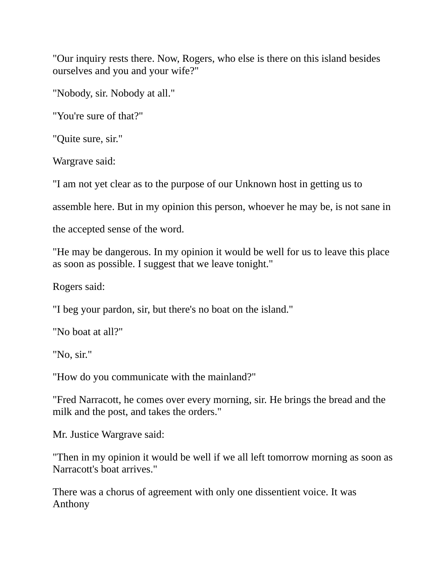"Our inquiry rests there. Now, Rogers, who else is there on this island besides ourselves and you and your wife?"

"Nobody, sir. Nobody at all."

"You're sure of that?"

"Quite sure, sir."

Wargrave said:

"I am not yet clear as to the purpose of our Unknown host in getting us to

assemble here. But in my opinion this person, whoever he may be, is not sane in

the accepted sense of the word.

"He may be dangerous. In my opinion it would be well for us to leave this place as soon as possible. I suggest that we leave tonight."

Rogers said:

"I beg your pardon, sir, but there's no boat on the island."

"No boat at all?"

"No, sir."

"How do you communicate with the mainland?"

"Fred Narracott, he comes over every morning, sir. He brings the bread and the milk and the post, and takes the orders."

Mr. Justice Wargrave said:

"Then in my opinion it would be well if we all left tomorrow morning as soon as Narracott's boat arrives."

There was a chorus of agreement with only one dissentient voice. It was Anthony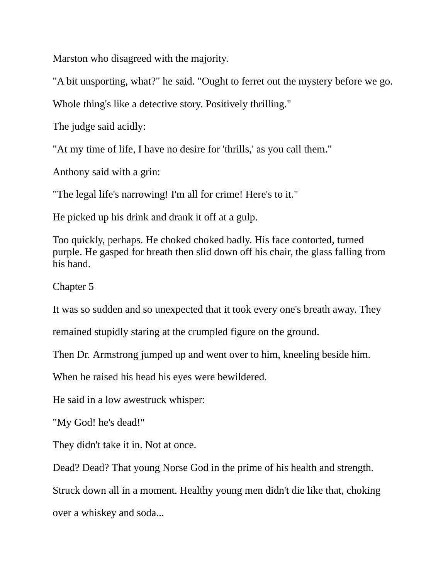Marston who disagreed with the majority.

"A bit unsporting, what?" he said. "Ought to ferret out the mystery before we go.

Whole thing's like a detective story. Positively thrilling."

The judge said acidly:

"At my time of life, I have no desire for 'thrills,' as you call them."

Anthony said with a grin:

"The legal life's narrowing! I'm all for crime! Here's to it."

He picked up his drink and drank it off at a gulp.

Too quickly, perhaps. He choked choked badly. His face contorted, turned purple. He gasped for breath then slid down off his chair, the glass falling from his hand.

Chapter 5

It was so sudden and so unexpected that it took every one's breath away. They

remained stupidly staring at the crumpled figure on the ground.

Then Dr. Armstrong jumped up and went over to him, kneeling beside him.

When he raised his head his eyes were bewildered.

He said in a low awestruck whisper:

"My God! he's dead!"

They didn't take it in. Not at once.

Dead? Dead? That young Norse God in the prime of his health and strength.

Struck down all in a moment. Healthy young men didn't die like that, choking

over a whiskey and soda...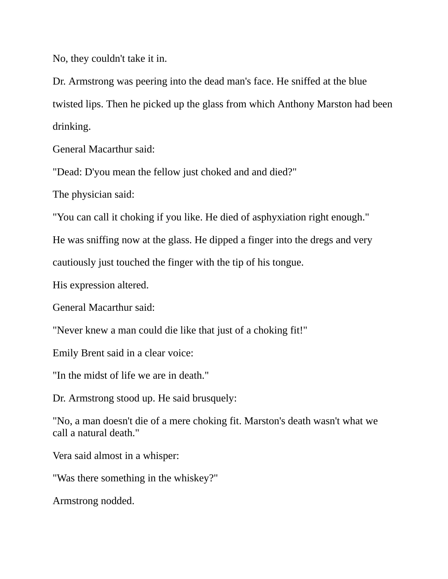No, they couldn't take it in.

Dr. Armstrong was peering into the dead man's face. He sniffed at the blue twisted lips. Then he picked up the glass from which Anthony Marston had been drinking.

General Macarthur said:

"Dead: D'you mean the fellow just choked and and died?"

The physician said:

"You can call it choking if you like. He died of asphyxiation right enough."

He was sniffing now at the glass. He dipped a finger into the dregs and very

cautiously just touched the finger with the tip of his tongue.

His expression altered.

General Macarthur said:

"Never knew a man could die like that just of a choking fit!"

Emily Brent said in a clear voice:

"In the midst of life we are in death."

Dr. Armstrong stood up. He said brusquely:

"No, a man doesn't die of a mere choking fit. Marston's death wasn't what we call a natural death."

Vera said almost in a whisper:

"Was there something in the whiskey?"

Armstrong nodded.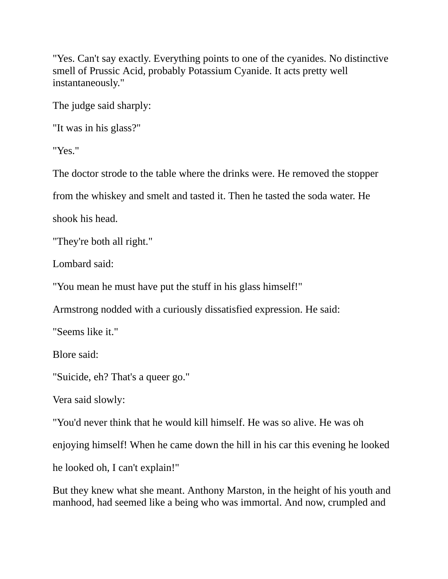"Yes. Can't say exactly. Everything points to one of the cyanides. No distinctive smell of Prussic Acid, probably Potassium Cyanide. It acts pretty well instantaneously."

The judge said sharply:

"It was in his glass?"

"Yes."

The doctor strode to the table where the drinks were. He removed the stopper

from the whiskey and smelt and tasted it. Then he tasted the soda water. He

shook his head.

```
"They're both all right."
```
Lombard said:

"You mean he must have put the stuff in his glass himself!"

Armstrong nodded with a curiously dissatisfied expression. He said:

"Seems like it."

Blore said:

"Suicide, eh? That's a queer go."

Vera said slowly:

"You'd never think that he would kill himself. He was so alive. He was oh

enjoying himself! When he came down the hill in his car this evening he looked

he looked oh, I can't explain!"

But they knew what she meant. Anthony Marston, in the height of his youth and manhood, had seemed like a being who was immortal. And now, crumpled and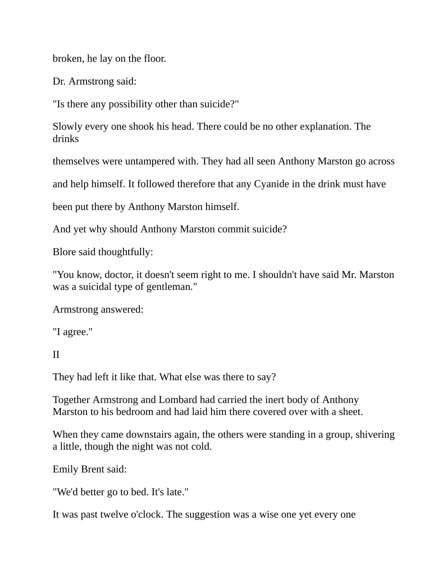broken, he lay on the floor.

Dr. Armstrong said:

"Is there any possibility other than suicide?"

Slowly every one shook his head. There could be no other explanation. The drinks

themselves were untampered with. They had all seen Anthony Marston go across

and help himself. It followed therefore that any Cyanide in the drink must have

been put there by Anthony Marston himself.

And yet why should Anthony Marston commit suicide?

Blore said thoughtfully:

"You know, doctor, it doesn't seem right to me. I shouldn't have said Mr. Marston was a suicidal type of gentleman."

Armstrong answered:

"I agree."

II

They had left it like that. What else was there to say?

Together Armstrong and Lombard had carried the inert body of Anthony Marston to his bedroom and had laid him there covered over with a sheet.

When they came downstairs again, the others were standing in a group, shivering a little, though the night was not cold.

Emily Brent said:

"We'd better go to bed. It's late."

It was past twelve o'clock. The suggestion was a wise one yet every one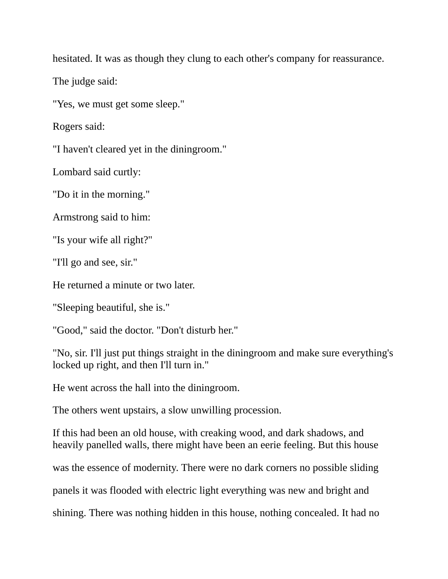hesitated. It was as though they clung to each other's company for reassurance.

The judge said:

"Yes, we must get some sleep."

Rogers said:

"I haven't cleared yet in the diningroom."

Lombard said curtly:

"Do it in the morning."

Armstrong said to him:

"Is your wife all right?"

"I'll go and see, sir."

He returned a minute or two later.

"Sleeping beautiful, she is."

"Good," said the doctor. "Don't disturb her."

"No, sir. I'll just put things straight in the diningroom and make sure everything's locked up right, and then I'll turn in."

He went across the hall into the diningroom.

The others went upstairs, a slow unwilling procession.

If this had been an old house, with creaking wood, and dark shadows, and heavily panelled walls, there might have been an eerie feeling. But this house

was the essence of modernity. There were no dark corners no possible sliding

panels it was flooded with electric light everything was new and bright and

shining. There was nothing hidden in this house, nothing concealed. It had no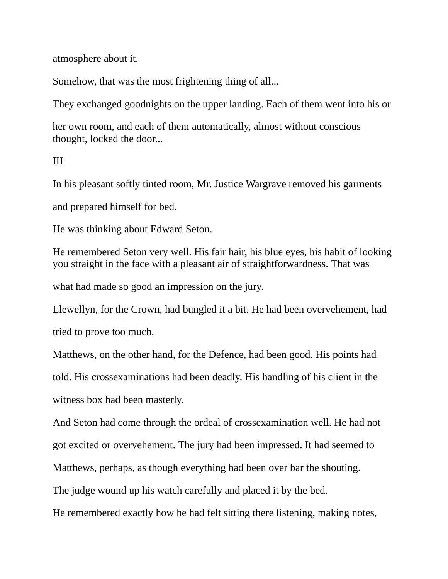atmosphere about it.

Somehow, that was the most frightening thing of all...

They exchanged goodnights on the upper landing. Each of them went into his or

her own room, and each of them automatically, almost without conscious thought, locked the door...

III

In his pleasant softly tinted room, Mr. Justice Wargrave removed his garments

and prepared himself for bed.

He was thinking about Edward Seton.

He remembered Seton very well. His fair hair, his blue eyes, his habit of looking you straight in the face with a pleasant air of straightforwardness. That was

what had made so good an impression on the jury.

Llewellyn, for the Crown, had bungled it a bit. He had been overvehement, had

tried to prove too much.

Matthews, on the other hand, for the Defence, had been good. His points had

told. His crossexaminations had been deadly. His handling of his client in the

witness box had been masterly.

And Seton had come through the ordeal of crossexamination well. He had not

got excited or overvehement. The jury had been impressed. It had seemed to

Matthews, perhaps, as though everything had been over bar the shouting.

The judge wound up his watch carefully and placed it by the bed.

He remembered exactly how he had felt sitting there listening, making notes,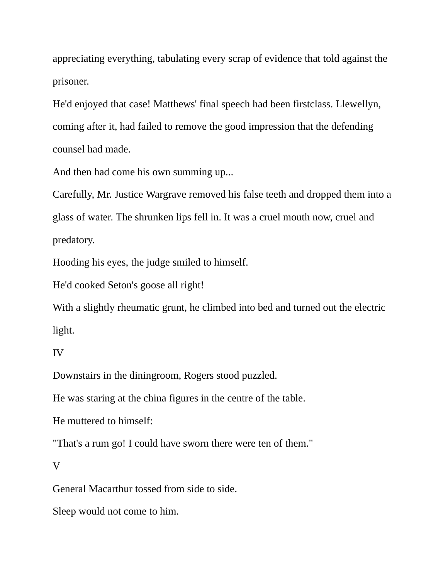appreciating everything, tabulating every scrap of evidence that told against the prisoner.

He'd enjoyed that case! Matthews' final speech had been firstclass. Llewellyn, coming after it, had failed to remove the good impression that the defending counsel had made.

And then had come his own summing up...

Carefully, Mr. Justice Wargrave removed his false teeth and dropped them into a glass of water. The shrunken lips fell in. It was a cruel mouth now, cruel and predatory.

Hooding his eyes, the judge smiled to himself.

He'd cooked Seton's goose all right!

With a slightly rheumatic grunt, he climbed into bed and turned out the electric light.

### IV

Downstairs in the diningroom, Rogers stood puzzled.

He was staring at the china figures in the centre of the table.

He muttered to himself:

"That's a rum go! I could have sworn there were ten of them."

### V

General Macarthur tossed from side to side.

Sleep would not come to him.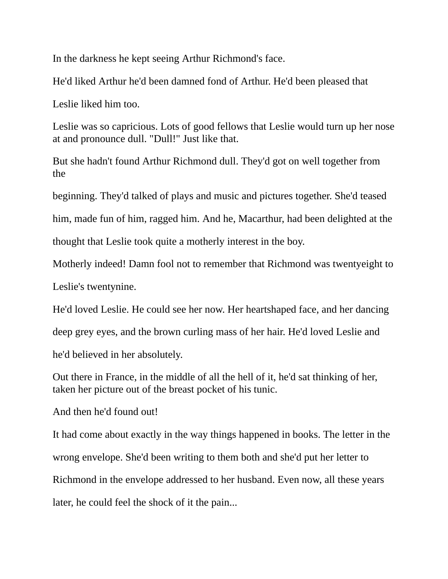In the darkness he kept seeing Arthur Richmond's face.

He'd liked Arthur he'd been damned fond of Arthur. He'd been pleased that

Leslie liked him too.

Leslie was so capricious. Lots of good fellows that Leslie would turn up her nose at and pronounce dull. "Dull!" Just like that.

But she hadn't found Arthur Richmond dull. They'd got on well together from the

beginning. They'd talked of plays and music and pictures together. She'd teased

him, made fun of him, ragged him. And he, Macarthur, had been delighted at the

thought that Leslie took quite a motherly interest in the boy.

Motherly indeed! Damn fool not to remember that Richmond was twentyeight to

Leslie's twentynine.

He'd loved Leslie. He could see her now. Her heartshaped face, and her dancing

deep grey eyes, and the brown curling mass of her hair. He'd loved Leslie and

he'd believed in her absolutely.

Out there in France, in the middle of all the hell of it, he'd sat thinking of her, taken her picture out of the breast pocket of his tunic.

And then he'd found out!

It had come about exactly in the way things happened in books. The letter in the wrong envelope. She'd been writing to them both and she'd put her letter to Richmond in the envelope addressed to her husband. Even now, all these years later, he could feel the shock of it the pain...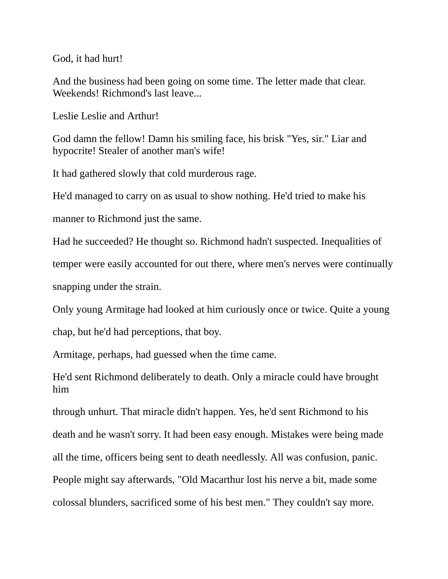God, it had hurt!

And the business had been going on some time. The letter made that clear. Weekends! Richmond's last leave...

Leslie Leslie and Arthur!

God damn the fellow! Damn his smiling face, his brisk "Yes, sir." Liar and hypocrite! Stealer of another man's wife!

It had gathered slowly that cold murderous rage.

He'd managed to carry on as usual to show nothing. He'd tried to make his

manner to Richmond just the same.

Had he succeeded? He thought so. Richmond hadn't suspected. Inequalities of temper were easily accounted for out there, where men's nerves were continually snapping under the strain.

Only young Armitage had looked at him curiously once or twice. Quite a young chap, but he'd had perceptions, that boy.

Armitage, perhaps, had guessed when the time came.

He'd sent Richmond deliberately to death. Only a miracle could have brought him

through unhurt. That miracle didn't happen. Yes, he'd sent Richmond to his death and he wasn't sorry. It had been easy enough. Mistakes were being made all the time, officers being sent to death needlessly. All was confusion, panic. People might say afterwards, "Old Macarthur lost his nerve a bit, made some colossal blunders, sacrificed some of his best men." They couldn't say more.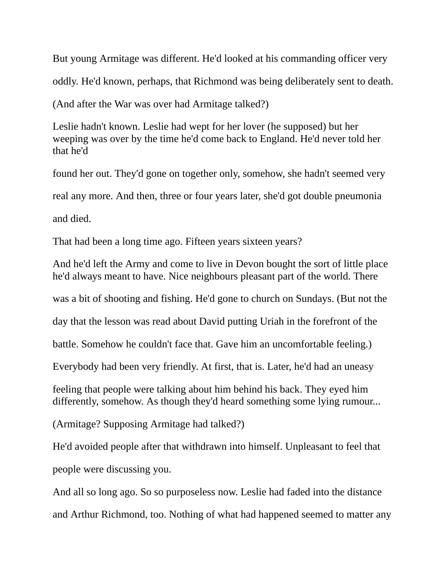But young Armitage was different. He'd looked at his commanding officer very

oddly. He'd known, perhaps, that Richmond was being deliberately sent to death.

(And after the War was over had Armitage talked?)

Leslie hadn't known. Leslie had wept for her lover (he supposed) but her weeping was over by the time he'd come back to England. He'd never told her that he'd

found her out. They'd gone on together only, somehow, she hadn't seemed very real any more. And then, three or four years later, she'd got double pneumonia and died.

That had been a long time ago. Fifteen years sixteen years?

And he'd left the Army and come to live in Devon bought the sort of little place he'd always meant to have. Nice neighbours pleasant part of the world. There

was a bit of shooting and fishing. He'd gone to church on Sundays. (But not the

day that the lesson was read about David putting Uriah in the forefront of the

battle. Somehow he couldn't face that. Gave him an uncomfortable feeling.)

Everybody had been very friendly. At first, that is. Later, he'd had an uneasy

feeling that people were talking about him behind his back. They eyed him differently, somehow. As though they'd heard something some lying rumour...

(Armitage? Supposing Armitage had talked?)

He'd avoided people after that withdrawn into himself. Unpleasant to feel that people were discussing you.

And all so long ago. So so purposeless now. Leslie had faded into the distance and Arthur Richmond, too. Nothing of what had happened seemed to matter any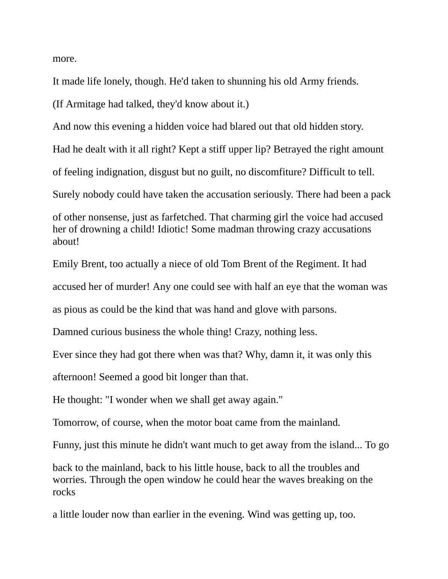more.

It made life lonely, though. He'd taken to shunning his old Army friends.

(If Armitage had talked, they'd know about it.)

And now this evening a hidden voice had blared out that old hidden story.

Had he dealt with it all right? Kept a stiff upper lip? Betrayed the right amount

of feeling indignation, disgust but no guilt, no discomfiture? Difficult to tell.

Surely nobody could have taken the accusation seriously. There had been a pack

of other nonsense, just as farfetched. That charming girl the voice had accused her of drowning a child! Idiotic! Some madman throwing crazy accusations about!

Emily Brent, too actually a niece of old Tom Brent of the Regiment. It had

accused her of murder! Any one could see with half an eye that the woman was

as pious as could be the kind that was hand and glove with parsons.

Damned curious business the whole thing! Crazy, nothing less.

Ever since they had got there when was that? Why, damn it, it was only this

afternoon! Seemed a good bit longer than that.

He thought: "I wonder when we shall get away again."

Tomorrow, of course, when the motor boat came from the mainland.

Funny, just this minute he didn't want much to get away from the island... To go

back to the mainland, back to his little house, back to all the troubles and worries. Through the open window he could hear the waves breaking on the rocks

a little louder now than earlier in the evening. Wind was getting up, too.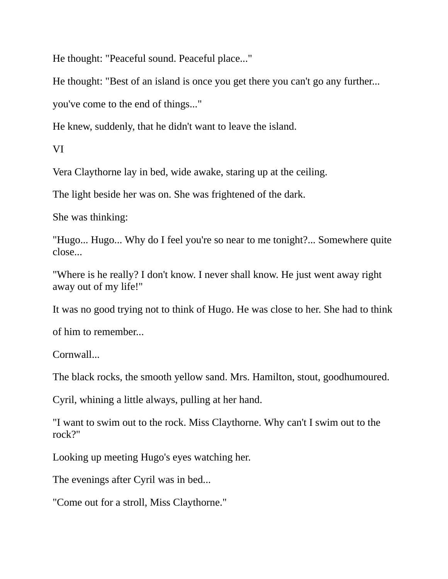He thought: "Peaceful sound. Peaceful place..."

He thought: "Best of an island is once you get there you can't go any further...

you've come to the end of things..."

He knew, suddenly, that he didn't want to leave the island.

VI

Vera Claythorne lay in bed, wide awake, staring up at the ceiling.

The light beside her was on. She was frightened of the dark.

She was thinking:

"Hugo... Hugo... Why do I feel you're so near to me tonight?... Somewhere quite close...

"Where is he really? I don't know. I never shall know. He just went away right away out of my life!"

It was no good trying not to think of Hugo. He was close to her. She had to think

of him to remember...

Cornwall...

The black rocks, the smooth yellow sand. Mrs. Hamilton, stout, goodhumoured.

Cyril, whining a little always, pulling at her hand.

"I want to swim out to the rock. Miss Claythorne. Why can't I swim out to the rock?"

Looking up meeting Hugo's eyes watching her.

The evenings after Cyril was in bed...

"Come out for a stroll, Miss Claythorne."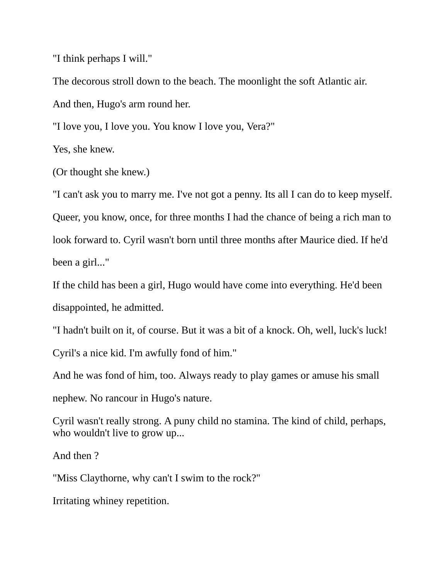"I think perhaps I will."

The decorous stroll down to the beach. The moonlight the soft Atlantic air. And then, Hugo's arm round her.

"I love you, I love you. You know I love you, Vera?"

Yes, she knew.

(Or thought she knew.)

"I can't ask you to marry me. I've not got a penny. Its all I can do to keep myself. Queer, you know, once, for three months I had the chance of being a rich man to look forward to. Cyril wasn't born until three months after Maurice died. If he'd been a girl..."

If the child has been a girl, Hugo would have come into everything. He'd been disappointed, he admitted.

"I hadn't built on it, of course. But it was a bit of a knock. Oh, well, luck's luck!

Cyril's a nice kid. I'm awfully fond of him."

And he was fond of him, too. Always ready to play games or amuse his small nephew. No rancour in Hugo's nature.

Cyril wasn't really strong. A puny child no stamina. The kind of child, perhaps, who wouldn't live to grow up...

And then ?

"Miss Claythorne, why can't I swim to the rock?"

Irritating whiney repetition.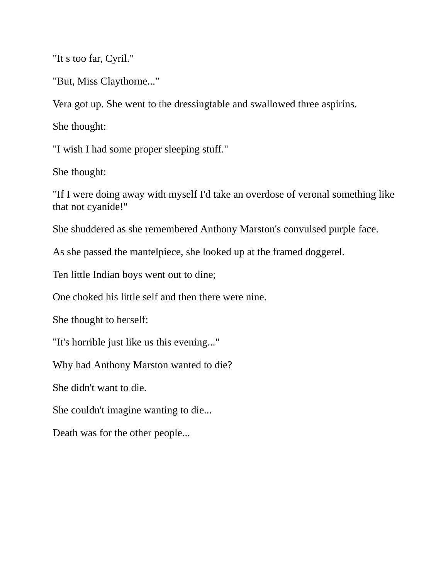"It s too far, Cyril."

"But, Miss Claythorne..."

Vera got up. She went to the dressingtable and swallowed three aspirins.

She thought:

"I wish I had some proper sleeping stuff."

She thought:

"If I were doing away with myself I'd take an overdose of veronal something like that not cyanide!"

She shuddered as she remembered Anthony Marston's convulsed purple face.

As she passed the mantelpiece, she looked up at the framed doggerel.

Ten little Indian boys went out to dine;

One choked his little self and then there were nine.

She thought to herself:

"It's horrible just like us this evening..."

Why had Anthony Marston wanted to die?

She didn't want to die.

She couldn't imagine wanting to die...

Death was for the other people...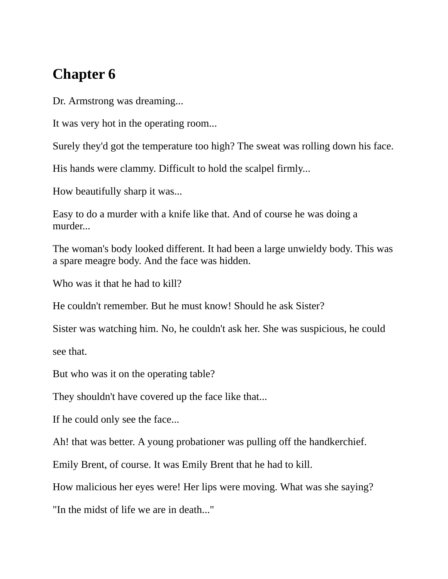## **Chapter 6**

Dr. Armstrong was dreaming...

It was very hot in the operating room...

Surely they'd got the temperature too high? The sweat was rolling down his face.

His hands were clammy. Difficult to hold the scalpel firmly...

How beautifully sharp it was...

Easy to do a murder with a knife like that. And of course he was doing a murder...

The woman's body looked different. It had been a large unwieldy body. This was a spare meagre body. And the face was hidden.

Who was it that he had to kill?

He couldn't remember. But he must know! Should he ask Sister?

Sister was watching him. No, he couldn't ask her. She was suspicious, he could see that.

But who was it on the operating table?

They shouldn't have covered up the face like that...

If he could only see the face...

Ah! that was better. A young probationer was pulling off the handkerchief.

Emily Brent, of course. It was Emily Brent that he had to kill.

How malicious her eyes were! Her lips were moving. What was she saying?

"In the midst of life we are in death..."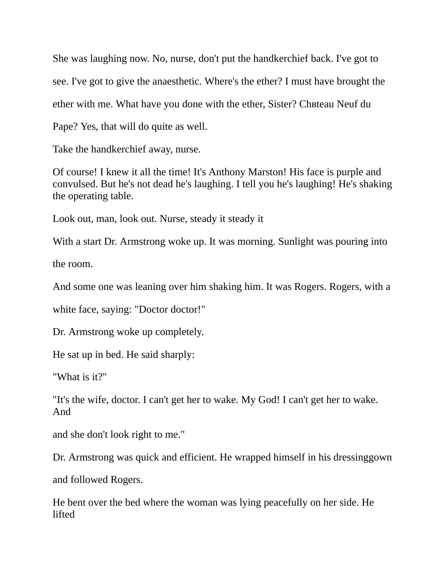She was laughing now. No, nurse, don't put the handkerchief back. I've got to see. I've got to give the anaesthetic. Where's the ether? I must have brought the ether with me. What have you done with the ether, Sister? Chвteau Neuf du

Pape? Yes, that will do quite as well.

Take the handkerchief away, nurse.

Of course! I knew it all the time! It's Anthony Marston! His face is purple and convulsed. But he's not dead he's laughing. I tell you he's laughing! He's shaking the operating table.

Look out, man, look out. Nurse, steady it steady it

With a start Dr. Armstrong woke up. It was morning. Sunlight was pouring into

the room.

And some one was leaning over him shaking him. It was Rogers. Rogers, with a

white face, saying: "Doctor doctor!"

Dr. Armstrong woke up completely.

He sat up in bed. He said sharply:

"What is it?"

"It's the wife, doctor. I can't get her to wake. My God! I can't get her to wake. And

and she don't look right to me."

Dr. Armstrong was quick and efficient. He wrapped himself in his dressinggown

and followed Rogers.

He bent over the bed where the woman was lying peacefully on her side. He lifted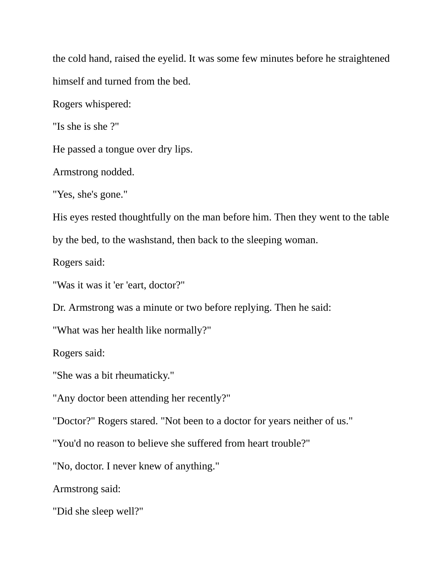the cold hand, raised the eyelid. It was some few minutes before he straightened himself and turned from the bed.

Rogers whispered:

"Is she is she ?"

He passed a tongue over dry lips.

Armstrong nodded.

"Yes, she's gone."

His eyes rested thoughtfully on the man before him. Then they went to the table

by the bed, to the washstand, then back to the sleeping woman.

Rogers said:

"Was it was it 'er 'eart, doctor?"

Dr. Armstrong was a minute or two before replying. Then he said:

"What was her health like normally?"

Rogers said:

"She was a bit rheumaticky."

"Any doctor been attending her recently?"

"Doctor?" Rogers stared. "Not been to a doctor for years neither of us."

"You'd no reason to believe she suffered from heart trouble?"

"No, doctor. I never knew of anything."

Armstrong said:

"Did she sleep well?"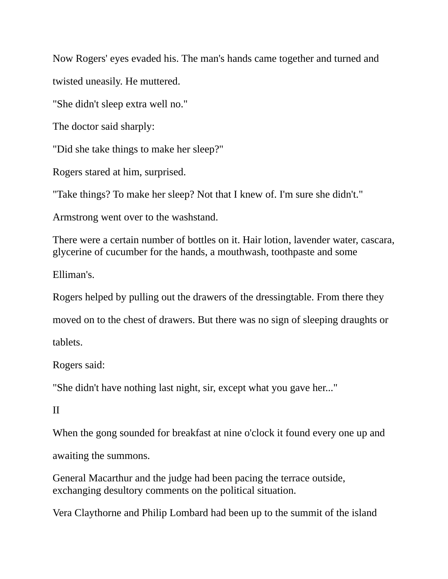Now Rogers' eyes evaded his. The man's hands came together and turned and twisted uneasily. He muttered.

"She didn't sleep extra well no."

The doctor said sharply:

"Did she take things to make her sleep?"

Rogers stared at him, surprised.

"Take things? To make her sleep? Not that I knew of. I'm sure she didn't."

Armstrong went over to the washstand.

There were a certain number of bottles on it. Hair lotion, lavender water, cascara, glycerine of cucumber for the hands, a mouthwash, toothpaste and some

Elliman's.

Rogers helped by pulling out the drawers of the dressingtable. From there they

moved on to the chest of drawers. But there was no sign of sleeping draughts or

tablets.

Rogers said:

"She didn't have nothing last night, sir, except what you gave her..."

II

When the gong sounded for breakfast at nine o'clock it found every one up and

awaiting the summons.

General Macarthur and the judge had been pacing the terrace outside, exchanging desultory comments on the political situation.

Vera Claythorne and Philip Lombard had been up to the summit of the island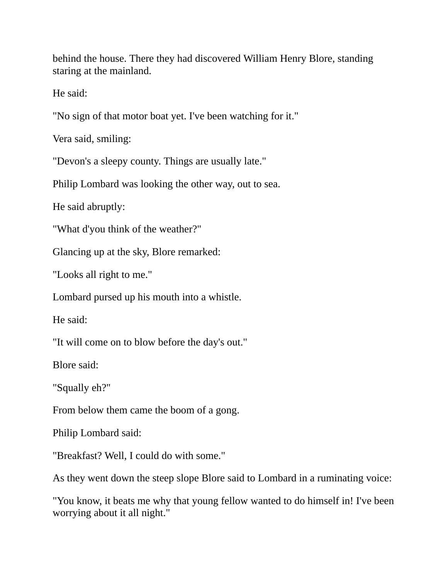behind the house. There they had discovered William Henry Blore, standing staring at the mainland.

He said:

"No sign of that motor boat yet. I've been watching for it."

Vera said, smiling:

"Devon's a sleepy county. Things are usually late."

Philip Lombard was looking the other way, out to sea.

He said abruptly:

"What d'you think of the weather?"

Glancing up at the sky, Blore remarked:

"Looks all right to me."

Lombard pursed up his mouth into a whistle.

He said:

"It will come on to blow before the day's out."

Blore said:

"Squally eh?"

From below them came the boom of a gong.

Philip Lombard said:

"Breakfast? Well, I could do with some."

As they went down the steep slope Blore said to Lombard in a ruminating voice:

"You know, it beats me why that young fellow wanted to do himself in! I've been worrying about it all night."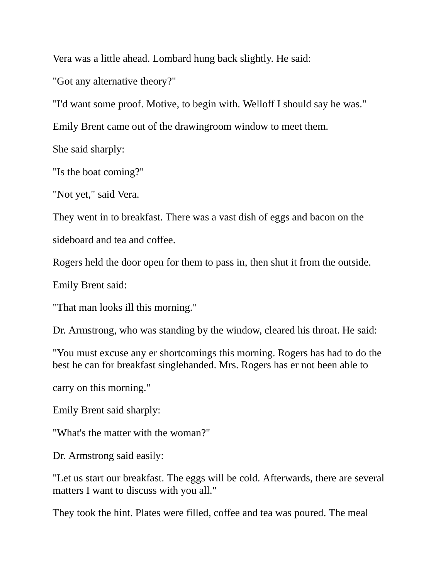Vera was a little ahead. Lombard hung back slightly. He said:

"Got any alternative theory?"

"I'd want some proof. Motive, to begin with. Welloff I should say he was."

Emily Brent came out of the drawingroom window to meet them.

She said sharply:

"Is the boat coming?"

"Not yet," said Vera.

They went in to breakfast. There was a vast dish of eggs and bacon on the

sideboard and tea and coffee.

Rogers held the door open for them to pass in, then shut it from the outside.

Emily Brent said:

"That man looks ill this morning."

Dr. Armstrong, who was standing by the window, cleared his throat. He said:

"You must excuse any er shortcomings this morning. Rogers has had to do the best he can for breakfast singlehanded. Mrs. Rogers has er not been able to

carry on this morning."

Emily Brent said sharply:

"What's the matter with the woman?"

Dr. Armstrong said easily:

"Let us start our breakfast. The eggs will be cold. Afterwards, there are several matters I want to discuss with you all."

They took the hint. Plates were filled, coffee and tea was poured. The meal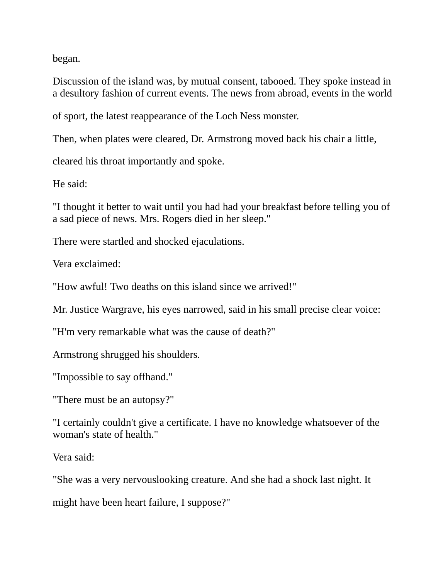began.

Discussion of the island was, by mutual consent, tabooed. They spoke instead in a desultory fashion of current events. The news from abroad, events in the world

of sport, the latest reappearance of the Loch Ness monster.

Then, when plates were cleared, Dr. Armstrong moved back his chair a little,

cleared his throat importantly and spoke.

He said:

"I thought it better to wait until you had had your breakfast before telling you of a sad piece of news. Mrs. Rogers died in her sleep."

There were startled and shocked ejaculations.

Vera exclaimed:

"How awful! Two deaths on this island since we arrived!"

Mr. Justice Wargrave, his eyes narrowed, said in his small precise clear voice:

"H'm very remarkable what was the cause of death?"

Armstrong shrugged his shoulders.

"Impossible to say offhand."

"There must be an autopsy?"

"I certainly couldn't give a certificate. I have no knowledge whatsoever of the woman's state of health."

Vera said:

"She was a very nervouslooking creature. And she had a shock last night. It

might have been heart failure, I suppose?"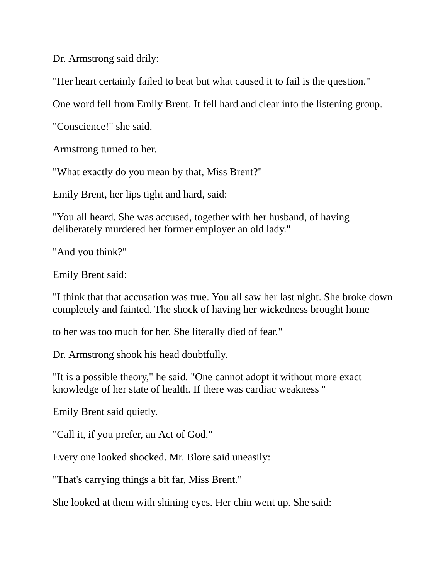Dr. Armstrong said drily:

"Her heart certainly failed to beat but what caused it to fail is the question."

One word fell from Emily Brent. It fell hard and clear into the listening group.

"Conscience!" she said.

Armstrong turned to her.

"What exactly do you mean by that, Miss Brent?"

Emily Brent, her lips tight and hard, said:

"You all heard. She was accused, together with her husband, of having deliberately murdered her former employer an old lady."

"And you think?"

Emily Brent said:

"I think that that accusation was true. You all saw her last night. She broke down completely and fainted. The shock of having her wickedness brought home

to her was too much for her. She literally died of fear."

Dr. Armstrong shook his head doubtfully.

"It is a possible theory," he said. "One cannot adopt it without more exact knowledge of her state of health. If there was cardiac weakness "

Emily Brent said quietly.

"Call it, if you prefer, an Act of God."

Every one looked shocked. Mr. Blore said uneasily:

"That's carrying things a bit far, Miss Brent."

She looked at them with shining eyes. Her chin went up. She said: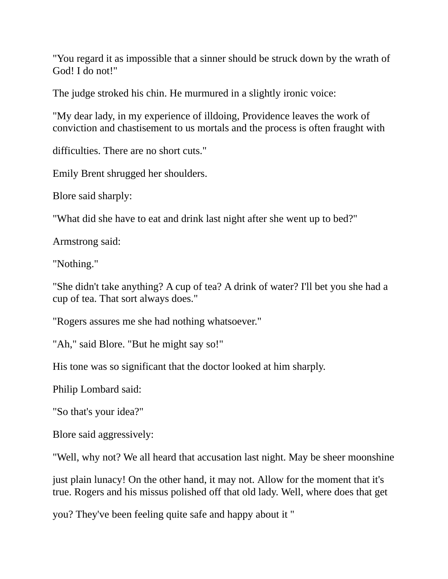"You regard it as impossible that a sinner should be struck down by the wrath of God! I do not!"

The judge stroked his chin. He murmured in a slightly ironic voice:

"My dear lady, in my experience of illdoing, Providence leaves the work of conviction and chastisement to us mortals and the process is often fraught with

difficulties. There are no short cuts."

Emily Brent shrugged her shoulders.

Blore said sharply:

"What did she have to eat and drink last night after she went up to bed?"

Armstrong said:

"Nothing."

"She didn't take anything? A cup of tea? A drink of water? I'll bet you she had a cup of tea. That sort always does."

"Rogers assures me she had nothing whatsoever."

"Ah," said Blore. "But he might say so!"

His tone was so significant that the doctor looked at him sharply.

Philip Lombard said:

"So that's your idea?"

Blore said aggressively:

"Well, why not? We all heard that accusation last night. May be sheer moonshine

just plain lunacy! On the other hand, it may not. Allow for the moment that it's true. Rogers and his missus polished off that old lady. Well, where does that get

you? They've been feeling quite safe and happy about it "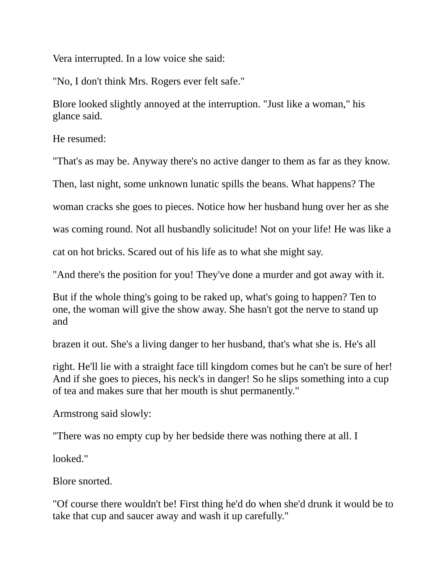Vera interrupted. In a low voice she said:

"No, I don't think Mrs. Rogers ever felt safe."

Blore looked slightly annoyed at the interruption. "Just like a woman," his glance said.

He resumed:

"That's as may be. Anyway there's no active danger to them as far as they know.

Then, last night, some unknown lunatic spills the beans. What happens? The

woman cracks she goes to pieces. Notice how her husband hung over her as she

was coming round. Not all husbandly solicitude! Not on your life! He was like a

cat on hot bricks. Scared out of his life as to what she might say.

"And there's the position for you! They've done a murder and got away with it.

But if the whole thing's going to be raked up, what's going to happen? Ten to one, the woman will give the show away. She hasn't got the nerve to stand up and

brazen it out. She's a living danger to her husband, that's what she is. He's all

right. He'll lie with a straight face till kingdom comes but he can't be sure of her! And if she goes to pieces, his neck's in danger! So he slips something into a cup of tea and makes sure that her mouth is shut permanently."

Armstrong said slowly:

"There was no empty cup by her bedside there was nothing there at all. I

looked."

Blore snorted.

"Of course there wouldn't be! First thing he'd do when she'd drunk it would be to take that cup and saucer away and wash it up carefully."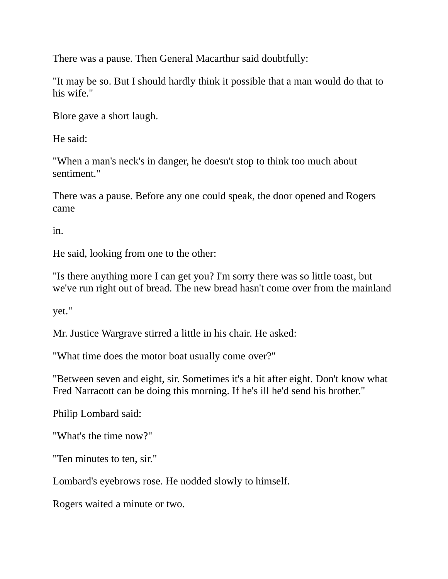There was a pause. Then General Macarthur said doubtfully:

"It may be so. But I should hardly think it possible that a man would do that to his wife."

Blore gave a short laugh.

He said:

"When a man's neck's in danger, he doesn't stop to think too much about sentiment."

There was a pause. Before any one could speak, the door opened and Rogers came

in.

He said, looking from one to the other:

"Is there anything more I can get you? I'm sorry there was so little toast, but we've run right out of bread. The new bread hasn't come over from the mainland

yet."

Mr. Justice Wargrave stirred a little in his chair. He asked:

"What time does the motor boat usually come over?"

"Between seven and eight, sir. Sometimes it's a bit after eight. Don't know what Fred Narracott can be doing this morning. If he's ill he'd send his brother."

Philip Lombard said:

"What's the time now?"

"Ten minutes to ten, sir."

Lombard's eyebrows rose. He nodded slowly to himself.

Rogers waited a minute or two.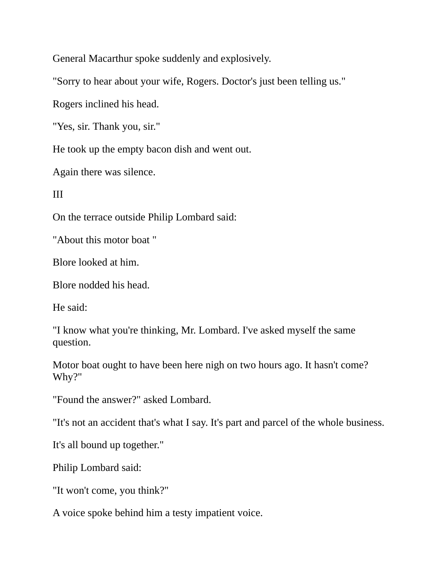General Macarthur spoke suddenly and explosively.

"Sorry to hear about your wife, Rogers. Doctor's just been telling us."

Rogers inclined his head.

"Yes, sir. Thank you, sir."

He took up the empty bacon dish and went out.

Again there was silence.

III

On the terrace outside Philip Lombard said:

"About this motor boat "

Blore looked at him.

Blore nodded his head.

He said:

"I know what you're thinking, Mr. Lombard. I've asked myself the same question.

Motor boat ought to have been here nigh on two hours ago. It hasn't come? Why?"

"Found the answer?" asked Lombard.

"It's not an accident that's what I say. It's part and parcel of the whole business.

It's all bound up together."

Philip Lombard said:

"It won't come, you think?"

A voice spoke behind him a testy impatient voice.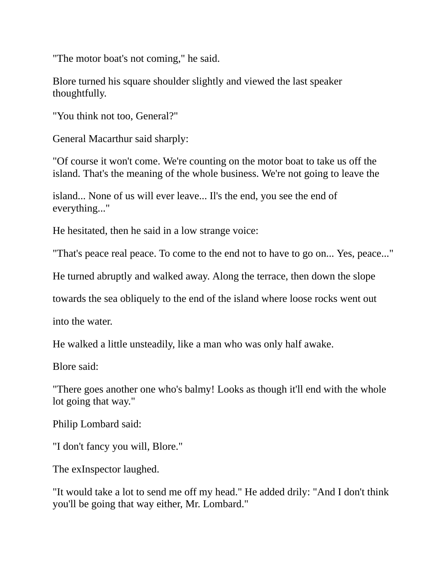"The motor boat's not coming," he said.

Blore turned his square shoulder slightly and viewed the last speaker thoughtfully.

"You think not too, General?"

General Macarthur said sharply:

"Of course it won't come. We're counting on the motor boat to take us off the island. That's the meaning of the whole business. We're not going to leave the

island... None of us will ever leave... Il's the end, you see the end of everything..."

He hesitated, then he said in a low strange voice:

"That's peace real peace. To come to the end not to have to go on... Yes, peace..."

He turned abruptly and walked away. Along the terrace, then down the slope

towards the sea obliquely to the end of the island where loose rocks went out

into the water.

He walked a little unsteadily, like a man who was only half awake.

Blore said:

"There goes another one who's balmy! Looks as though it'll end with the whole lot going that way."

Philip Lombard said:

"I don't fancy you will, Blore."

The exInspector laughed.

"It would take a lot to send me off my head." He added drily: "And I don't think you'll be going that way either, Mr. Lombard."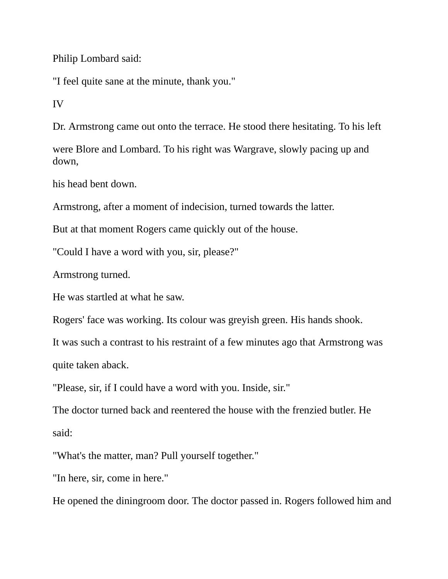Philip Lombard said:

"I feel quite sane at the minute, thank you."

IV

Dr. Armstrong came out onto the terrace. He stood there hesitating. To his left

were Blore and Lombard. To his right was Wargrave, slowly pacing up and down,

his head bent down.

Armstrong, after a moment of indecision, turned towards the latter.

But at that moment Rogers came quickly out of the house.

"Could I have a word with you, sir, please?"

Armstrong turned.

He was startled at what he saw.

Rogers' face was working. Its colour was greyish green. His hands shook.

It was such a contrast to his restraint of a few minutes ago that Armstrong was quite taken aback.

"Please, sir, if I could have a word with you. Inside, sir."

The doctor turned back and reentered the house with the frenzied butler. He said:

"What's the matter, man? Pull yourself together."

"In here, sir, come in here."

He opened the diningroom door. The doctor passed in. Rogers followed him and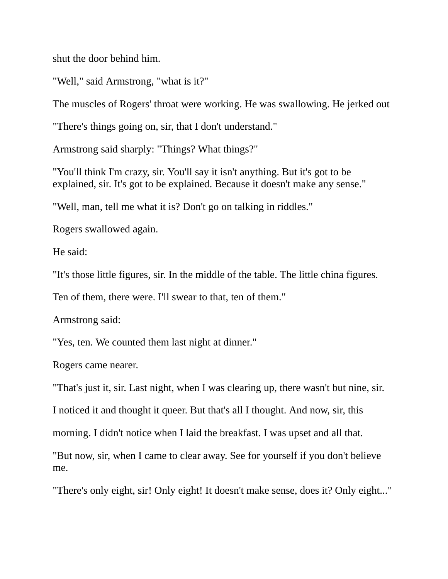shut the door behind him.

"Well," said Armstrong, "what is it?"

The muscles of Rogers' throat were working. He was swallowing. He jerked out

"There's things going on, sir, that I don't understand."

Armstrong said sharply: "Things? What things?"

"You'll think I'm crazy, sir. You'll say it isn't anything. But it's got to be explained, sir. It's got to be explained. Because it doesn't make any sense."

"Well, man, tell me what it is? Don't go on talking in riddles."

Rogers swallowed again.

He said:

"It's those little figures, sir. In the middle of the table. The little china figures.

Ten of them, there were. I'll swear to that, ten of them."

Armstrong said:

"Yes, ten. We counted them last night at dinner."

Rogers came nearer.

"That's just it, sir. Last night, when I was clearing up, there wasn't but nine, sir.

I noticed it and thought it queer. But that's all I thought. And now, sir, this

morning. I didn't notice when I laid the breakfast. I was upset and all that.

"But now, sir, when I came to clear away. See for yourself if you don't believe me.

"There's only eight, sir! Only eight! It doesn't make sense, does it? Only eight..."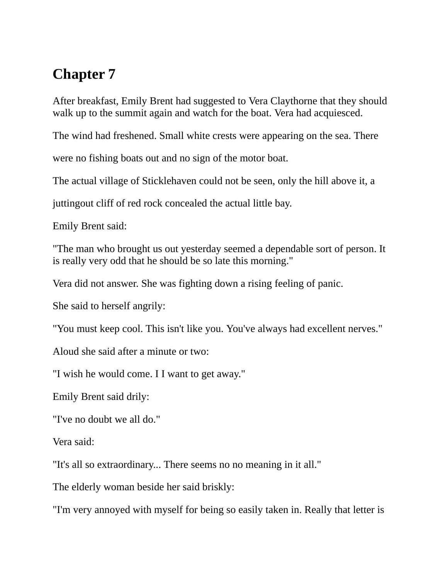## **Chapter 7**

After breakfast, Emily Brent had suggested to Vera Claythorne that they should walk up to the summit again and watch for the boat. Vera had acquiesced.

The wind had freshened. Small white crests were appearing on the sea. There

were no fishing boats out and no sign of the motor boat.

The actual village of Sticklehaven could not be seen, only the hill above it, a

juttingout cliff of red rock concealed the actual little bay.

Emily Brent said:

"The man who brought us out yesterday seemed a dependable sort of person. It is really very odd that he should be so late this morning."

Vera did not answer. She was fighting down a rising feeling of panic.

She said to herself angrily:

"You must keep cool. This isn't like you. You've always had excellent nerves."

Aloud she said after a minute or two:

"I wish he would come. I I want to get away."

Emily Brent said drily:

"I've no doubt we all do."

Vera said:

"It's all so extraordinary... There seems no no meaning in it all."

The elderly woman beside her said briskly:

"I'm very annoyed with myself for being so easily taken in. Really that letter is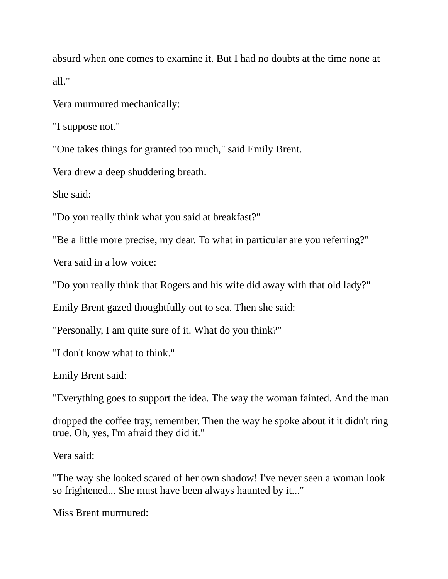absurd when one comes to examine it. But I had no doubts at the time none at all."

Vera murmured mechanically:

"I suppose not."

"One takes things for granted too much," said Emily Brent.

Vera drew a deep shuddering breath.

She said:

"Do you really think what you said at breakfast?"

"Be a little more precise, my dear. To what in particular are you referring?"

Vera said in a low voice:

"Do you really think that Rogers and his wife did away with that old lady?"

Emily Brent gazed thoughtfully out to sea. Then she said:

"Personally, I am quite sure of it. What do you think?"

"I don't know what to think."

Emily Brent said:

"Everything goes to support the idea. The way the woman fainted. And the man

dropped the coffee tray, remember. Then the way he spoke about it it didn't ring true. Oh, yes, I'm afraid they did it."

Vera said:

"The way she looked scared of her own shadow! I've never seen a woman look so frightened... She must have been always haunted by it..."

Miss Brent murmured: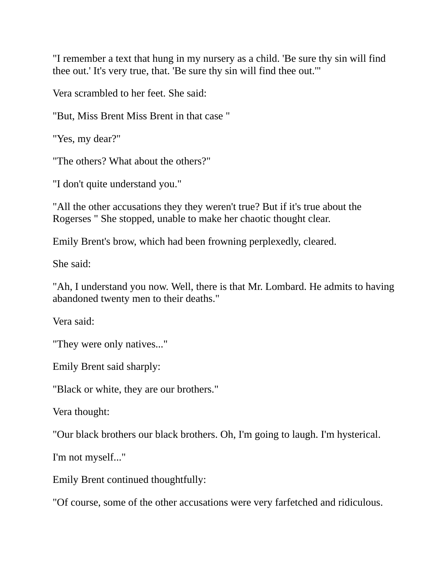"I remember a text that hung in my nursery as a child. 'Be sure thy sin will find thee out.' It's very true, that. 'Be sure thy sin will find thee out.'"

Vera scrambled to her feet. She said:

"But, Miss Brent Miss Brent in that case "

"Yes, my dear?"

"The others? What about the others?"

"I don't quite understand you."

"All the other accusations they they weren't true? But if it's true about the Rogerses " She stopped, unable to make her chaotic thought clear.

Emily Brent's brow, which had been frowning perplexedly, cleared.

She said:

"Ah, I understand you now. Well, there is that Mr. Lombard. He admits to having abandoned twenty men to their deaths."

Vera said:

"They were only natives..."

Emily Brent said sharply:

"Black or white, they are our brothers."

Vera thought:

"Our black brothers our black brothers. Oh, I'm going to laugh. I'm hysterical.

I'm not myself..."

Emily Brent continued thoughtfully:

"Of course, some of the other accusations were very farfetched and ridiculous.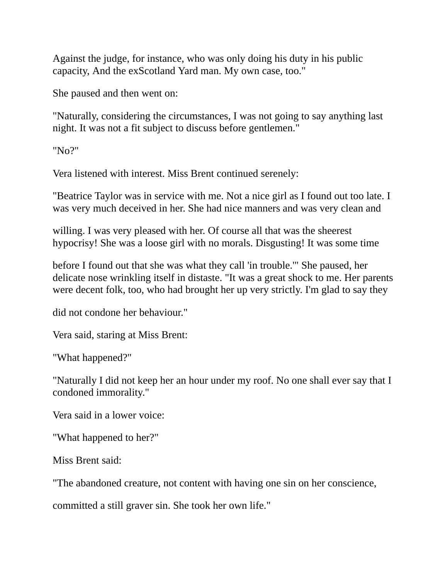Against the judge, for instance, who was only doing his duty in his public capacity, And the exScotland Yard man. My own case, too."

She paused and then went on:

"Naturally, considering the circumstances, I was not going to say anything last night. It was not a fit subject to discuss before gentlemen."

"No?"

Vera listened with interest. Miss Brent continued serenely:

"Beatrice Taylor was in service with me. Not a nice girl as I found out too late. I was very much deceived in her. She had nice manners and was very clean and

willing. I was very pleased with her. Of course all that was the sheerest hypocrisy! She was a loose girl with no morals. Disgusting! It was some time

before I found out that she was what they call 'in trouble.'" She paused, her delicate nose wrinkling itself in distaste. "It was a great shock to me. Her parents were decent folk, too, who had brought her up very strictly. I'm glad to say they

did not condone her behaviour."

Vera said, staring at Miss Brent:

"What happened?"

"Naturally I did not keep her an hour under my roof. No one shall ever say that I condoned immorality."

Vera said in a lower voice:

"What happened to her?"

Miss Brent said:

"The abandoned creature, not content with having one sin on her conscience,

committed a still graver sin. She took her own life."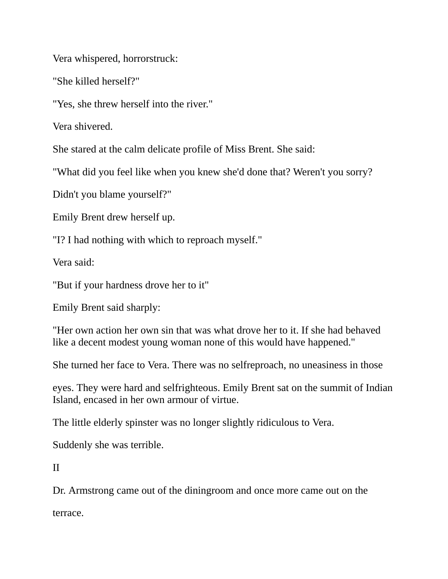Vera whispered, horrorstruck:

"She killed herself?"

"Yes, she threw herself into the river."

Vera shivered.

She stared at the calm delicate profile of Miss Brent. She said:

"What did you feel like when you knew she'd done that? Weren't you sorry?

Didn't you blame yourself?"

Emily Brent drew herself up.

"I? I had nothing with which to reproach myself."

Vera said:

"But if your hardness drove her to it"

Emily Brent said sharply:

"Her own action her own sin that was what drove her to it. If she had behaved like a decent modest young woman none of this would have happened."

She turned her face to Vera. There was no selfreproach, no uneasiness in those

eyes. They were hard and selfrighteous. Emily Brent sat on the summit of Indian Island, encased in her own armour of virtue.

The little elderly spinster was no longer slightly ridiculous to Vera.

Suddenly she was terrible.

II

Dr. Armstrong came out of the diningroom and once more came out on the

terrace.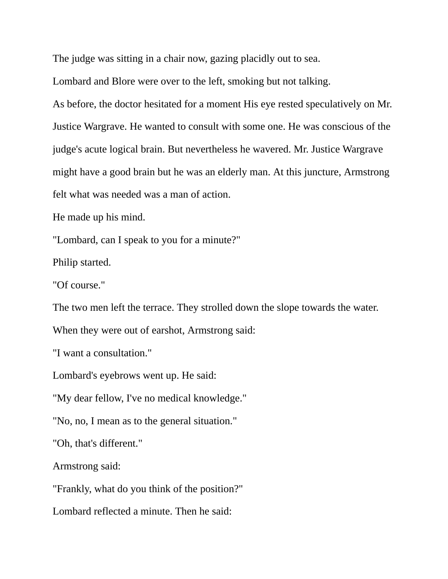The judge was sitting in a chair now, gazing placidly out to sea.

Lombard and Blore were over to the left, smoking but not talking.

As before, the doctor hesitated for a moment His eye rested speculatively on Mr. Justice Wargrave. He wanted to consult with some one. He was conscious of the judge's acute logical brain. But nevertheless he wavered. Mr. Justice Wargrave might have a good brain but he was an elderly man. At this juncture, Armstrong felt what was needed was a man of action.

He made up his mind.

"Lombard, can I speak to you for a minute?"

Philip started.

"Of course."

The two men left the terrace. They strolled down the slope towards the water.

When they were out of earshot, Armstrong said:

"I want a consultation."

Lombard's eyebrows went up. He said:

"My dear fellow, I've no medical knowledge."

"No, no, I mean as to the general situation."

"Oh, that's different."

Armstrong said:

"Frankly, what do you think of the position?"

Lombard reflected a minute. Then he said: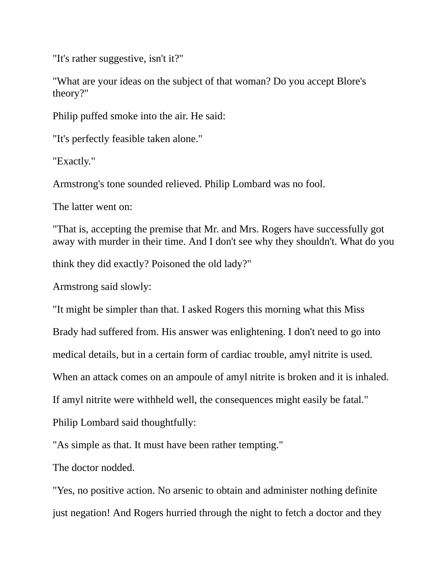"It's rather suggestive, isn't it?"

"What are your ideas on the subject of that woman? Do you accept Blore's theory?"

Philip puffed smoke into the air. He said:

"It's perfectly feasible taken alone."

"Exactly."

Armstrong's tone sounded relieved. Philip Lombard was no fool.

The latter went on:

"That is, accepting the premise that Mr. and Mrs. Rogers have successfully got away with murder in their time. And I don't see why they shouldn't. What do you

think they did exactly? Poisoned the old lady?"

Armstrong said slowly:

"It might be simpler than that. I asked Rogers this morning what this Miss

Brady had suffered from. His answer was enlightening. I don't need to go into

medical details, but in a certain form of cardiac trouble, amyl nitrite is used.

When an attack comes on an ampoule of amyl nitrite is broken and it is inhaled.

If amyl nitrite were withheld well, the consequences might easily be fatal."

Philip Lombard said thoughtfully:

"As simple as that. It must have been rather tempting."

The doctor nodded.

"Yes, no positive action. No arsenic to obtain and administer nothing definite just negation! And Rogers hurried through the night to fetch a doctor and they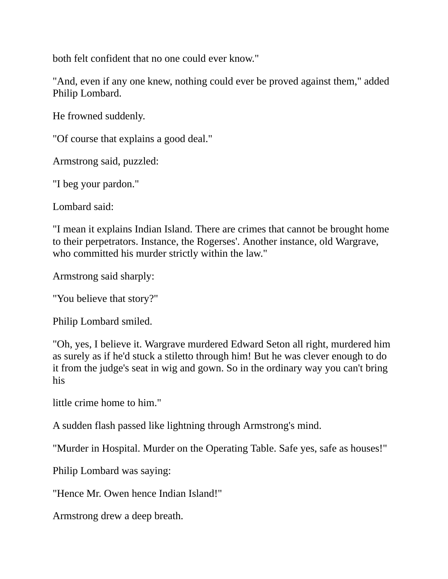both felt confident that no one could ever know."

"And, even if any one knew, nothing could ever be proved against them," added Philip Lombard.

He frowned suddenly.

"Of course that explains a good deal."

Armstrong said, puzzled:

"I beg your pardon."

Lombard said:

"I mean it explains Indian Island. There are crimes that cannot be brought home to their perpetrators. Instance, the Rogerses'. Another instance, old Wargrave, who committed his murder strictly within the law."

Armstrong said sharply:

"You believe that story?"

Philip Lombard smiled.

"Oh, yes, I believe it. Wargrave murdered Edward Seton all right, murdered him as surely as if he'd stuck a stiletto through him! But he was clever enough to do it from the judge's seat in wig and gown. So in the ordinary way you can't bring his

little crime home to him."

A sudden flash passed like lightning through Armstrong's mind.

"Murder in Hospital. Murder on the Operating Table. Safe yes, safe as houses!"

Philip Lombard was saying:

"Hence Mr. Owen hence Indian Island!"

Armstrong drew a deep breath.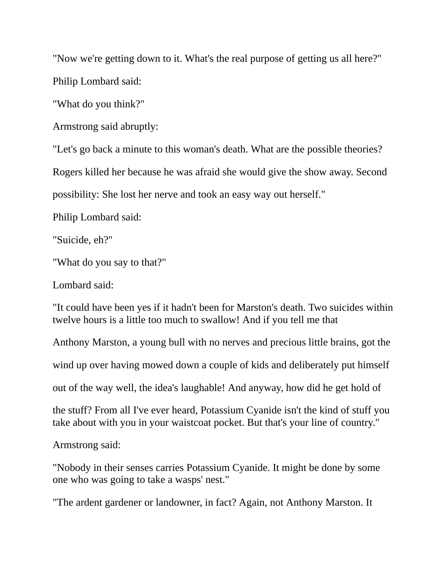"Now we're getting down to it. What's the real purpose of getting us all here?" Philip Lombard said:

"What do you think?"

Armstrong said abruptly:

"Let's go back a minute to this woman's death. What are the possible theories?

Rogers killed her because he was afraid she would give the show away. Second

possibility: She lost her nerve and took an easy way out herself."

Philip Lombard said:

"Suicide, eh?"

"What do you say to that?"

Lombard said:

"It could have been yes if it hadn't been for Marston's death. Two suicides within twelve hours is a little too much to swallow! And if you tell me that

Anthony Marston, a young bull with no nerves and precious little brains, got the

wind up over having mowed down a couple of kids and deliberately put himself

out of the way well, the idea's laughable! And anyway, how did he get hold of

the stuff? From all I've ever heard, Potassium Cyanide isn't the kind of stuff you take about with you in your waistcoat pocket. But that's your line of country."

Armstrong said:

"Nobody in their senses carries Potassium Cyanide. It might be done by some one who was going to take a wasps' nest."

"The ardent gardener or landowner, in fact? Again, not Anthony Marston. It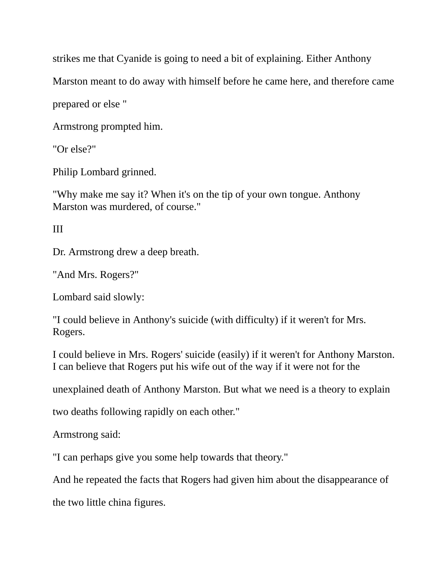strikes me that Cyanide is going to need a bit of explaining. Either Anthony

Marston meant to do away with himself before he came here, and therefore came

prepared or else "

Armstrong prompted him.

"Or else?"

Philip Lombard grinned.

"Why make me say it? When it's on the tip of your own tongue. Anthony Marston was murdered, of course."

III

Dr. Armstrong drew a deep breath.

"And Mrs. Rogers?"

Lombard said slowly:

"I could believe in Anthony's suicide (with difficulty) if it weren't for Mrs. Rogers.

I could believe in Mrs. Rogers' suicide (easily) if it weren't for Anthony Marston. I can believe that Rogers put his wife out of the way if it were not for the

unexplained death of Anthony Marston. But what we need is a theory to explain

two deaths following rapidly on each other."

Armstrong said:

"I can perhaps give you some help towards that theory."

And he repeated the facts that Rogers had given him about the disappearance of

the two little china figures.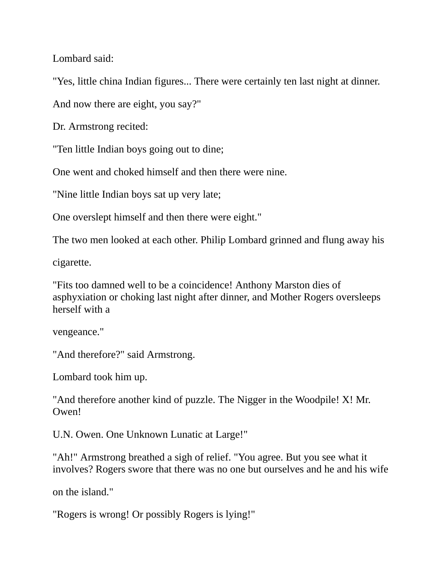Lombard said:

"Yes, little china Indian figures... There were certainly ten last night at dinner.

And now there are eight, you say?"

Dr. Armstrong recited:

"Ten little Indian boys going out to dine;

One went and choked himself and then there were nine.

"Nine little Indian boys sat up very late;

One overslept himself and then there were eight."

The two men looked at each other. Philip Lombard grinned and flung away his

cigarette.

"Fits too damned well to be a coincidence! Anthony Marston dies of asphyxiation or choking last night after dinner, and Mother Rogers oversleeps herself with a

vengeance."

"And therefore?" said Armstrong.

Lombard took him up.

"And therefore another kind of puzzle. The Nigger in the Woodpile! X! Mr. Owen!

U.N. Owen. One Unknown Lunatic at Large!"

"Ah!" Armstrong breathed a sigh of relief. "You agree. But you see what it involves? Rogers swore that there was no one but ourselves and he and his wife

on the island."

"Rogers is wrong! Or possibly Rogers is lying!"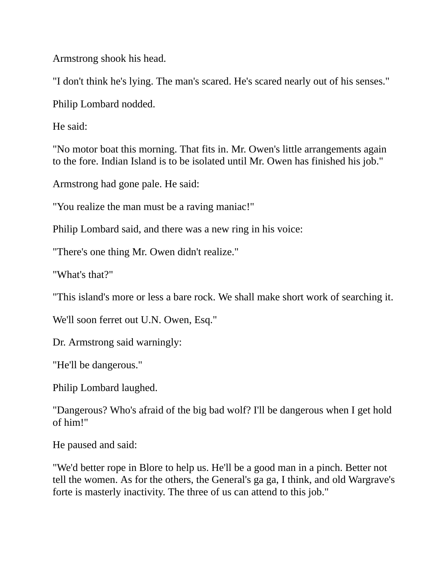Armstrong shook his head.

"I don't think he's lying. The man's scared. He's scared nearly out of his senses."

Philip Lombard nodded.

He said:

"No motor boat this morning. That fits in. Mr. Owen's little arrangements again to the fore. Indian Island is to be isolated until Mr. Owen has finished his job."

Armstrong had gone pale. He said:

"You realize the man must be a raving maniac!"

Philip Lombard said, and there was a new ring in his voice:

"There's one thing Mr. Owen didn't realize."

"What's that?"

"This island's more or less a bare rock. We shall make short work of searching it.

We'll soon ferret out U.N. Owen, Esq."

Dr. Armstrong said warningly:

"He'll be dangerous."

Philip Lombard laughed.

"Dangerous? Who's afraid of the big bad wolf? I'll be dangerous when I get hold of him!"

He paused and said:

"We'd better rope in Blore to help us. He'll be a good man in a pinch. Better not tell the women. As for the others, the General's ga ga, I think, and old Wargrave's forte is masterly inactivity. The three of us can attend to this job."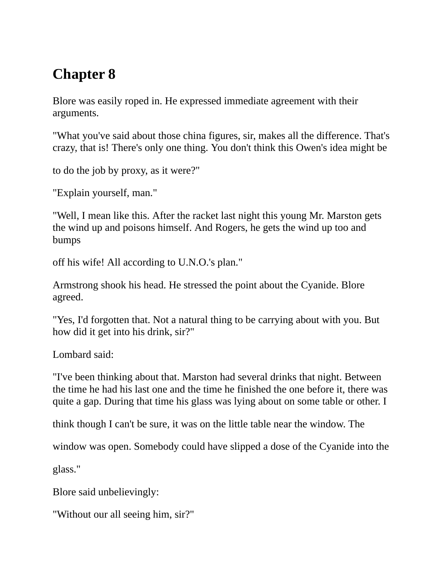## **Chapter 8**

Blore was easily roped in. He expressed immediate agreement with their arguments.

"What you've said about those china figures, sir, makes all the difference. That's crazy, that is! There's only one thing. You don't think this Owen's idea might be

to do the job by proxy, as it were?"

"Explain yourself, man."

"Well, I mean like this. After the racket last night this young Mr. Marston gets the wind up and poisons himself. And Rogers, he gets the wind up too and bumps

off his wife! All according to U.N.O.'s plan."

Armstrong shook his head. He stressed the point about the Cyanide. Blore agreed.

"Yes, I'd forgotten that. Not a natural thing to be carrying about with you. But how did it get into his drink, sir?"

Lombard said:

"I've been thinking about that. Marston had several drinks that night. Between the time he had his last one and the time he finished the one before it, there was quite a gap. During that time his glass was lying about on some table or other. I

think though I can't be sure, it was on the little table near the window. The

window was open. Somebody could have slipped a dose of the Cyanide into the

glass."

Blore said unbelievingly:

"Without our all seeing him, sir?"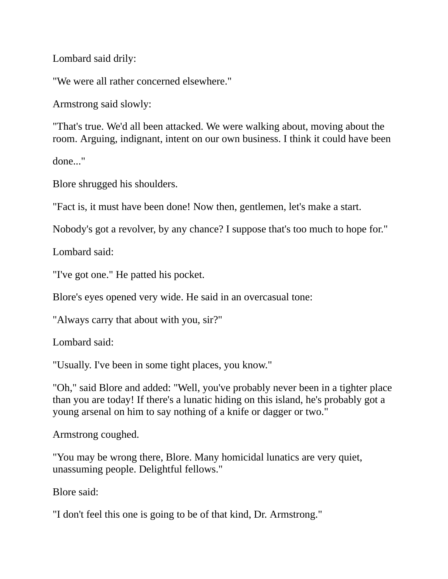Lombard said drily:

"We were all rather concerned elsewhere."

Armstrong said slowly:

"That's true. We'd all been attacked. We were walking about, moving about the room. Arguing, indignant, intent on our own business. I think it could have been

done..."

Blore shrugged his shoulders.

"Fact is, it must have been done! Now then, gentlemen, let's make a start.

Nobody's got a revolver, by any chance? I suppose that's too much to hope for."

Lombard said:

"I've got one." He patted his pocket.

Blore's eyes opened very wide. He said in an overcasual tone:

"Always carry that about with you, sir?"

Lombard said:

"Usually. I've been in some tight places, you know."

"Oh," said Blore and added: "Well, you've probably never been in a tighter place than you are today! If there's a lunatic hiding on this island, he's probably got a young arsenal on him to say nothing of a knife or dagger or two."

Armstrong coughed.

"You may be wrong there, Blore. Many homicidal lunatics are very quiet, unassuming people. Delightful fellows."

Blore said:

"I don't feel this one is going to be of that kind, Dr. Armstrong."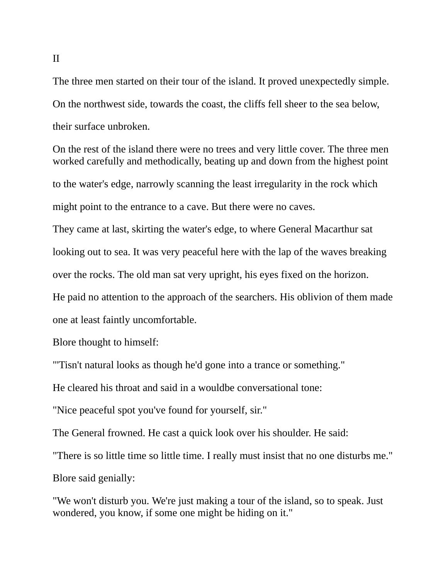The three men started on their tour of the island. It proved unexpectedly simple. On the northwest side, towards the coast, the cliffs fell sheer to the sea below, their surface unbroken.

On the rest of the island there were no trees and very little cover. The three men worked carefully and methodically, beating up and down from the highest point to the water's edge, narrowly scanning the least irregularity in the rock which might point to the entrance to a cave. But there were no caves.

They came at last, skirting the water's edge, to where General Macarthur sat looking out to sea. It was very peaceful here with the lap of the waves breaking over the rocks. The old man sat very upright, his eyes fixed on the horizon. He paid no attention to the approach of the searchers. His oblivion of them made one at least faintly uncomfortable.

Blore thought to himself:

"'Tisn't natural looks as though he'd gone into a trance or something."

He cleared his throat and said in a wouldbe conversational tone:

"Nice peaceful spot you've found for yourself, sir."

The General frowned. He cast a quick look over his shoulder. He said:

"There is so little time so little time. I really must insist that no one disturbs me."

Blore said genially:

"We won't disturb you. We're just making a tour of the island, so to speak. Just wondered, you know, if some one might be hiding on it."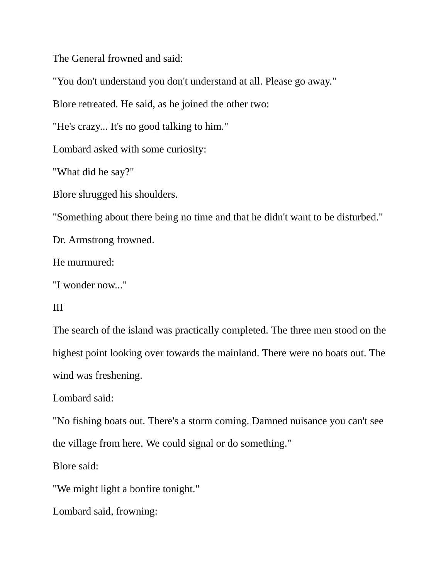The General frowned and said:

"You don't understand you don't understand at all. Please go away."

Blore retreated. He said, as he joined the other two:

"He's crazy... It's no good talking to him."

Lombard asked with some curiosity:

"What did he say?"

Blore shrugged his shoulders.

"Something about there being no time and that he didn't want to be disturbed."

Dr. Armstrong frowned.

He murmured:

```
"I wonder now..."
```
## III

The search of the island was practically completed. The three men stood on the highest point looking over towards the mainland. There were no boats out. The wind was freshening.

Lombard said:

"No fishing boats out. There's a storm coming. Damned nuisance you can't see the village from here. We could signal or do something."

Blore said:

"We might light a bonfire tonight."

Lombard said, frowning: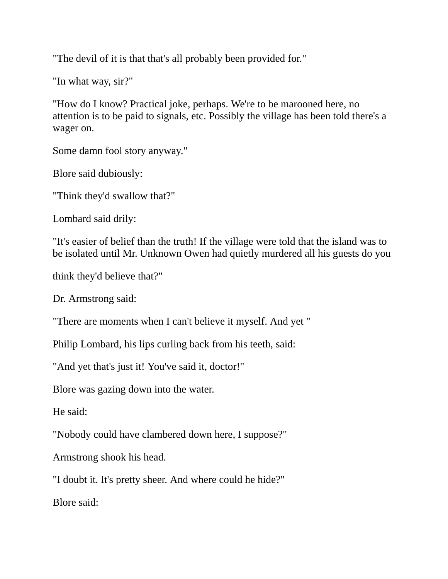"The devil of it is that that's all probably been provided for."

"In what way, sir?"

"How do I know? Practical joke, perhaps. We're to be marooned here, no attention is to be paid to signals, etc. Possibly the village has been told there's a wager on.

Some damn fool story anyway."

Blore said dubiously:

"Think they'd swallow that?"

Lombard said drily:

"It's easier of belief than the truth! If the village were told that the island was to be isolated until Mr. Unknown Owen had quietly murdered all his guests do you

think they'd believe that?"

Dr. Armstrong said:

"There are moments when I can't believe it myself. And yet "

Philip Lombard, his lips curling back from his teeth, said:

"And yet that's just it! You've said it, doctor!"

Blore was gazing down into the water.

He said:

"Nobody could have clambered down here, I suppose?"

Armstrong shook his head.

"I doubt it. It's pretty sheer. And where could he hide?"

Blore said: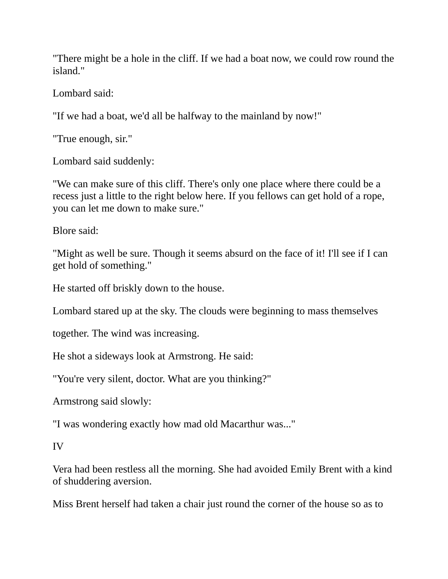"There might be a hole in the cliff. If we had a boat now, we could row round the island."

Lombard said:

"If we had a boat, we'd all be halfway to the mainland by now!"

"True enough, sir."

Lombard said suddenly:

"We can make sure of this cliff. There's only one place where there could be a recess just a little to the right below here. If you fellows can get hold of a rope, you can let me down to make sure."

Blore said:

"Might as well be sure. Though it seems absurd on the face of it! I'll see if I can get hold of something."

He started off briskly down to the house.

Lombard stared up at the sky. The clouds were beginning to mass themselves

together. The wind was increasing.

He shot a sideways look at Armstrong. He said:

"You're very silent, doctor. What are you thinking?"

Armstrong said slowly:

"I was wondering exactly how mad old Macarthur was..."

IV

Vera had been restless all the morning. She had avoided Emily Brent with a kind of shuddering aversion.

Miss Brent herself had taken a chair just round the corner of the house so as to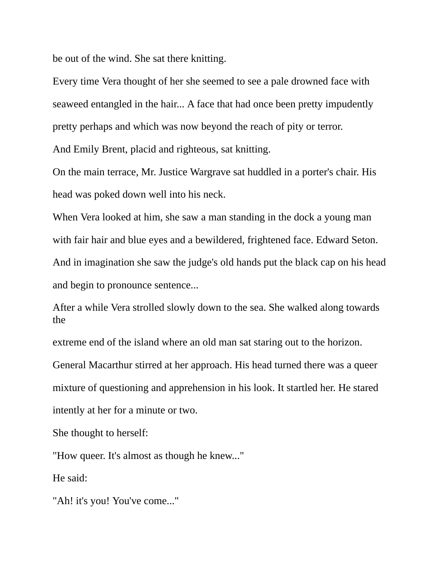be out of the wind. She sat there knitting.

Every time Vera thought of her she seemed to see a pale drowned face with seaweed entangled in the hair... A face that had once been pretty impudently pretty perhaps and which was now beyond the reach of pity or terror.

And Emily Brent, placid and righteous, sat knitting.

On the main terrace, Mr. Justice Wargrave sat huddled in a porter's chair. His head was poked down well into his neck.

When Vera looked at him, she saw a man standing in the dock a young man

with fair hair and blue eyes and a bewildered, frightened face. Edward Seton.

And in imagination she saw the judge's old hands put the black cap on his head and begin to pronounce sentence...

After a while Vera strolled slowly down to the sea. She walked along towards the

extreme end of the island where an old man sat staring out to the horizon.

General Macarthur stirred at her approach. His head turned there was a queer

mixture of questioning and apprehension in his look. It startled her. He stared intently at her for a minute or two.

She thought to herself:

"How queer. It's almost as though he knew..."

He said:

"Ah! it's you! You've come..."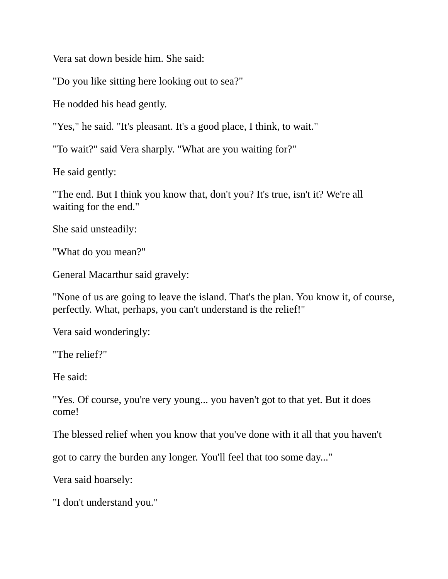Vera sat down beside him. She said:

"Do you like sitting here looking out to sea?"

He nodded his head gently.

"Yes," he said. "It's pleasant. It's a good place, I think, to wait."

"To wait?" said Vera sharply. "What are you waiting for?"

He said gently:

"The end. But I think you know that, don't you? It's true, isn't it? We're all waiting for the end."

She said unsteadily:

"What do you mean?"

General Macarthur said gravely:

"None of us are going to leave the island. That's the plan. You know it, of course, perfectly. What, perhaps, you can't understand is the relief!"

Vera said wonderingly:

"The relief?"

He said:

"Yes. Of course, you're very young... you haven't got to that yet. But it does come!

The blessed relief when you know that you've done with it all that you haven't

got to carry the burden any longer. You'll feel that too some day..."

Vera said hoarsely:

"I don't understand you."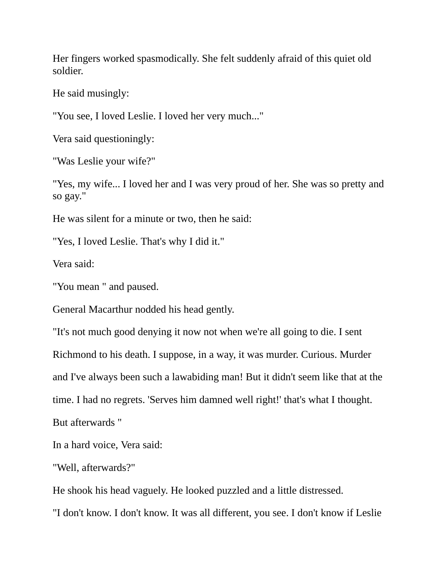Her fingers worked spasmodically. She felt suddenly afraid of this quiet old soldier.

He said musingly:

"You see, I loved Leslie. I loved her very much..."

Vera said questioningly:

"Was Leslie your wife?"

"Yes, my wife... I loved her and I was very proud of her. She was so pretty and so gay."

He was silent for a minute or two, then he said:

"Yes, I loved Leslie. That's why I did it."

Vera said:

"You mean " and paused.

General Macarthur nodded his head gently.

"It's not much good denying it now not when we're all going to die. I sent Richmond to his death. I suppose, in a way, it was murder. Curious. Murder

and I've always been such a lawabiding man! But it didn't seem like that at the

time. I had no regrets. 'Serves him damned well right!' that's what I thought.

But afterwards "

In a hard voice, Vera said:

"Well, afterwards?"

He shook his head vaguely. He looked puzzled and a little distressed.

"I don't know. I don't know. It was all different, you see. I don't know if Leslie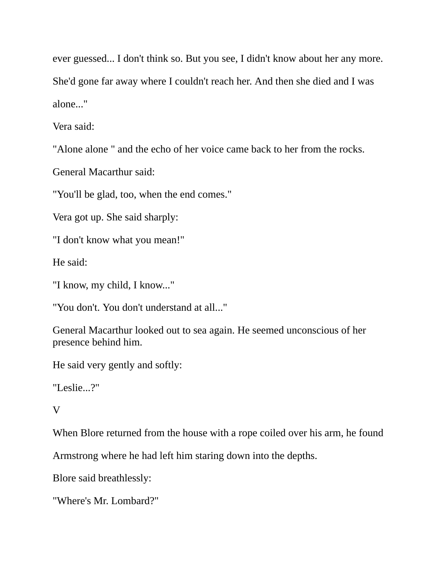ever guessed... I don't think so. But you see, I didn't know about her any more. She'd gone far away where I couldn't reach her. And then she died and I was alone..."

Vera said:

"Alone alone " and the echo of her voice came back to her from the rocks.

General Macarthur said:

"You'll be glad, too, when the end comes."

Vera got up. She said sharply:

"I don't know what you mean!"

He said:

"I know, my child, I know..."

"You don't. You don't understand at all..."

General Macarthur looked out to sea again. He seemed unconscious of her presence behind him.

He said very gently and softly:

"Leslie...?"

V

When Blore returned from the house with a rope coiled over his arm, he found

Armstrong where he had left him staring down into the depths.

Blore said breathlessly:

"Where's Mr. Lombard?"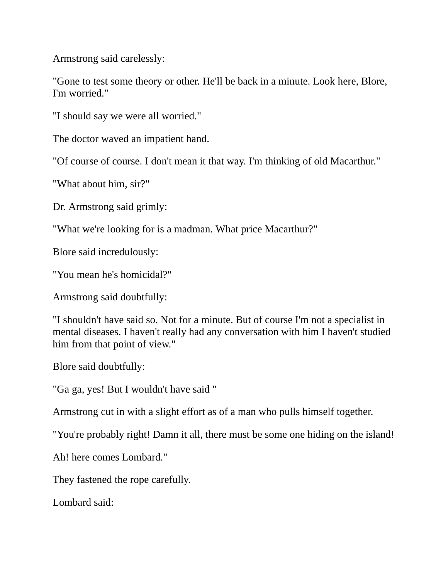Armstrong said carelessly:

"Gone to test some theory or other. He'll be back in a minute. Look here, Blore, I'm worried."

"I should say we were all worried."

The doctor waved an impatient hand.

"Of course of course. I don't mean it that way. I'm thinking of old Macarthur."

"What about him, sir?"

Dr. Armstrong said grimly:

"What we're looking for is a madman. What price Macarthur?"

Blore said incredulously:

"You mean he's homicidal?"

Armstrong said doubtfully:

"I shouldn't have said so. Not for a minute. But of course I'm not a specialist in mental diseases. I haven't really had any conversation with him I haven't studied him from that point of view."

Blore said doubtfully:

"Ga ga, yes! But I wouldn't have said "

Armstrong cut in with a slight effort as of a man who pulls himself together.

"You're probably right! Damn it all, there must be some one hiding on the island!

Ah! here comes Lombard."

They fastened the rope carefully.

Lombard said: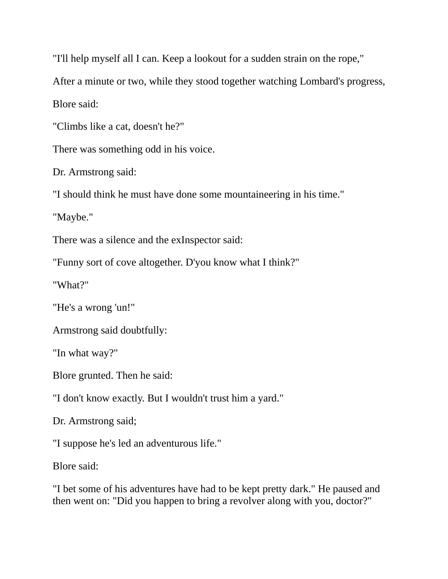"I'll help myself all I can. Keep a lookout for a sudden strain on the rope,"

After a minute or two, while they stood together watching Lombard's progress,

Blore said:

"Climbs like a cat, doesn't he?"

There was something odd in his voice.

Dr. Armstrong said:

"I should think he must have done some mountaineering in his time."

"Maybe."

There was a silence and the exInspector said:

"Funny sort of cove altogether. D'you know what I think?"

"What?"

"He's a wrong 'un!"

Armstrong said doubtfully:

"In what way?"

Blore grunted. Then he said:

"I don't know exactly. But I wouldn't trust him a yard."

Dr. Armstrong said;

"I suppose he's led an adventurous life."

Blore said:

"I bet some of his adventures have had to be kept pretty dark." He paused and then went on: "Did you happen to bring a revolver along with you, doctor?"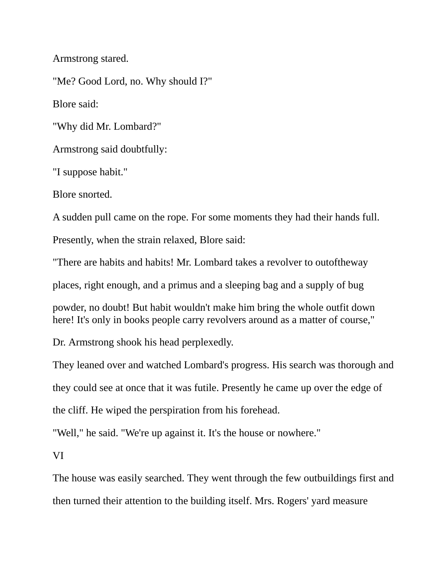Armstrong stared.

"Me? Good Lord, no. Why should I?"

Blore said:

"Why did Mr. Lombard?"

Armstrong said doubtfully:

"I suppose habit."

Blore snorted.

A sudden pull came on the rope. For some moments they had their hands full.

Presently, when the strain relaxed, Blore said:

"There are habits and habits! Mr. Lombard takes a revolver to outoftheway

places, right enough, and a primus and a sleeping bag and a supply of bug

powder, no doubt! But habit wouldn't make him bring the whole outfit down here! It's only in books people carry revolvers around as a matter of course,"

Dr. Armstrong shook his head perplexedly.

They leaned over and watched Lombard's progress. His search was thorough and

they could see at once that it was futile. Presently he came up over the edge of

the cliff. He wiped the perspiration from his forehead.

"Well," he said. "We're up against it. It's the house or nowhere."

VI

The house was easily searched. They went through the few outbuildings first and then turned their attention to the building itself. Mrs. Rogers' yard measure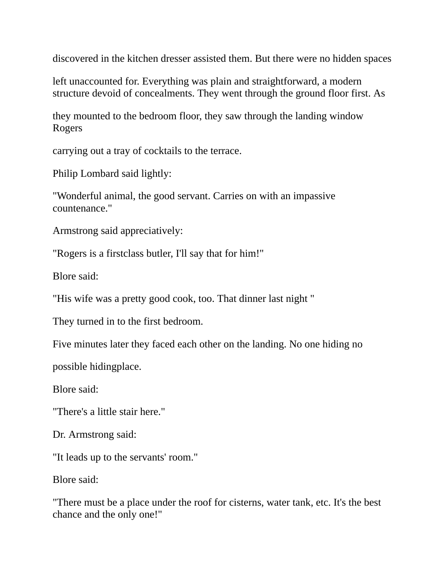discovered in the kitchen dresser assisted them. But there were no hidden spaces

left unaccounted for. Everything was plain and straightforward, a modern structure devoid of concealments. They went through the ground floor first. As

they mounted to the bedroom floor, they saw through the landing window Rogers

carrying out a tray of cocktails to the terrace.

Philip Lombard said lightly:

"Wonderful animal, the good servant. Carries on with an impassive countenance."

Armstrong said appreciatively:

"Rogers is a firstclass butler, I'll say that for him!"

Blore said:

"His wife was a pretty good cook, too. That dinner last night "

They turned in to the first bedroom.

Five minutes later they faced each other on the landing. No one hiding no

possible hidingplace.

Blore said:

"There's a little stair here."

Dr. Armstrong said:

"It leads up to the servants' room."

Blore said:

"There must be a place under the roof for cisterns, water tank, etc. It's the best chance and the only one!"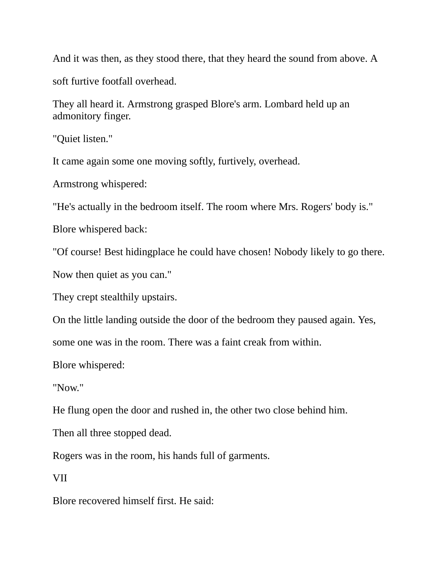And it was then, as they stood there, that they heard the sound from above. A soft furtive footfall overhead.

They all heard it. Armstrong grasped Blore's arm. Lombard held up an admonitory finger.

"Quiet listen."

It came again some one moving softly, furtively, overhead.

Armstrong whispered:

"He's actually in the bedroom itself. The room where Mrs. Rogers' body is."

Blore whispered back:

"Of course! Best hidingplace he could have chosen! Nobody likely to go there.

Now then quiet as you can."

They crept stealthily upstairs.

On the little landing outside the door of the bedroom they paused again. Yes,

some one was in the room. There was a faint creak from within.

Blore whispered:

"Now."

He flung open the door and rushed in, the other two close behind him.

Then all three stopped dead.

Rogers was in the room, his hands full of garments.

VII

Blore recovered himself first. He said: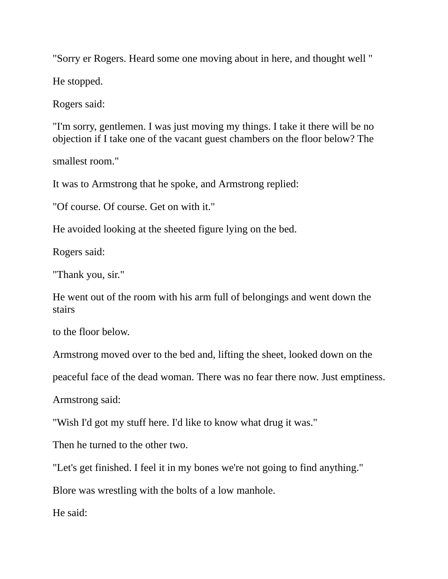"Sorry er Rogers. Heard some one moving about in here, and thought well "

He stopped.

Rogers said:

"I'm sorry, gentlemen. I was just moving my things. I take it there will be no objection if I take one of the vacant guest chambers on the floor below? The

smallest room."

It was to Armstrong that he spoke, and Armstrong replied:

"Of course. Of course. Get on with it."

He avoided looking at the sheeted figure lying on the bed.

Rogers said:

"Thank you, sir."

He went out of the room with his arm full of belongings and went down the stairs

to the floor below.

Armstrong moved over to the bed and, lifting the sheet, looked down on the

peaceful face of the dead woman. There was no fear there now. Just emptiness.

Armstrong said:

"Wish I'd got my stuff here. I'd like to know what drug it was."

Then he turned to the other two.

"Let's get finished. I feel it in my bones we're not going to find anything."

Blore was wrestling with the bolts of a low manhole.

He said: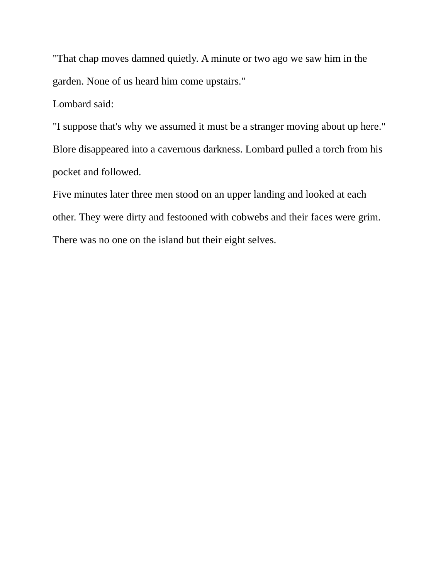"That chap moves damned quietly. A minute or two ago we saw him in the garden. None of us heard him come upstairs."

Lombard said:

"I suppose that's why we assumed it must be a stranger moving about up here." Blore disappeared into a cavernous darkness. Lombard pulled a torch from his pocket and followed.

Five minutes later three men stood on an upper landing and looked at each other. They were dirty and festooned with cobwebs and their faces were grim. There was no one on the island but their eight selves.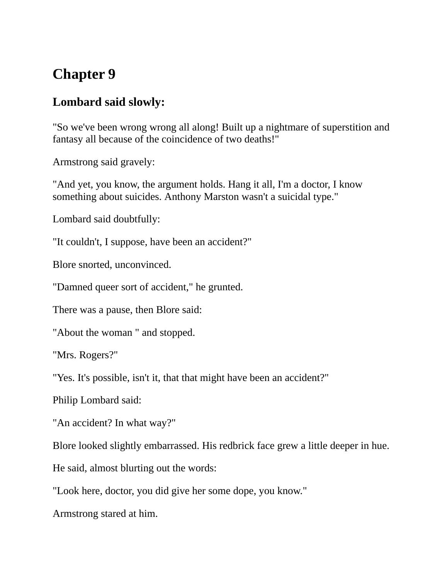## **Chapter 9**

## **Lombard said slowly:**

"So we've been wrong wrong all along! Built up a nightmare of superstition and fantasy all because of the coincidence of two deaths!"

Armstrong said gravely:

"And yet, you know, the argument holds. Hang it all, I'm a doctor, I know something about suicides. Anthony Marston wasn't a suicidal type."

Lombard said doubtfully:

"It couldn't, I suppose, have been an accident?"

Blore snorted, unconvinced.

"Damned queer sort of accident," he grunted.

There was a pause, then Blore said:

"About the woman " and stopped.

"Mrs. Rogers?"

"Yes. It's possible, isn't it, that that might have been an accident?"

Philip Lombard said:

"An accident? In what way?"

Blore looked slightly embarrassed. His redbrick face grew a little deeper in hue.

He said, almost blurting out the words:

"Look here, doctor, you did give her some dope, you know."

Armstrong stared at him.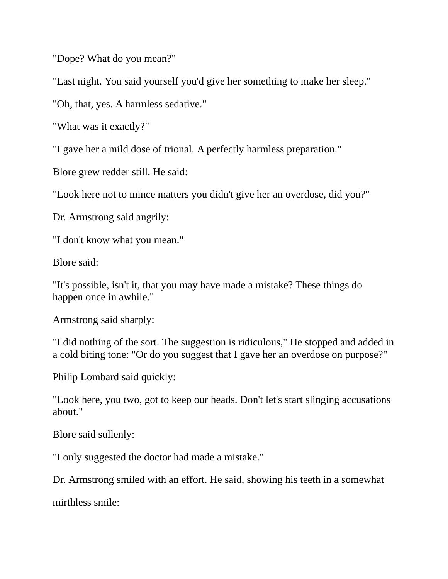"Dope? What do you mean?"

"Last night. You said yourself you'd give her something to make her sleep."

"Oh, that, yes. A harmless sedative."

"What was it exactly?"

"I gave her a mild dose of trional. A perfectly harmless preparation."

Blore grew redder still. He said:

"Look here not to mince matters you didn't give her an overdose, did you?"

Dr. Armstrong said angrily:

"I don't know what you mean."

Blore said:

"It's possible, isn't it, that you may have made a mistake? These things do happen once in awhile."

Armstrong said sharply:

"I did nothing of the sort. The suggestion is ridiculous," He stopped and added in a cold biting tone: "Or do you suggest that I gave her an overdose on purpose?"

Philip Lombard said quickly:

"Look here, you two, got to keep our heads. Don't let's start slinging accusations about."

Blore said sullenly:

"I only suggested the doctor had made a mistake."

Dr. Armstrong smiled with an effort. He said, showing his teeth in a somewhat

mirthless smile: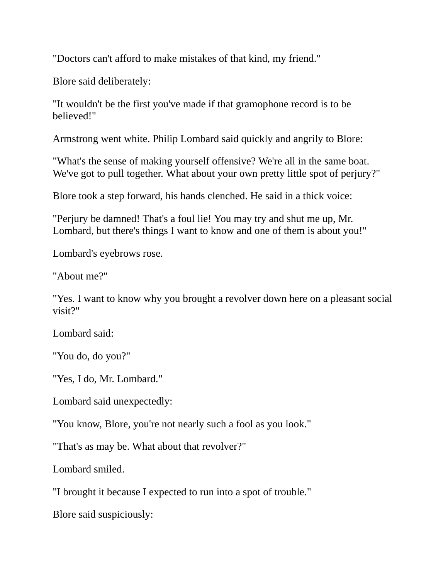"Doctors can't afford to make mistakes of that kind, my friend."

Blore said deliberately:

"It wouldn't be the first you've made if that gramophone record is to be believed!"

Armstrong went white. Philip Lombard said quickly and angrily to Blore:

"What's the sense of making yourself offensive? We're all in the same boat. We've got to pull together. What about your own pretty little spot of perjury?"

Blore took a step forward, his hands clenched. He said in a thick voice:

"Perjury be damned! That's a foul lie! You may try and shut me up, Mr. Lombard, but there's things I want to know and one of them is about you!"

Lombard's eyebrows rose.

"About me?"

"Yes. I want to know why you brought a revolver down here on a pleasant social visit?"

Lombard said:

"You do, do you?"

"Yes, I do, Mr. Lombard."

Lombard said unexpectedly:

"You know, Blore, you're not nearly such a fool as you look."

"That's as may be. What about that revolver?"

Lombard smiled.

"I brought it because I expected to run into a spot of trouble."

Blore said suspiciously: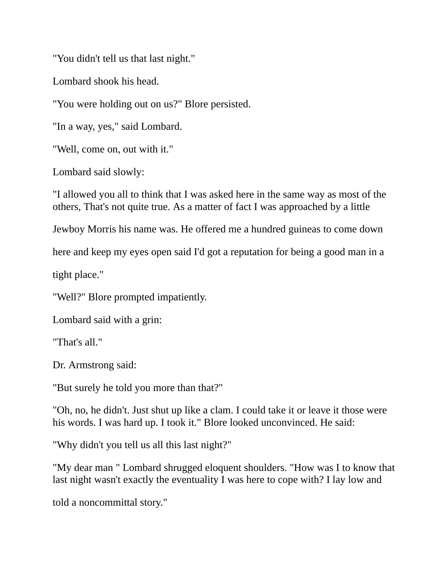"You didn't tell us that last night."

Lombard shook his head.

"You were holding out on us?" Blore persisted.

"In a way, yes," said Lombard.

"Well, come on, out with it."

Lombard said slowly:

"I allowed you all to think that I was asked here in the same way as most of the others, That's not quite true. As a matter of fact I was approached by a little

Jewboy Morris his name was. He offered me a hundred guineas to come down

here and keep my eyes open said I'd got a reputation for being a good man in a

tight place."

"Well?" Blore prompted impatiently.

Lombard said with a grin:

"That's all."

Dr. Armstrong said:

"But surely he told you more than that?"

"Oh, no, he didn't. Just shut up like a clam. I could take it or leave it those were his words. I was hard up. I took it." Blore looked unconvinced. He said:

"Why didn't you tell us all this last night?"

"My dear man " Lombard shrugged eloquent shoulders. "How was I to know that last night wasn't exactly the eventuality I was here to cope with? I lay low and

told a noncommittal story."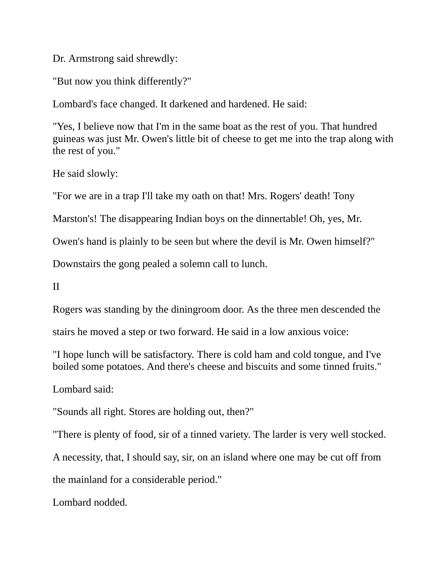Dr. Armstrong said shrewdly:

"But now you think differently?"

Lombard's face changed. It darkened and hardened. He said:

"Yes, I believe now that I'm in the same boat as the rest of you. That hundred guineas was just Mr. Owen's little bit of cheese to get me into the trap along with the rest of you."

He said slowly:

"For we are in a trap I'll take my oath on that! Mrs. Rogers' death! Tony

Marston's! The disappearing Indian boys on the dinnertable! Oh, yes, Mr.

Owen's hand is plainly to be seen but where the devil is Mr. Owen himself?"

Downstairs the gong pealed a solemn call to lunch.

II

Rogers was standing by the diningroom door. As the three men descended the

stairs he moved a step or two forward. He said in a low anxious voice:

"I hope lunch will be satisfactory. There is cold ham and cold tongue, and I've boiled some potatoes. And there's cheese and biscuits and some tinned fruits."

Lombard said:

"Sounds all right. Stores are holding out, then?"

"There is plenty of food, sir of a tinned variety. The larder is very well stocked.

A necessity, that, I should say, sir, on an island where one may be cut off from

the mainland for a considerable period."

Lombard nodded.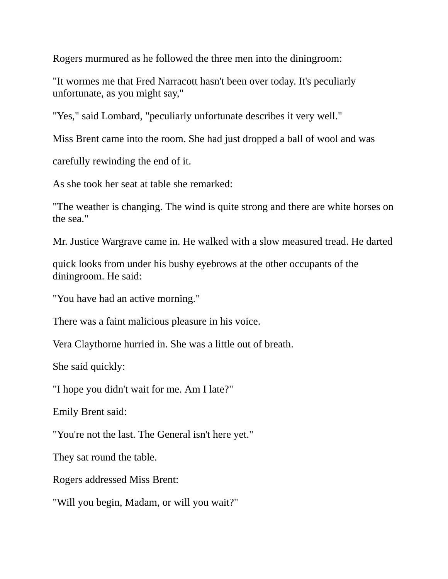Rogers murmured as he followed the three men into the diningroom:

"It wormes me that Fred Narracott hasn't been over today. It's peculiarly unfortunate, as you might say,"

"Yes," said Lombard, "peculiarly unfortunate describes it very well."

Miss Brent came into the room. She had just dropped a ball of wool and was

carefully rewinding the end of it.

As she took her seat at table she remarked:

"The weather is changing. The wind is quite strong and there are white horses on the sea."

Mr. Justice Wargrave came in. He walked with a slow measured tread. He darted

quick looks from under his bushy eyebrows at the other occupants of the diningroom. He said:

"You have had an active morning."

There was a faint malicious pleasure in his voice.

Vera Claythorne hurried in. She was a little out of breath.

She said quickly:

"I hope you didn't wait for me. Am I late?"

Emily Brent said:

"You're not the last. The General isn't here yet."

They sat round the table.

Rogers addressed Miss Brent:

"Will you begin, Madam, or will you wait?"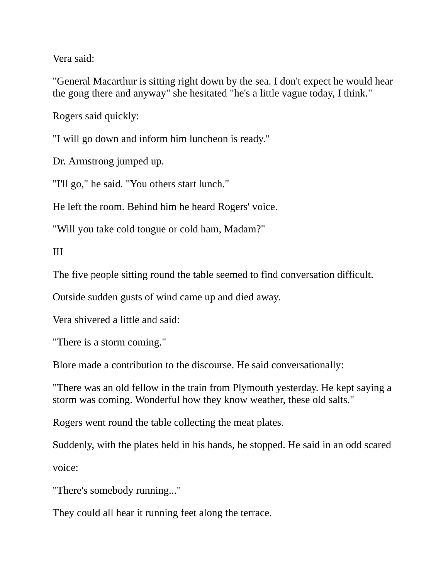Vera said:

"General Macarthur is sitting right down by the sea. I don't expect he would hear the gong there and anyway" she hesitated "he's a little vague today, I think."

Rogers said quickly:

"I will go down and inform him luncheon is ready."

Dr. Armstrong jumped up.

"I'll go," he said. "You others start lunch."

He left the room. Behind him he heard Rogers' voice.

"Will you take cold tongue or cold ham, Madam?"

III

The five people sitting round the table seemed to find conversation difficult.

Outside sudden gusts of wind came up and died away.

Vera shivered a little and said:

"There is a storm coming."

Blore made a contribution to the discourse. He said conversationally:

"There was an old fellow in the train from Plymouth yesterday. He kept saying a storm was coming. Wonderful how they know weather, these old salts."

Rogers went round the table collecting the meat plates.

Suddenly, with the plates held in his hands, he stopped. He said in an odd scared voice:

"There's somebody running..."

They could all hear it running feet along the terrace.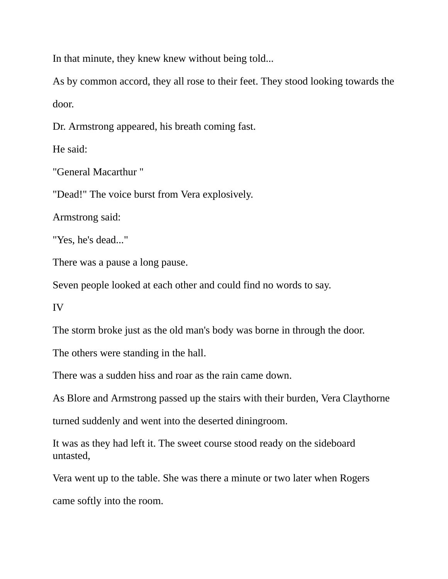In that minute, they knew knew without being told...

As by common accord, they all rose to their feet. They stood looking towards the door.

Dr. Armstrong appeared, his breath coming fast.

He said:

"General Macarthur "

"Dead!" The voice burst from Vera explosively.

Armstrong said:

"Yes, he's dead..."

There was a pause a long pause.

Seven people looked at each other and could find no words to say.

IV

The storm broke just as the old man's body was borne in through the door.

The others were standing in the hall.

There was a sudden hiss and roar as the rain came down.

As Blore and Armstrong passed up the stairs with their burden, Vera Claythorne

turned suddenly and went into the deserted diningroom.

It was as they had left it. The sweet course stood ready on the sideboard untasted,

Vera went up to the table. She was there a minute or two later when Rogers

came softly into the room.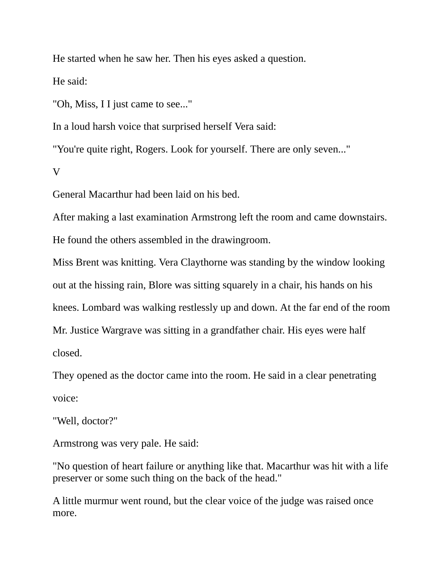He started when he saw her. Then his eyes asked a question.

He said:

"Oh, Miss, I I just came to see..."

In a loud harsh voice that surprised herself Vera said:

"You're quite right, Rogers. Look for yourself. There are only seven..."

V

General Macarthur had been laid on his bed.

After making a last examination Armstrong left the room and came downstairs.

He found the others assembled in the drawingroom.

Miss Brent was knitting. Vera Claythorne was standing by the window looking out at the hissing rain, Blore was sitting squarely in a chair, his hands on his knees. Lombard was walking restlessly up and down. At the far end of the room Mr. Justice Wargrave was sitting in a grandfather chair. His eyes were half closed.

They opened as the doctor came into the room. He said in a clear penetrating voice:

"Well, doctor?"

Armstrong was very pale. He said:

"No question of heart failure or anything like that. Macarthur was hit with a life preserver or some such thing on the back of the head."

A little murmur went round, but the clear voice of the judge was raised once more.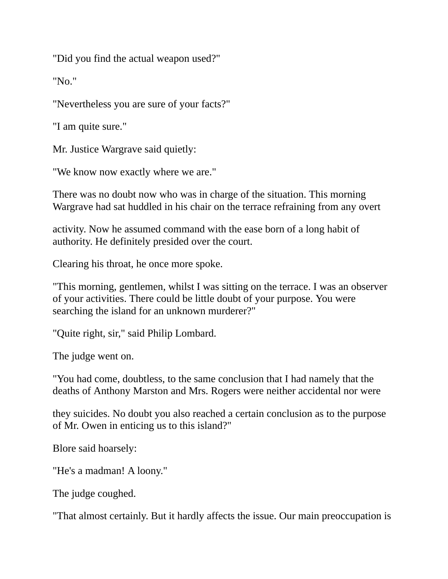"Did you find the actual weapon used?"

"No."

"Nevertheless you are sure of your facts?"

"I am quite sure."

Mr. Justice Wargrave said quietly:

"We know now exactly where we are."

There was no doubt now who was in charge of the situation. This morning Wargrave had sat huddled in his chair on the terrace refraining from any overt

activity. Now he assumed command with the ease born of a long habit of authority. He definitely presided over the court.

Clearing his throat, he once more spoke.

"This morning, gentlemen, whilst I was sitting on the terrace. I was an observer of your activities. There could be little doubt of your purpose. You were searching the island for an unknown murderer?"

"Quite right, sir," said Philip Lombard.

The judge went on.

"You had come, doubtless, to the same conclusion that I had namely that the deaths of Anthony Marston and Mrs. Rogers were neither accidental nor were

they suicides. No doubt you also reached a certain conclusion as to the purpose of Mr. Owen in enticing us to this island?"

Blore said hoarsely:

"He's a madman! A loony."

The judge coughed.

"That almost certainly. But it hardly affects the issue. Our main preoccupation is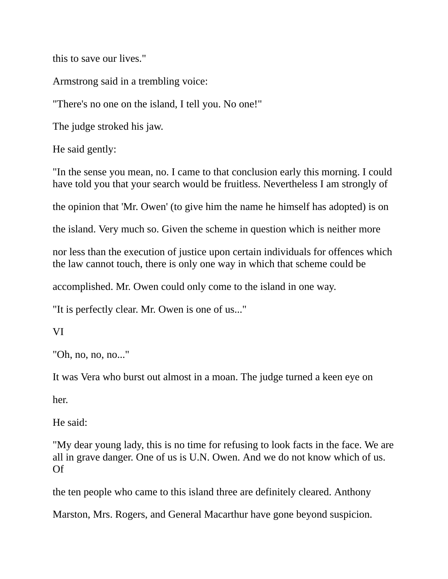this to save our lives."

Armstrong said in a trembling voice:

"There's no one on the island, I tell you. No one!"

The judge stroked his jaw.

He said gently:

"In the sense you mean, no. I came to that conclusion early this morning. I could have told you that your search would be fruitless. Nevertheless I am strongly of

the opinion that 'Mr. Owen' (to give him the name he himself has adopted) is on

the island. Very much so. Given the scheme in question which is neither more

nor less than the execution of justice upon certain individuals for offences which the law cannot touch, there is only one way in which that scheme could be

accomplished. Mr. Owen could only come to the island in one way.

"It is perfectly clear. Mr. Owen is one of us..."

VI

"Oh, no, no, no..."

It was Vera who burst out almost in a moan. The judge turned a keen eye on

her.

He said:

"My dear young lady, this is no time for refusing to look facts in the face. We are all in grave danger. One of us is U.N. Owen. And we do not know which of us. Of

the ten people who came to this island three are definitely cleared. Anthony

Marston, Mrs. Rogers, and General Macarthur have gone beyond suspicion.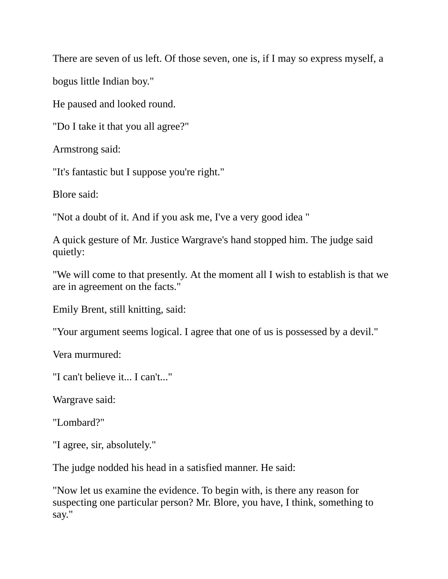There are seven of us left. Of those seven, one is, if I may so express myself, a

bogus little Indian boy."

He paused and looked round.

"Do I take it that you all agree?"

Armstrong said:

"It's fantastic but I suppose you're right."

Blore said:

"Not a doubt of it. And if you ask me, I've a very good idea "

A quick gesture of Mr. Justice Wargrave's hand stopped him. The judge said quietly:

"We will come to that presently. At the moment all I wish to establish is that we are in agreement on the facts."

Emily Brent, still knitting, said:

"Your argument seems logical. I agree that one of us is possessed by a devil."

Vera murmured:

"I can't believe it... I can't..."

Wargrave said:

"Lombard?"

"I agree, sir, absolutely."

The judge nodded his head in a satisfied manner. He said:

"Now let us examine the evidence. To begin with, is there any reason for suspecting one particular person? Mr. Blore, you have, I think, something to say."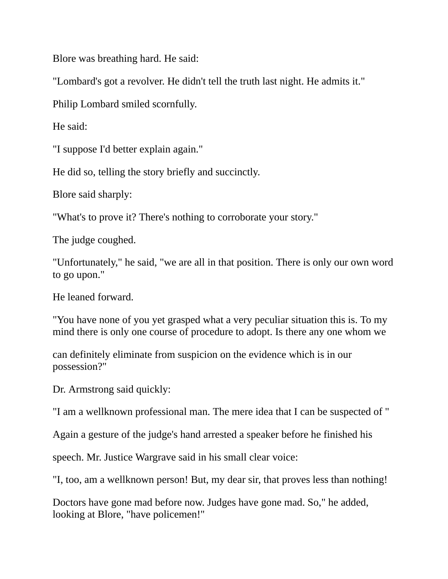Blore was breathing hard. He said:

"Lombard's got a revolver. He didn't tell the truth last night. He admits it."

Philip Lombard smiled scornfully.

He said:

"I suppose I'd better explain again."

He did so, telling the story briefly and succinctly.

Blore said sharply:

"What's to prove it? There's nothing to corroborate your story."

The judge coughed.

"Unfortunately," he said, "we are all in that position. There is only our own word to go upon."

He leaned forward.

"You have none of you yet grasped what a very peculiar situation this is. To my mind there is only one course of procedure to adopt. Is there any one whom we

can definitely eliminate from suspicion on the evidence which is in our possession?"

Dr. Armstrong said quickly:

"I am a wellknown professional man. The mere idea that I can be suspected of "

Again a gesture of the judge's hand arrested a speaker before he finished his

speech. Mr. Justice Wargrave said in his small clear voice:

"I, too, am a wellknown person! But, my dear sir, that proves less than nothing!

Doctors have gone mad before now. Judges have gone mad. So," he added, looking at Blore, "have policemen!"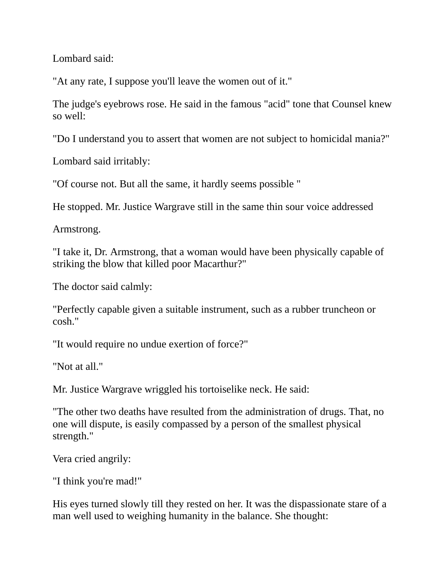Lombard said:

"At any rate, I suppose you'll leave the women out of it."

The judge's eyebrows rose. He said in the famous "acid" tone that Counsel knew so well:

"Do I understand you to assert that women are not subject to homicidal mania?"

Lombard said irritably:

"Of course not. But all the same, it hardly seems possible "

He stopped. Mr. Justice Wargrave still in the same thin sour voice addressed

Armstrong.

"I take it, Dr. Armstrong, that a woman would have been physically capable of striking the blow that killed poor Macarthur?"

The doctor said calmly:

"Perfectly capable given a suitable instrument, such as a rubber truncheon or cosh."

"It would require no undue exertion of force?"

"Not at all."

Mr. Justice Wargrave wriggled his tortoiselike neck. He said:

"The other two deaths have resulted from the administration of drugs. That, no one will dispute, is easily compassed by a person of the smallest physical strength."

Vera cried angrily:

"I think you're mad!"

His eyes turned slowly till they rested on her. It was the dispassionate stare of a man well used to weighing humanity in the balance. She thought: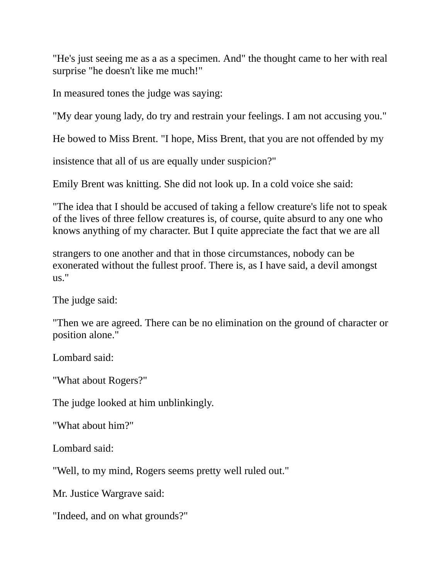"He's just seeing me as a as a specimen. And" the thought came to her with real surprise "he doesn't like me much!"

In measured tones the judge was saying:

"My dear young lady, do try and restrain your feelings. I am not accusing you."

He bowed to Miss Brent. "I hope, Miss Brent, that you are not offended by my

insistence that all of us are equally under suspicion?"

Emily Brent was knitting. She did not look up. In a cold voice she said:

"The idea that I should be accused of taking a fellow creature's life not to speak of the lives of three fellow creatures is, of course, quite absurd to any one who knows anything of my character. But I quite appreciate the fact that we are all

strangers to one another and that in those circumstances, nobody can be exonerated without the fullest proof. There is, as I have said, a devil amongst us."

The judge said:

"Then we are agreed. There can be no elimination on the ground of character or position alone."

Lombard said:

"What about Rogers?"

The judge looked at him unblinkingly.

"What about him?"

Lombard said:

"Well, to my mind, Rogers seems pretty well ruled out."

Mr. Justice Wargrave said:

"Indeed, and on what grounds?"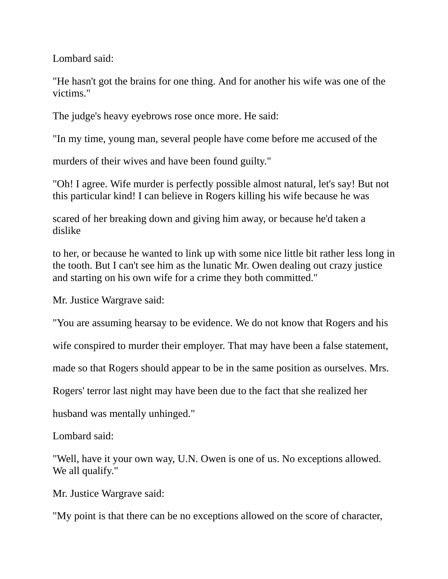Lombard said:

"He hasn't got the brains for one thing. And for another his wife was one of the victims."

The judge's heavy eyebrows rose once more. He said:

"In my time, young man, several people have come before me accused of the

murders of their wives and have been found guilty."

"Oh! I agree. Wife murder is perfectly possible almost natural, let's say! But not this particular kind! I can believe in Rogers killing his wife because he was

scared of her breaking down and giving him away, or because he'd taken a dislike

to her, or because he wanted to link up with some nice little bit rather less long in the tooth. But I can't see him as the lunatic Mr. Owen dealing out crazy justice and starting on his own wife for a crime they both committed."

Mr. Justice Wargrave said:

"You are assuming hearsay to be evidence. We do not know that Rogers and his

wife conspired to murder their employer. That may have been a false statement,

made so that Rogers should appear to be in the same position as ourselves. Mrs.

Rogers' terror last night may have been due to the fact that she realized her

husband was mentally unhinged."

Lombard said:

"Well, have it your own way, U.N. Owen is one of us. No exceptions allowed. We all qualify."

Mr. Justice Wargrave said:

"My point is that there can be no exceptions allowed on the score of character,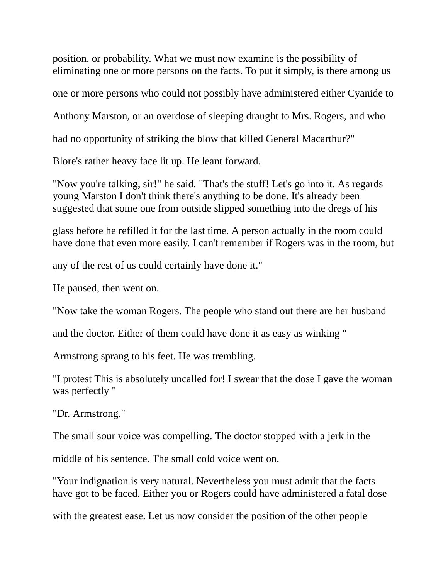position, or probability. What we must now examine is the possibility of eliminating one or more persons on the facts. To put it simply, is there among us

one or more persons who could not possibly have administered either Cyanide to

Anthony Marston, or an overdose of sleeping draught to Mrs. Rogers, and who

had no opportunity of striking the blow that killed General Macarthur?"

Blore's rather heavy face lit up. He leant forward.

"Now you're talking, sir!" he said. "That's the stuff! Let's go into it. As regards young Marston I don't think there's anything to be done. It's already been suggested that some one from outside slipped something into the dregs of his

glass before he refilled it for the last time. A person actually in the room could have done that even more easily. I can't remember if Rogers was in the room, but

any of the rest of us could certainly have done it."

He paused, then went on.

"Now take the woman Rogers. The people who stand out there are her husband

and the doctor. Either of them could have done it as easy as winking "

Armstrong sprang to his feet. He was trembling.

"I protest This is absolutely uncalled for! I swear that the dose I gave the woman was perfectly "

"Dr. Armstrong."

The small sour voice was compelling. The doctor stopped with a jerk in the

middle of his sentence. The small cold voice went on.

"Your indignation is very natural. Nevertheless you must admit that the facts have got to be faced. Either you or Rogers could have administered a fatal dose

with the greatest ease. Let us now consider the position of the other people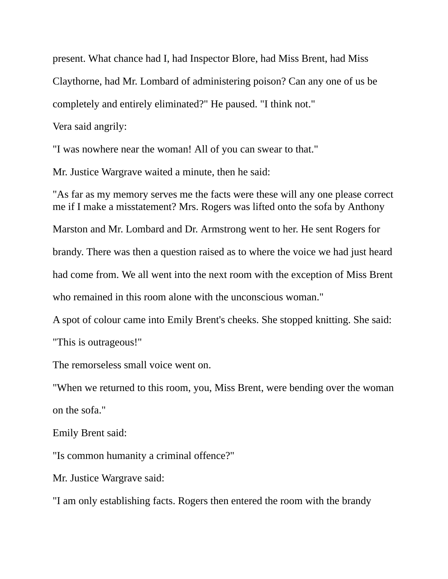present. What chance had I, had Inspector Blore, had Miss Brent, had Miss Claythorne, had Mr. Lombard of administering poison? Can any one of us be completely and entirely eliminated?" He paused. "I think not."

Vera said angrily:

"I was nowhere near the woman! All of you can swear to that."

Mr. Justice Wargrave waited a minute, then he said:

"As far as my memory serves me the facts were these will any one please correct me if I make a misstatement? Mrs. Rogers was lifted onto the sofa by Anthony

Marston and Mr. Lombard and Dr. Armstrong went to her. He sent Rogers for brandy. There was then a question raised as to where the voice we had just heard had come from. We all went into the next room with the exception of Miss Brent who remained in this room alone with the unconscious woman."

A spot of colour came into Emily Brent's cheeks. She stopped knitting. She said: "This is outrageous!"

The remorseless small voice went on.

"When we returned to this room, you, Miss Brent, were bending over the woman on the sofa."

Emily Brent said:

"Is common humanity a criminal offence?"

Mr. Justice Wargrave said:

"I am only establishing facts. Rogers then entered the room with the brandy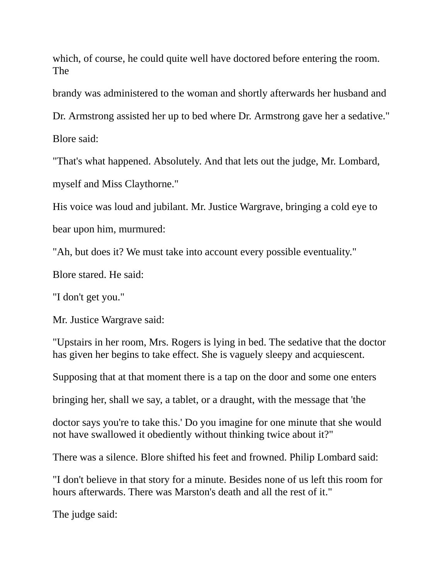which, of course, he could quite well have doctored before entering the room. The

brandy was administered to the woman and shortly afterwards her husband and

Dr. Armstrong assisted her up to bed where Dr. Armstrong gave her a sedative."

Blore said:

"That's what happened. Absolutely. And that lets out the judge, Mr. Lombard,

myself and Miss Claythorne."

His voice was loud and jubilant. Mr. Justice Wargrave, bringing a cold eye to bear upon him, murmured:

"Ah, but does it? We must take into account every possible eventuality."

Blore stared. He said:

"I don't get you."

Mr. Justice Wargrave said:

"Upstairs in her room, Mrs. Rogers is lying in bed. The sedative that the doctor has given her begins to take effect. She is vaguely sleepy and acquiescent.

Supposing that at that moment there is a tap on the door and some one enters

bringing her, shall we say, a tablet, or a draught, with the message that 'the

doctor says you're to take this.' Do you imagine for one minute that she would not have swallowed it obediently without thinking twice about it?"

There was a silence. Blore shifted his feet and frowned. Philip Lombard said:

"I don't believe in that story for a minute. Besides none of us left this room for hours afterwards. There was Marston's death and all the rest of it."

The judge said: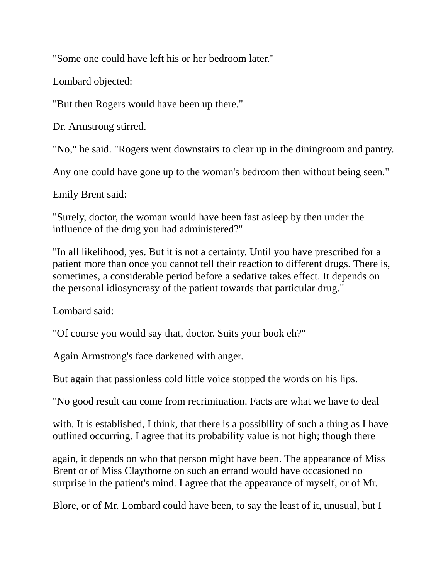"Some one could have left his or her bedroom later."

Lombard objected:

"But then Rogers would have been up there."

Dr. Armstrong stirred.

"No," he said. "Rogers went downstairs to clear up in the diningroom and pantry.

Any one could have gone up to the woman's bedroom then without being seen."

Emily Brent said:

"Surely, doctor, the woman would have been fast asleep by then under the influence of the drug you had administered?"

"In all likelihood, yes. But it is not a certainty. Until you have prescribed for a patient more than once you cannot tell their reaction to different drugs. There is, sometimes, a considerable period before a sedative takes effect. It depends on the personal idiosyncrasy of the patient towards that particular drug."

Lombard said:

"Of course you would say that, doctor. Suits your book eh?"

Again Armstrong's face darkened with anger.

But again that passionless cold little voice stopped the words on his lips.

"No good result can come from recrimination. Facts are what we have to deal

with. It is established, I think, that there is a possibility of such a thing as I have outlined occurring. I agree that its probability value is not high; though there

again, it depends on who that person might have been. The appearance of Miss Brent or of Miss Claythorne on such an errand would have occasioned no surprise in the patient's mind. I agree that the appearance of myself, or of Mr.

Blore, or of Mr. Lombard could have been, to say the least of it, unusual, but I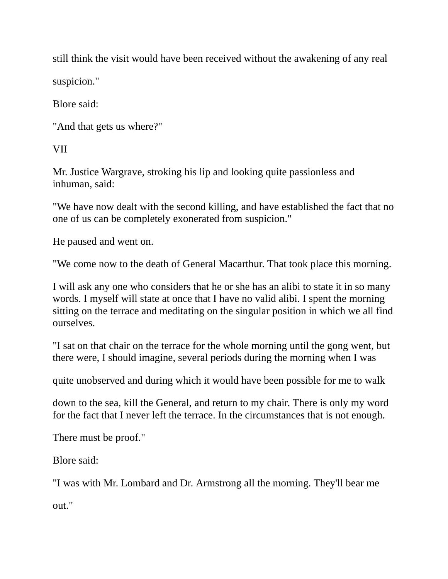still think the visit would have been received without the awakening of any real

suspicion."

Blore said:

"And that gets us where?"

VII

Mr. Justice Wargrave, stroking his lip and looking quite passionless and inhuman, said:

"We have now dealt with the second killing, and have established the fact that no one of us can be completely exonerated from suspicion."

He paused and went on.

"We come now to the death of General Macarthur. That took place this morning.

I will ask any one who considers that he or she has an alibi to state it in so many words. I myself will state at once that I have no valid alibi. I spent the morning sitting on the terrace and meditating on the singular position in which we all find ourselves.

"I sat on that chair on the terrace for the whole morning until the gong went, but there were, I should imagine, several periods during the morning when I was

quite unobserved and during which it would have been possible for me to walk

down to the sea, kill the General, and return to my chair. There is only my word for the fact that I never left the terrace. In the circumstances that is not enough.

There must be proof."

Blore said:

"I was with Mr. Lombard and Dr. Armstrong all the morning. They'll bear me out."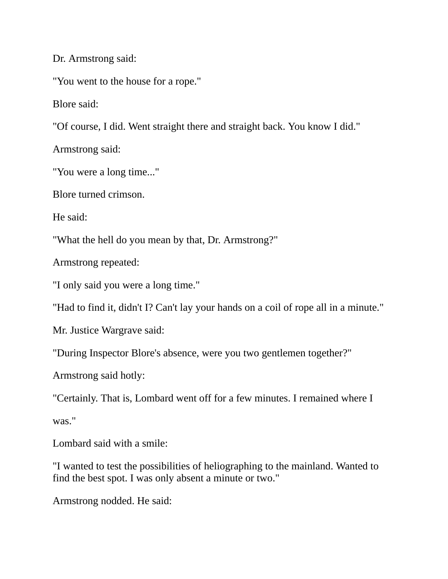Dr. Armstrong said:

"You went to the house for a rope."

Blore said:

"Of course, I did. Went straight there and straight back. You know I did."

Armstrong said:

"You were a long time..."

Blore turned crimson.

He said:

"What the hell do you mean by that, Dr. Armstrong?"

Armstrong repeated:

"I only said you were a long time."

"Had to find it, didn't I? Can't lay your hands on a coil of rope all in a minute."

Mr. Justice Wargrave said:

"During Inspector Blore's absence, were you two gentlemen together?"

Armstrong said hotly:

"Certainly. That is, Lombard went off for a few minutes. I remained where I

was."

Lombard said with a smile:

"I wanted to test the possibilities of heliographing to the mainland. Wanted to find the best spot. I was only absent a minute or two."

Armstrong nodded. He said: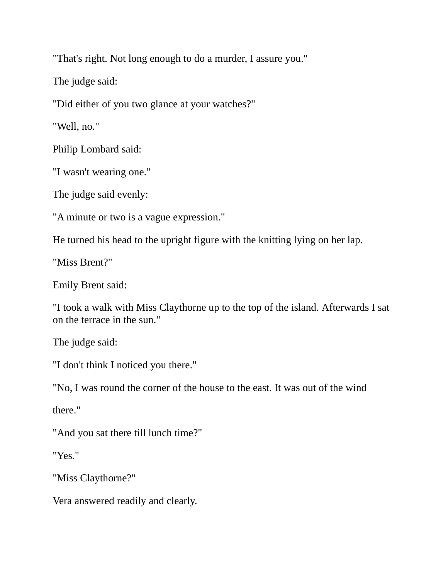"That's right. Not long enough to do a murder, I assure you."

The judge said:

"Did either of you two glance at your watches?"

"Well, no."

Philip Lombard said:

"I wasn't wearing one."

The judge said evenly:

"A minute or two is a vague expression."

He turned his head to the upright figure with the knitting lying on her lap.

"Miss Brent?"

Emily Brent said:

"I took a walk with Miss Claythorne up to the top of the island. Afterwards I sat on the terrace in the sun."

The judge said:

"I don't think I noticed you there."

"No, I was round the corner of the house to the east. It was out of the wind

there."

"And you sat there till lunch time?"

"Yes."

"Miss Claythorne?"

Vera answered readily and clearly.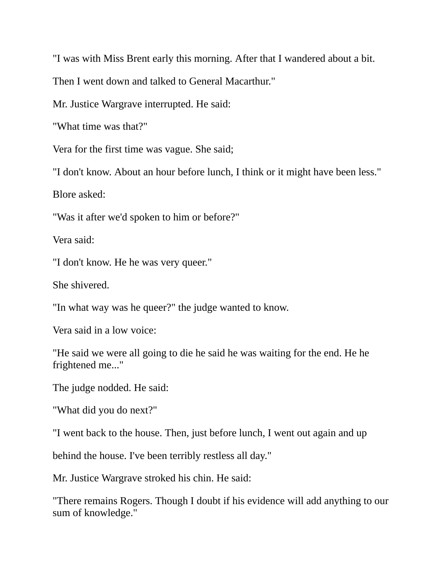"I was with Miss Brent early this morning. After that I wandered about a bit.

Then I went down and talked to General Macarthur."

Mr. Justice Wargrave interrupted. He said:

"What time was that?"

Vera for the first time was vague. She said;

"I don't know. About an hour before lunch, I think or it might have been less."

Blore asked:

"Was it after we'd spoken to him or before?"

Vera said:

"I don't know. He he was very queer."

She shivered.

"In what way was he queer?" the judge wanted to know.

Vera said in a low voice:

"He said we were all going to die he said he was waiting for the end. He he frightened me..."

The judge nodded. He said:

"What did you do next?"

"I went back to the house. Then, just before lunch, I went out again and up

behind the house. I've been terribly restless all day."

Mr. Justice Wargrave stroked his chin. He said:

"There remains Rogers. Though I doubt if his evidence will add anything to our sum of knowledge."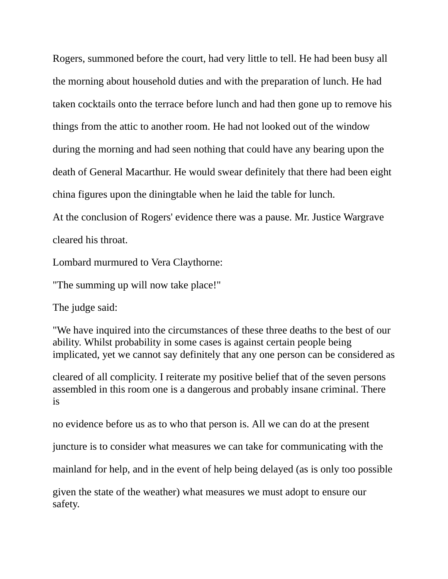Rogers, summoned before the court, had very little to tell. He had been busy all the morning about household duties and with the preparation of lunch. He had taken cocktails onto the terrace before lunch and had then gone up to remove his things from the attic to another room. He had not looked out of the window during the morning and had seen nothing that could have any bearing upon the death of General Macarthur. He would swear definitely that there had been eight china figures upon the diningtable when he laid the table for lunch.

At the conclusion of Rogers' evidence there was a pause. Mr. Justice Wargrave cleared his throat.

Lombard murmured to Vera Claythorne:

"The summing up will now take place!"

The judge said:

"We have inquired into the circumstances of these three deaths to the best of our ability. Whilst probability in some cases is against certain people being implicated, yet we cannot say definitely that any one person can be considered as

cleared of all complicity. I reiterate my positive belief that of the seven persons assembled in this room one is a dangerous and probably insane criminal. There is

no evidence before us as to who that person is. All we can do at the present

juncture is to consider what measures we can take for communicating with the

mainland for help, and in the event of help being delayed (as is only too possible

given the state of the weather) what measures we must adopt to ensure our safety.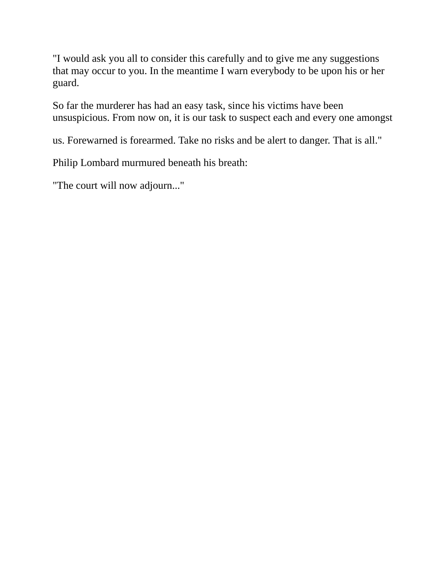"I would ask you all to consider this carefully and to give me any suggestions that may occur to you. In the meantime I warn everybody to be upon his or her guard.

So far the murderer has had an easy task, since his victims have been unsuspicious. From now on, it is our task to suspect each and every one amongst

us. Forewarned is forearmed. Take no risks and be alert to danger. That is all."

Philip Lombard murmured beneath his breath:

"The court will now adjourn..."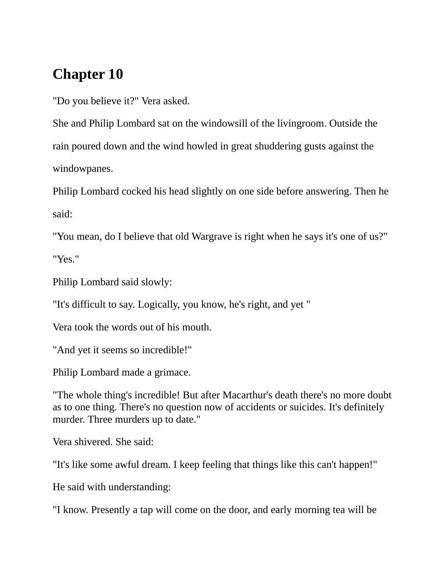## **Chapter 10**

"Do you believe it?" Vera asked.

She and Philip Lombard sat on the windowsill of the livingroom. Outside the rain poured down and the wind howled in great shuddering gusts against the windowpanes.

Philip Lombard cocked his head slightly on one side before answering. Then he said:

"You mean, do I believe that old Wargrave is right when he says it's one of us?"

"Yes."

Philip Lombard said slowly:

"It's difficult to say. Logically, you know, he's right, and yet "

Vera took the words out of his mouth.

"And yet it seems so incredible!"

Philip Lombard made a grimace.

"The whole thing's incredible! But after Macarthur's death there's no more doubt as to one thing. There's no question now of accidents or suicides. It's definitely murder. Three murders up to date."

Vera shivered. She said:

"It's like some awful dream. I keep feeling that things like this can't happen!"

He said with understanding:

"I know. Presently a tap will come on the door, and early morning tea will be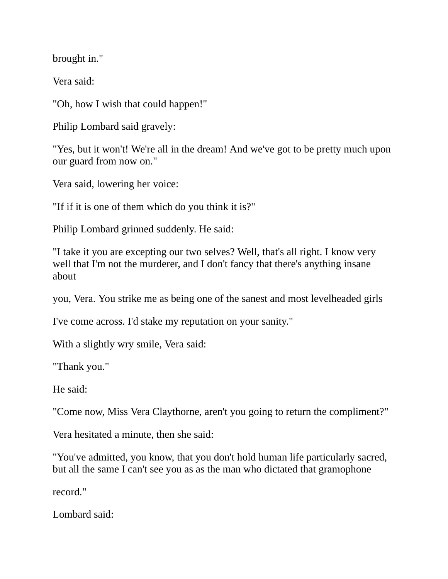brought in."

Vera said:

"Oh, how I wish that could happen!"

Philip Lombard said gravely:

"Yes, but it won't! We're all in the dream! And we've got to be pretty much upon our guard from now on."

Vera said, lowering her voice:

"If if it is one of them which do you think it is?"

Philip Lombard grinned suddenly. He said:

"I take it you are excepting our two selves? Well, that's all right. I know very well that I'm not the murderer, and I don't fancy that there's anything insane about

you, Vera. You strike me as being one of the sanest and most levelheaded girls

I've come across. I'd stake my reputation on your sanity."

With a slightly wry smile, Vera said:

"Thank you."

He said:

"Come now, Miss Vera Claythorne, aren't you going to return the compliment?"

Vera hesitated a minute, then she said:

"You've admitted, you know, that you don't hold human life particularly sacred, but all the same I can't see you as as the man who dictated that gramophone

record."

Lombard said: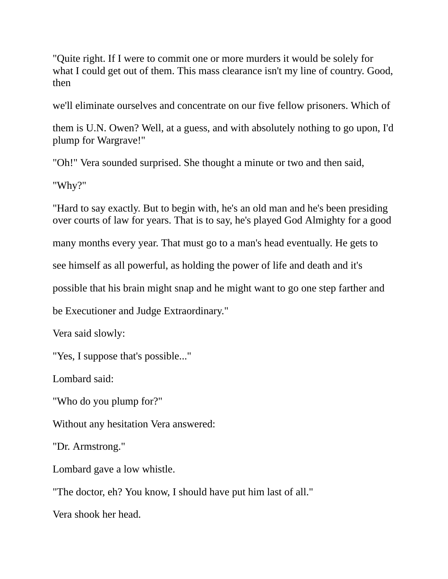"Quite right. If I were to commit one or more murders it would be solely for what I could get out of them. This mass clearance isn't my line of country. Good, then

we'll eliminate ourselves and concentrate on our five fellow prisoners. Which of

them is U.N. Owen? Well, at a guess, and with absolutely nothing to go upon, I'd plump for Wargrave!"

"Oh!" Vera sounded surprised. She thought a minute or two and then said,

"Why?"

"Hard to say exactly. But to begin with, he's an old man and he's been presiding over courts of law for years. That is to say, he's played God Almighty for a good many months every year. That must go to a man's head eventually. He gets to see himself as all powerful, as holding the power of life and death and it's possible that his brain might snap and he might want to go one step farther and

be Executioner and Judge Extraordinary."

Vera said slowly:

"Yes, I suppose that's possible..."

Lombard said:

"Who do you plump for?"

Without any hesitation Vera answered:

"Dr. Armstrong."

Lombard gave a low whistle.

"The doctor, eh? You know, I should have put him last of all."

Vera shook her head.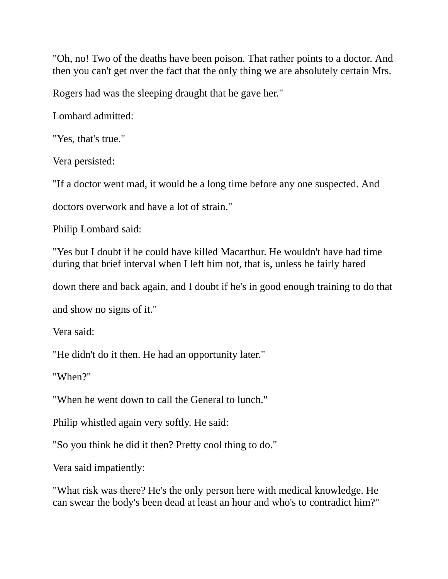"Oh, no! Two of the deaths have been poison. That rather points to a doctor. And then you can't get over the fact that the only thing we are absolutely certain Mrs.

Rogers had was the sleeping draught that he gave her."

Lombard admitted:

"Yes, that's true."

Vera persisted:

"If a doctor went mad, it would be a long time before any one suspected. And

doctors overwork and have a lot of strain."

Philip Lombard said:

"Yes but I doubt if he could have killed Macarthur. He wouldn't have had time during that brief interval when I left him not, that is, unless he fairly hared

down there and back again, and I doubt if he's in good enough training to do that

and show no signs of it."

Vera said:

"He didn't do it then. He had an opportunity later."

"When?"

"When he went down to call the General to lunch."

Philip whistled again very softly. He said:

"So you think he did it then? Pretty cool thing to do."

Vera said impatiently:

"What risk was there? He's the only person here with medical knowledge. He can swear the body's been dead at least an hour and who's to contradict him?"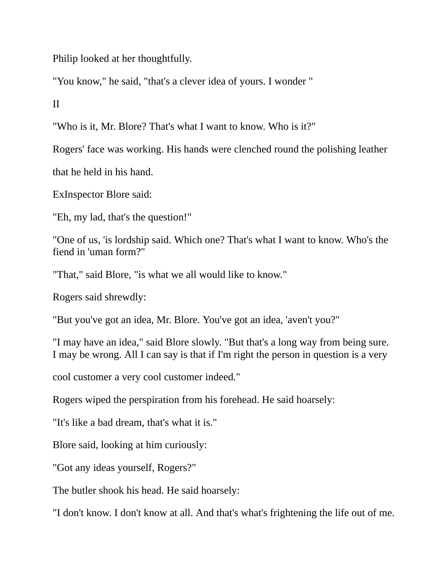Philip looked at her thoughtfully.

"You know," he said, "that's a clever idea of yours. I wonder "

II

"Who is it, Mr. Blore? That's what I want to know. Who is it?"

Rogers' face was working. His hands were clenched round the polishing leather

that he held in his hand.

ExInspector Blore said:

"Eh, my lad, that's the question!"

"One of us, 'is lordship said. Which one? That's what I want to know. Who's the fiend in 'uman form?"

"That," said Blore, "is what we all would like to know."

Rogers said shrewdly:

"But you've got an idea, Mr. Blore. You've got an idea, 'aven't you?"

"I may have an idea," said Blore slowly. "But that's a long way from being sure. I may be wrong. All I can say is that if I'm right the person in question is a very

cool customer a very cool customer indeed."

Rogers wiped the perspiration from his forehead. He said hoarsely:

"It's like a bad dream, that's what it is."

Blore said, looking at him curiously:

"Got any ideas yourself, Rogers?"

The butler shook his head. He said hoarsely:

"I don't know. I don't know at all. And that's what's frightening the life out of me.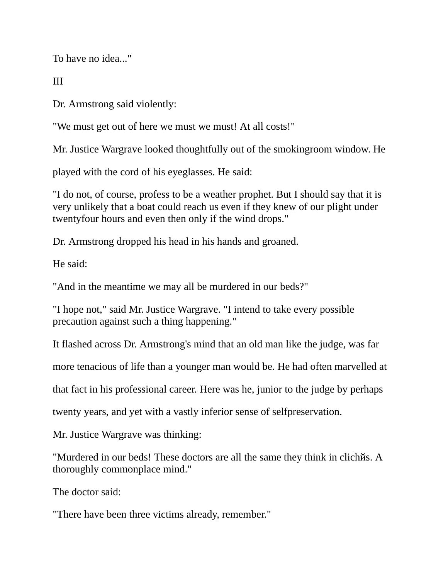To have no idea..."

III

Dr. Armstrong said violently:

"We must get out of here we must we must! At all costs!"

Mr. Justice Wargrave looked thoughtfully out of the smokingroom window. He

played with the cord of his eyeglasses. He said:

"I do not, of course, profess to be a weather prophet. But I should say that it is very unlikely that a boat could reach us even if they knew of our plight under twentyfour hours and even then only if the wind drops."

Dr. Armstrong dropped his head in his hands and groaned.

He said:

"And in the meantime we may all be murdered in our beds?"

"I hope not," said Mr. Justice Wargrave. "I intend to take every possible precaution against such a thing happening."

It flashed across Dr. Armstrong's mind that an old man like the judge, was far

more tenacious of life than a younger man would be. He had often marvelled at

that fact in his professional career. Here was he, junior to the judge by perhaps

twenty years, and yet with a vastly inferior sense of selfpreservation.

Mr. Justice Wargrave was thinking:

"Murdered in our beds! These doctors are all the same they think in clichйs. A thoroughly commonplace mind."

The doctor said:

"There have been three victims already, remember."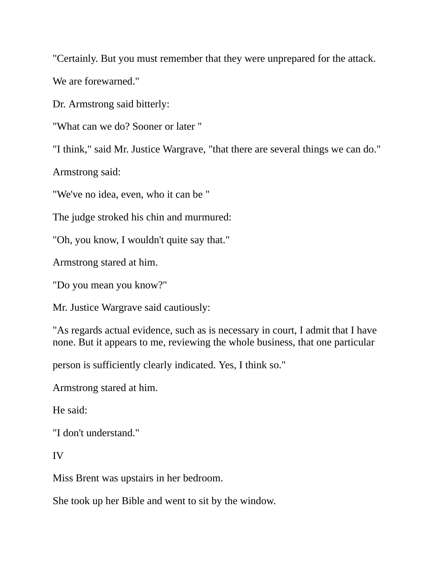"Certainly. But you must remember that they were unprepared for the attack.

We are forewarned."

Dr. Armstrong said bitterly:

"What can we do? Sooner or later "

"I think," said Mr. Justice Wargrave, "that there are several things we can do."

Armstrong said:

"We've no idea, even, who it can be "

The judge stroked his chin and murmured:

"Oh, you know, I wouldn't quite say that."

Armstrong stared at him.

"Do you mean you know?"

Mr. Justice Wargrave said cautiously:

"As regards actual evidence, such as is necessary in court, I admit that I have none. But it appears to me, reviewing the whole business, that one particular

person is sufficiently clearly indicated. Yes, I think so."

Armstrong stared at him.

He said:

```
"I don't understand."
```
IV

Miss Brent was upstairs in her bedroom.

She took up her Bible and went to sit by the window.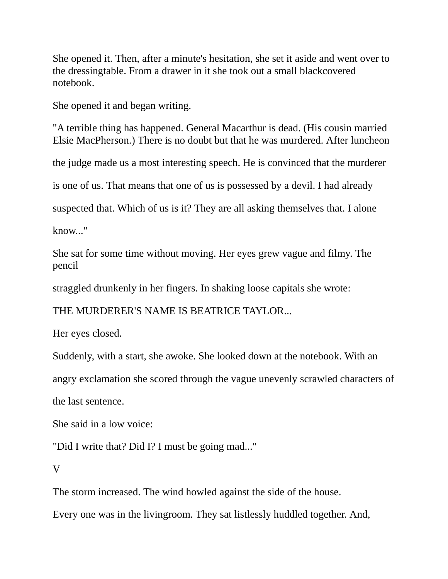She opened it. Then, after a minute's hesitation, she set it aside and went over to the dressingtable. From a drawer in it she took out a small blackcovered notebook.

She opened it and began writing.

"A terrible thing has happened. General Macarthur is dead. (His cousin married Elsie MacPherson.) There is no doubt but that he was murdered. After luncheon

the judge made us a most interesting speech. He is convinced that the murderer

is one of us. That means that one of us is possessed by a devil. I had already

suspected that. Which of us is it? They are all asking themselves that. I alone

know..."

She sat for some time without moving. Her eyes grew vague and filmy. The pencil

straggled drunkenly in her fingers. In shaking loose capitals she wrote:

THE MURDERER'S NAME IS BEATRICE TAYLOR...

Her eyes closed.

Suddenly, with a start, she awoke. She looked down at the notebook. With an angry exclamation she scored through the vague unevenly scrawled characters of the last sentence.

She said in a low voice:

"Did I write that? Did I? I must be going mad..."

V

The storm increased. The wind howled against the side of the house.

Every one was in the livingroom. They sat listlessly huddled together. And,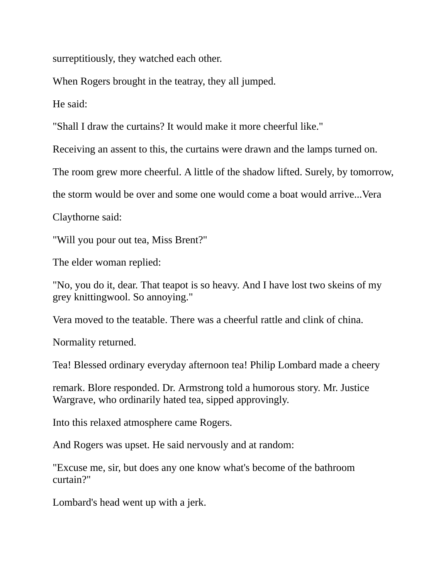surreptitiously, they watched each other.

When Rogers brought in the teatray, they all jumped.

He said:

"Shall I draw the curtains? It would make it more cheerful like."

Receiving an assent to this, the curtains were drawn and the lamps turned on.

The room grew more cheerful. A little of the shadow lifted. Surely, by tomorrow,

the storm would be over and some one would come a boat would arrive...Vera

Claythorne said:

"Will you pour out tea, Miss Brent?"

The elder woman replied:

"No, you do it, dear. That teapot is so heavy. And I have lost two skeins of my grey knittingwool. So annoying."

Vera moved to the teatable. There was a cheerful rattle and clink of china.

Normality returned.

Tea! Blessed ordinary everyday afternoon tea! Philip Lombard made a cheery

remark. Blore responded. Dr. Armstrong told a humorous story. Mr. Justice Wargrave, who ordinarily hated tea, sipped approvingly.

Into this relaxed atmosphere came Rogers.

And Rogers was upset. He said nervously and at random:

"Excuse me, sir, but does any one know what's become of the bathroom curtain?"

Lombard's head went up with a jerk.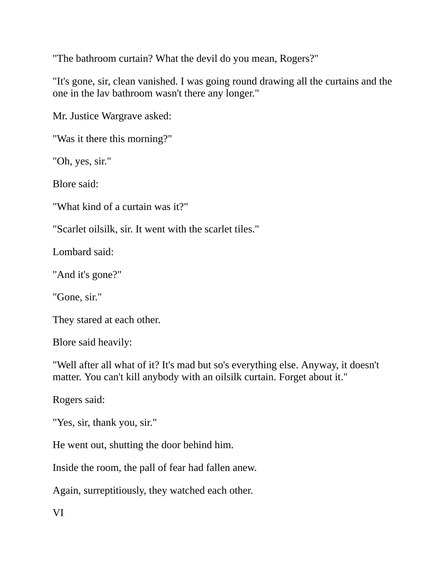"The bathroom curtain? What the devil do you mean, Rogers?"

"It's gone, sir, clean vanished. I was going round drawing all the curtains and the one in the lav bathroom wasn't there any longer."

Mr. Justice Wargrave asked:

"Was it there this morning?"

"Oh, yes, sir."

Blore said:

"What kind of a curtain was it?"

"Scarlet oilsilk, sir. It went with the scarlet tiles."

Lombard said:

"And it's gone?"

"Gone, sir."

They stared at each other.

Blore said heavily:

"Well after all what of it? It's mad but so's everything else. Anyway, it doesn't matter. You can't kill anybody with an oilsilk curtain. Forget about it."

Rogers said:

"Yes, sir, thank you, sir."

He went out, shutting the door behind him.

Inside the room, the pall of fear had fallen anew.

Again, surreptitiously, they watched each other.

VI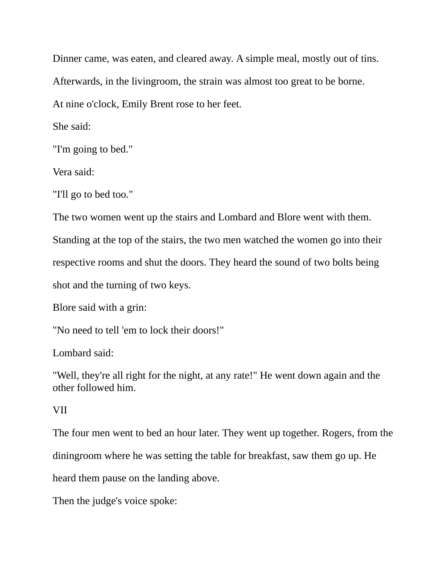Dinner came, was eaten, and cleared away. A simple meal, mostly out of tins.

Afterwards, in the livingroom, the strain was almost too great to be borne.

At nine o'clock, Emily Brent rose to her feet.

She said:

"I'm going to bed."

Vera said:

"I'll go to bed too."

The two women went up the stairs and Lombard and Blore went with them.

Standing at the top of the stairs, the two men watched the women go into their respective rooms and shut the doors. They heard the sound of two bolts being shot and the turning of two keys.

Blore said with a grin:

"No need to tell 'em to lock their doors!"

Lombard said:

"Well, they're all right for the night, at any rate!" He went down again and the other followed him.

## VII

The four men went to bed an hour later. They went up together. Rogers, from the diningroom where he was setting the table for breakfast, saw them go up. He heard them pause on the landing above.

Then the judge's voice spoke: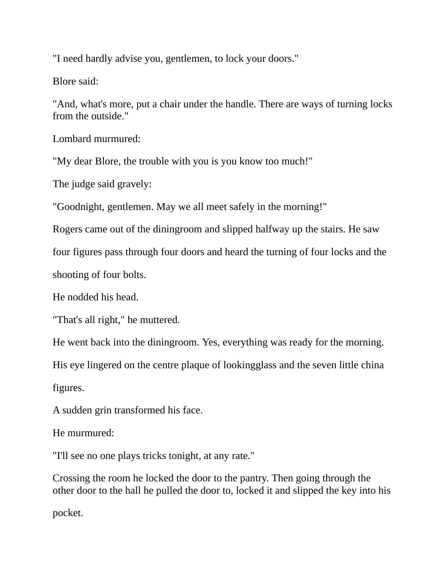"I need hardly advise you, gentlemen, to lock your doors."

Blore said:

"And, what's more, put a chair under the handle. There are ways of turning locks from the outside."

Lombard murmured:

"My dear Blore, the trouble with you is you know too much!"

The judge said gravely:

"Goodnight, gentlemen. May we all meet safely in the morning!"

Rogers came out of the diningroom and slipped halfway up the stairs. He saw

four figures pass through four doors and heard the turning of four locks and the

shooting of four bolts.

He nodded his head.

"That's all right," he muttered.

He went back into the diningroom. Yes, everything was ready for the morning.

His eye lingered on the centre plaque of lookingglass and the seven little china

figures.

A sudden grin transformed his face.

He murmured:

"I'll see no one plays tricks tonight, at any rate."

Crossing the room he locked the door to the pantry. Then going through the other door to the hall he pulled the door to, locked it and slipped the key into his

pocket.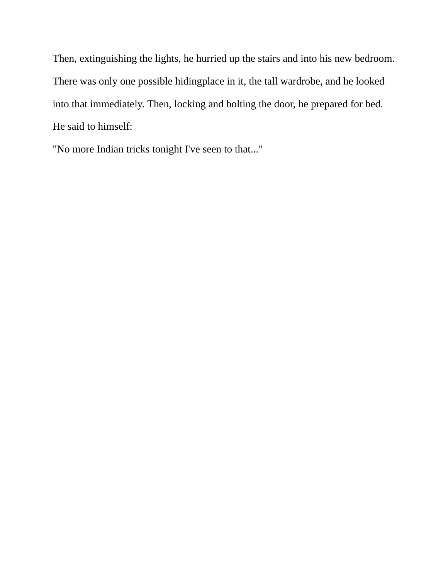Then, extinguishing the lights, he hurried up the stairs and into his new bedroom. There was only one possible hidingplace in it, the tall wardrobe, and he looked into that immediately. Then, locking and bolting the door, he prepared for bed. He said to himself:

"No more Indian tricks tonight I've seen to that..."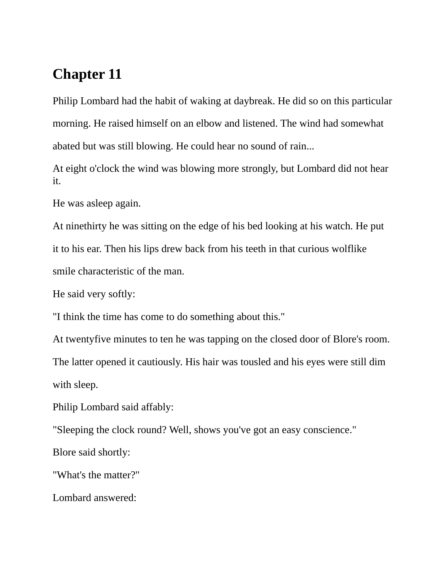## **Chapter 11**

Philip Lombard had the habit of waking at daybreak. He did so on this particular morning. He raised himself on an elbow and listened. The wind had somewhat abated but was still blowing. He could hear no sound of rain...

At eight o'clock the wind was blowing more strongly, but Lombard did not hear it.

He was asleep again.

At ninethirty he was sitting on the edge of his bed looking at his watch. He put it to his ear. Then his lips drew back from his teeth in that curious wolflike smile characteristic of the man.

He said very softly:

"I think the time has come to do something about this."

At twentyfive minutes to ten he was tapping on the closed door of Blore's room. The latter opened it cautiously. His hair was tousled and his eyes were still dim with sleep.

Philip Lombard said affably:

"Sleeping the clock round? Well, shows you've got an easy conscience."

Blore said shortly:

"What's the matter?"

Lombard answered: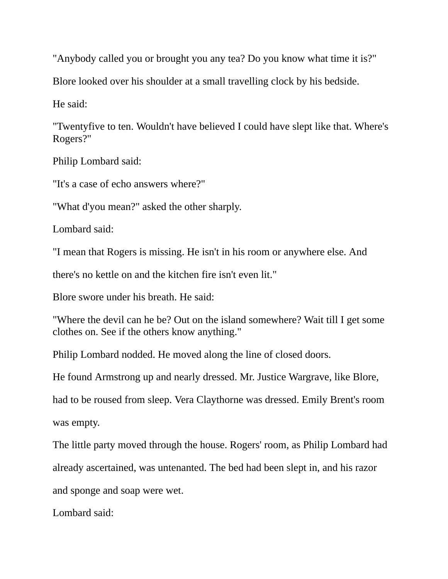"Anybody called you or brought you any tea? Do you know what time it is?"

Blore looked over his shoulder at a small travelling clock by his bedside.

He said:

"Twentyfive to ten. Wouldn't have believed I could have slept like that. Where's Rogers?"

Philip Lombard said:

"It's a case of echo answers where?"

"What d'you mean?" asked the other sharply.

Lombard said:

"I mean that Rogers is missing. He isn't in his room or anywhere else. And

there's no kettle on and the kitchen fire isn't even lit."

Blore swore under his breath. He said:

"Where the devil can he be? Out on the island somewhere? Wait till I get some clothes on. See if the others know anything."

Philip Lombard nodded. He moved along the line of closed doors.

He found Armstrong up and nearly dressed. Mr. Justice Wargrave, like Blore,

had to be roused from sleep. Vera Claythorne was dressed. Emily Brent's room was empty.

The little party moved through the house. Rogers' room, as Philip Lombard had already ascertained, was untenanted. The bed had been slept in, and his razor and sponge and soap were wet.

Lombard said: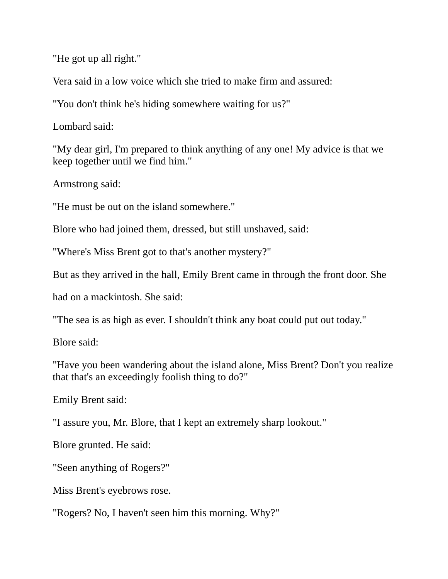"He got up all right."

Vera said in a low voice which she tried to make firm and assured:

"You don't think he's hiding somewhere waiting for us?"

Lombard said:

"My dear girl, I'm prepared to think anything of any one! My advice is that we keep together until we find him."

Armstrong said:

"He must be out on the island somewhere."

Blore who had joined them, dressed, but still unshaved, said:

"Where's Miss Brent got to that's another mystery?"

But as they arrived in the hall, Emily Brent came in through the front door. She

had on a mackintosh. She said:

"The sea is as high as ever. I shouldn't think any boat could put out today."

Blore said:

"Have you been wandering about the island alone, Miss Brent? Don't you realize that that's an exceedingly foolish thing to do?"

Emily Brent said:

"I assure you, Mr. Blore, that I kept an extremely sharp lookout."

Blore grunted. He said:

"Seen anything of Rogers?"

Miss Brent's eyebrows rose.

"Rogers? No, I haven't seen him this morning. Why?"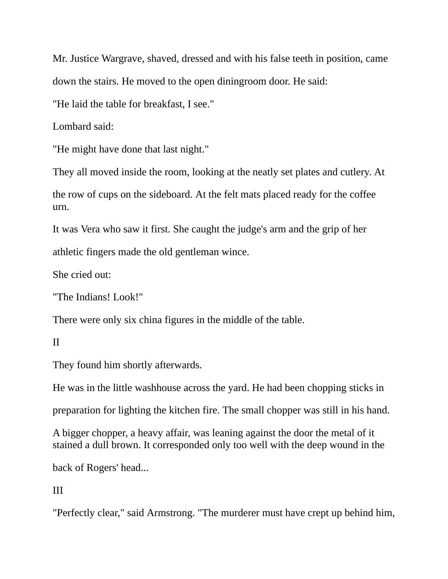Mr. Justice Wargrave, shaved, dressed and with his false teeth in position, came down the stairs. He moved to the open diningroom door. He said:

"He laid the table for breakfast, I see."

Lombard said:

"He might have done that last night."

They all moved inside the room, looking at the neatly set plates and cutlery. At

the row of cups on the sideboard. At the felt mats placed ready for the coffee urn.

It was Vera who saw it first. She caught the judge's arm and the grip of her

athletic fingers made the old gentleman wince.

She cried out:

"The Indians! Look!"

There were only six china figures in the middle of the table.

II

They found him shortly afterwards.

He was in the little washhouse across the yard. He had been chopping sticks in

preparation for lighting the kitchen fire. The small chopper was still in his hand.

A bigger chopper, a heavy affair, was leaning against the door the metal of it stained a dull brown. It corresponded only too well with the deep wound in the

back of Rogers' head...

III

"Perfectly clear," said Armstrong. "The murderer must have crept up behind him,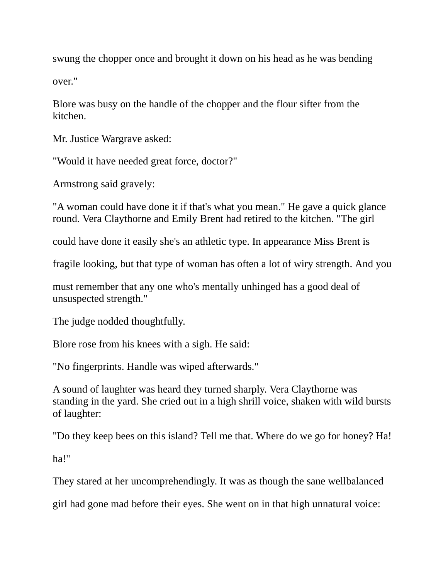swung the chopper once and brought it down on his head as he was bending

over."

Blore was busy on the handle of the chopper and the flour sifter from the kitchen.

Mr. Justice Wargrave asked:

"Would it have needed great force, doctor?"

Armstrong said gravely:

"A woman could have done it if that's what you mean." He gave a quick glance round. Vera Claythorne and Emily Brent had retired to the kitchen. "The girl

could have done it easily she's an athletic type. In appearance Miss Brent is

fragile looking, but that type of woman has often a lot of wiry strength. And you

must remember that any one who's mentally unhinged has a good deal of unsuspected strength."

The judge nodded thoughtfully.

Blore rose from his knees with a sigh. He said:

"No fingerprints. Handle was wiped afterwards."

A sound of laughter was heard they turned sharply. Vera Claythorne was standing in the yard. She cried out in a high shrill voice, shaken with wild bursts of laughter:

"Do they keep bees on this island? Tell me that. Where do we go for honey? Ha!

ha!"

They stared at her uncomprehendingly. It was as though the sane wellbalanced

girl had gone mad before their eyes. She went on in that high unnatural voice: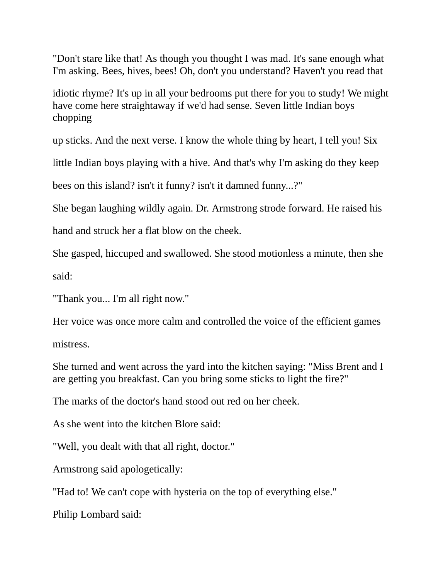"Don't stare like that! As though you thought I was mad. It's sane enough what I'm asking. Bees, hives, bees! Oh, don't you understand? Haven't you read that

idiotic rhyme? It's up in all your bedrooms put there for you to study! We might have come here straightaway if we'd had sense. Seven little Indian boys chopping

up sticks. And the next verse. I know the whole thing by heart, I tell you! Six

little Indian boys playing with a hive. And that's why I'm asking do they keep

bees on this island? isn't it funny? isn't it damned funny...?"

She began laughing wildly again. Dr. Armstrong strode forward. He raised his

hand and struck her a flat blow on the cheek.

She gasped, hiccuped and swallowed. She stood motionless a minute, then she said:

"Thank you... I'm all right now."

Her voice was once more calm and controlled the voice of the efficient games

mistress.

She turned and went across the yard into the kitchen saying: "Miss Brent and I are getting you breakfast. Can you bring some sticks to light the fire?"

The marks of the doctor's hand stood out red on her cheek.

As she went into the kitchen Blore said:

"Well, you dealt with that all right, doctor."

Armstrong said apologetically:

"Had to! We can't cope with hysteria on the top of everything else."

Philip Lombard said: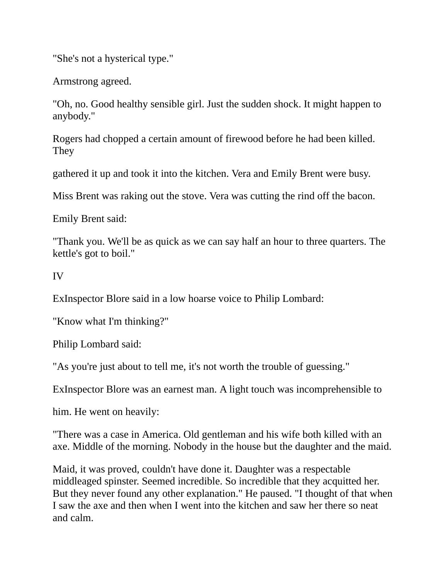"She's not a hysterical type."

Armstrong agreed.

"Oh, no. Good healthy sensible girl. Just the sudden shock. It might happen to anybody."

Rogers had chopped a certain amount of firewood before he had been killed. They

gathered it up and took it into the kitchen. Vera and Emily Brent were busy.

Miss Brent was raking out the stove. Vera was cutting the rind off the bacon.

Emily Brent said:

"Thank you. We'll be as quick as we can say half an hour to three quarters. The kettle's got to boil."

IV

ExInspector Blore said in a low hoarse voice to Philip Lombard:

"Know what I'm thinking?"

Philip Lombard said:

"As you're just about to tell me, it's not worth the trouble of guessing."

ExInspector Blore was an earnest man. A light touch was incomprehensible to

him. He went on heavily:

"There was a case in America. Old gentleman and his wife both killed with an axe. Middle of the morning. Nobody in the house but the daughter and the maid.

Maid, it was proved, couldn't have done it. Daughter was a respectable middleaged spinster. Seemed incredible. So incredible that they acquitted her. But they never found any other explanation." He paused. "I thought of that when I saw the axe and then when I went into the kitchen and saw her there so neat and calm.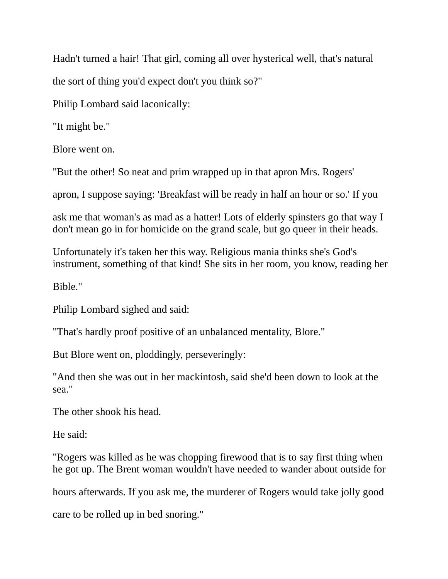Hadn't turned a hair! That girl, coming all over hysterical well, that's natural

the sort of thing you'd expect don't you think so?"

Philip Lombard said laconically:

"It might be."

Blore went on.

"But the other! So neat and prim wrapped up in that apron Mrs. Rogers'

apron, I suppose saying: 'Breakfast will be ready in half an hour or so.' If you

ask me that woman's as mad as a hatter! Lots of elderly spinsters go that way I don't mean go in for homicide on the grand scale, but go queer in their heads.

Unfortunately it's taken her this way. Religious mania thinks she's God's instrument, something of that kind! She sits in her room, you know, reading her

Bible."

Philip Lombard sighed and said:

"That's hardly proof positive of an unbalanced mentality, Blore."

But Blore went on, ploddingly, perseveringly:

"And then she was out in her mackintosh, said she'd been down to look at the sea."

The other shook his head.

He said:

"Rogers was killed as he was chopping firewood that is to say first thing when he got up. The Brent woman wouldn't have needed to wander about outside for

hours afterwards. If you ask me, the murderer of Rogers would take jolly good

care to be rolled up in bed snoring."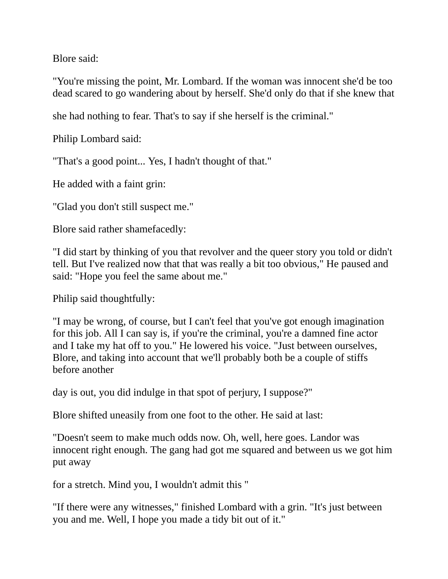Blore said:

"You're missing the point, Mr. Lombard. If the woman was innocent she'd be too dead scared to go wandering about by herself. She'd only do that if she knew that

she had nothing to fear. That's to say if she herself is the criminal."

Philip Lombard said:

"That's a good point... Yes, I hadn't thought of that."

He added with a faint grin:

"Glad you don't still suspect me."

Blore said rather shamefacedly:

"I did start by thinking of you that revolver and the queer story you told or didn't tell. But I've realized now that that was really a bit too obvious," He paused and said: "Hope you feel the same about me."

Philip said thoughtfully:

"I may be wrong, of course, but I can't feel that you've got enough imagination for this job. All I can say is, if you're the criminal, you're a damned fine actor and I take my hat off to you." He lowered his voice. "Just between ourselves, Blore, and taking into account that we'll probably both be a couple of stiffs before another

day is out, you did indulge in that spot of perjury, I suppose?"

Blore shifted uneasily from one foot to the other. He said at last:

"Doesn't seem to make much odds now. Oh, well, here goes. Landor was innocent right enough. The gang had got me squared and between us we got him put away

for a stretch. Mind you, I wouldn't admit this "

"If there were any witnesses," finished Lombard with a grin. "It's just between you and me. Well, I hope you made a tidy bit out of it."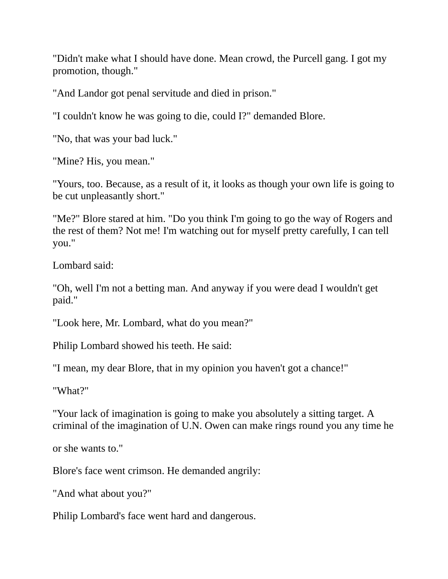"Didn't make what I should have done. Mean crowd, the Purcell gang. I got my promotion, though."

"And Landor got penal servitude and died in prison."

"I couldn't know he was going to die, could I?" demanded Blore.

"No, that was your bad luck."

"Mine? His, you mean."

"Yours, too. Because, as a result of it, it looks as though your own life is going to be cut unpleasantly short."

"Me?" Blore stared at him. "Do you think I'm going to go the way of Rogers and the rest of them? Not me! I'm watching out for myself pretty carefully, I can tell you."

Lombard said:

"Oh, well I'm not a betting man. And anyway if you were dead I wouldn't get paid."

"Look here, Mr. Lombard, what do you mean?"

Philip Lombard showed his teeth. He said:

"I mean, my dear Blore, that in my opinion you haven't got a chance!"

"What?"

"Your lack of imagination is going to make you absolutely a sitting target. A criminal of the imagination of U.N. Owen can make rings round you any time he

or she wants to."

Blore's face went crimson. He demanded angrily:

"And what about you?"

Philip Lombard's face went hard and dangerous.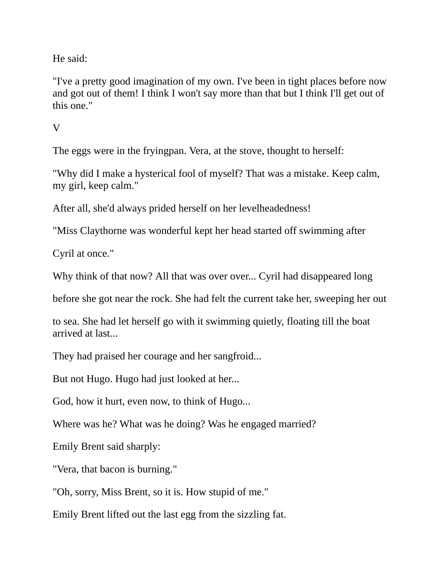He said:

"I've a pretty good imagination of my own. I've been in tight places before now and got out of them! I think I won't say more than that but I think I'll get out of this one."

V

The eggs were in the fryingpan. Vera, at the stove, thought to herself:

"Why did I make a hysterical fool of myself? That was a mistake. Keep calm, my girl, keep calm."

After all, she'd always prided herself on her levelheadedness!

"Miss Claythorne was wonderful kept her head started off swimming after

Cyril at once."

Why think of that now? All that was over over... Cyril had disappeared long

before she got near the rock. She had felt the current take her, sweeping her out

to sea. She had let herself go with it swimming quietly, floating till the boat arrived at last...

They had praised her courage and her sangfroid...

But not Hugo. Hugo had just looked at her...

God, how it hurt, even now, to think of Hugo...

Where was he? What was he doing? Was he engaged married?

Emily Brent said sharply:

"Vera, that bacon is burning."

"Oh, sorry, Miss Brent, so it is. How stupid of me."

Emily Brent lifted out the last egg from the sizzling fat.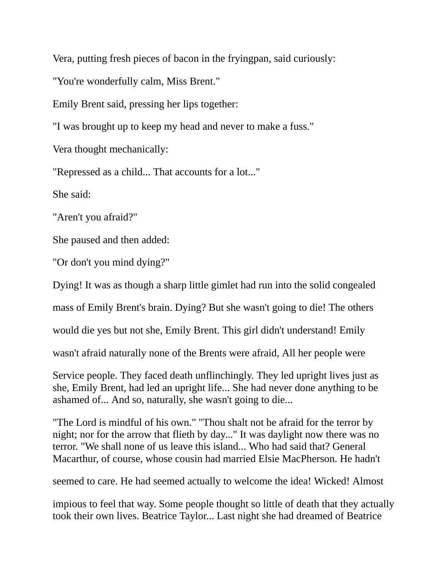Vera, putting fresh pieces of bacon in the fryingpan, said curiously:

"You're wonderfully calm, Miss Brent."

Emily Brent said, pressing her lips together:

"I was brought up to keep my head and never to make a fuss."

Vera thought mechanically:

"Repressed as a child... That accounts for a lot..."

She said:

"Aren't you afraid?"

She paused and then added:

"Or don't you mind dying?"

Dying! It was as though a sharp little gimlet had run into the solid congealed

mass of Emily Brent's brain. Dying? But she wasn't going to die! The others

would die yes but not she, Emily Brent. This girl didn't understand! Emily

wasn't afraid naturally none of the Brents were afraid, All her people were

Service people. They faced death unflinchingly. They led upright lives just as she, Emily Brent, had led an upright life... She had never done anything to be ashamed of... And so, naturally, she wasn't going to die...

"The Lord is mindful of his own." "Thou shalt not be afraid for the terror by night; nor for the arrow that flieth by day..." It was daylight now there was no terror. "We shall none of us leave this island... Who had said that? General Macarthur, of course, whose cousin had married Elsie MacPherson. He hadn't

seemed to care. He had seemed actually to welcome the idea! Wicked! Almost

impious to feel that way. Some people thought so little of death that they actually took their own lives. Beatrice Taylor... Last night she had dreamed of Beatrice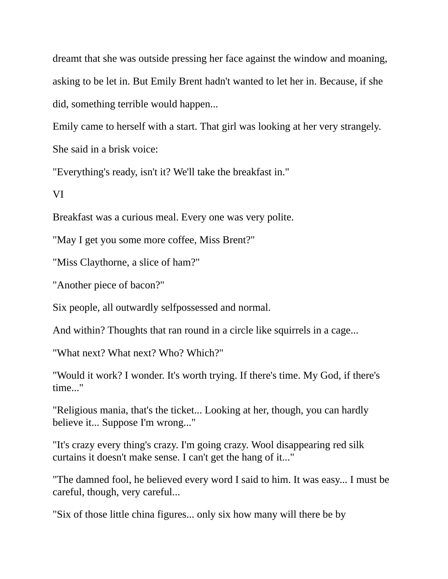dreamt that she was outside pressing her face against the window and moaning, asking to be let in. But Emily Brent hadn't wanted to let her in. Because, if she did, something terrible would happen...

Emily came to herself with a start. That girl was looking at her very strangely. She said in a brisk voice:

"Everything's ready, isn't it? We'll take the breakfast in."

VI

Breakfast was a curious meal. Every one was very polite.

"May I get you some more coffee, Miss Brent?"

"Miss Claythorne, a slice of ham?"

"Another piece of bacon?"

Six people, all outwardly selfpossessed and normal.

And within? Thoughts that ran round in a circle like squirrels in a cage...

"What next? What next? Who? Which?"

"Would it work? I wonder. It's worth trying. If there's time. My God, if there's time..."

"Religious mania, that's the ticket... Looking at her, though, you can hardly believe it... Suppose I'm wrong..."

"It's crazy every thing's crazy. I'm going crazy. Wool disappearing red silk curtains it doesn't make sense. I can't get the hang of it..."

"The damned fool, he believed every word I said to him. It was easy... I must be careful, though, very careful...

"Six of those little china figures... only six how many will there be by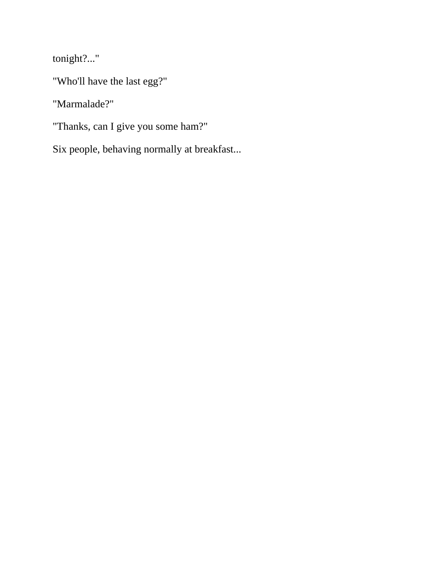tonight?..."

"Who'll have the last egg?"

"Marmalade?"

"Thanks, can I give you some ham?"

Six people, behaving normally at breakfast...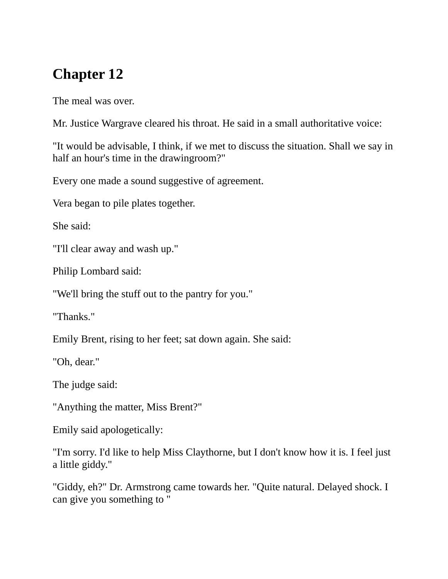## **Chapter 12**

The meal was over.

Mr. Justice Wargrave cleared his throat. He said in a small authoritative voice:

"It would be advisable, I think, if we met to discuss the situation. Shall we say in half an hour's time in the drawingroom?"

Every one made a sound suggestive of agreement.

Vera began to pile plates together.

She said:

"I'll clear away and wash up."

Philip Lombard said:

"We'll bring the stuff out to the pantry for you."

"Thanks."

Emily Brent, rising to her feet; sat down again. She said:

"Oh, dear."

The judge said:

"Anything the matter, Miss Brent?"

Emily said apologetically:

"I'm sorry. I'd like to help Miss Claythorne, but I don't know how it is. I feel just a little giddy."

"Giddy, eh?" Dr. Armstrong came towards her. "Quite natural. Delayed shock. I can give you something to "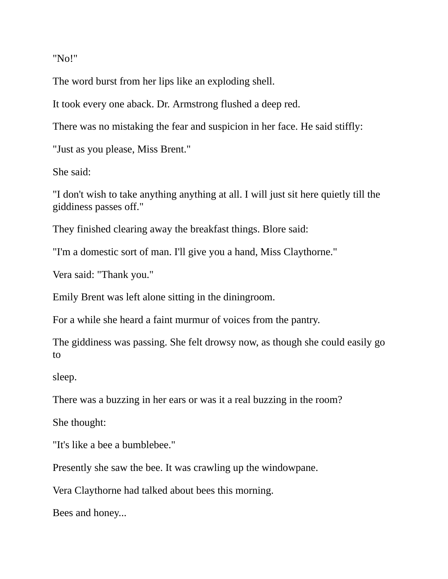"No!"

The word burst from her lips like an exploding shell.

It took every one aback. Dr. Armstrong flushed a deep red.

There was no mistaking the fear and suspicion in her face. He said stiffly:

"Just as you please, Miss Brent."

She said:

"I don't wish to take anything anything at all. I will just sit here quietly till the giddiness passes off."

They finished clearing away the breakfast things. Blore said:

"I'm a domestic sort of man. I'll give you a hand, Miss Claythorne."

Vera said: "Thank you."

Emily Brent was left alone sitting in the diningroom.

For a while she heard a faint murmur of voices from the pantry.

The giddiness was passing. She felt drowsy now, as though she could easily go to

sleep.

There was a buzzing in her ears or was it a real buzzing in the room?

She thought:

"It's like a bee a bumblebee."

Presently she saw the bee. It was crawling up the windowpane.

Vera Claythorne had talked about bees this morning.

Bees and honey...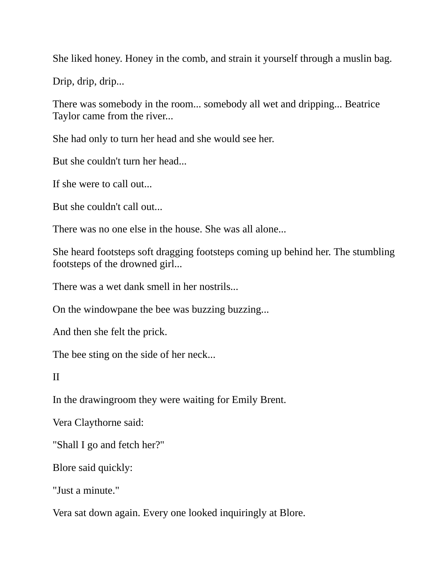She liked honey. Honey in the comb, and strain it yourself through a muslin bag.

Drip, drip, drip...

There was somebody in the room... somebody all wet and dripping... Beatrice Taylor came from the river...

She had only to turn her head and she would see her.

But she couldn't turn her head...

If she were to call out...

But she couldn't call out...

There was no one else in the house. She was all alone...

She heard footsteps soft dragging footsteps coming up behind her. The stumbling footsteps of the drowned girl...

There was a wet dank smell in her nostrils...

On the windowpane the bee was buzzing buzzing...

And then she felt the prick.

The bee sting on the side of her neck...

II

In the drawingroom they were waiting for Emily Brent.

Vera Claythorne said:

"Shall I go and fetch her?"

Blore said quickly:

"Just a minute."

Vera sat down again. Every one looked inquiringly at Blore.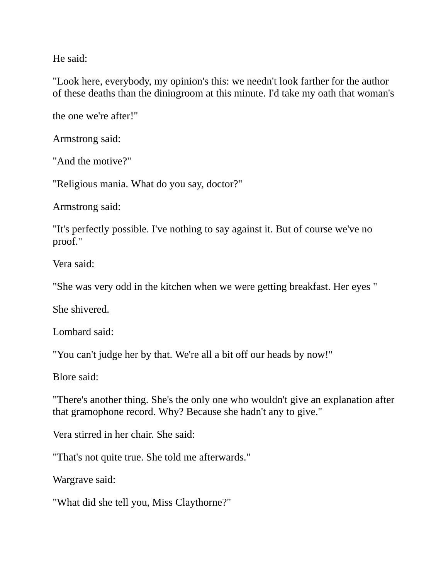He said:

"Look here, everybody, my opinion's this: we needn't look farther for the author of these deaths than the diningroom at this minute. I'd take my oath that woman's

the one we're after!"

Armstrong said:

"And the motive?"

"Religious mania. What do you say, doctor?"

Armstrong said:

"It's perfectly possible. I've nothing to say against it. But of course we've no proof."

Vera said:

"She was very odd in the kitchen when we were getting breakfast. Her eyes "

She shivered.

Lombard said:

"You can't judge her by that. We're all a bit off our heads by now!"

Blore said:

"There's another thing. She's the only one who wouldn't give an explanation after that gramophone record. Why? Because she hadn't any to give."

Vera stirred in her chair. She said:

"That's not quite true. She told me afterwards."

Wargrave said:

"What did she tell you, Miss Claythorne?"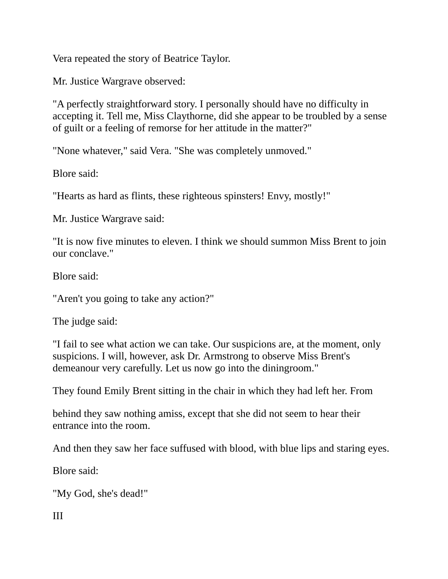Vera repeated the story of Beatrice Taylor.

Mr. Justice Wargrave observed:

"A perfectly straightforward story. I personally should have no difficulty in accepting it. Tell me, Miss Claythorne, did she appear to be troubled by a sense of guilt or a feeling of remorse for her attitude in the matter?"

"None whatever," said Vera. "She was completely unmoved."

Blore said:

"Hearts as hard as flints, these righteous spinsters! Envy, mostly!"

Mr. Justice Wargrave said:

"It is now five minutes to eleven. I think we should summon Miss Brent to join our conclave."

Blore said:

"Aren't you going to take any action?"

The judge said:

"I fail to see what action we can take. Our suspicions are, at the moment, only suspicions. I will, however, ask Dr. Armstrong to observe Miss Brent's demeanour very carefully. Let us now go into the diningroom."

They found Emily Brent sitting in the chair in which they had left her. From

behind they saw nothing amiss, except that she did not seem to hear their entrance into the room.

And then they saw her face suffused with blood, with blue lips and staring eyes.

Blore said:

"My God, she's dead!"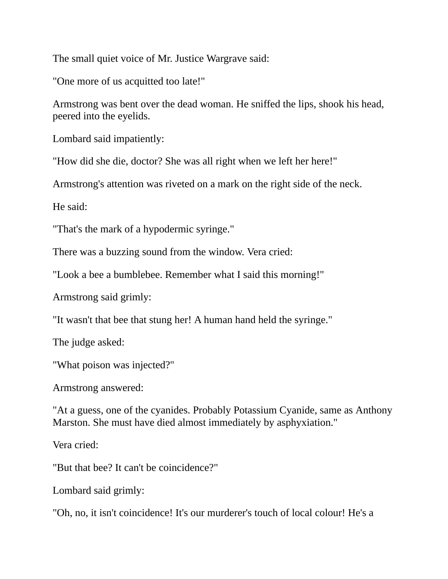The small quiet voice of Mr. Justice Wargrave said:

"One more of us acquitted too late!"

Armstrong was bent over the dead woman. He sniffed the lips, shook his head, peered into the eyelids.

Lombard said impatiently:

"How did she die, doctor? She was all right when we left her here!"

Armstrong's attention was riveted on a mark on the right side of the neck.

He said:

"That's the mark of a hypodermic syringe."

There was a buzzing sound from the window. Vera cried:

"Look a bee a bumblebee. Remember what I said this morning!"

Armstrong said grimly:

"It wasn't that bee that stung her! A human hand held the syringe."

The judge asked:

"What poison was injected?"

Armstrong answered:

"At a guess, one of the cyanides. Probably Potassium Cyanide, same as Anthony Marston. She must have died almost immediately by asphyxiation."

Vera cried:

"But that bee? It can't be coincidence?"

Lombard said grimly:

"Oh, no, it isn't coincidence! It's our murderer's touch of local colour! He's a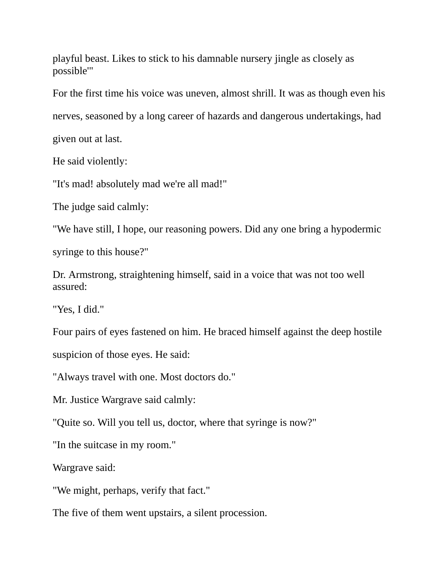playful beast. Likes to stick to his damnable nursery jingle as closely as possible'"

For the first time his voice was uneven, almost shrill. It was as though even his

nerves, seasoned by a long career of hazards and dangerous undertakings, had

given out at last.

He said violently:

"It's mad! absolutely mad we're all mad!"

The judge said calmly:

"We have still, I hope, our reasoning powers. Did any one bring a hypodermic

syringe to this house?"

Dr. Armstrong, straightening himself, said in a voice that was not too well assured:

"Yes, I did."

Four pairs of eyes fastened on him. He braced himself against the deep hostile

suspicion of those eyes. He said:

"Always travel with one. Most doctors do."

Mr. Justice Wargrave said calmly:

"Quite so. Will you tell us, doctor, where that syringe is now?"

"In the suitcase in my room."

Wargrave said:

"We might, perhaps, verify that fact."

The five of them went upstairs, a silent procession.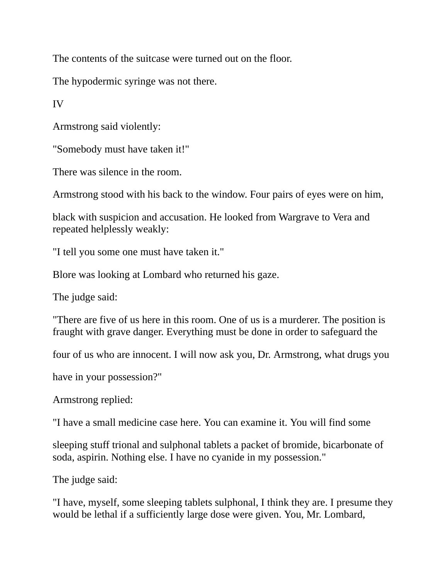The contents of the suitcase were turned out on the floor.

The hypodermic syringe was not there.

IV

Armstrong said violently:

"Somebody must have taken it!"

There was silence in the room.

Armstrong stood with his back to the window. Four pairs of eyes were on him,

black with suspicion and accusation. He looked from Wargrave to Vera and repeated helplessly weakly:

"I tell you some one must have taken it."

Blore was looking at Lombard who returned his gaze.

The judge said:

"There are five of us here in this room. One of us is a murderer. The position is fraught with grave danger. Everything must be done in order to safeguard the

four of us who are innocent. I will now ask you, Dr. Armstrong, what drugs you

have in your possession?"

Armstrong replied:

"I have a small medicine case here. You can examine it. You will find some

sleeping stuff trional and sulphonal tablets a packet of bromide, bicarbonate of soda, aspirin. Nothing else. I have no cyanide in my possession."

The judge said:

"I have, myself, some sleeping tablets sulphonal, I think they are. I presume they would be lethal if a sufficiently large dose were given. You, Mr. Lombard,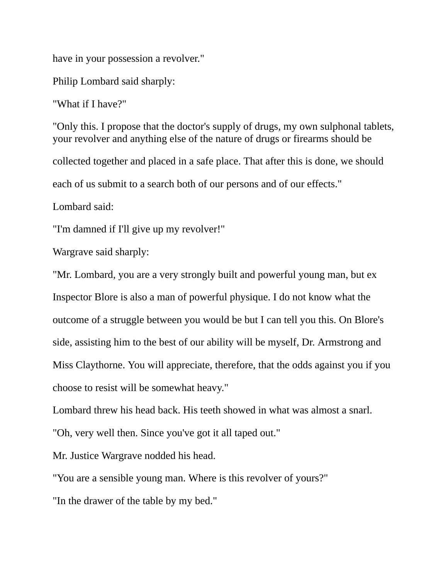have in your possession a revolver."

Philip Lombard said sharply:

"What if I have?"

"Only this. I propose that the doctor's supply of drugs, my own sulphonal tablets, your revolver and anything else of the nature of drugs or firearms should be collected together and placed in a safe place. That after this is done, we should each of us submit to a search both of our persons and of our effects." Lombard said:

"I'm damned if I'll give up my revolver!"

Wargrave said sharply:

"Mr. Lombard, you are a very strongly built and powerful young man, but ex Inspector Blore is also a man of powerful physique. I do not know what the outcome of a struggle between you would be but I can tell you this. On Blore's side, assisting him to the best of our ability will be myself, Dr. Armstrong and Miss Claythorne. You will appreciate, therefore, that the odds against you if you choose to resist will be somewhat heavy."

Lombard threw his head back. His teeth showed in what was almost a snarl.

"Oh, very well then. Since you've got it all taped out."

Mr. Justice Wargrave nodded his head.

"You are a sensible young man. Where is this revolver of yours?"

"In the drawer of the table by my bed."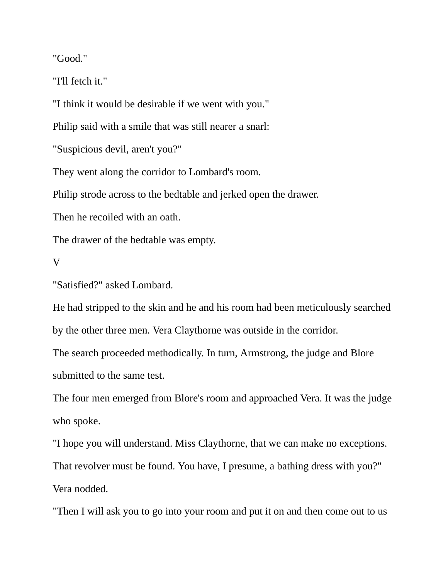"Good."

"I'll fetch it."

"I think it would be desirable if we went with you."

Philip said with a smile that was still nearer a snarl:

"Suspicious devil, aren't you?"

They went along the corridor to Lombard's room.

Philip strode across to the bedtable and jerked open the drawer.

Then he recoiled with an oath.

The drawer of the bedtable was empty.

V

"Satisfied?" asked Lombard.

He had stripped to the skin and he and his room had been meticulously searched

by the other three men. Vera Claythorne was outside in the corridor.

The search proceeded methodically. In turn, Armstrong, the judge and Blore submitted to the same test.

The four men emerged from Blore's room and approached Vera. It was the judge who spoke.

"I hope you will understand. Miss Claythorne, that we can make no exceptions. That revolver must be found. You have, I presume, a bathing dress with you?" Vera nodded.

"Then I will ask you to go into your room and put it on and then come out to us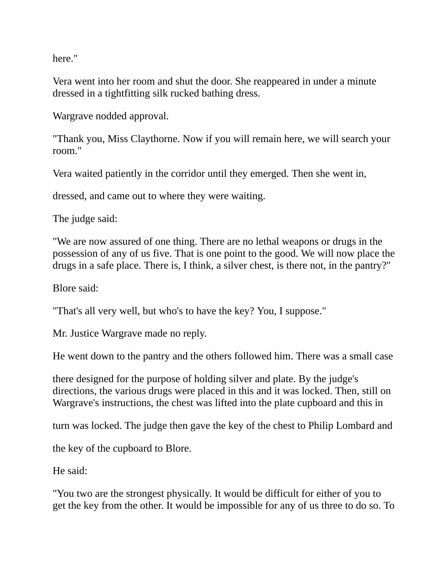here."

Vera went into her room and shut the door. She reappeared in under a minute dressed in a tightfitting silk rucked bathing dress.

Wargrave nodded approval.

"Thank you, Miss Claythorne. Now if you will remain here, we will search your room."

Vera waited patiently in the corridor until they emerged. Then she went in,

dressed, and came out to where they were waiting.

The judge said:

"We are now assured of one thing. There are no lethal weapons or drugs in the possession of any of us five. That is one point to the good. We will now place the drugs in a safe place. There is, I think, a silver chest, is there not, in the pantry?"

Blore said:

"That's all very well, but who's to have the key? You, I suppose."

Mr. Justice Wargrave made no reply.

He went down to the pantry and the others followed him. There was a small case

there designed for the purpose of holding silver and plate. By the judge's directions, the various drugs were placed in this and it was locked. Then, still on Wargrave's instructions, the chest was lifted into the plate cupboard and this in

turn was locked. The judge then gave the key of the chest to Philip Lombard and

the key of the cupboard to Blore.

He said:

"You two are the strongest physically. It would be difficult for either of you to get the key from the other. It would be impossible for any of us three to do so. To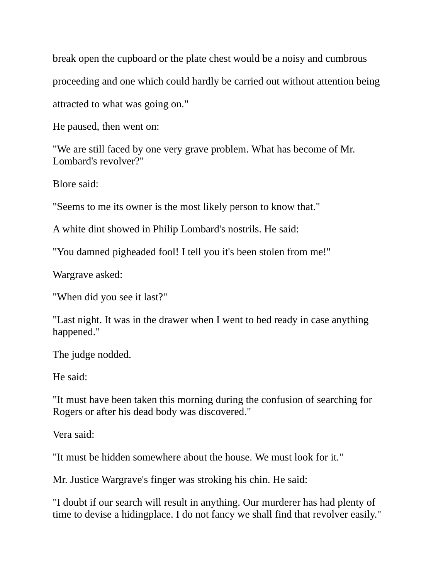break open the cupboard or the plate chest would be a noisy and cumbrous proceeding and one which could hardly be carried out without attention being attracted to what was going on."

He paused, then went on:

"We are still faced by one very grave problem. What has become of Mr. Lombard's revolver?"

Blore said:

"Seems to me its owner is the most likely person to know that."

A white dint showed in Philip Lombard's nostrils. He said:

"You damned pigheaded fool! I tell you it's been stolen from me!"

Wargrave asked:

"When did you see it last?"

"Last night. It was in the drawer when I went to bed ready in case anything happened."

The judge nodded.

He said:

"It must have been taken this morning during the confusion of searching for Rogers or after his dead body was discovered."

Vera said:

"It must be hidden somewhere about the house. We must look for it."

Mr. Justice Wargrave's finger was stroking his chin. He said:

"I doubt if our search will result in anything. Our murderer has had plenty of time to devise a hidingplace. I do not fancy we shall find that revolver easily."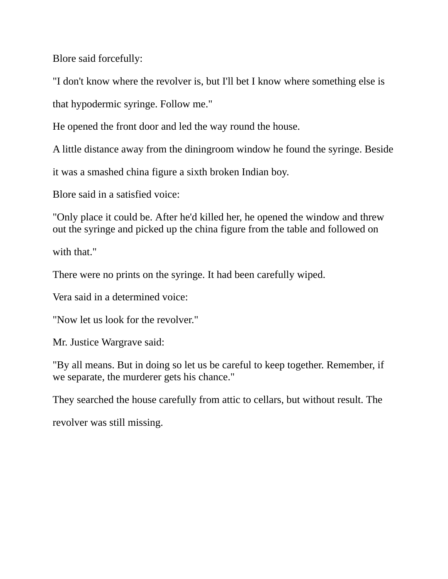Blore said forcefully:

"I don't know where the revolver is, but I'll bet I know where something else is

that hypodermic syringe. Follow me."

He opened the front door and led the way round the house.

A little distance away from the diningroom window he found the syringe. Beside

it was a smashed china figure a sixth broken Indian boy.

Blore said in a satisfied voice:

"Only place it could be. After he'd killed her, he opened the window and threw out the syringe and picked up the china figure from the table and followed on

with that."

There were no prints on the syringe. It had been carefully wiped.

Vera said in a determined voice:

"Now let us look for the revolver."

Mr. Justice Wargrave said:

"By all means. But in doing so let us be careful to keep together. Remember, if we separate, the murderer gets his chance."

They searched the house carefully from attic to cellars, but without result. The

revolver was still missing.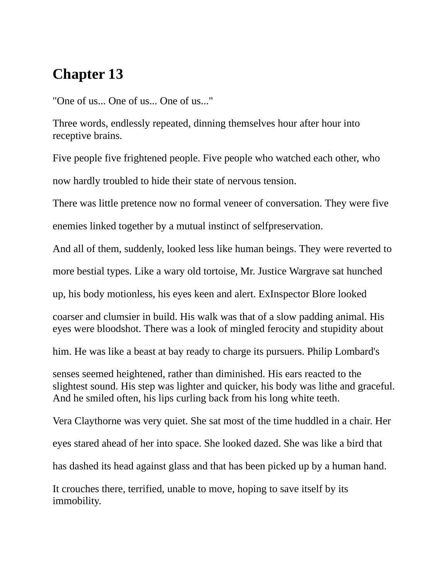## **Chapter 13**

"One of us... One of us... One of us..."

Three words, endlessly repeated, dinning themselves hour after hour into receptive brains.

Five people five frightened people. Five people who watched each other, who now hardly troubled to hide their state of nervous tension.

There was little pretence now no formal veneer of conversation. They were five

enemies linked together by a mutual instinct of selfpreservation.

And all of them, suddenly, looked less like human beings. They were reverted to

more bestial types. Like a wary old tortoise, Mr. Justice Wargrave sat hunched

up, his body motionless, his eyes keen and alert. ExInspector Blore looked

coarser and clumsier in build. His walk was that of a slow padding animal. His eyes were bloodshot. There was a look of mingled ferocity and stupidity about

him. He was like a beast at bay ready to charge its pursuers. Philip Lombard's

senses seemed heightened, rather than diminished. His ears reacted to the slightest sound. His step was lighter and quicker, his body was lithe and graceful. And he smiled often, his lips curling back from his long white teeth.

Vera Claythorne was very quiet. She sat most of the time huddled in a chair. Her

eyes stared ahead of her into space. She looked dazed. She was like a bird that

has dashed its head against glass and that has been picked up by a human hand.

It crouches there, terrified, unable to move, hoping to save itself by its immobility.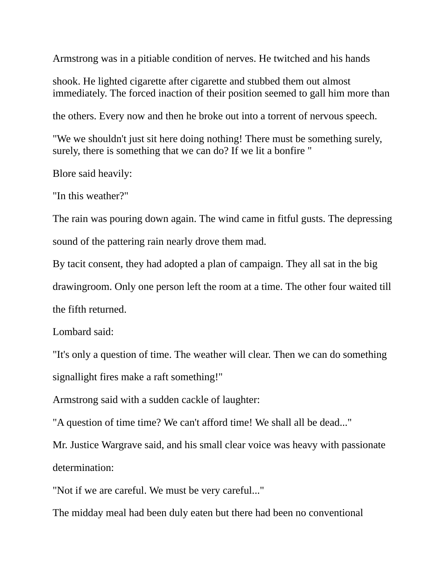Armstrong was in a pitiable condition of nerves. He twitched and his hands

shook. He lighted cigarette after cigarette and stubbed them out almost immediately. The forced inaction of their position seemed to gall him more than

the others. Every now and then he broke out into a torrent of nervous speech.

"We we shouldn't just sit here doing nothing! There must be something surely, surely, there is something that we can do? If we lit a bonfire "

Blore said heavily:

"In this weather?"

The rain was pouring down again. The wind came in fitful gusts. The depressing sound of the pattering rain nearly drove them mad.

By tacit consent, they had adopted a plan of campaign. They all sat in the big drawingroom. Only one person left the room at a time. The other four waited till the fifth returned.

Lombard said:

"It's only a question of time. The weather will clear. Then we can do something signallight fires make a raft something!"

Armstrong said with a sudden cackle of laughter:

"A question of time time? We can't afford time! We shall all be dead..."

Mr. Justice Wargrave said, and his small clear voice was heavy with passionate determination:

"Not if we are careful. We must be very careful..."

The midday meal had been duly eaten but there had been no conventional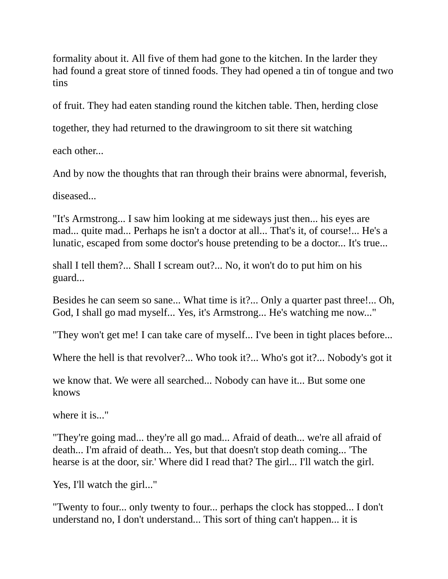formality about it. All five of them had gone to the kitchen. In the larder they had found a great store of tinned foods. They had opened a tin of tongue and two tins

of fruit. They had eaten standing round the kitchen table. Then, herding close

together, they had returned to the drawingroom to sit there sit watching

each other...

And by now the thoughts that ran through their brains were abnormal, feverish,

diseased...

"It's Armstrong... I saw him looking at me sideways just then... his eyes are mad... quite mad... Perhaps he isn't a doctor at all... That's it, of course!... He's a lunatic, escaped from some doctor's house pretending to be a doctor... It's true...

shall I tell them?... Shall I scream out?... No, it won't do to put him on his guard...

Besides he can seem so sane... What time is it?... Only a quarter past three!... Oh, God, I shall go mad myself... Yes, it's Armstrong... He's watching me now..."

"They won't get me! I can take care of myself... I've been in tight places before...

Where the hell is that revolver?... Who took it?... Who's got it?... Nobody's got it

we know that. We were all searched... Nobody can have it... But some one knows

where it is..."

"They're going mad... they're all go mad... Afraid of death... we're all afraid of death... I'm afraid of death... Yes, but that doesn't stop death coming... 'The hearse is at the door, sir.' Where did I read that? The girl... I'll watch the girl.

Yes, I'll watch the girl..."

"Twenty to four... only twenty to four... perhaps the clock has stopped... I don't understand no, I don't understand... This sort of thing can't happen... it is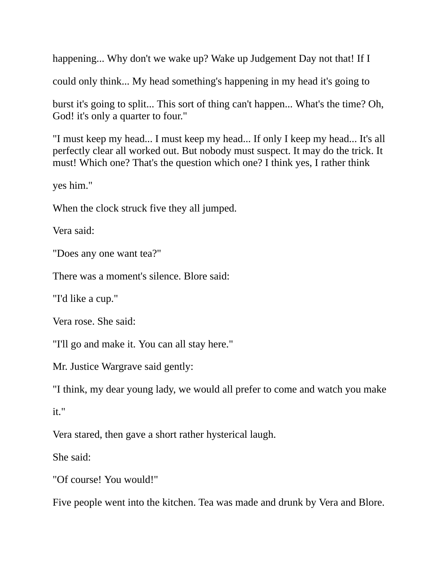happening... Why don't we wake up? Wake up Judgement Day not that! If I

could only think... My head something's happening in my head it's going to

burst it's going to split... This sort of thing can't happen... What's the time? Oh, God! it's only a quarter to four."

"I must keep my head... I must keep my head... If only I keep my head... It's all perfectly clear all worked out. But nobody must suspect. It may do the trick. It must! Which one? That's the question which one? I think yes, I rather think

yes him."

When the clock struck five they all jumped.

Vera said:

"Does any one want tea?"

There was a moment's silence. Blore said:

"I'd like a cup."

Vera rose. She said:

"I'll go and make it. You can all stay here."

Mr. Justice Wargrave said gently:

"I think, my dear young lady, we would all prefer to come and watch you make

it."

Vera stared, then gave a short rather hysterical laugh.

She said:

"Of course! You would!"

Five people went into the kitchen. Tea was made and drunk by Vera and Blore.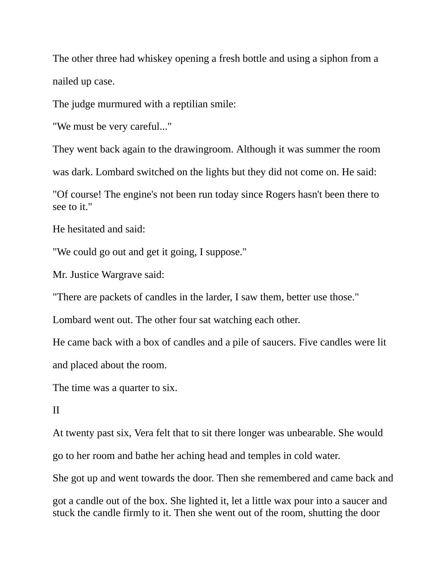The other three had whiskey opening a fresh bottle and using a siphon from a nailed up case.

The judge murmured with a reptilian smile:

"We must be very careful..."

They went back again to the drawingroom. Although it was summer the room

was dark. Lombard switched on the lights but they did not come on. He said:

"Of course! The engine's not been run today since Rogers hasn't been there to see to it."

He hesitated and said:

"We could go out and get it going, I suppose."

Mr. Justice Wargrave said:

"There are packets of candles in the larder, I saw them, better use those."

Lombard went out. The other four sat watching each other.

He came back with a box of candles and a pile of saucers. Five candles were lit and placed about the room.

The time was a quarter to six.

II

At twenty past six, Vera felt that to sit there longer was unbearable. She would

go to her room and bathe her aching head and temples in cold water.

She got up and went towards the door. Then she remembered and came back and

got a candle out of the box. She lighted it, let a little wax pour into a saucer and stuck the candle firmly to it. Then she went out of the room, shutting the door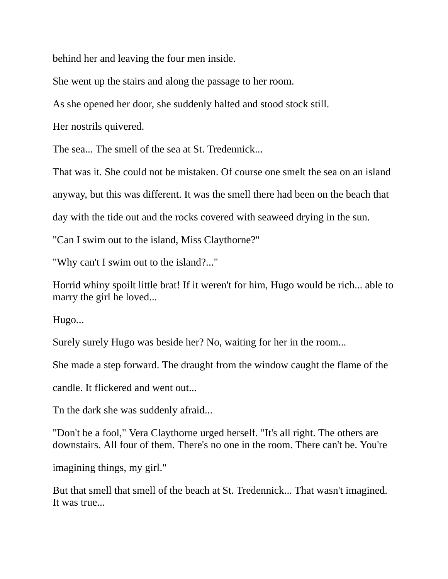behind her and leaving the four men inside.

She went up the stairs and along the passage to her room.

As she opened her door, she suddenly halted and stood stock still.

Her nostrils quivered.

The sea... The smell of the sea at St. Tredennick...

That was it. She could not be mistaken. Of course one smelt the sea on an island

anyway, but this was different. It was the smell there had been on the beach that

day with the tide out and the rocks covered with seaweed drying in the sun.

"Can I swim out to the island, Miss Claythorne?"

"Why can't I swim out to the island?..."

Horrid whiny spoilt little brat! If it weren't for him, Hugo would be rich... able to marry the girl he loved...

Hugo...

Surely surely Hugo was beside her? No, waiting for her in the room...

She made a step forward. The draught from the window caught the flame of the

candle. It flickered and went out...

Tn the dark she was suddenly afraid...

"Don't be a fool," Vera Claythorne urged herself. "It's all right. The others are downstairs. All four of them. There's no one in the room. There can't be. You're

imagining things, my girl."

But that smell that smell of the beach at St. Tredennick... That wasn't imagined. It was true...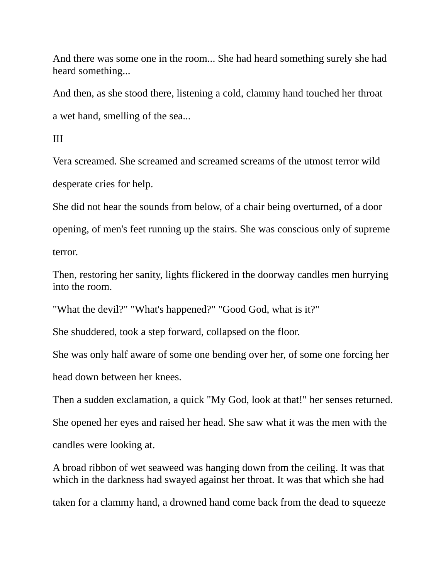And there was some one in the room... She had heard something surely she had heard something...

And then, as she stood there, listening a cold, clammy hand touched her throat a wet hand, smelling of the sea...

III

Vera screamed. She screamed and screamed screams of the utmost terror wild

desperate cries for help.

She did not hear the sounds from below, of a chair being overturned, of a door

opening, of men's feet running up the stairs. She was conscious only of supreme

terror.

Then, restoring her sanity, lights flickered in the doorway candles men hurrying into the room.

"What the devil?" "What's happened?" "Good God, what is it?"

She shuddered, took a step forward, collapsed on the floor.

She was only half aware of some one bending over her, of some one forcing her

head down between her knees.

Then a sudden exclamation, a quick "My God, look at that!" her senses returned.

She opened her eyes and raised her head. She saw what it was the men with the

candles were looking at.

A broad ribbon of wet seaweed was hanging down from the ceiling. It was that which in the darkness had swayed against her throat. It was that which she had

taken for a clammy hand, a drowned hand come back from the dead to squeeze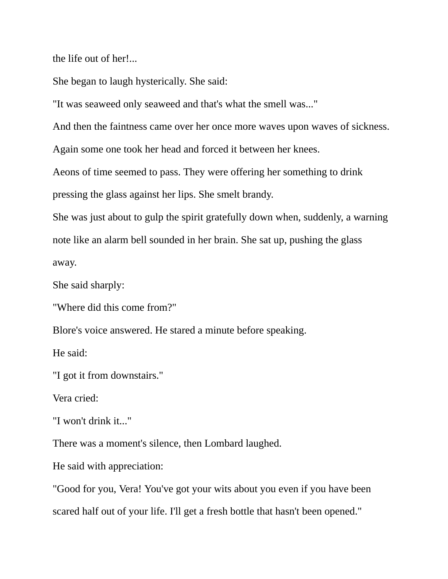the life out of her!...

She began to laugh hysterically. She said:

"It was seaweed only seaweed and that's what the smell was..."

And then the faintness came over her once more waves upon waves of sickness.

Again some one took her head and forced it between her knees.

Aeons of time seemed to pass. They were offering her something to drink

pressing the glass against her lips. She smelt brandy.

She was just about to gulp the spirit gratefully down when, suddenly, a warning note like an alarm bell sounded in her brain. She sat up, pushing the glass away.

She said sharply:

"Where did this come from?"

Blore's voice answered. He stared a minute before speaking.

He said:

"I got it from downstairs."

Vera cried:

```
"I won't drink it..."
```
There was a moment's silence, then Lombard laughed.

He said with appreciation:

"Good for you, Vera! You've got your wits about you even if you have been scared half out of your life. I'll get a fresh bottle that hasn't been opened."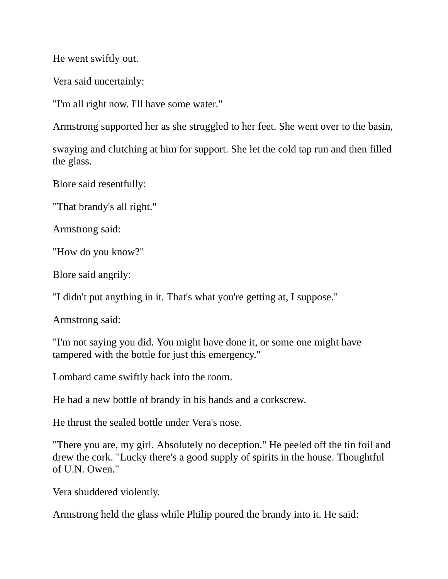He went swiftly out.

Vera said uncertainly:

"I'm all right now. I'll have some water."

Armstrong supported her as she struggled to her feet. She went over to the basin,

swaying and clutching at him for support. She let the cold tap run and then filled the glass.

Blore said resentfully:

"That brandy's all right."

Armstrong said:

"How do you know?"

Blore said angrily:

"I didn't put anything in it. That's what you're getting at, I suppose."

Armstrong said:

"I'm not saying you did. You might have done it, or some one might have tampered with the bottle for just this emergency."

Lombard came swiftly back into the room.

He had a new bottle of brandy in his hands and a corkscrew.

He thrust the sealed bottle under Vera's nose.

"There you are, my girl. Absolutely no deception." He peeled off the tin foil and drew the cork. "Lucky there's a good supply of spirits in the house. Thoughtful of U.N. Owen."

Vera shuddered violently.

Armstrong held the glass while Philip poured the brandy into it. He said: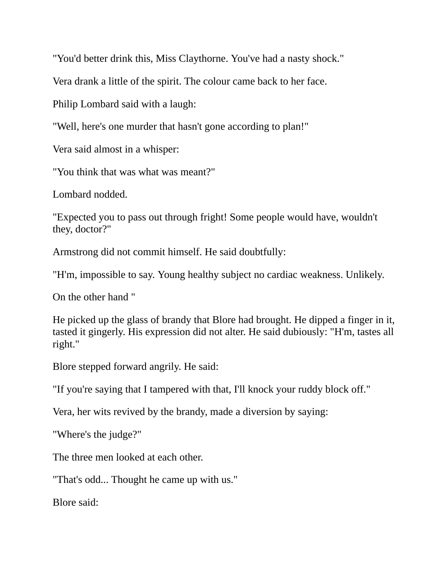"You'd better drink this, Miss Claythorne. You've had a nasty shock."

Vera drank a little of the spirit. The colour came back to her face.

Philip Lombard said with a laugh:

"Well, here's one murder that hasn't gone according to plan!"

Vera said almost in a whisper:

"You think that was what was meant?"

Lombard nodded.

"Expected you to pass out through fright! Some people would have, wouldn't they, doctor?"

Armstrong did not commit himself. He said doubtfully:

"H'm, impossible to say. Young healthy subject no cardiac weakness. Unlikely.

On the other hand "

He picked up the glass of brandy that Blore had brought. He dipped a finger in it, tasted it gingerly. His expression did not alter. He said dubiously: "H'm, tastes all right."

Blore stepped forward angrily. He said:

"If you're saying that I tampered with that, I'll knock your ruddy block off."

Vera, her wits revived by the brandy, made a diversion by saying:

"Where's the judge?"

The three men looked at each other.

"That's odd... Thought he came up with us."

Blore said: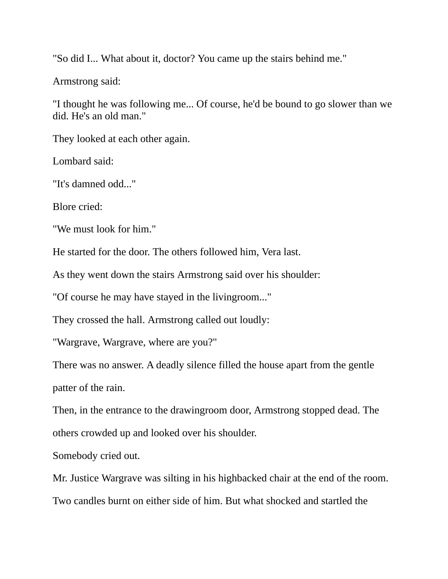"So did I... What about it, doctor? You came up the stairs behind me."

Armstrong said:

"I thought he was following me... Of course, he'd be bound to go slower than we did. He's an old man."

They looked at each other again.

Lombard said:

"It's damned odd..."

Blore cried:

"We must look for him."

He started for the door. The others followed him, Vera last.

As they went down the stairs Armstrong said over his shoulder:

"Of course he may have stayed in the livingroom..."

They crossed the hall. Armstrong called out loudly:

"Wargrave, Wargrave, where are you?"

There was no answer. A deadly silence filled the house apart from the gentle patter of the rain.

Then, in the entrance to the drawingroom door, Armstrong stopped dead. The others crowded up and looked over his shoulder.

Somebody cried out.

Mr. Justice Wargrave was silting in his highbacked chair at the end of the room. Two candles burnt on either side of him. But what shocked and startled the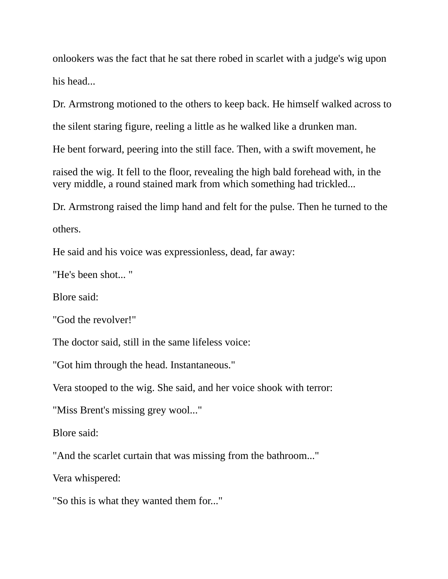onlookers was the fact that he sat there robed in scarlet with a judge's wig upon his head...

Dr. Armstrong motioned to the others to keep back. He himself walked across to the silent staring figure, reeling a little as he walked like a drunken man.

He bent forward, peering into the still face. Then, with a swift movement, he

raised the wig. It fell to the floor, revealing the high bald forehead with, in the very middle, a round stained mark from which something had trickled...

Dr. Armstrong raised the limp hand and felt for the pulse. Then he turned to the others.

He said and his voice was expressionless, dead, far away:

"He's been shot... "

Blore said:

"God the revolver!"

The doctor said, still in the same lifeless voice:

"Got him through the head. Instantaneous."

Vera stooped to the wig. She said, and her voice shook with terror:

"Miss Brent's missing grey wool..."

Blore said:

"And the scarlet curtain that was missing from the bathroom..."

Vera whispered:

"So this is what they wanted them for..."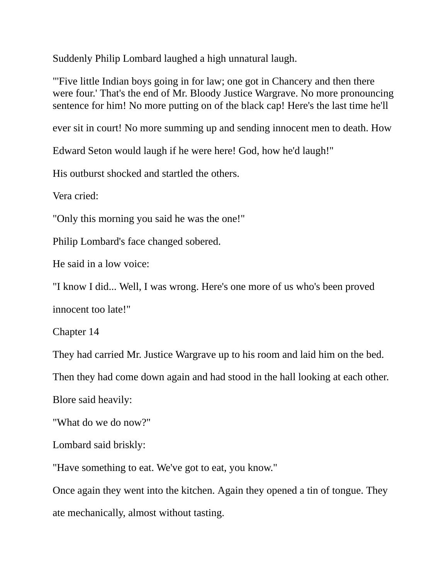Suddenly Philip Lombard laughed a high unnatural laugh.

"'Five little Indian boys going in for law; one got in Chancery and then there were four.' That's the end of Mr. Bloody Justice Wargrave. No more pronouncing sentence for him! No more putting on of the black cap! Here's the last time he'll

ever sit in court! No more summing up and sending innocent men to death. How

Edward Seton would laugh if he were here! God, how he'd laugh!"

His outburst shocked and startled the others.

Vera cried:

"Only this morning you said he was the one!"

Philip Lombard's face changed sobered.

He said in a low voice:

"I know I did... Well, I was wrong. Here's one more of us who's been proved

innocent too late!"

Chapter 14

They had carried Mr. Justice Wargrave up to his room and laid him on the bed.

Then they had come down again and had stood in the hall looking at each other.

Blore said heavily:

"What do we do now?"

Lombard said briskly:

"Have something to eat. We've got to eat, you know."

Once again they went into the kitchen. Again they opened a tin of tongue. They ate mechanically, almost without tasting.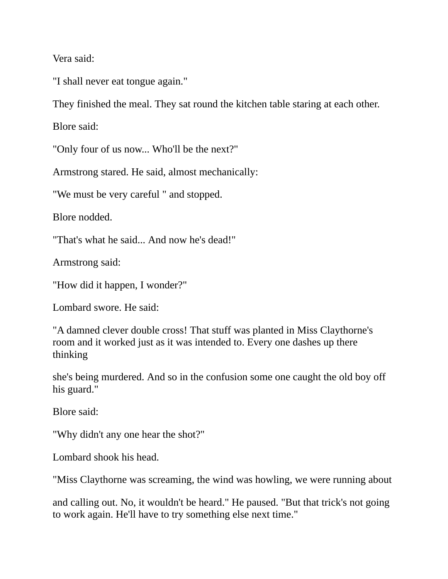Vera said:

"I shall never eat tongue again."

They finished the meal. They sat round the kitchen table staring at each other.

Blore said:

"Only four of us now... Who'll be the next?"

Armstrong stared. He said, almost mechanically:

"We must be very careful " and stopped.

Blore nodded.

"That's what he said... And now he's dead!"

Armstrong said:

"How did it happen, I wonder?"

Lombard swore. He said:

"A damned clever double cross! That stuff was planted in Miss Claythorne's room and it worked just as it was intended to. Every one dashes up there thinking

she's being murdered. And so in the confusion some one caught the old boy off his guard."

Blore said:

"Why didn't any one hear the shot?"

Lombard shook his head.

"Miss Claythorne was screaming, the wind was howling, we were running about

and calling out. No, it wouldn't be heard." He paused. "But that trick's not going to work again. He'll have to try something else next time."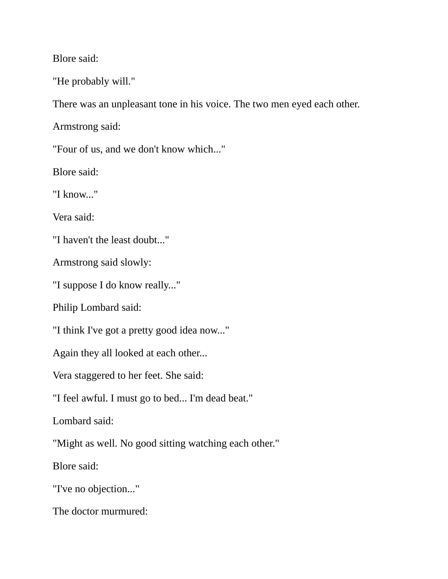Blore said:

"He probably will."

There was an unpleasant tone in his voice. The two men eyed each other.

Armstrong said:

"Four of us, and we don't know which..."

Blore said:

"I know..."

Vera said:

"I haven't the least doubt..."

Armstrong said slowly:

"I suppose I do know really..."

Philip Lombard said:

"I think I've got a pretty good idea now..."

Again they all looked at each other...

Vera staggered to her feet. She said:

"I feel awful. I must go to bed... I'm dead beat."

Lombard said:

"Might as well. No good sitting watching each other."

Blore said:

"I've no objection..."

The doctor murmured: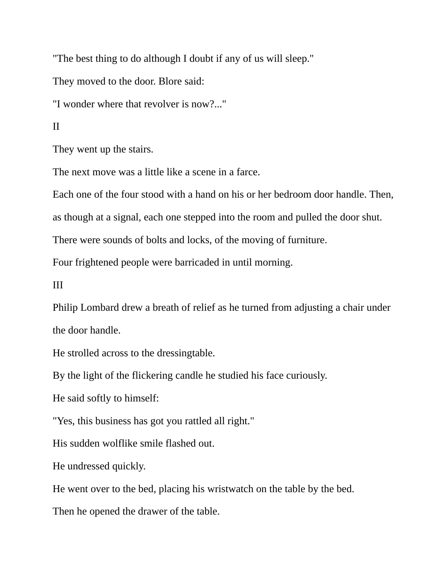"The best thing to do although I doubt if any of us will sleep."

They moved to the door. Blore said:

"I wonder where that revolver is now?..."

## II

They went up the stairs.

The next move was a little like a scene in a farce.

Each one of the four stood with a hand on his or her bedroom door handle. Then,

as though at a signal, each one stepped into the room and pulled the door shut.

There were sounds of bolts and locks, of the moving of furniture.

Four frightened people were barricaded in until morning.

III

Philip Lombard drew a breath of relief as he turned from adjusting a chair under the door handle.

He strolled across to the dressingtable.

By the light of the flickering candle he studied his face curiously.

He said softly to himself:

"Yes, this business has got you rattled all right."

His sudden wolflike smile flashed out.

He undressed quickly.

He went over to the bed, placing his wristwatch on the table by the bed.

Then he opened the drawer of the table.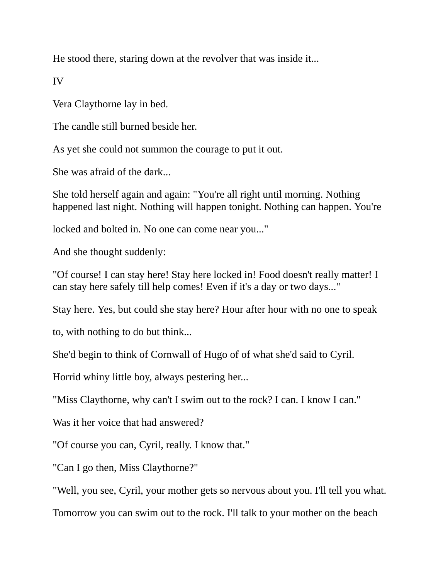He stood there, staring down at the revolver that was inside it...

IV

Vera Claythorne lay in bed.

The candle still burned beside her.

As yet she could not summon the courage to put it out.

She was afraid of the dark...

She told herself again and again: "You're all right until morning. Nothing happened last night. Nothing will happen tonight. Nothing can happen. You're

locked and bolted in. No one can come near you..."

And she thought suddenly:

"Of course! I can stay here! Stay here locked in! Food doesn't really matter! I can stay here safely till help comes! Even if it's a day or two days..."

Stay here. Yes, but could she stay here? Hour after hour with no one to speak

to, with nothing to do but think...

She'd begin to think of Cornwall of Hugo of of what she'd said to Cyril.

Horrid whiny little boy, always pestering her...

"Miss Claythorne, why can't I swim out to the rock? I can. I know I can."

Was it her voice that had answered?

"Of course you can, Cyril, really. I know that."

"Can I go then, Miss Claythorne?"

"Well, you see, Cyril, your mother gets so nervous about you. I'll tell you what.

Tomorrow you can swim out to the rock. I'll talk to your mother on the beach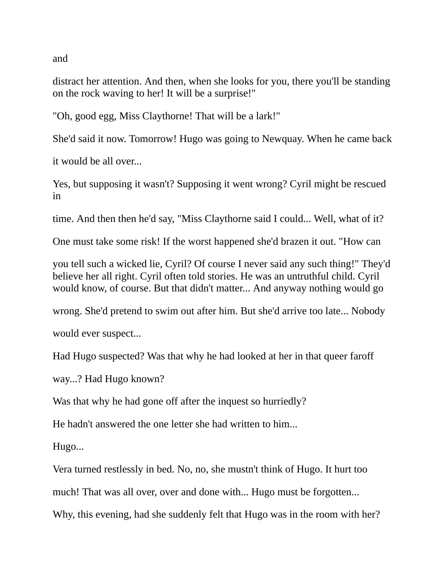and

distract her attention. And then, when she looks for you, there you'll be standing on the rock waving to her! It will be a surprise!"

"Oh, good egg, Miss Claythorne! That will be a lark!"

She'd said it now. Tomorrow! Hugo was going to Newquay. When he came back

it would be all over...

Yes, but supposing it wasn't? Supposing it went wrong? Cyril might be rescued in

time. And then then he'd say, "Miss Claythorne said I could... Well, what of it?

One must take some risk! If the worst happened she'd brazen it out. "How can

you tell such a wicked lie, Cyril? Of course I never said any such thing!" They'd believe her all right. Cyril often told stories. He was an untruthful child. Cyril would know, of course. But that didn't matter... And anyway nothing would go

wrong. She'd pretend to swim out after him. But she'd arrive too late... Nobody

would ever suspect...

Had Hugo suspected? Was that why he had looked at her in that queer faroff

way...? Had Hugo known?

Was that why he had gone off after the inquest so hurriedly?

He hadn't answered the one letter she had written to him...

Hugo...

Vera turned restlessly in bed. No, no, she mustn't think of Hugo. It hurt too

much! That was all over, over and done with... Hugo must be forgotten...

Why, this evening, had she suddenly felt that Hugo was in the room with her?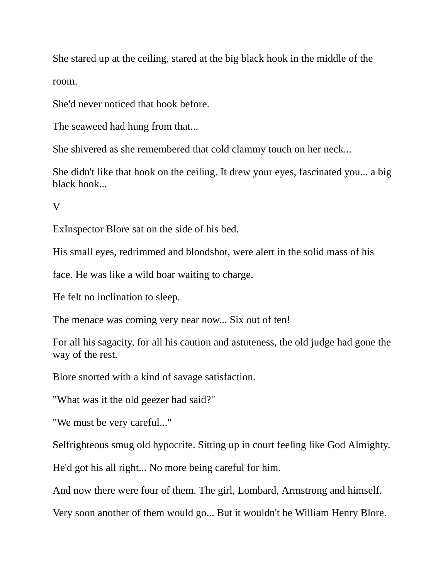She stared up at the ceiling, stared at the big black hook in the middle of the room.

She'd never noticed that hook before.

The seaweed had hung from that...

She shivered as she remembered that cold clammy touch on her neck...

She didn't like that hook on the ceiling. It drew your eyes, fascinated you... a big black hook...

V

ExInspector Blore sat on the side of his bed.

His small eyes, redrimmed and bloodshot, were alert in the solid mass of his

face. He was like a wild boar waiting to charge.

He felt no inclination to sleep.

The menace was coming very near now... Six out of ten!

For all his sagacity, for all his caution and astuteness, the old judge had gone the way of the rest.

Blore snorted with a kind of savage satisfaction.

"What was it the old geezer had said?"

"We must be very careful..."

Selfrighteous smug old hypocrite. Sitting up in court feeling like God Almighty.

He'd got his all right... No more being careful for him.

And now there were four of them. The girl, Lombard, Armstrong and himself.

Very soon another of them would go... But it wouldn't be William Henry Blore.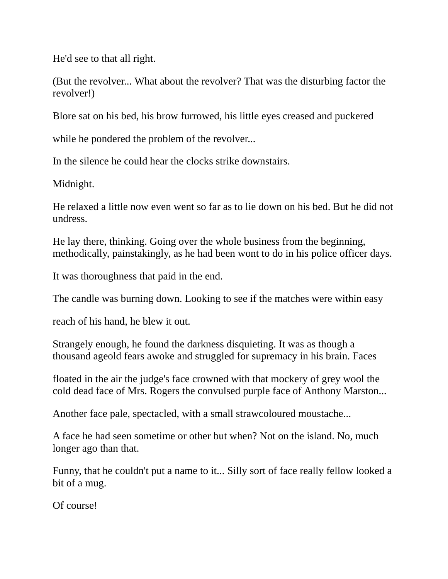He'd see to that all right.

(But the revolver... What about the revolver? That was the disturbing factor the revolver!)

Blore sat on his bed, his brow furrowed, his little eyes creased and puckered

while he pondered the problem of the revolver...

In the silence he could hear the clocks strike downstairs.

Midnight.

He relaxed a little now even went so far as to lie down on his bed. But he did not undress.

He lay there, thinking. Going over the whole business from the beginning, methodically, painstakingly, as he had been wont to do in his police officer days.

It was thoroughness that paid in the end.

The candle was burning down. Looking to see if the matches were within easy

reach of his hand, he blew it out.

Strangely enough, he found the darkness disquieting. It was as though a thousand ageold fears awoke and struggled for supremacy in his brain. Faces

floated in the air the judge's face crowned with that mockery of grey wool the cold dead face of Mrs. Rogers the convulsed purple face of Anthony Marston...

Another face pale, spectacled, with a small strawcoloured moustache...

A face he had seen sometime or other but when? Not on the island. No, much longer ago than that.

Funny, that he couldn't put a name to it... Silly sort of face really fellow looked a bit of a mug.

Of course!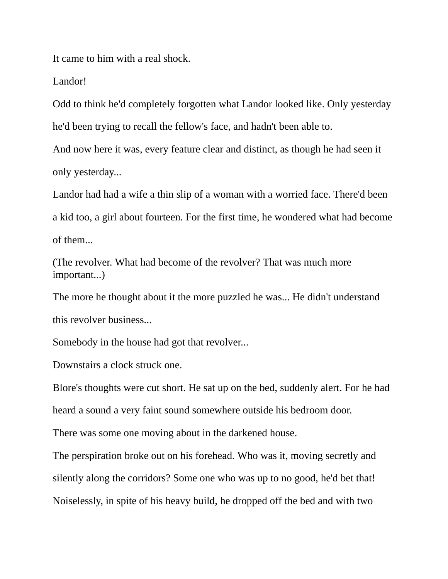It came to him with a real shock.

Landor!

Odd to think he'd completely forgotten what Landor looked like. Only yesterday he'd been trying to recall the fellow's face, and hadn't been able to.

And now here it was, every feature clear and distinct, as though he had seen it only yesterday...

Landor had had a wife a thin slip of a woman with a worried face. There'd been a kid too, a girl about fourteen. For the first time, he wondered what had become of them...

(The revolver. What had become of the revolver? That was much more important...)

The more he thought about it the more puzzled he was... He didn't understand this revolver business...

Somebody in the house had got that revolver...

Downstairs a clock struck one.

Blore's thoughts were cut short. He sat up on the bed, suddenly alert. For he had heard a sound a very faint sound somewhere outside his bedroom door.

There was some one moving about in the darkened house.

The perspiration broke out on his forehead. Who was it, moving secretly and silently along the corridors? Some one who was up to no good, he'd bet that! Noiselessly, in spite of his heavy build, he dropped off the bed and with two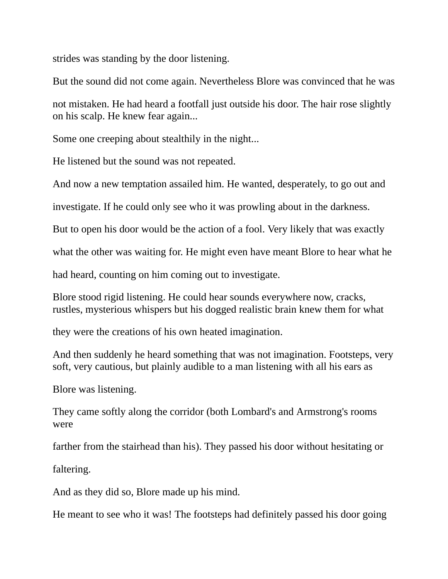strides was standing by the door listening.

But the sound did not come again. Nevertheless Blore was convinced that he was

not mistaken. He had heard a footfall just outside his door. The hair rose slightly on his scalp. He knew fear again...

Some one creeping about stealthily in the night...

He listened but the sound was not repeated.

And now a new temptation assailed him. He wanted, desperately, to go out and

investigate. If he could only see who it was prowling about in the darkness.

But to open his door would be the action of a fool. Very likely that was exactly

what the other was waiting for. He might even have meant Blore to hear what he

had heard, counting on him coming out to investigate.

Blore stood rigid listening. He could hear sounds everywhere now, cracks, rustles, mysterious whispers but his dogged realistic brain knew them for what

they were the creations of his own heated imagination.

And then suddenly he heard something that was not imagination. Footsteps, very soft, very cautious, but plainly audible to a man listening with all his ears as

Blore was listening.

They came softly along the corridor (both Lombard's and Armstrong's rooms were

farther from the stairhead than his). They passed his door without hesitating or

faltering.

And as they did so, Blore made up his mind.

He meant to see who it was! The footsteps had definitely passed his door going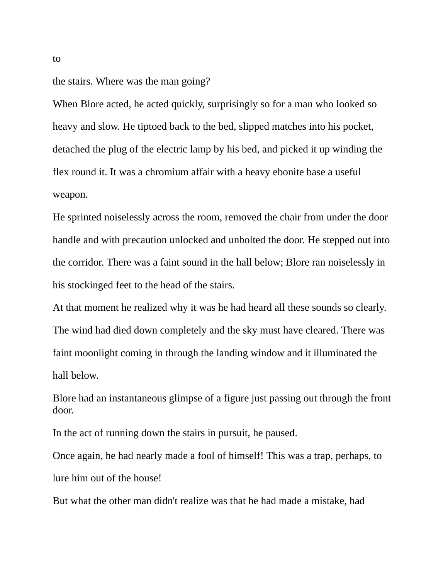the stairs. Where was the man going?

When Blore acted, he acted quickly, surprisingly so for a man who looked so heavy and slow. He tiptoed back to the bed, slipped matches into his pocket, detached the plug of the electric lamp by his bed, and picked it up winding the flex round it. It was a chromium affair with a heavy ebonite base a useful weapon.

He sprinted noiselessly across the room, removed the chair from under the door handle and with precaution unlocked and unbolted the door. He stepped out into the corridor. There was a faint sound in the hall below; Blore ran noiselessly in his stockinged feet to the head of the stairs.

At that moment he realized why it was he had heard all these sounds so clearly. The wind had died down completely and the sky must have cleared. There was faint moonlight coming in through the landing window and it illuminated the hall below.

Blore had an instantaneous glimpse of a figure just passing out through the front door.

In the act of running down the stairs in pursuit, he paused.

Once again, he had nearly made a fool of himself! This was a trap, perhaps, to lure him out of the house!

But what the other man didn't realize was that he had made a mistake, had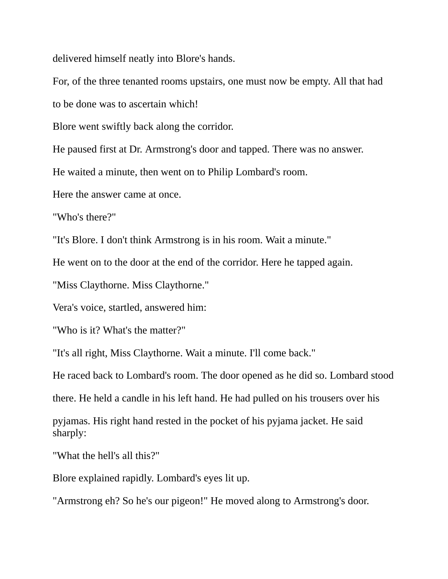delivered himself neatly into Blore's hands.

For, of the three tenanted rooms upstairs, one must now be empty. All that had

to be done was to ascertain which!

Blore went swiftly back along the corridor.

He paused first at Dr. Armstrong's door and tapped. There was no answer.

He waited a minute, then went on to Philip Lombard's room.

Here the answer came at once.

"Who's there?"

"It's Blore. I don't think Armstrong is in his room. Wait a minute."

He went on to the door at the end of the corridor. Here he tapped again.

"Miss Claythorne. Miss Claythorne."

Vera's voice, startled, answered him:

"Who is it? What's the matter?"

"It's all right, Miss Claythorne. Wait a minute. I'll come back."

He raced back to Lombard's room. The door opened as he did so. Lombard stood

there. He held a candle in his left hand. He had pulled on his trousers over his

pyjamas. His right hand rested in the pocket of his pyjama jacket. He said sharply:

"What the hell's all this?"

Blore explained rapidly. Lombard's eyes lit up.

"Armstrong eh? So he's our pigeon!" He moved along to Armstrong's door.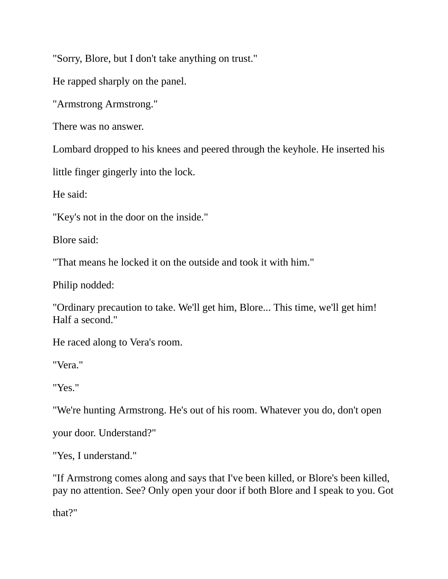"Sorry, Blore, but I don't take anything on trust."

He rapped sharply on the panel.

"Armstrong Armstrong."

There was no answer.

Lombard dropped to his knees and peered through the keyhole. He inserted his

little finger gingerly into the lock.

He said:

"Key's not in the door on the inside."

Blore said:

"That means he locked it on the outside and took it with him."

Philip nodded:

"Ordinary precaution to take. We'll get him, Blore... This time, we'll get him! Half a second."

He raced along to Vera's room.

"Vera."

"Yes."

"We're hunting Armstrong. He's out of his room. Whatever you do, don't open

your door. Understand?"

"Yes, I understand."

"If Armstrong comes along and says that I've been killed, or Blore's been killed, pay no attention. See? Only open your door if both Blore and I speak to you. Got

that?"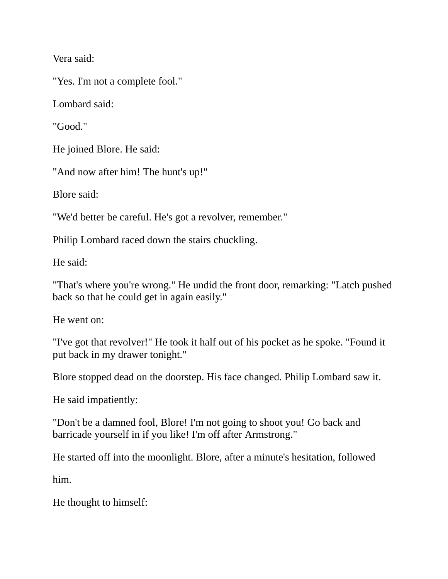Vera said:

"Yes. I'm not a complete fool."

Lombard said:

"Good."

He joined Blore. He said:

"And now after him! The hunt's up!"

Blore said:

"We'd better be careful. He's got a revolver, remember."

Philip Lombard raced down the stairs chuckling.

He said:

"That's where you're wrong." He undid the front door, remarking: "Latch pushed back so that he could get in again easily."

He went on:

"I've got that revolver!" He took it half out of his pocket as he spoke. "Found it put back in my drawer tonight."

Blore stopped dead on the doorstep. His face changed. Philip Lombard saw it.

He said impatiently:

"Don't be a damned fool, Blore! I'm not going to shoot you! Go back and barricade yourself in if you like! I'm off after Armstrong."

He started off into the moonlight. Blore, after a minute's hesitation, followed

him.

He thought to himself: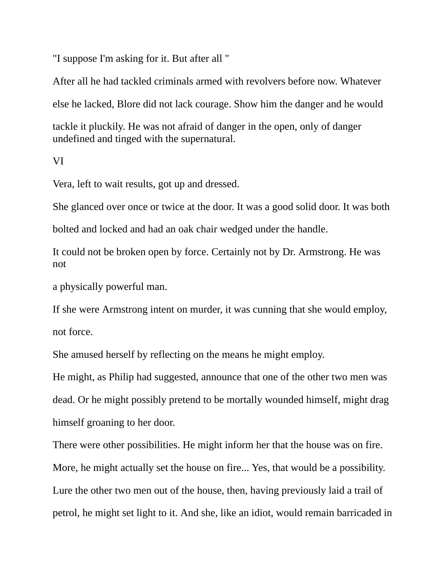"I suppose I'm asking for it. But after all "

After all he had tackled criminals armed with revolvers before now. Whatever

else he lacked, Blore did not lack courage. Show him the danger and he would

tackle it pluckily. He was not afraid of danger in the open, only of danger undefined and tinged with the supernatural.

VI

Vera, left to wait results, got up and dressed.

She glanced over once or twice at the door. It was a good solid door. It was both

bolted and locked and had an oak chair wedged under the handle.

It could not be broken open by force. Certainly not by Dr. Armstrong. He was not

a physically powerful man.

If she were Armstrong intent on murder, it was cunning that she would employ, not force.

She amused herself by reflecting on the means he might employ.

He might, as Philip had suggested, announce that one of the other two men was dead. Or he might possibly pretend to be mortally wounded himself, might drag himself groaning to her door.

There were other possibilities. He might inform her that the house was on fire. More, he might actually set the house on fire... Yes, that would be a possibility. Lure the other two men out of the house, then, having previously laid a trail of petrol, he might set light to it. And she, like an idiot, would remain barricaded in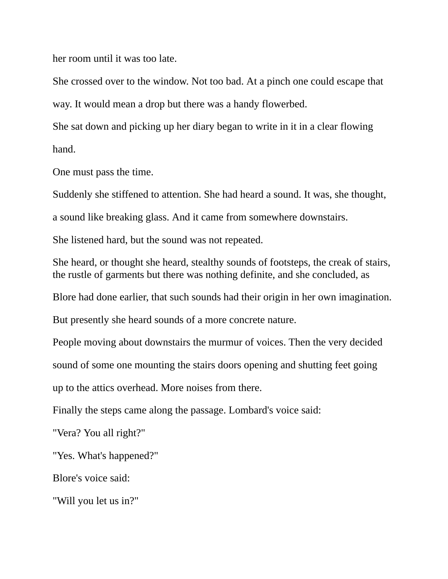her room until it was too late.

She crossed over to the window. Not too bad. At a pinch one could escape that way. It would mean a drop but there was a handy flowerbed.

She sat down and picking up her diary began to write in it in a clear flowing hand.

One must pass the time.

Suddenly she stiffened to attention. She had heard a sound. It was, she thought,

a sound like breaking glass. And it came from somewhere downstairs.

She listened hard, but the sound was not repeated.

She heard, or thought she heard, stealthy sounds of footsteps, the creak of stairs, the rustle of garments but there was nothing definite, and she concluded, as

Blore had done earlier, that such sounds had their origin in her own imagination.

But presently she heard sounds of a more concrete nature.

People moving about downstairs the murmur of voices. Then the very decided

sound of some one mounting the stairs doors opening and shutting feet going

up to the attics overhead. More noises from there.

Finally the steps came along the passage. Lombard's voice said:

"Vera? You all right?"

"Yes. What's happened?"

Blore's voice said:

"Will you let us in?"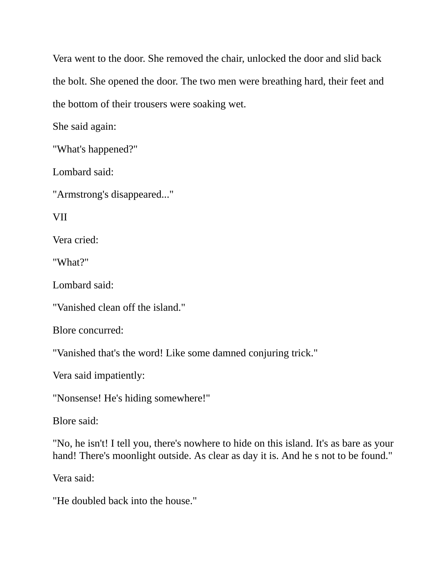Vera went to the door. She removed the chair, unlocked the door and slid back the bolt. She opened the door. The two men were breathing hard, their feet and the bottom of their trousers were soaking wet.

She said again:

"What's happened?"

Lombard said:

"Armstrong's disappeared..."

VII

Vera cried:

"What?"

Lombard said:

"Vanished clean off the island."

Blore concurred:

"Vanished that's the word! Like some damned conjuring trick."

Vera said impatiently:

"Nonsense! He's hiding somewhere!"

Blore said:

"No, he isn't! I tell you, there's nowhere to hide on this island. It's as bare as your hand! There's moonlight outside. As clear as day it is. And he s not to be found."

Vera said:

"He doubled back into the house."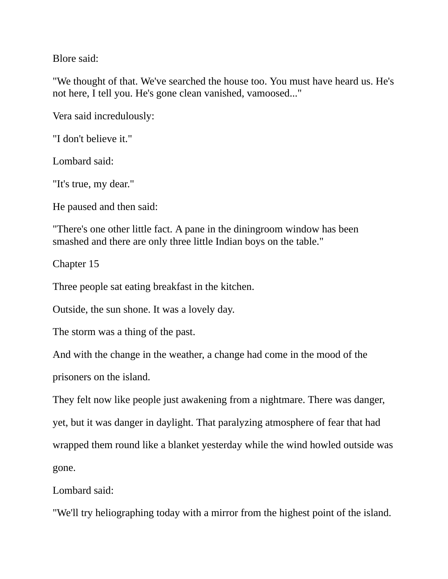Blore said:

"We thought of that. We've searched the house too. You must have heard us. He's not here, I tell you. He's gone clean vanished, vamoosed..."

Vera said incredulously:

"I don't believe it."

Lombard said:

"It's true, my dear."

He paused and then said:

"There's one other little fact. A pane in the diningroom window has been smashed and there are only three little Indian boys on the table."

Chapter 15

Three people sat eating breakfast in the kitchen.

Outside, the sun shone. It was a lovely day.

The storm was a thing of the past.

And with the change in the weather, a change had come in the mood of the

prisoners on the island.

They felt now like people just awakening from a nightmare. There was danger,

yet, but it was danger in daylight. That paralyzing atmosphere of fear that had wrapped them round like a blanket yesterday while the wind howled outside was

gone.

Lombard said:

"We'll try heliographing today with a mirror from the highest point of the island.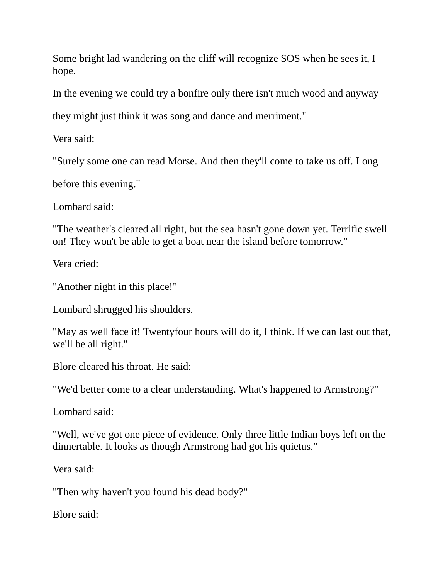Some bright lad wandering on the cliff will recognize SOS when he sees it, I hope.

In the evening we could try a bonfire only there isn't much wood and anyway

they might just think it was song and dance and merriment."

Vera said:

"Surely some one can read Morse. And then they'll come to take us off. Long

before this evening."

Lombard said:

"The weather's cleared all right, but the sea hasn't gone down yet. Terrific swell on! They won't be able to get a boat near the island before tomorrow."

Vera cried:

"Another night in this place!"

Lombard shrugged his shoulders.

"May as well face it! Twentyfour hours will do it, I think. If we can last out that, we'll be all right."

Blore cleared his throat. He said:

"We'd better come to a clear understanding. What's happened to Armstrong?"

Lombard said:

"Well, we've got one piece of evidence. Only three little Indian boys left on the dinnertable. It looks as though Armstrong had got his quietus."

Vera said:

"Then why haven't you found his dead body?"

Blore said: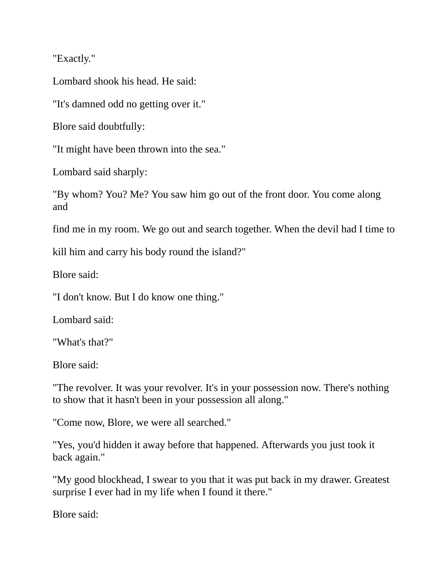"Exactly."

Lombard shook his head. He said:

"It's damned odd no getting over it."

Blore said doubtfully:

"It might have been thrown into the sea."

Lombard said sharply:

"By whom? You? Me? You saw him go out of the front door. You come along and

find me in my room. We go out and search together. When the devil had I time to

kill him and carry his body round the island?"

Blore said:

"I don't know. But I do know one thing."

Lombard said:

"What's that?"

Blore said:

"The revolver. It was your revolver. It's in your possession now. There's nothing to show that it hasn't been in your possession all along."

"Come now, Blore, we were all searched."

"Yes, you'd hidden it away before that happened. Afterwards you just took it back again."

"My good blockhead, I swear to you that it was put back in my drawer. Greatest surprise I ever had in my life when I found it there."

Blore said: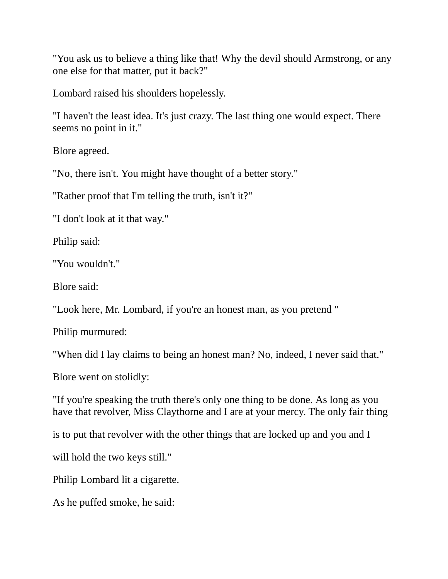"You ask us to believe a thing like that! Why the devil should Armstrong, or any one else for that matter, put it back?"

Lombard raised his shoulders hopelessly.

"I haven't the least idea. It's just crazy. The last thing one would expect. There seems no point in it."

Blore agreed.

"No, there isn't. You might have thought of a better story."

"Rather proof that I'm telling the truth, isn't it?"

"I don't look at it that way."

Philip said:

"You wouldn't."

Blore said:

"Look here, Mr. Lombard, if you're an honest man, as you pretend "

Philip murmured:

"When did I lay claims to being an honest man? No, indeed, I never said that."

Blore went on stolidly:

"If you're speaking the truth there's only one thing to be done. As long as you have that revolver, Miss Claythorne and I are at your mercy. The only fair thing

is to put that revolver with the other things that are locked up and you and I

will hold the two keys still."

Philip Lombard lit a cigarette.

As he puffed smoke, he said: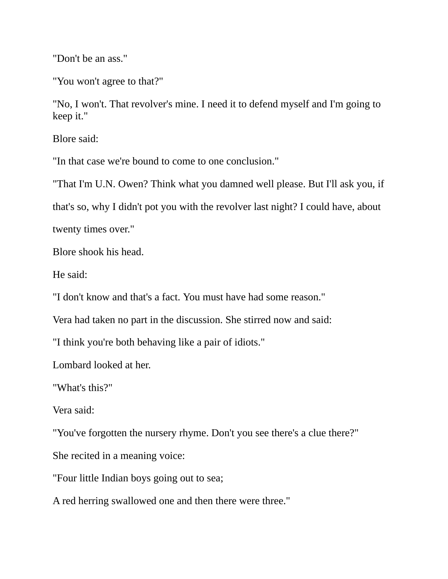"Don't be an ass."

"You won't agree to that?"

"No, I won't. That revolver's mine. I need it to defend myself and I'm going to keep it."

Blore said:

"In that case we're bound to come to one conclusion."

"That I'm U.N. Owen? Think what you damned well please. But I'll ask you, if

that's so, why I didn't pot you with the revolver last night? I could have, about

twenty times over."

Blore shook his head.

He said:

"I don't know and that's a fact. You must have had some reason."

Vera had taken no part in the discussion. She stirred now and said:

"I think you're both behaving like a pair of idiots."

Lombard looked at her.

"What's this?"

Vera said:

"You've forgotten the nursery rhyme. Don't you see there's a clue there?"

She recited in a meaning voice:

"Four little Indian boys going out to sea;

A red herring swallowed one and then there were three."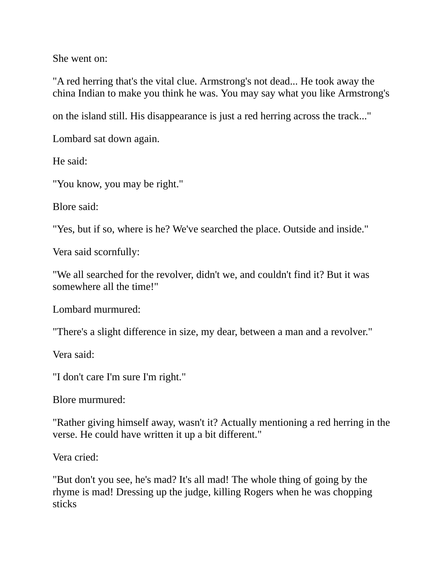She went on:

"A red herring that's the vital clue. Armstrong's not dead... He took away the china Indian to make you think he was. You may say what you like Armstrong's

on the island still. His disappearance is just a red herring across the track..."

Lombard sat down again.

He said:

"You know, you may be right."

Blore said:

"Yes, but if so, where is he? We've searched the place. Outside and inside."

Vera said scornfully:

"We all searched for the revolver, didn't we, and couldn't find it? But it was somewhere all the time!"

Lombard murmured:

"There's a slight difference in size, my dear, between a man and a revolver."

Vera said:

"I don't care I'm sure I'm right."

Blore murmured:

"Rather giving himself away, wasn't it? Actually mentioning a red herring in the verse. He could have written it up a bit different."

Vera cried:

"But don't you see, he's mad? It's all mad! The whole thing of going by the rhyme is mad! Dressing up the judge, killing Rogers when he was chopping sticks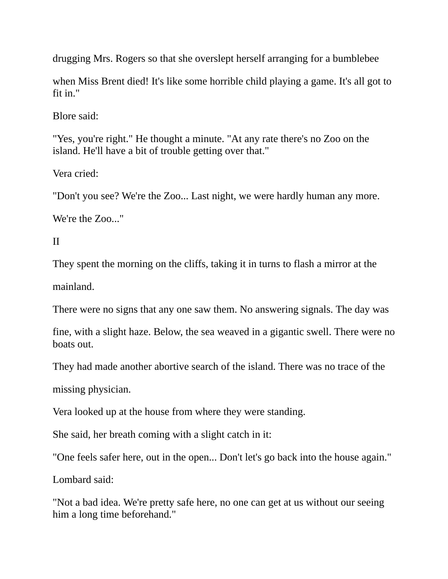drugging Mrs. Rogers so that she overslept herself arranging for a bumblebee

when Miss Brent died! It's like some horrible child playing a game. It's all got to fit in."

Blore said:

"Yes, you're right." He thought a minute. "At any rate there's no Zoo on the island. He'll have a bit of trouble getting over that."

Vera cried:

"Don't you see? We're the Zoo... Last night, we were hardly human any more.

We're the Zoo..."

II

They spent the morning on the cliffs, taking it in turns to flash a mirror at the mainland.

There were no signs that any one saw them. No answering signals. The day was

fine, with a slight haze. Below, the sea weaved in a gigantic swell. There were no boats out.

They had made another abortive search of the island. There was no trace of the

missing physician.

Vera looked up at the house from where they were standing.

She said, her breath coming with a slight catch in it:

"One feels safer here, out in the open... Don't let's go back into the house again."

Lombard said:

"Not a bad idea. We're pretty safe here, no one can get at us without our seeing him a long time beforehand."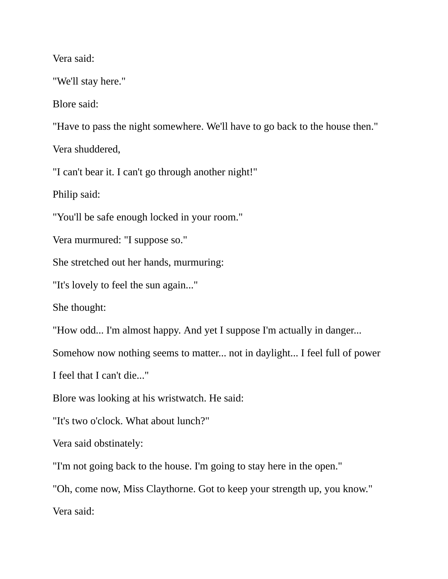Vera said:

"We'll stay here."

Blore said:

"Have to pass the night somewhere. We'll have to go back to the house then."

Vera shuddered,

"I can't bear it. I can't go through another night!"

Philip said:

"You'll be safe enough locked in your room."

Vera murmured: "I suppose so."

She stretched out her hands, murmuring:

"It's lovely to feel the sun again..."

She thought:

"How odd... I'm almost happy. And yet I suppose I'm actually in danger...

Somehow now nothing seems to matter... not in daylight... I feel full of power

I feel that I can't die..."

Blore was looking at his wristwatch. He said:

"It's two o'clock. What about lunch?"

Vera said obstinately:

"I'm not going back to the house. I'm going to stay here in the open."

"Oh, come now, Miss Claythorne. Got to keep your strength up, you know."

Vera said: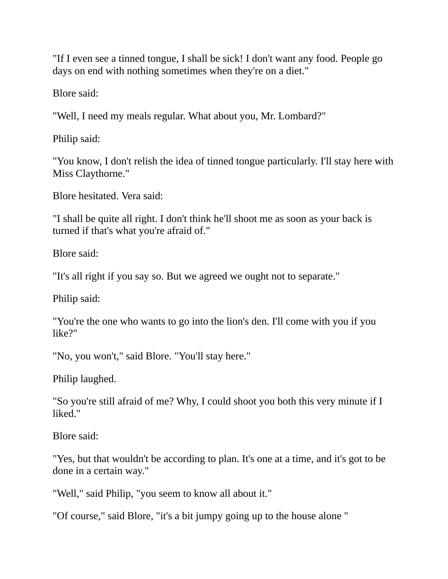"If I even see a tinned tongue, I shall be sick! I don't want any food. People go days on end with nothing sometimes when they're on a diet."

Blore said:

"Well, I need my meals regular. What about you, Mr. Lombard?"

Philip said:

"You know, I don't relish the idea of tinned tongue particularly. I'll stay here with Miss Claythorne."

Blore hesitated. Vera said:

"I shall be quite all right. I don't think he'll shoot me as soon as your back is turned if that's what you're afraid of."

Blore said:

"It's all right if you say so. But we agreed we ought not to separate."

Philip said:

"You're the one who wants to go into the lion's den. I'll come with you if you like?"

"No, you won't," said Blore. "You'll stay here."

Philip laughed.

"So you're still afraid of me? Why, I could shoot you both this very minute if I liked."

Blore said:

"Yes, but that wouldn't be according to plan. It's one at a time, and it's got to be done in a certain way."

"Well," said Philip, "you seem to know all about it."

"Of course," said Blore, "it's a bit jumpy going up to the house alone "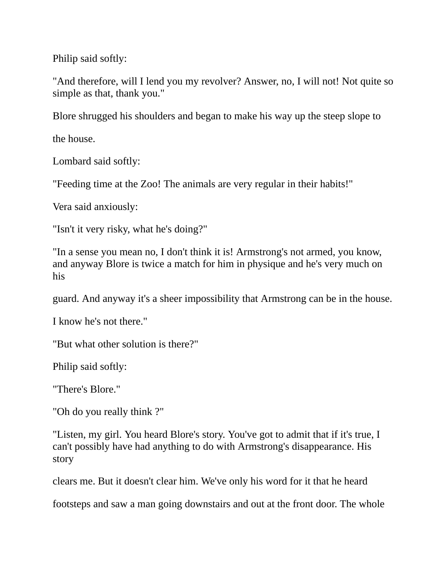Philip said softly:

"And therefore, will I lend you my revolver? Answer, no, I will not! Not quite so simple as that, thank you."

Blore shrugged his shoulders and began to make his way up the steep slope to

the house.

Lombard said softly:

"Feeding time at the Zoo! The animals are very regular in their habits!"

Vera said anxiously:

"Isn't it very risky, what he's doing?"

"In a sense you mean no, I don't think it is! Armstrong's not armed, you know, and anyway Blore is twice a match for him in physique and he's very much on his

guard. And anyway it's a sheer impossibility that Armstrong can be in the house.

I know he's not there."

"But what other solution is there?"

Philip said softly:

"There's Blore."

"Oh do you really think ?"

"Listen, my girl. You heard Blore's story. You've got to admit that if it's true, I can't possibly have had anything to do with Armstrong's disappearance. His story

clears me. But it doesn't clear him. We've only his word for it that he heard

footsteps and saw a man going downstairs and out at the front door. The whole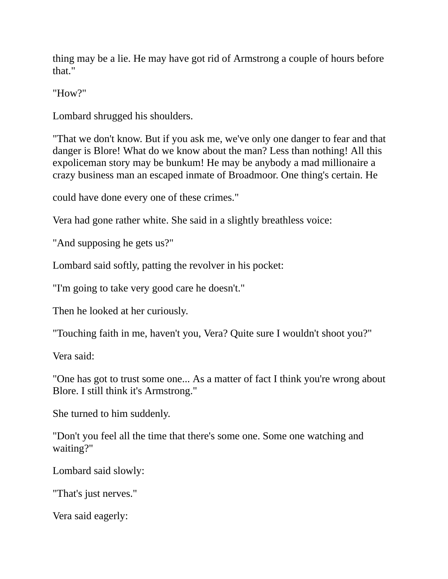thing may be a lie. He may have got rid of Armstrong a couple of hours before that."

"How?"

Lombard shrugged his shoulders.

"That we don't know. But if you ask me, we've only one danger to fear and that danger is Blore! What do we know about the man? Less than nothing! All this expoliceman story may be bunkum! He may be anybody a mad millionaire a crazy business man an escaped inmate of Broadmoor. One thing's certain. He

could have done every one of these crimes."

Vera had gone rather white. She said in a slightly breathless voice:

"And supposing he gets us?"

Lombard said softly, patting the revolver in his pocket:

"I'm going to take very good care he doesn't."

Then he looked at her curiously.

"Touching faith in me, haven't you, Vera? Quite sure I wouldn't shoot you?"

Vera said:

"One has got to trust some one... As a matter of fact I think you're wrong about Blore. I still think it's Armstrong."

She turned to him suddenly.

"Don't you feel all the time that there's some one. Some one watching and waiting?"

Lombard said slowly:

"That's just nerves."

Vera said eagerly: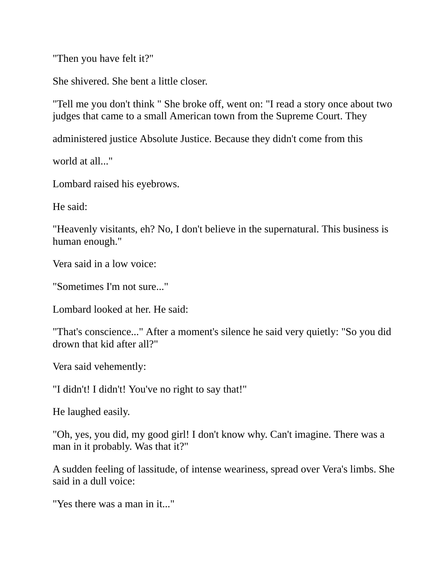"Then you have felt it?"

She shivered. She bent a little closer.

"Tell me you don't think " She broke off, went on: "I read a story once about two judges that came to a small American town from the Supreme Court. They

administered justice Absolute Justice. Because they didn't come from this

world at all..."

Lombard raised his eyebrows.

He said:

"Heavenly visitants, eh? No, I don't believe in the supernatural. This business is human enough."

Vera said in a low voice:

"Sometimes I'm not sure..."

Lombard looked at her. He said:

"That's conscience..." After a moment's silence he said very quietly: "So you did drown that kid after all?"

Vera said vehemently:

"I didn't! I didn't! You've no right to say that!"

He laughed easily.

"Oh, yes, you did, my good girl! I don't know why. Can't imagine. There was a man in it probably. Was that it?"

A sudden feeling of lassitude, of intense weariness, spread over Vera's limbs. She said in a dull voice:

```
"Yes there was a man in it..."
```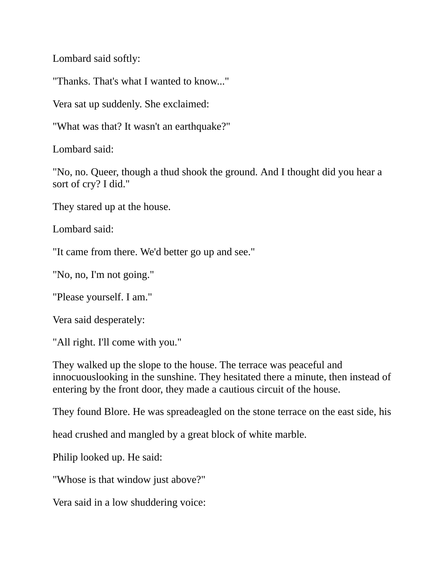Lombard said softly:

"Thanks. That's what I wanted to know..."

Vera sat up suddenly. She exclaimed:

"What was that? It wasn't an earthquake?"

Lombard said:

"No, no. Queer, though a thud shook the ground. And I thought did you hear a sort of cry? I did."

They stared up at the house.

Lombard said:

"It came from there. We'd better go up and see."

"No, no, I'm not going."

"Please yourself. I am."

Vera said desperately:

"All right. I'll come with you."

They walked up the slope to the house. The terrace was peaceful and innocuouslooking in the sunshine. They hesitated there a minute, then instead of entering by the front door, they made a cautious circuit of the house.

They found Blore. He was spreadeagled on the stone terrace on the east side, his

head crushed and mangled by a great block of white marble.

Philip looked up. He said:

"Whose is that window just above?"

Vera said in a low shuddering voice: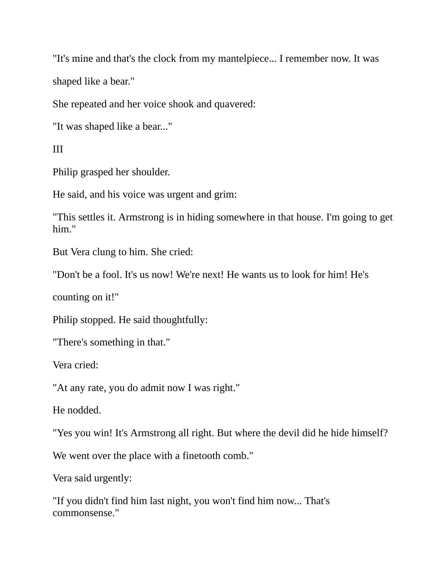"It's mine and that's the clock from my mantelpiece... I remember now. It was shaped like a bear."

She repeated and her voice shook and quavered:

"It was shaped like a bear..."

III

Philip grasped her shoulder.

He said, and his voice was urgent and grim:

"This settles it. Armstrong is in hiding somewhere in that house. I'm going to get him."

But Vera clung to him. She cried:

"Don't be a fool. It's us now! We're next! He wants us to look for him! He's

counting on it!"

Philip stopped. He said thoughtfully:

"There's something in that."

Vera cried:

"At any rate, you do admit now I was right."

He nodded.

"Yes you win! It's Armstrong all right. But where the devil did he hide himself?

We went over the place with a finetooth comb."

Vera said urgently:

"If you didn't find him last night, you won't find him now... That's commonsense."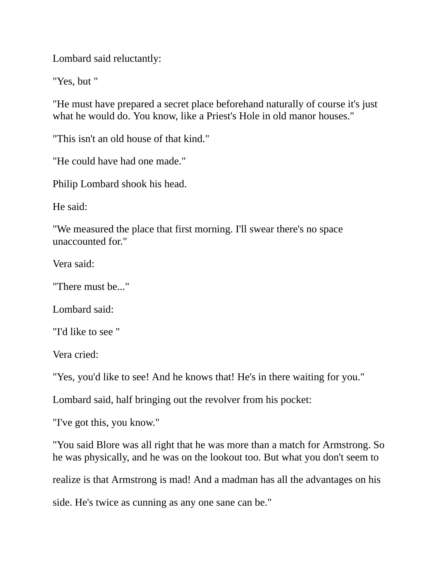Lombard said reluctantly:

"Yes, but "

"He must have prepared a secret place beforehand naturally of course it's just what he would do. You know, like a Priest's Hole in old manor houses."

"This isn't an old house of that kind."

"He could have had one made."

Philip Lombard shook his head.

He said:

"We measured the place that first morning. I'll swear there's no space unaccounted for."

Vera said:

"There must be..."

Lombard said:

"I'd like to see "

Vera cried:

"Yes, you'd like to see! And he knows that! He's in there waiting for you."

Lombard said, half bringing out the revolver from his pocket:

"I've got this, you know."

"You said Blore was all right that he was more than a match for Armstrong. So he was physically, and he was on the lookout too. But what you don't seem to

realize is that Armstrong is mad! And a madman has all the advantages on his

side. He's twice as cunning as any one sane can be."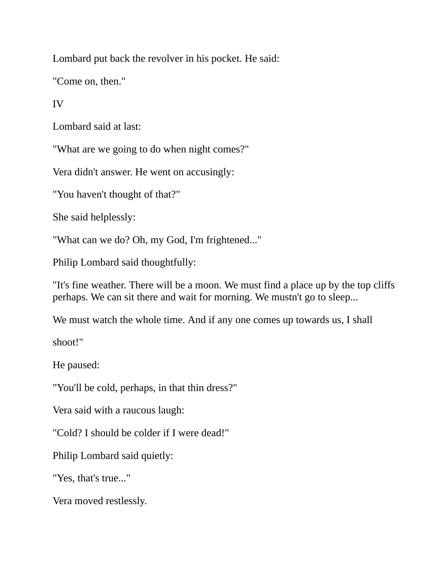Lombard put back the revolver in his pocket. He said:

"Come on, then."

IV

Lombard said at last:

"What are we going to do when night comes?"

Vera didn't answer. He went on accusingly:

"You haven't thought of that?"

She said helplessly:

"What can we do? Oh, my God, I'm frightened..."

Philip Lombard said thoughtfully:

"It's fine weather. There will be a moon. We must find a place up by the top cliffs perhaps. We can sit there and wait for morning. We mustn't go to sleep...

We must watch the whole time. And if any one comes up towards us, I shall

shoot!"

He paused:

"You'll be cold, perhaps, in that thin dress?"

Vera said with a raucous laugh:

"Cold? I should be colder if I were dead!"

Philip Lombard said quietly:

"Yes, that's true..."

Vera moved restlessly.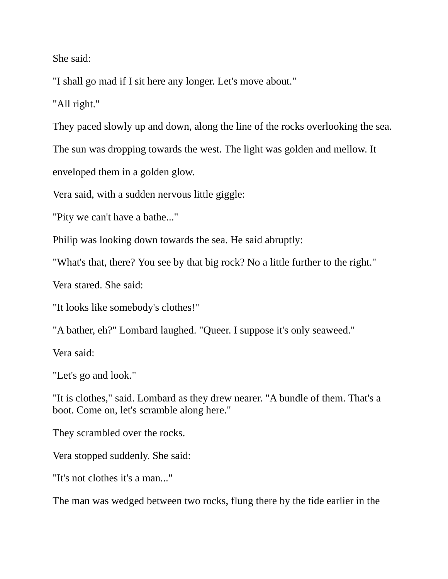She said:

"I shall go mad if I sit here any longer. Let's move about."

"All right."

They paced slowly up and down, along the line of the rocks overlooking the sea.

The sun was dropping towards the west. The light was golden and mellow. It

enveloped them in a golden glow.

Vera said, with a sudden nervous little giggle:

"Pity we can't have a bathe..."

Philip was looking down towards the sea. He said abruptly:

"What's that, there? You see by that big rock? No a little further to the right."

Vera stared. She said:

"It looks like somebody's clothes!"

"A bather, eh?" Lombard laughed. "Queer. I suppose it's only seaweed."

Vera said:

"Let's go and look."

"It is clothes," said. Lombard as they drew nearer. "A bundle of them. That's a boot. Come on, let's scramble along here."

They scrambled over the rocks.

Vera stopped suddenly. She said:

"It's not clothes it's a man..."

The man was wedged between two rocks, flung there by the tide earlier in the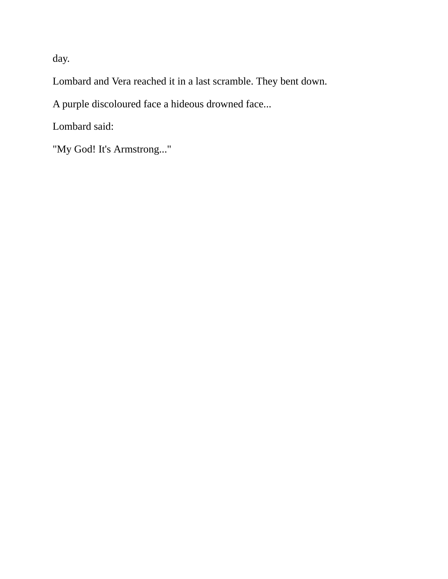day.

Lombard and Vera reached it in a last scramble. They bent down.

A purple discoloured face a hideous drowned face...

Lombard said:

"My God! It's Armstrong..."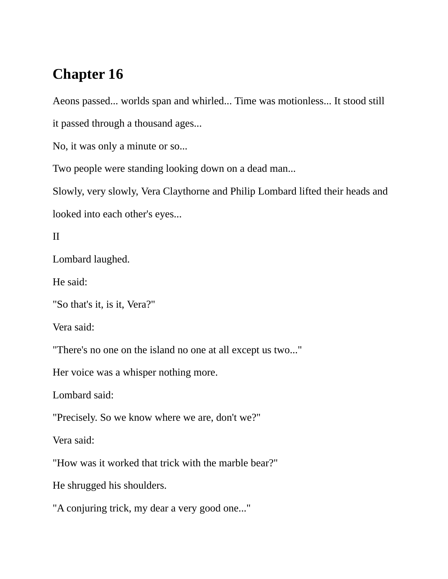## **Chapter 16**

Aeons passed... worlds span and whirled... Time was motionless... It stood still it passed through a thousand ages...

No, it was only a minute or so...

Two people were standing looking down on a dead man...

Slowly, very slowly, Vera Claythorne and Philip Lombard lifted their heads and looked into each other's eyes...

II

Lombard laughed.

He said:

"So that's it, is it, Vera?"

Vera said:

"There's no one on the island no one at all except us two..."

Her voice was a whisper nothing more.

Lombard said:

"Precisely. So we know where we are, don't we?"

Vera said:

"How was it worked that trick with the marble bear?"

He shrugged his shoulders.

"A conjuring trick, my dear a very good one..."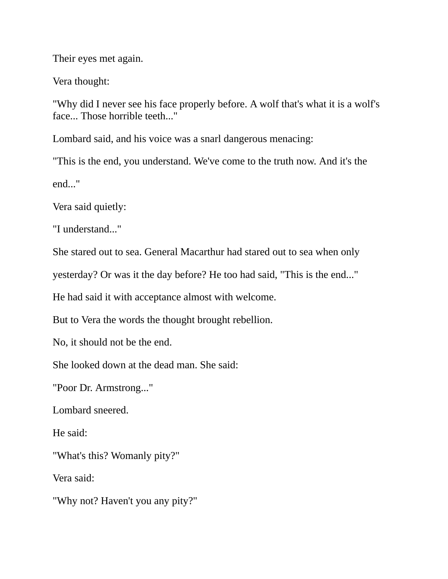Their eyes met again.

Vera thought:

"Why did I never see his face properly before. A wolf that's what it is a wolf's face... Those horrible teeth..."

Lombard said, and his voice was a snarl dangerous menacing:

"This is the end, you understand. We've come to the truth now. And it's the end..."

Vera said quietly:

"I understand..."

She stared out to sea. General Macarthur had stared out to sea when only

yesterday? Or was it the day before? He too had said, "This is the end..."

He had said it with acceptance almost with welcome.

But to Vera the words the thought brought rebellion.

No, it should not be the end.

She looked down at the dead man. She said:

"Poor Dr. Armstrong..."

Lombard sneered.

He said:

"What's this? Womanly pity?"

Vera said:

"Why not? Haven't you any pity?"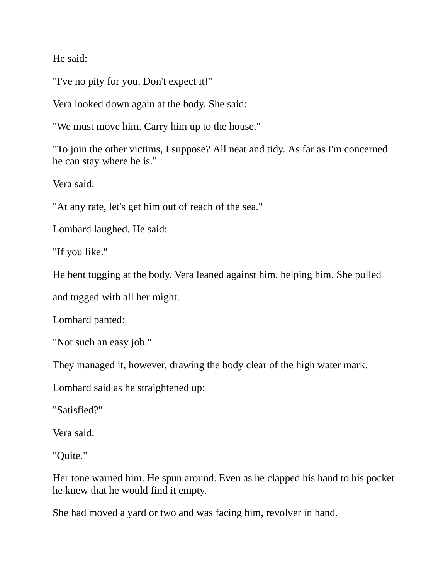He said:

"I've no pity for you. Don't expect it!"

Vera looked down again at the body. She said:

"We must move him. Carry him up to the house."

"To join the other victims, I suppose? All neat and tidy. As far as I'm concerned he can stay where he is."

Vera said:

"At any rate, let's get him out of reach of the sea."

Lombard laughed. He said:

"If you like."

He bent tugging at the body. Vera leaned against him, helping him. She pulled and tugged with all her might.

Lombard panted:

"Not such an easy job."

They managed it, however, drawing the body clear of the high water mark.

Lombard said as he straightened up:

"Satisfied?"

Vera said:

"Quite."

Her tone warned him. He spun around. Even as he clapped his hand to his pocket he knew that he would find it empty.

She had moved a yard or two and was facing him, revolver in hand.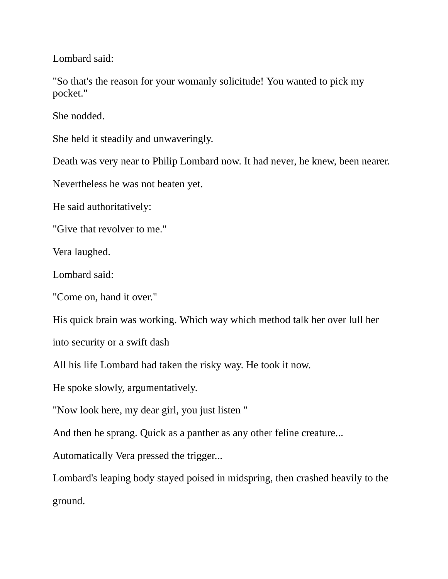Lombard said:

"So that's the reason for your womanly solicitude! You wanted to pick my pocket."

She nodded.

She held it steadily and unwaveringly.

Death was very near to Philip Lombard now. It had never, he knew, been nearer.

Nevertheless he was not beaten yet.

He said authoritatively:

"Give that revolver to me."

Vera laughed.

Lombard said:

"Come on, hand it over."

His quick brain was working. Which way which method talk her over lull her

into security or a swift dash

All his life Lombard had taken the risky way. He took it now.

He spoke slowly, argumentatively.

"Now look here, my dear girl, you just listen "

And then he sprang. Quick as a panther as any other feline creature...

Automatically Vera pressed the trigger...

Lombard's leaping body stayed poised in midspring, then crashed heavily to the ground.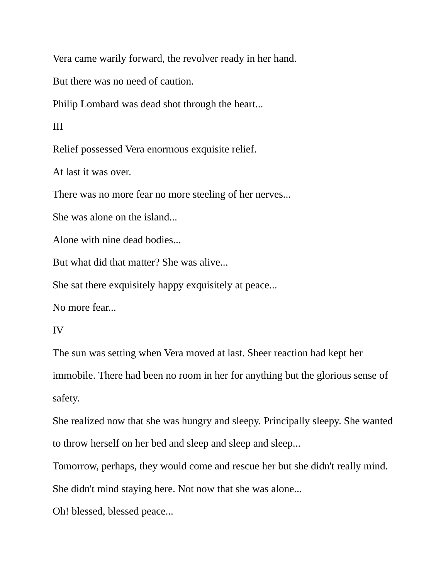Vera came warily forward, the revolver ready in her hand.

But there was no need of caution.

Philip Lombard was dead shot through the heart...

III

Relief possessed Vera enormous exquisite relief.

At last it was over.

There was no more fear no more steeling of her nerves...

She was alone on the island...

Alone with nine dead bodies...

But what did that matter? She was alive...

She sat there exquisitely happy exquisitely at peace...

No more fear...

## IV

The sun was setting when Vera moved at last. Sheer reaction had kept her immobile. There had been no room in her for anything but the glorious sense of safety.

She realized now that she was hungry and sleepy. Principally sleepy. She wanted to throw herself on her bed and sleep and sleep and sleep...

Tomorrow, perhaps, they would come and rescue her but she didn't really mind. She didn't mind staying here. Not now that she was alone...

Oh! blessed, blessed peace...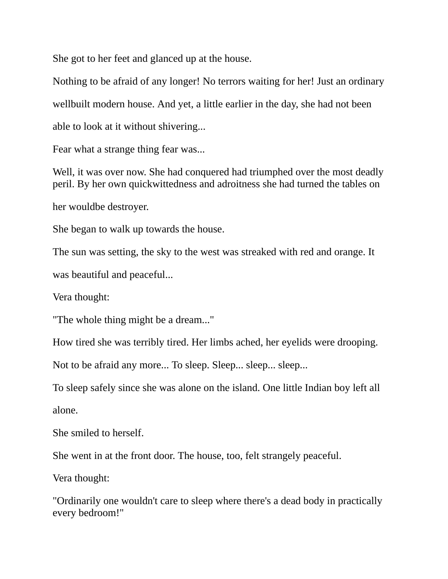She got to her feet and glanced up at the house.

Nothing to be afraid of any longer! No terrors waiting for her! Just an ordinary wellbuilt modern house. And yet, a little earlier in the day, she had not been able to look at it without shivering...

Fear what a strange thing fear was...

Well, it was over now. She had conquered had triumphed over the most deadly peril. By her own quickwittedness and adroitness she had turned the tables on her wouldbe destroyer.

She began to walk up towards the house.

The sun was setting, the sky to the west was streaked with red and orange. It was beautiful and peaceful...

Vera thought:

"The whole thing might be a dream..."

How tired she was terribly tired. Her limbs ached, her eyelids were drooping.

Not to be afraid any more... To sleep. Sleep... sleep... sleep...

To sleep safely since she was alone on the island. One little Indian boy left all alone.

She smiled to herself.

She went in at the front door. The house, too, felt strangely peaceful.

Vera thought:

"Ordinarily one wouldn't care to sleep where there's a dead body in practically every bedroom!"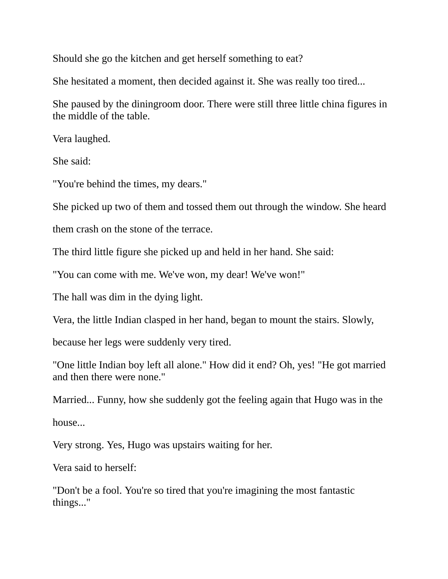Should she go the kitchen and get herself something to eat?

She hesitated a moment, then decided against it. She was really too tired...

She paused by the diningroom door. There were still three little china figures in the middle of the table.

Vera laughed.

She said:

"You're behind the times, my dears."

She picked up two of them and tossed them out through the window. She heard

them crash on the stone of the terrace.

The third little figure she picked up and held in her hand. She said:

"You can come with me. We've won, my dear! We've won!"

The hall was dim in the dying light.

Vera, the little Indian clasped in her hand, began to mount the stairs. Slowly,

because her legs were suddenly very tired.

"One little Indian boy left all alone." How did it end? Oh, yes! "He got married and then there were none."

Married... Funny, how she suddenly got the feeling again that Hugo was in the

house...

Very strong. Yes, Hugo was upstairs waiting for her.

Vera said to herself:

"Don't be a fool. You're so tired that you're imagining the most fantastic things..."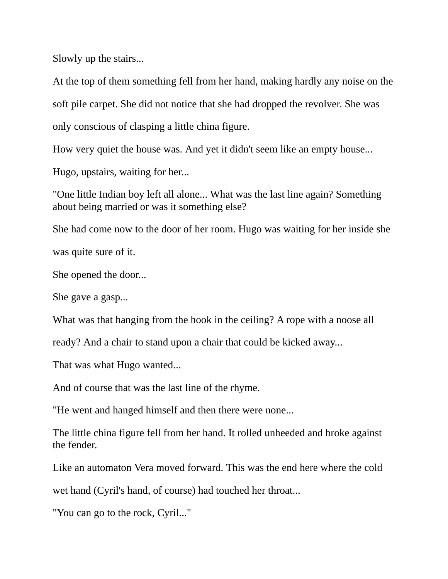Slowly up the stairs...

At the top of them something fell from her hand, making hardly any noise on the soft pile carpet. She did not notice that she had dropped the revolver. She was only conscious of clasping a little china figure.

How very quiet the house was. And yet it didn't seem like an empty house...

Hugo, upstairs, waiting for her...

"One little Indian boy left all alone... What was the last line again? Something about being married or was it something else?

She had come now to the door of her room. Hugo was waiting for her inside she

was quite sure of it.

She opened the door...

She gave a gasp...

What was that hanging from the hook in the ceiling? A rope with a noose all

ready? And a chair to stand upon a chair that could be kicked away...

That was what Hugo wanted...

And of course that was the last line of the rhyme.

"He went and hanged himself and then there were none...

The little china figure fell from her hand. It rolled unheeded and broke against the fender.

Like an automaton Vera moved forward. This was the end here where the cold

wet hand (Cyril's hand, of course) had touched her throat...

"You can go to the rock, Cyril..."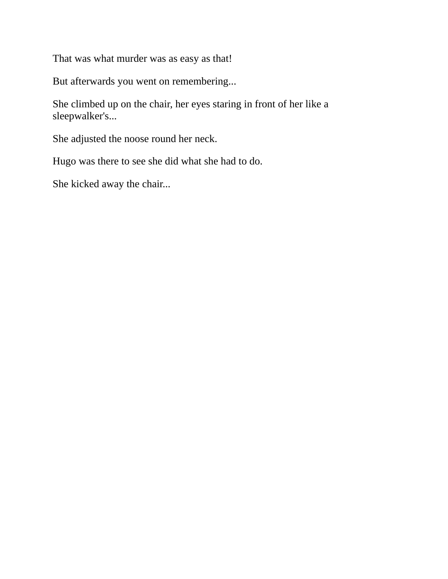That was what murder was as easy as that!

But afterwards you went on remembering...

She climbed up on the chair, her eyes staring in front of her like a sleepwalker's...

She adjusted the noose round her neck.

Hugo was there to see she did what she had to do.

She kicked away the chair...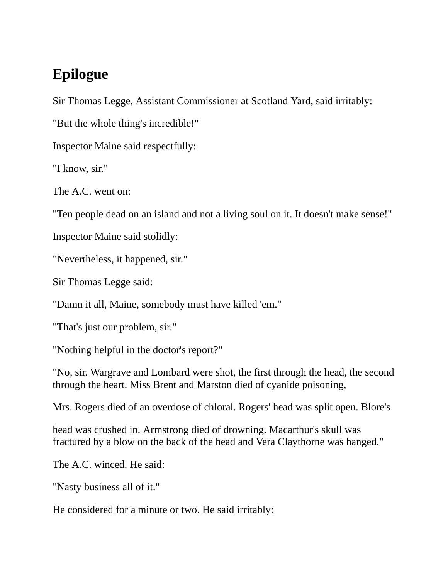## **Epilogue**

Sir Thomas Legge, Assistant Commissioner at Scotland Yard, said irritably:

"But the whole thing's incredible!"

Inspector Maine said respectfully:

"I know, sir."

The A.C. went on:

"Ten people dead on an island and not a living soul on it. It doesn't make sense!"

Inspector Maine said stolidly:

"Nevertheless, it happened, sir."

Sir Thomas Legge said:

"Damn it all, Maine, somebody must have killed 'em."

"That's just our problem, sir."

"Nothing helpful in the doctor's report?"

"No, sir. Wargrave and Lombard were shot, the first through the head, the second through the heart. Miss Brent and Marston died of cyanide poisoning,

Mrs. Rogers died of an overdose of chloral. Rogers' head was split open. Blore's

head was crushed in. Armstrong died of drowning. Macarthur's skull was fractured by a blow on the back of the head and Vera Claythorne was hanged."

The A.C. winced. He said:

"Nasty business all of it."

He considered for a minute or two. He said irritably: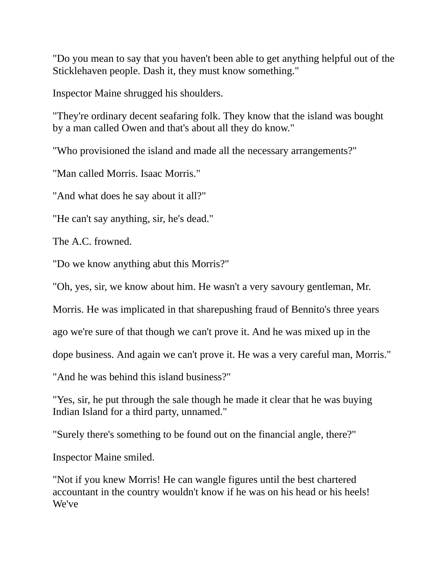"Do you mean to say that you haven't been able to get anything helpful out of the Sticklehaven people. Dash it, they must know something."

Inspector Maine shrugged his shoulders.

"They're ordinary decent seafaring folk. They know that the island was bought by a man called Owen and that's about all they do know."

"Who provisioned the island and made all the necessary arrangements?"

"Man called Morris. Isaac Morris."

"And what does he say about it all?"

"He can't say anything, sir, he's dead."

The A.C. frowned.

"Do we know anything abut this Morris?"

"Oh, yes, sir, we know about him. He wasn't a very savoury gentleman, Mr.

Morris. He was implicated in that sharepushing fraud of Bennito's three years

ago we're sure of that though we can't prove it. And he was mixed up in the

dope business. And again we can't prove it. He was a very careful man, Morris."

"And he was behind this island business?"

"Yes, sir, he put through the sale though he made it clear that he was buying Indian Island for a third party, unnamed."

"Surely there's something to be found out on the financial angle, there?"

Inspector Maine smiled.

"Not if you knew Morris! He can wangle figures until the best chartered accountant in the country wouldn't know if he was on his head or his heels! We've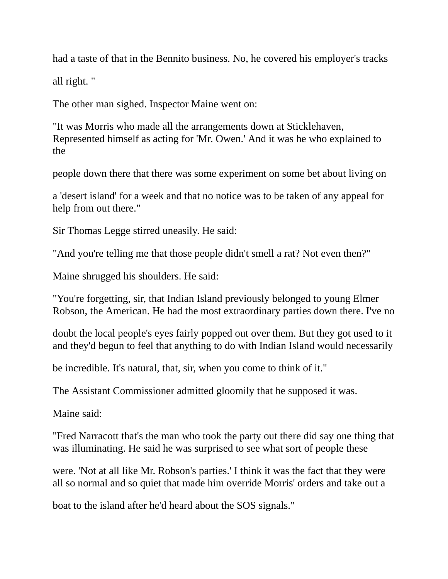had a taste of that in the Bennito business. No, he covered his employer's tracks

all right. "

The other man sighed. Inspector Maine went on:

"It was Morris who made all the arrangements down at Sticklehaven, Represented himself as acting for 'Mr. Owen.' And it was he who explained to the

people down there that there was some experiment on some bet about living on

a 'desert island' for a week and that no notice was to be taken of any appeal for help from out there."

Sir Thomas Legge stirred uneasily. He said:

"And you're telling me that those people didn't smell a rat? Not even then?"

Maine shrugged his shoulders. He said:

"You're forgetting, sir, that Indian Island previously belonged to young Elmer Robson, the American. He had the most extraordinary parties down there. I've no

doubt the local people's eyes fairly popped out over them. But they got used to it and they'd begun to feel that anything to do with Indian Island would necessarily

be incredible. It's natural, that, sir, when you come to think of it."

The Assistant Commissioner admitted gloomily that he supposed it was.

Maine said:

"Fred Narracott that's the man who took the party out there did say one thing that was illuminating. He said he was surprised to see what sort of people these

were. 'Not at all like Mr. Robson's parties.' I think it was the fact that they were all so normal and so quiet that made him override Morris' orders and take out a

boat to the island after he'd heard about the SOS signals."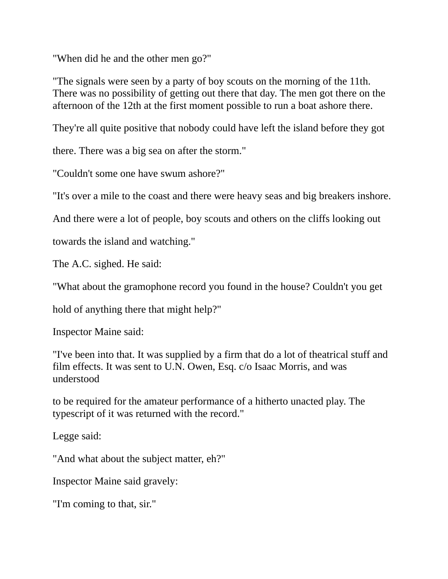"When did he and the other men go?"

"The signals were seen by a party of boy scouts on the morning of the 11th. There was no possibility of getting out there that day. The men got there on the afternoon of the 12th at the first moment possible to run a boat ashore there.

They're all quite positive that nobody could have left the island before they got

there. There was a big sea on after the storm."

"Couldn't some one have swum ashore?"

"It's over a mile to the coast and there were heavy seas and big breakers inshore.

And there were a lot of people, boy scouts and others on the cliffs looking out

towards the island and watching."

The A.C. sighed. He said:

"What about the gramophone record you found in the house? Couldn't you get

hold of anything there that might help?"

Inspector Maine said:

"I've been into that. It was supplied by a firm that do a lot of theatrical stuff and film effects. It was sent to U.N. Owen, Esq. c/o Isaac Morris, and was understood

to be required for the amateur performance of a hitherto unacted play. The typescript of it was returned with the record."

Legge said:

"And what about the subject matter, eh?"

Inspector Maine said gravely:

```
"I'm coming to that, sir."
```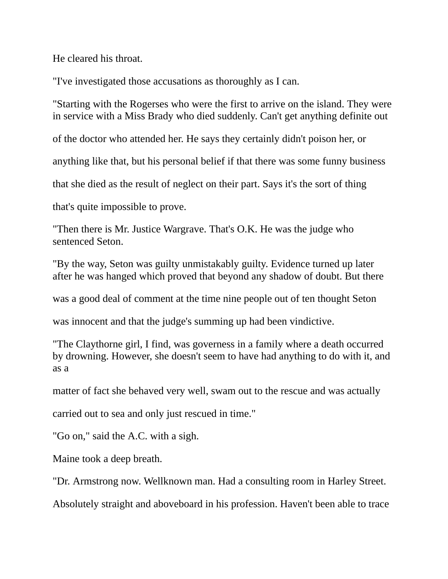He cleared his throat.

"I've investigated those accusations as thoroughly as I can.

"Starting with the Rogerses who were the first to arrive on the island. They were in service with a Miss Brady who died suddenly. Can't get anything definite out

of the doctor who attended her. He says they certainly didn't poison her, or

anything like that, but his personal belief if that there was some funny business

that she died as the result of neglect on their part. Says it's the sort of thing

that's quite impossible to prove.

"Then there is Mr. Justice Wargrave. That's O.K. He was the judge who sentenced Seton.

"By the way, Seton was guilty unmistakably guilty. Evidence turned up later after he was hanged which proved that beyond any shadow of doubt. But there

was a good deal of comment at the time nine people out of ten thought Seton

was innocent and that the judge's summing up had been vindictive.

"The Claythorne girl, I find, was governess in a family where a death occurred by drowning. However, she doesn't seem to have had anything to do with it, and as a

matter of fact she behaved very well, swam out to the rescue and was actually

carried out to sea and only just rescued in time."

"Go on," said the A.C. with a sigh.

Maine took a deep breath.

"Dr. Armstrong now. Wellknown man. Had a consulting room in Harley Street.

Absolutely straight and aboveboard in his profession. Haven't been able to trace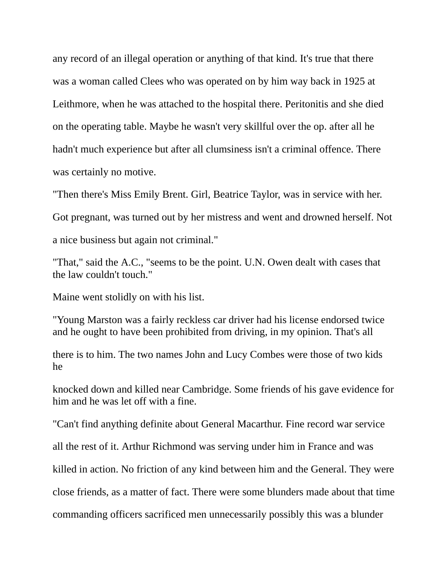any record of an illegal operation or anything of that kind. It's true that there was a woman called Clees who was operated on by him way back in 1925 at Leithmore, when he was attached to the hospital there. Peritonitis and she died on the operating table. Maybe he wasn't very skillful over the op. after all he hadn't much experience but after all clumsiness isn't a criminal offence. There was certainly no motive.

"Then there's Miss Emily Brent. Girl, Beatrice Taylor, was in service with her.

Got pregnant, was turned out by her mistress and went and drowned herself. Not

a nice business but again not criminal."

"That," said the A.C., "seems to be the point. U.N. Owen dealt with cases that the law couldn't touch."

Maine went stolidly on with his list.

"Young Marston was a fairly reckless car driver had his license endorsed twice and he ought to have been prohibited from driving, in my opinion. That's all

there is to him. The two names John and Lucy Combes were those of two kids he

knocked down and killed near Cambridge. Some friends of his gave evidence for him and he was let off with a fine.

"Can't find anything definite about General Macarthur. Fine record war service

all the rest of it. Arthur Richmond was serving under him in France and was

killed in action. No friction of any kind between him and the General. They were

close friends, as a matter of fact. There were some blunders made about that time

commanding officers sacrificed men unnecessarily possibly this was a blunder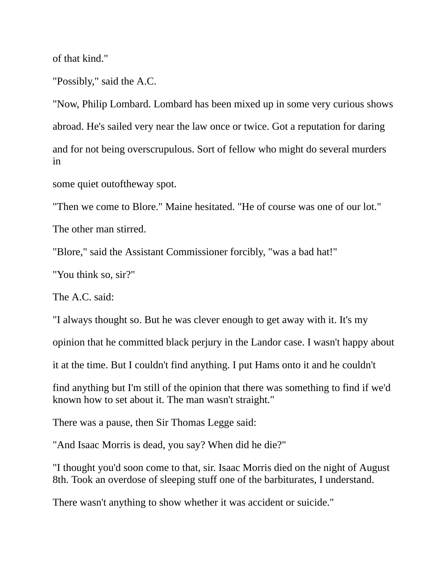of that kind."

"Possibly," said the A.C.

"Now, Philip Lombard. Lombard has been mixed up in some very curious shows abroad. He's sailed very near the law once or twice. Got a reputation for daring and for not being overscrupulous. Sort of fellow who might do several murders in

some quiet outoftheway spot.

"Then we come to Blore." Maine hesitated. "He of course was one of our lot."

The other man stirred.

"Blore," said the Assistant Commissioner forcibly, "was a bad hat!"

"You think so, sir?"

The A.C. said:

"I always thought so. But he was clever enough to get away with it. It's my

opinion that he committed black perjury in the Landor case. I wasn't happy about

it at the time. But I couldn't find anything. I put Hams onto it and he couldn't

find anything but I'm still of the opinion that there was something to find if we'd known how to set about it. The man wasn't straight."

There was a pause, then Sir Thomas Legge said:

"And Isaac Morris is dead, you say? When did he die?"

"I thought you'd soon come to that, sir. Isaac Morris died on the night of August 8th. Took an overdose of sleeping stuff one of the barbiturates, I understand.

There wasn't anything to show whether it was accident or suicide."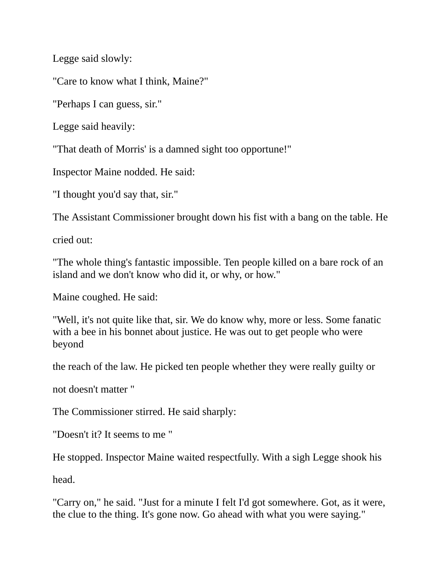Legge said slowly:

"Care to know what I think, Maine?"

"Perhaps I can guess, sir."

Legge said heavily:

"That death of Morris' is a damned sight too opportune!"

Inspector Maine nodded. He said:

"I thought you'd say that, sir."

The Assistant Commissioner brought down his fist with a bang on the table. He

cried out:

"The whole thing's fantastic impossible. Ten people killed on a bare rock of an island and we don't know who did it, or why, or how."

Maine coughed. He said:

"Well, it's not quite like that, sir. We do know why, more or less. Some fanatic with a bee in his bonnet about justice. He was out to get people who were beyond

the reach of the law. He picked ten people whether they were really guilty or

not doesn't matter "

The Commissioner stirred. He said sharply:

"Doesn't it? It seems to me "

He stopped. Inspector Maine waited respectfully. With a sigh Legge shook his

head.

"Carry on," he said. "Just for a minute I felt I'd got somewhere. Got, as it were, the clue to the thing. It's gone now. Go ahead with what you were saying."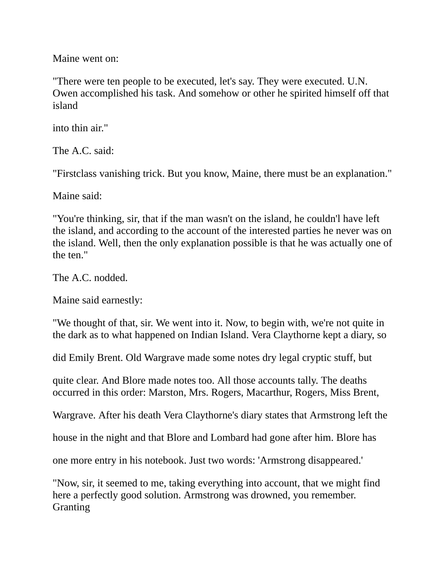Maine went on:

"There were ten people to be executed, let's say. They were executed. U.N. Owen accomplished his task. And somehow or other he spirited himself off that island

into thin air."

The A.C. said:

"Firstclass vanishing trick. But you know, Maine, there must be an explanation."

Maine said:

"You're thinking, sir, that if the man wasn't on the island, he couldn'l have left the island, and according to the account of the interested parties he never was on the island. Well, then the only explanation possible is that he was actually one of the ten."

The A.C. nodded.

Maine said earnestly:

"We thought of that, sir. We went into it. Now, to begin with, we're not quite in the dark as to what happened on Indian Island. Vera Claythorne kept a diary, so

did Emily Brent. Old Wargrave made some notes dry legal cryptic stuff, but

quite clear. And Blore made notes too. All those accounts tally. The deaths occurred in this order: Marston, Mrs. Rogers, Macarthur, Rogers, Miss Brent,

Wargrave. After his death Vera Claythorne's diary states that Armstrong left the

house in the night and that Blore and Lombard had gone after him. Blore has

one more entry in his notebook. Just two words: 'Armstrong disappeared.'

"Now, sir, it seemed to me, taking everything into account, that we might find here a perfectly good solution. Armstrong was drowned, you remember. **Granting**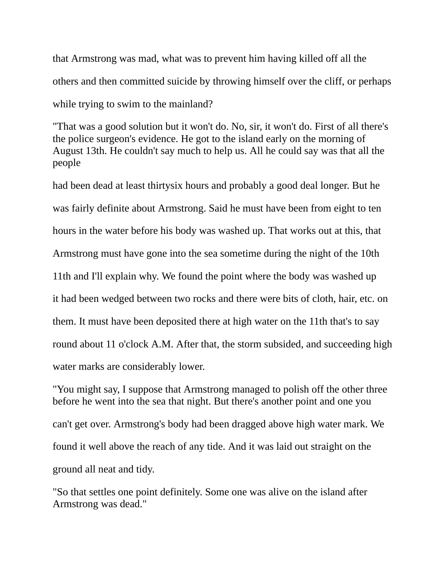that Armstrong was mad, what was to prevent him having killed off all the others and then committed suicide by throwing himself over the cliff, or perhaps while trying to swim to the mainland?

"That was a good solution but it won't do. No, sir, it won't do. First of all there's the police surgeon's evidence. He got to the island early on the morning of August 13th. He couldn't say much to help us. All he could say was that all the people

had been dead at least thirtysix hours and probably a good deal longer. But he was fairly definite about Armstrong. Said he must have been from eight to ten hours in the water before his body was washed up. That works out at this, that Armstrong must have gone into the sea sometime during the night of the 10th 11th and I'll explain why. We found the point where the body was washed up it had been wedged between two rocks and there were bits of cloth, hair, etc. on them. It must have been deposited there at high water on the 11th that's to say round about 11 o'clock A.M. After that, the storm subsided, and succeeding high water marks are considerably lower.

"You might say, I suppose that Armstrong managed to polish off the other three before he went into the sea that night. But there's another point and one you can't get over. Armstrong's body had been dragged above high water mark. We found it well above the reach of any tide. And it was laid out straight on the ground all neat and tidy.

"So that settles one point definitely. Some one was alive on the island after Armstrong was dead."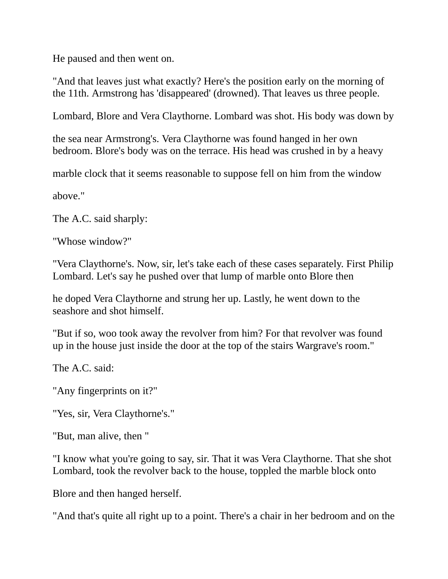He paused and then went on.

"And that leaves just what exactly? Here's the position early on the morning of the 11th. Armstrong has 'disappeared' (drowned). That leaves us three people.

Lombard, Blore and Vera Claythorne. Lombard was shot. His body was down by

the sea near Armstrong's. Vera Claythorne was found hanged in her own bedroom. Blore's body was on the terrace. His head was crushed in by a heavy

marble clock that it seems reasonable to suppose fell on him from the window

above."

The A.C. said sharply:

"Whose window?"

"Vera Claythorne's. Now, sir, let's take each of these cases separately. First Philip Lombard. Let's say he pushed over that lump of marble onto Blore then

he doped Vera Claythorne and strung her up. Lastly, he went down to the seashore and shot himself.

"But if so, woo took away the revolver from him? For that revolver was found up in the house just inside the door at the top of the stairs Wargrave's room."

The A.C. said:

"Any fingerprints on it?"

"Yes, sir, Vera Claythorne's."

"But, man alive, then "

"I know what you're going to say, sir. That it was Vera Claythorne. That she shot Lombard, took the revolver back to the house, toppled the marble block onto

Blore and then hanged herself.

"And that's quite all right up to a point. There's a chair in her bedroom and on the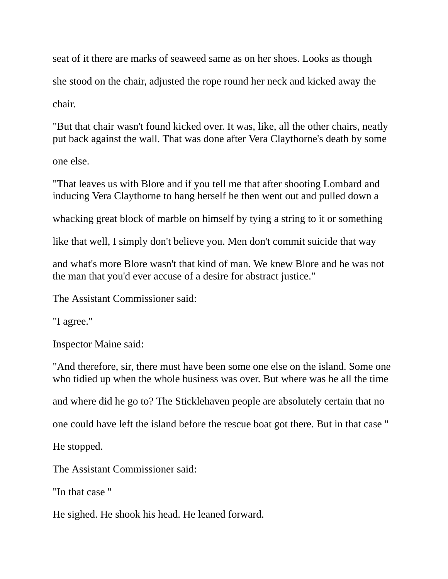seat of it there are marks of seaweed same as on her shoes. Looks as though she stood on the chair, adjusted the rope round her neck and kicked away the chair.

"But that chair wasn't found kicked over. It was, like, all the other chairs, neatly put back against the wall. That was done after Vera Claythorne's death by some

one else.

"That leaves us with Blore and if you tell me that after shooting Lombard and inducing Vera Claythorne to hang herself he then went out and pulled down a

whacking great block of marble on himself by tying a string to it or something

like that well, I simply don't believe you. Men don't commit suicide that way

and what's more Blore wasn't that kind of man. We knew Blore and he was not the man that you'd ever accuse of a desire for abstract justice."

The Assistant Commissioner said:

"I agree."

Inspector Maine said:

"And therefore, sir, there must have been some one else on the island. Some one who tidied up when the whole business was over. But where was he all the time

and where did he go to? The Sticklehaven people are absolutely certain that no

one could have left the island before the rescue boat got there. But in that case "

He stopped.

The Assistant Commissioner said:

"In that case "

He sighed. He shook his head. He leaned forward.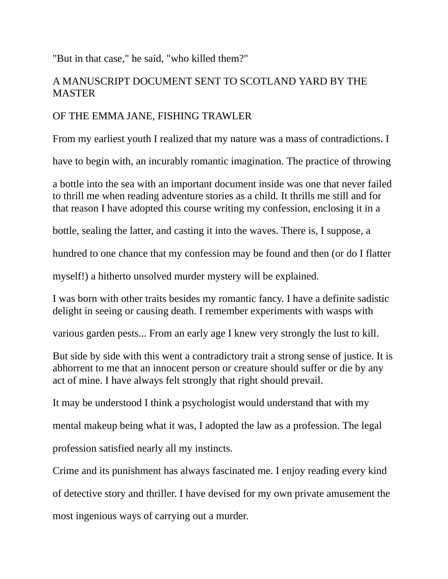"But in that case," he said, "who killed them?"

## A MANUSCRIPT DOCUMENT SENT TO SCOTLAND YARD BY THE MASTER

## OF THE EMMA JANE, FISHING TRAWLER

From my earliest youth I realized that my nature was a mass of contradictions. I

have to begin with, an incurably romantic imagination. The practice of throwing

a bottle into the sea with an important document inside was one that never failed to thrill me when reading adventure stories as a child. It thrills me still and for that reason I have adopted this course writing my confession, enclosing it in a

bottle, sealing the latter, and casting it into the waves. There is, I suppose, a

hundred to one chance that my confession may be found and then (or do I flatter

myself!) a hitherto unsolved murder mystery will be explained.

I was born with other traits besides my romantic fancy. I have a definite sadistic delight in seeing or causing death. I remember experiments with wasps with

various garden pests... From an early age I knew very strongly the lust to kill.

But side by side with this went a contradictory trait a strong sense of justice. It is abhorrent to me that an innocent person or creature should suffer or die by any act of mine. I have always felt strongly that right should prevail.

It may be understood I think a psychologist would understand that with my

mental makeup being what it was, I adopted the law as a profession. The legal

profession satisfied nearly all my instincts.

Crime and its punishment has always fascinated me. I enjoy reading every kind

of detective story and thriller. I have devised for my own private amusement the

most ingenious ways of carrying out a murder.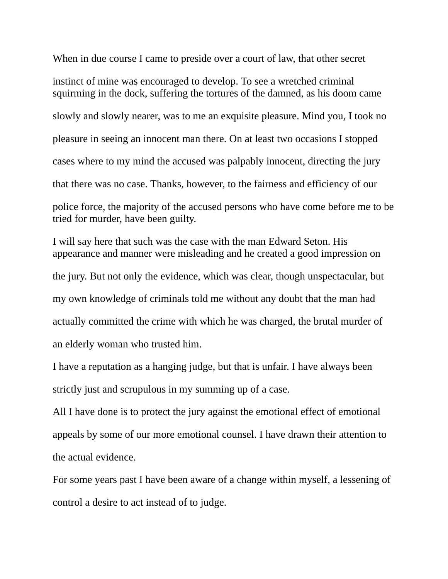When in due course I came to preside over a court of law, that other secret instinct of mine was encouraged to develop. To see a wretched criminal squirming in the dock, suffering the tortures of the damned, as his doom came slowly and slowly nearer, was to me an exquisite pleasure. Mind you, I took no pleasure in seeing an innocent man there. On at least two occasions I stopped cases where to my mind the accused was palpably innocent, directing the jury that there was no case. Thanks, however, to the fairness and efficiency of our police force, the majority of the accused persons who have come before me to be tried for murder, have been guilty.

I will say here that such was the case with the man Edward Seton. His appearance and manner were misleading and he created a good impression on the jury. But not only the evidence, which was clear, though unspectacular, but my own knowledge of criminals told me without any doubt that the man had actually committed the crime with which he was charged, the brutal murder of an elderly woman who trusted him.

I have a reputation as a hanging judge, but that is unfair. I have always been strictly just and scrupulous in my summing up of a case.

All I have done is to protect the jury against the emotional effect of emotional appeals by some of our more emotional counsel. I have drawn their attention to the actual evidence.

For some years past I have been aware of a change within myself, a lessening of control a desire to act instead of to judge.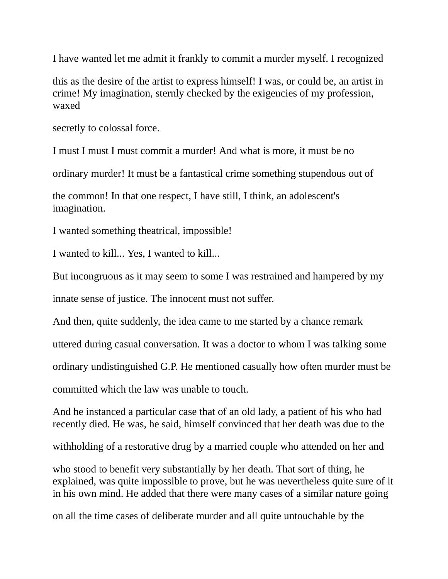I have wanted let me admit it frankly to commit a murder myself. I recognized

this as the desire of the artist to express himself! I was, or could be, an artist in crime! My imagination, sternly checked by the exigencies of my profession, waxed

secretly to colossal force.

I must I must I must commit a murder! And what is more, it must be no

ordinary murder! It must be a fantastical crime something stupendous out of

the common! In that one respect, I have still, I think, an adolescent's imagination.

I wanted something theatrical, impossible!

I wanted to kill... Yes, I wanted to kill...

But incongruous as it may seem to some I was restrained and hampered by my

innate sense of justice. The innocent must not suffer.

And then, quite suddenly, the idea came to me started by a chance remark

uttered during casual conversation. It was a doctor to whom I was talking some

ordinary undistinguished G.P. He mentioned casually how often murder must be

committed which the law was unable to touch.

And he instanced a particular case that of an old lady, a patient of his who had recently died. He was, he said, himself convinced that her death was due to the

withholding of a restorative drug by a married couple who attended on her and

who stood to benefit very substantially by her death. That sort of thing, he explained, was quite impossible to prove, but he was nevertheless quite sure of it in his own mind. He added that there were many cases of a similar nature going

on all the time cases of deliberate murder and all quite untouchable by the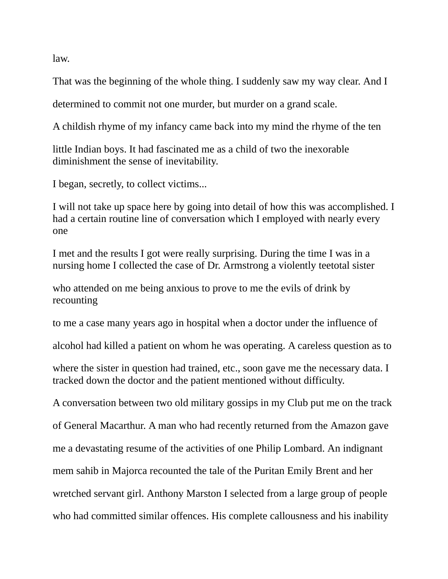law.

That was the beginning of the whole thing. I suddenly saw my way clear. And I

determined to commit not one murder, but murder on a grand scale.

A childish rhyme of my infancy came back into my mind the rhyme of the ten

little Indian boys. It had fascinated me as a child of two the inexorable diminishment the sense of inevitability.

I began, secretly, to collect victims...

I will not take up space here by going into detail of how this was accomplished. I had a certain routine line of conversation which I employed with nearly every one

I met and the results I got were really surprising. During the time I was in a nursing home I collected the case of Dr. Armstrong a violently teetotal sister

who attended on me being anxious to prove to me the evils of drink by recounting

to me a case many years ago in hospital when a doctor under the influence of

alcohol had killed a patient on whom he was operating. A careless question as to

where the sister in question had trained, etc., soon gave me the necessary data. I tracked down the doctor and the patient mentioned without difficulty.

A conversation between two old military gossips in my Club put me on the track

of General Macarthur. A man who had recently returned from the Amazon gave

me a devastating resume of the activities of one Philip Lombard. An indignant

mem sahib in Majorca recounted the tale of the Puritan Emily Brent and her

wretched servant girl. Anthony Marston I selected from a large group of people

who had committed similar offences. His complete callousness and his inability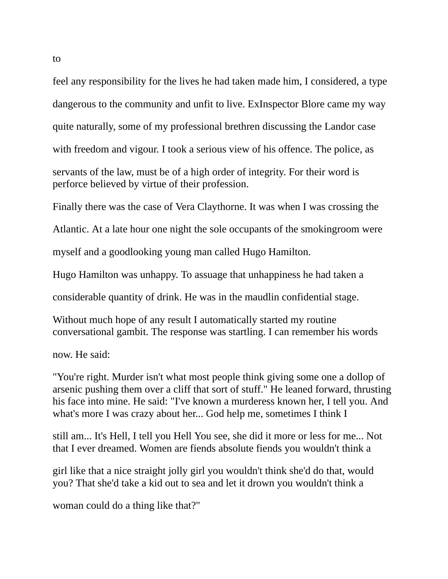feel any responsibility for the lives he had taken made him, I considered, a type dangerous to the community and unfit to live. ExInspector Blore came my way

quite naturally, some of my professional brethren discussing the Landor case

with freedom and vigour. I took a serious view of his offence. The police, as

servants of the law, must be of a high order of integrity. For their word is perforce believed by virtue of their profession.

Finally there was the case of Vera Claythorne. It was when I was crossing the

Atlantic. At a late hour one night the sole occupants of the smokingroom were

myself and a goodlooking young man called Hugo Hamilton.

Hugo Hamilton was unhappy. To assuage that unhappiness he had taken a

considerable quantity of drink. He was in the maudlin confidential stage.

Without much hope of any result I automatically started my routine conversational gambit. The response was startling. I can remember his words

now. He said:

"You're right. Murder isn't what most people think giving some one a dollop of arsenic pushing them over a cliff that sort of stuff." He leaned forward, thrusting his face into mine. He said: "I've known a murderess known her, I tell you. And what's more I was crazy about her... God help me, sometimes I think I

still am... It's Hell, I tell you Hell You see, she did it more or less for me... Not that I ever dreamed. Women are fiends absolute fiends you wouldn't think a

girl like that a nice straight jolly girl you wouldn't think she'd do that, would you? That she'd take a kid out to sea and let it drown you wouldn't think a

woman could do a thing like that?"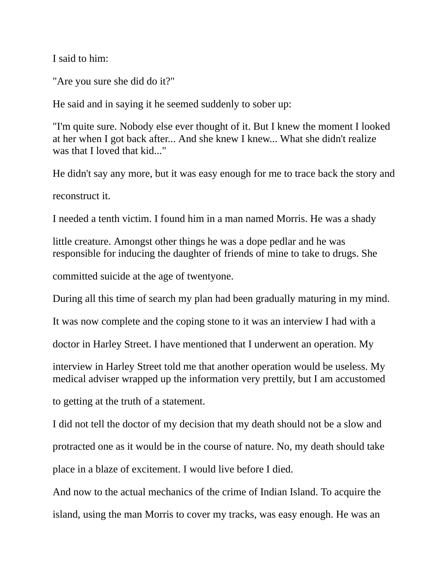I said to him:

"Are you sure she did do it?"

He said and in saying it he seemed suddenly to sober up:

"I'm quite sure. Nobody else ever thought of it. But I knew the moment I looked at her when I got back after... And she knew I knew... What she didn't realize was that I loved that kid..."

He didn't say any more, but it was easy enough for me to trace back the story and

reconstruct it.

I needed a tenth victim. I found him in a man named Morris. He was a shady

little creature. Amongst other things he was a dope pedlar and he was responsible for inducing the daughter of friends of mine to take to drugs. She

committed suicide at the age of twentyone.

During all this time of search my plan had been gradually maturing in my mind.

It was now complete and the coping stone to it was an interview I had with a

doctor in Harley Street. I have mentioned that I underwent an operation. My

interview in Harley Street told me that another operation would be useless. My medical adviser wrapped up the information very prettily, but I am accustomed

to getting at the truth of a statement.

I did not tell the doctor of my decision that my death should not be a slow and protracted one as it would be in the course of nature. No, my death should take place in a blaze of excitement. I would live before I died.

And now to the actual mechanics of the crime of Indian Island. To acquire the island, using the man Morris to cover my tracks, was easy enough. He was an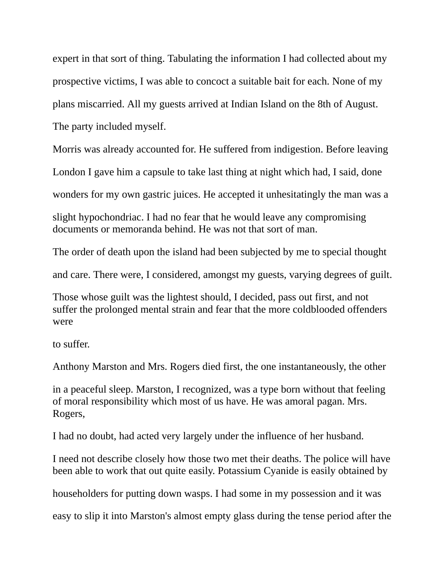expert in that sort of thing. Tabulating the information I had collected about my

prospective victims, I was able to concoct a suitable bait for each. None of my

plans miscarried. All my guests arrived at Indian Island on the 8th of August.

The party included myself.

Morris was already accounted for. He suffered from indigestion. Before leaving

London I gave him a capsule to take last thing at night which had, I said, done

wonders for my own gastric juices. He accepted it unhesitatingly the man was a

slight hypochondriac. I had no fear that he would leave any compromising documents or memoranda behind. He was not that sort of man.

The order of death upon the island had been subjected by me to special thought

and care. There were, I considered, amongst my guests, varying degrees of guilt.

Those whose guilt was the lightest should, I decided, pass out first, and not suffer the prolonged mental strain and fear that the more coldblooded offenders were

to suffer.

Anthony Marston and Mrs. Rogers died first, the one instantaneously, the other

in a peaceful sleep. Marston, I recognized, was a type born without that feeling of moral responsibility which most of us have. He was amoral pagan. Mrs. Rogers,

I had no doubt, had acted very largely under the influence of her husband.

I need not describe closely how those two met their deaths. The police will have been able to work that out quite easily. Potassium Cyanide is easily obtained by

householders for putting down wasps. I had some in my possession and it was

easy to slip it into Marston's almost empty glass during the tense period after the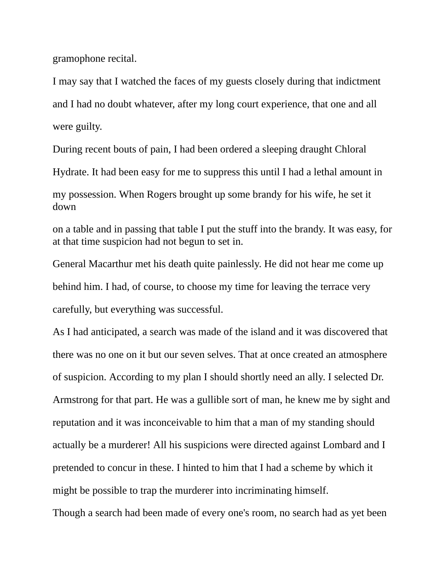gramophone recital.

I may say that I watched the faces of my guests closely during that indictment and I had no doubt whatever, after my long court experience, that one and all were guilty.

During recent bouts of pain, I had been ordered a sleeping draught Chloral

Hydrate. It had been easy for me to suppress this until I had a lethal amount in

my possession. When Rogers brought up some brandy for his wife, he set it down

on a table and in passing that table I put the stuff into the brandy. It was easy, for at that time suspicion had not begun to set in.

General Macarthur met his death quite painlessly. He did not hear me come up behind him. I had, of course, to choose my time for leaving the terrace very carefully, but everything was successful.

As I had anticipated, a search was made of the island and it was discovered that there was no one on it but our seven selves. That at once created an atmosphere of suspicion. According to my plan I should shortly need an ally. I selected Dr. Armstrong for that part. He was a gullible sort of man, he knew me by sight and reputation and it was inconceivable to him that a man of my standing should actually be a murderer! All his suspicions were directed against Lombard and I pretended to concur in these. I hinted to him that I had a scheme by which it might be possible to trap the murderer into incriminating himself.

Though a search had been made of every one's room, no search had as yet been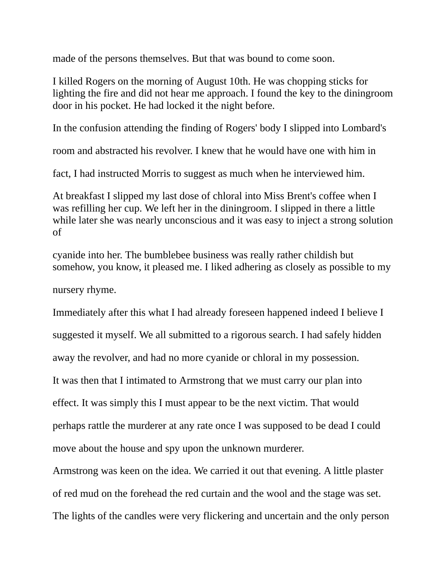made of the persons themselves. But that was bound to come soon.

I killed Rogers on the morning of August 10th. He was chopping sticks for lighting the fire and did not hear me approach. I found the key to the diningroom door in his pocket. He had locked it the night before.

In the confusion attending the finding of Rogers' body I slipped into Lombard's

room and abstracted his revolver. I knew that he would have one with him in

fact, I had instructed Morris to suggest as much when he interviewed him.

At breakfast I slipped my last dose of chloral into Miss Brent's coffee when I was refilling her cup. We left her in the diningroom. I slipped in there a little while later she was nearly unconscious and it was easy to inject a strong solution of

cyanide into her. The bumblebee business was really rather childish but somehow, you know, it pleased me. I liked adhering as closely as possible to my

nursery rhyme.

Immediately after this what I had already foreseen happened indeed I believe I suggested it myself. We all submitted to a rigorous search. I had safely hidden away the revolver, and had no more cyanide or chloral in my possession. It was then that I intimated to Armstrong that we must carry our plan into effect. It was simply this I must appear to be the next victim. That would perhaps rattle the murderer at any rate once I was supposed to be dead I could move about the house and spy upon the unknown murderer.

Armstrong was keen on the idea. We carried it out that evening. A little plaster of red mud on the forehead the red curtain and the wool and the stage was set. The lights of the candles were very flickering and uncertain and the only person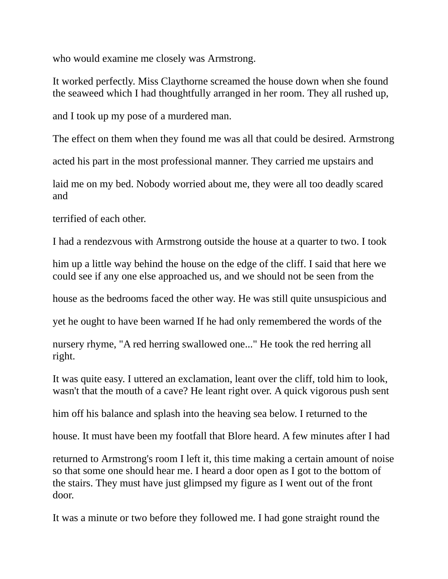who would examine me closely was Armstrong.

It worked perfectly. Miss Claythorne screamed the house down when she found the seaweed which I had thoughtfully arranged in her room. They all rushed up,

and I took up my pose of a murdered man.

The effect on them when they found me was all that could be desired. Armstrong

acted his part in the most professional manner. They carried me upstairs and

laid me on my bed. Nobody worried about me, they were all too deadly scared and

terrified of each other.

I had a rendezvous with Armstrong outside the house at a quarter to two. I took

him up a little way behind the house on the edge of the cliff. I said that here we could see if any one else approached us, and we should not be seen from the

house as the bedrooms faced the other way. He was still quite unsuspicious and

yet he ought to have been warned If he had only remembered the words of the

nursery rhyme, "A red herring swallowed one..." He took the red herring all right.

It was quite easy. I uttered an exclamation, leant over the cliff, told him to look, wasn't that the mouth of a cave? He leant right over. A quick vigorous push sent

him off his balance and splash into the heaving sea below. I returned to the

house. It must have been my footfall that Blore heard. A few minutes after I had

returned to Armstrong's room I left it, this time making a certain amount of noise so that some one should hear me. I heard a door open as I got to the bottom of the stairs. They must have just glimpsed my figure as I went out of the front door.

It was a minute or two before they followed me. I had gone straight round the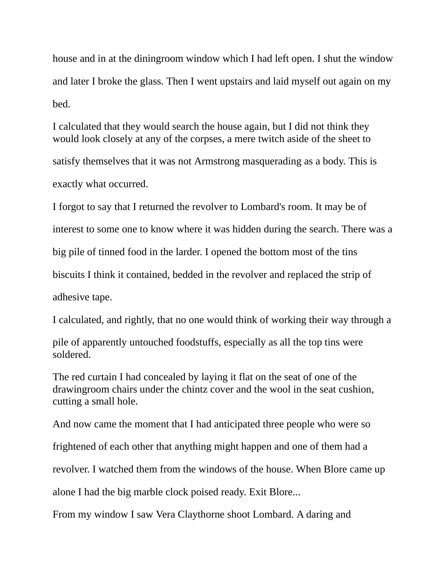house and in at the diningroom window which I had left open. I shut the window and later I broke the glass. Then I went upstairs and laid myself out again on my bed.

I calculated that they would search the house again, but I did not think they would look closely at any of the corpses, a mere twitch aside of the sheet to satisfy themselves that it was not Armstrong masquerading as a body. This is exactly what occurred.

I forgot to say that I returned the revolver to Lombard's room. It may be of

interest to some one to know where it was hidden during the search. There was a

big pile of tinned food in the larder. I opened the bottom most of the tins

biscuits I think it contained, bedded in the revolver and replaced the strip of

adhesive tape.

I calculated, and rightly, that no one would think of working their way through a

pile of apparently untouched foodstuffs, especially as all the top tins were soldered.

The red curtain I had concealed by laying it flat on the seat of one of the drawingroom chairs under the chintz cover and the wool in the seat cushion, cutting a small hole.

And now came the moment that I had anticipated three people who were so frightened of each other that anything might happen and one of them had a revolver. I watched them from the windows of the house. When Blore came up alone I had the big marble clock poised ready. Exit Blore...

From my window I saw Vera Claythorne shoot Lombard. A daring and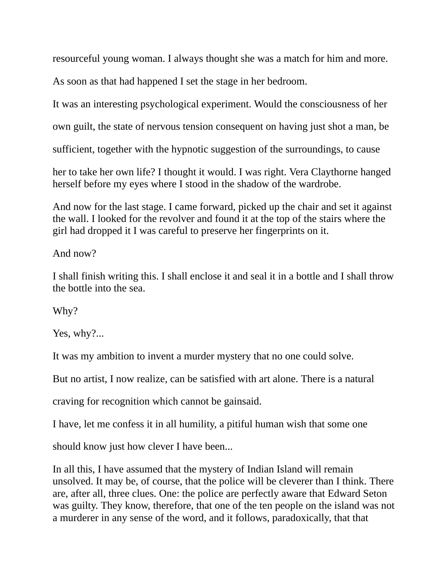resourceful young woman. I always thought she was a match for him and more.

As soon as that had happened I set the stage in her bedroom.

It was an interesting psychological experiment. Would the consciousness of her

own guilt, the state of nervous tension consequent on having just shot a man, be

sufficient, together with the hypnotic suggestion of the surroundings, to cause

her to take her own life? I thought it would. I was right. Vera Claythorne hanged herself before my eyes where I stood in the shadow of the wardrobe.

And now for the last stage. I came forward, picked up the chair and set it against the wall. I looked for the revolver and found it at the top of the stairs where the girl had dropped it I was careful to preserve her fingerprints on it.

And now?

I shall finish writing this. I shall enclose it and seal it in a bottle and I shall throw the bottle into the sea.

Why?

Yes, why?...

It was my ambition to invent a murder mystery that no one could solve.

But no artist, I now realize, can be satisfied with art alone. There is a natural

craving for recognition which cannot be gainsaid.

I have, let me confess it in all humility, a pitiful human wish that some one

should know just how clever I have been...

In all this, I have assumed that the mystery of Indian Island will remain unsolved. It may be, of course, that the police will be cleverer than I think. There are, after all, three clues. One: the police are perfectly aware that Edward Seton was guilty. They know, therefore, that one of the ten people on the island was not a murderer in any sense of the word, and it follows, paradoxically, that that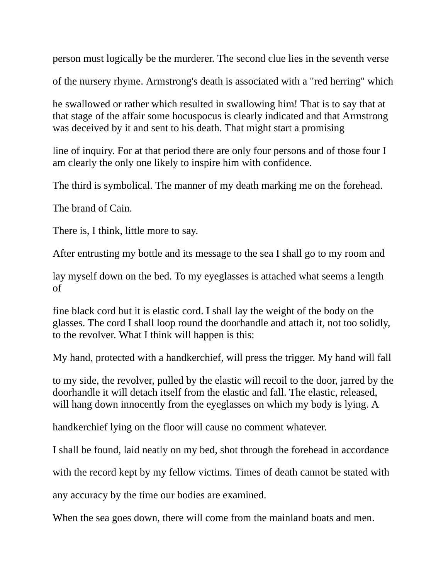person must logically be the murderer. The second clue lies in the seventh verse

of the nursery rhyme. Armstrong's death is associated with a "red herring" which

he swallowed or rather which resulted in swallowing him! That is to say that at that stage of the affair some hocuspocus is clearly indicated and that Armstrong was deceived by it and sent to his death. That might start a promising

line of inquiry. For at that period there are only four persons and of those four I am clearly the only one likely to inspire him with confidence.

The third is symbolical. The manner of my death marking me on the forehead.

The brand of Cain.

There is, I think, little more to say.

After entrusting my bottle and its message to the sea I shall go to my room and

lay myself down on the bed. To my eyeglasses is attached what seems a length of

fine black cord but it is elastic cord. I shall lay the weight of the body on the glasses. The cord I shall loop round the doorhandle and attach it, not too solidly, to the revolver. What I think will happen is this:

My hand, protected with a handkerchief, will press the trigger. My hand will fall

to my side, the revolver, pulled by the elastic will recoil to the door, jarred by the doorhandle it will detach itself from the elastic and fall. The elastic, released, will hang down innocently from the eyeglasses on which my body is lying. A

handkerchief lying on the floor will cause no comment whatever.

I shall be found, laid neatly on my bed, shot through the forehead in accordance

with the record kept by my fellow victims. Times of death cannot be stated with

any accuracy by the time our bodies are examined.

When the sea goes down, there will come from the mainland boats and men.